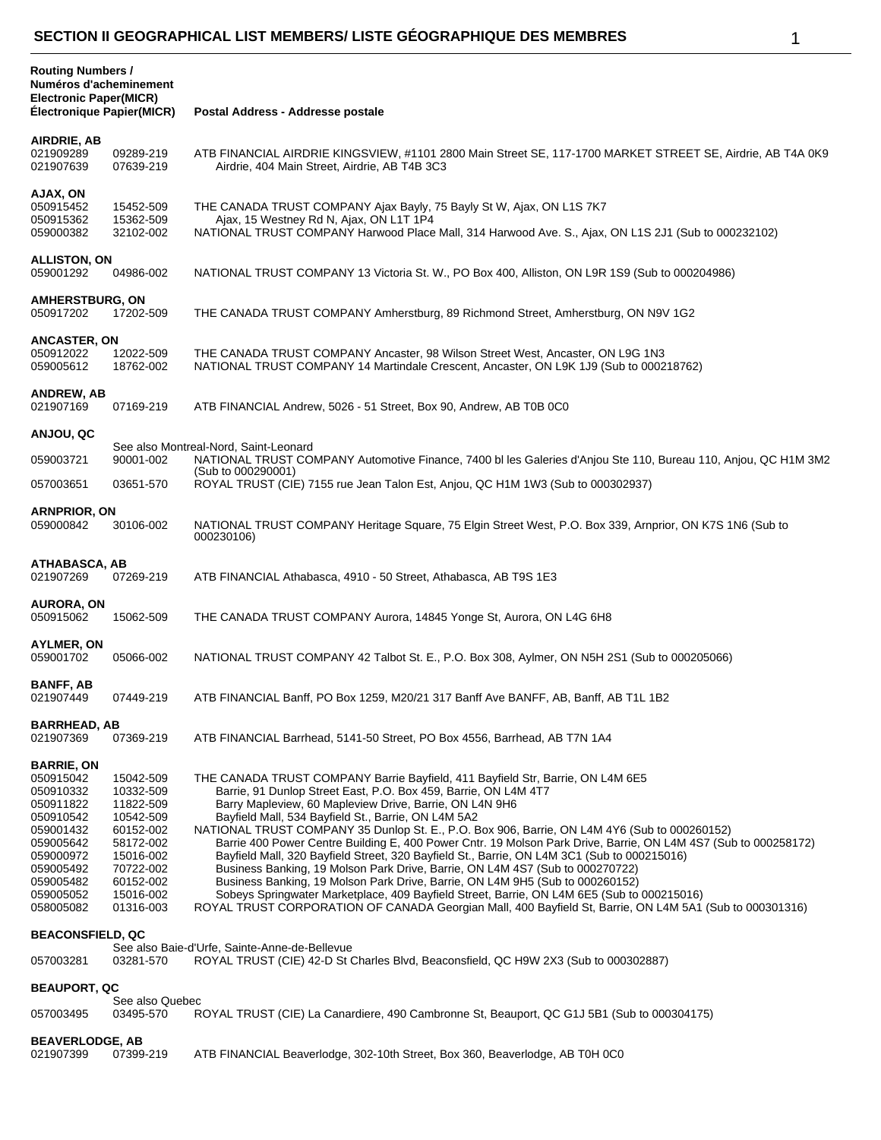| <b>Routing Numbers /</b><br>Numéros d'acheminement<br><b>Electronic Paper(MICR)</b><br>Electronique Papier(MICR)                                                 |                                                                                                                                             | Postal Address - Addresse postale                                                                                                                                                                                                                                                                                                                                                                                                                                                                                                                                                                                                                                                                                                                                                                                                                                                                                                                                |
|------------------------------------------------------------------------------------------------------------------------------------------------------------------|---------------------------------------------------------------------------------------------------------------------------------------------|------------------------------------------------------------------------------------------------------------------------------------------------------------------------------------------------------------------------------------------------------------------------------------------------------------------------------------------------------------------------------------------------------------------------------------------------------------------------------------------------------------------------------------------------------------------------------------------------------------------------------------------------------------------------------------------------------------------------------------------------------------------------------------------------------------------------------------------------------------------------------------------------------------------------------------------------------------------|
|                                                                                                                                                                  |                                                                                                                                             |                                                                                                                                                                                                                                                                                                                                                                                                                                                                                                                                                                                                                                                                                                                                                                                                                                                                                                                                                                  |
| AIRDRIE, AB<br>021909289<br>021907639                                                                                                                            | 09289-219<br>07639-219                                                                                                                      | ATB FINANCIAL AIRDRIE KINGSVIEW, #1101 2800 Main Street SE, 117-1700 MARKET STREET SE, Airdrie, AB T4A 0K9<br>Airdrie, 404 Main Street, Airdrie, AB T4B 3C3                                                                                                                                                                                                                                                                                                                                                                                                                                                                                                                                                                                                                                                                                                                                                                                                      |
| AJAX, ON<br>050915452<br>050915362<br>059000382                                                                                                                  | 15452-509<br>15362-509<br>32102-002                                                                                                         | THE CANADA TRUST COMPANY Ajax Bayly, 75 Bayly St W, Ajax, ON L1S 7K7<br>Ajax, 15 Westney Rd N, Ajax, ON L1T 1P4<br>NATIONAL TRUST COMPANY Harwood Place Mall, 314 Harwood Ave. S., Ajax, ON L1S 2J1 (Sub to 000232102)                                                                                                                                                                                                                                                                                                                                                                                                                                                                                                                                                                                                                                                                                                                                           |
| <b>ALLISTON, ON</b><br>059001292                                                                                                                                 | 04986-002                                                                                                                                   | NATIONAL TRUST COMPANY 13 Victoria St. W., PO Box 400, Alliston, ON L9R 1S9 (Sub to 000204986)                                                                                                                                                                                                                                                                                                                                                                                                                                                                                                                                                                                                                                                                                                                                                                                                                                                                   |
| <b>AMHERSTBURG, ON</b><br>050917202                                                                                                                              | 17202-509                                                                                                                                   | THE CANADA TRUST COMPANY Amherstburg, 89 Richmond Street, Amherstburg, ON N9V 1G2                                                                                                                                                                                                                                                                                                                                                                                                                                                                                                                                                                                                                                                                                                                                                                                                                                                                                |
| <b>ANCASTER, ON</b><br>050912022<br>059005612                                                                                                                    | 12022-509<br>18762-002                                                                                                                      | THE CANADA TRUST COMPANY Ancaster, 98 Wilson Street West, Ancaster, ON L9G 1N3<br>NATIONAL TRUST COMPANY 14 Martindale Crescent, Ancaster, ON L9K 1J9 (Sub to 000218762)                                                                                                                                                                                                                                                                                                                                                                                                                                                                                                                                                                                                                                                                                                                                                                                         |
| <b>ANDREW, AB</b><br>021907169                                                                                                                                   | 07169-219                                                                                                                                   | ATB FINANCIAL Andrew, 5026 - 51 Street, Box 90, Andrew, AB T0B 0C0                                                                                                                                                                                                                                                                                                                                                                                                                                                                                                                                                                                                                                                                                                                                                                                                                                                                                               |
| ANJOU, QC                                                                                                                                                        |                                                                                                                                             |                                                                                                                                                                                                                                                                                                                                                                                                                                                                                                                                                                                                                                                                                                                                                                                                                                                                                                                                                                  |
| 059003721                                                                                                                                                        | 90001-002                                                                                                                                   | See also Montreal-Nord, Saint-Leonard<br>NATIONAL TRUST COMPANY Automotive Finance, 7400 bl les Galeries d'Anjou Ste 110, Bureau 110, Anjou, QC H1M 3M2                                                                                                                                                                                                                                                                                                                                                                                                                                                                                                                                                                                                                                                                                                                                                                                                          |
| 057003651                                                                                                                                                        | 03651-570                                                                                                                                   | (Sub to 000290001)<br>ROYAL TRUST (CIE) 7155 rue Jean Talon Est, Anjou, QC H1M 1W3 (Sub to 000302937)                                                                                                                                                                                                                                                                                                                                                                                                                                                                                                                                                                                                                                                                                                                                                                                                                                                            |
| <b>ARNPRIOR, ON</b><br>059000842                                                                                                                                 | 30106-002                                                                                                                                   | NATIONAL TRUST COMPANY Heritage Square, 75 Elgin Street West, P.O. Box 339, Arnprior, ON K7S 1N6 (Sub to<br>000230106)                                                                                                                                                                                                                                                                                                                                                                                                                                                                                                                                                                                                                                                                                                                                                                                                                                           |
| ATHABASCA, AB<br>021907269                                                                                                                                       | 07269-219                                                                                                                                   | ATB FINANCIAL Athabasca, 4910 - 50 Street, Athabasca, AB T9S 1E3                                                                                                                                                                                                                                                                                                                                                                                                                                                                                                                                                                                                                                                                                                                                                                                                                                                                                                 |
| <b>AURORA, ON</b><br>050915062                                                                                                                                   | 15062-509                                                                                                                                   | THE CANADA TRUST COMPANY Aurora, 14845 Yonge St, Aurora, ON L4G 6H8                                                                                                                                                                                                                                                                                                                                                                                                                                                                                                                                                                                                                                                                                                                                                                                                                                                                                              |
| AYLMER, ON<br>059001702                                                                                                                                          | 05066-002                                                                                                                                   | NATIONAL TRUST COMPANY 42 Talbot St. E., P.O. Box 308, Aylmer, ON N5H 2S1 (Sub to 000205066)                                                                                                                                                                                                                                                                                                                                                                                                                                                                                                                                                                                                                                                                                                                                                                                                                                                                     |
| <b>BANFF, AB</b><br>021907449                                                                                                                                    | 07449-219                                                                                                                                   | ATB FINANCIAL Banff, PO Box 1259, M20/21 317 Banff Ave BANFF, AB, Banff, AB T1L 1B2                                                                                                                                                                                                                                                                                                                                                                                                                                                                                                                                                                                                                                                                                                                                                                                                                                                                              |
| <b>BARRHEAD, AB</b><br>021907369                                                                                                                                 | 07369-219                                                                                                                                   | ATB FINANCIAL Barrhead, 5141-50 Street, PO Box 4556, Barrhead, AB T7N 1A4                                                                                                                                                                                                                                                                                                                                                                                                                                                                                                                                                                                                                                                                                                                                                                                                                                                                                        |
| <b>BARRIE, ON</b><br>050915042<br>050910332<br>050911822<br>050910542<br>059001432<br>059005642<br>059000972<br>059005492<br>059005482<br>059005052<br>058005082 | 15042-509<br>10332-509<br>11822-509<br>10542-509<br>60152-002<br>58172-002<br>15016-002<br>70722-002<br>60152-002<br>15016-002<br>01316-003 | THE CANADA TRUST COMPANY Barrie Bayfield, 411 Bayfield Str, Barrie, ON L4M 6E5<br>Barrie, 91 Dunlop Street East, P.O. Box 459, Barrie, ON L4M 4T7<br>Barry Mapleview, 60 Mapleview Drive, Barrie, ON L4N 9H6<br>Bayfield Mall, 534 Bayfield St., Barrie, ON L4M 5A2<br>NATIONAL TRUST COMPANY 35 Dunlop St. E., P.O. Box 906, Barrie, ON L4M 4Y6 (Sub to 000260152)<br>Barrie 400 Power Centre Building E, 400 Power Cntr. 19 Molson Park Drive, Barrie, ON L4M 4S7 (Sub to 000258172)<br>Bayfield Mall, 320 Bayfield Street, 320 Bayfield St., Barrie, ON L4M 3C1 (Sub to 000215016)<br>Business Banking, 19 Molson Park Drive, Barrie, ON L4M 4S7 (Sub to 000270722)<br>Business Banking, 19 Molson Park Drive, Barrie, ON L4M 9H5 (Sub to 000260152)<br>Sobeys Springwater Marketplace, 409 Bayfield Street, Barrie, ON L4M 6E5 (Sub to 000215016)<br>ROYAL TRUST CORPORATION OF CANADA Georgian Mall, 400 Bayfield St, Barrie, ON L4M 5A1 (Sub to 000301316) |
| <b>BEACONSFIELD, QC</b>                                                                                                                                          |                                                                                                                                             | See also Baie-d'Urfe, Sainte-Anne-de-Bellevue                                                                                                                                                                                                                                                                                                                                                                                                                                                                                                                                                                                                                                                                                                                                                                                                                                                                                                                    |
| 057003281                                                                                                                                                        | 03281-570                                                                                                                                   | ROYAL TRUST (CIE) 42-D St Charles Blvd, Beaconsfield, QC H9W 2X3 (Sub to 000302887)                                                                                                                                                                                                                                                                                                                                                                                                                                                                                                                                                                                                                                                                                                                                                                                                                                                                              |
| <b>BEAUPORT, QC</b>                                                                                                                                              | See also Quebec                                                                                                                             |                                                                                                                                                                                                                                                                                                                                                                                                                                                                                                                                                                                                                                                                                                                                                                                                                                                                                                                                                                  |
| 057003495                                                                                                                                                        | 03495-570                                                                                                                                   | ROYAL TRUST (CIE) La Canardiere, 490 Cambronne St, Beauport, QC G1J 5B1 (Sub to 000304175)                                                                                                                                                                                                                                                                                                                                                                                                                                                                                                                                                                                                                                                                                                                                                                                                                                                                       |
| <b>BEAVERLODGE, AB</b><br>021907399                                                                                                                              | 07399-219                                                                                                                                   | ATB FINANCIAL Beaverlodge, 302-10th Street, Box 360, Beaverlodge, AB T0H 0C0                                                                                                                                                                                                                                                                                                                                                                                                                                                                                                                                                                                                                                                                                                                                                                                                                                                                                     |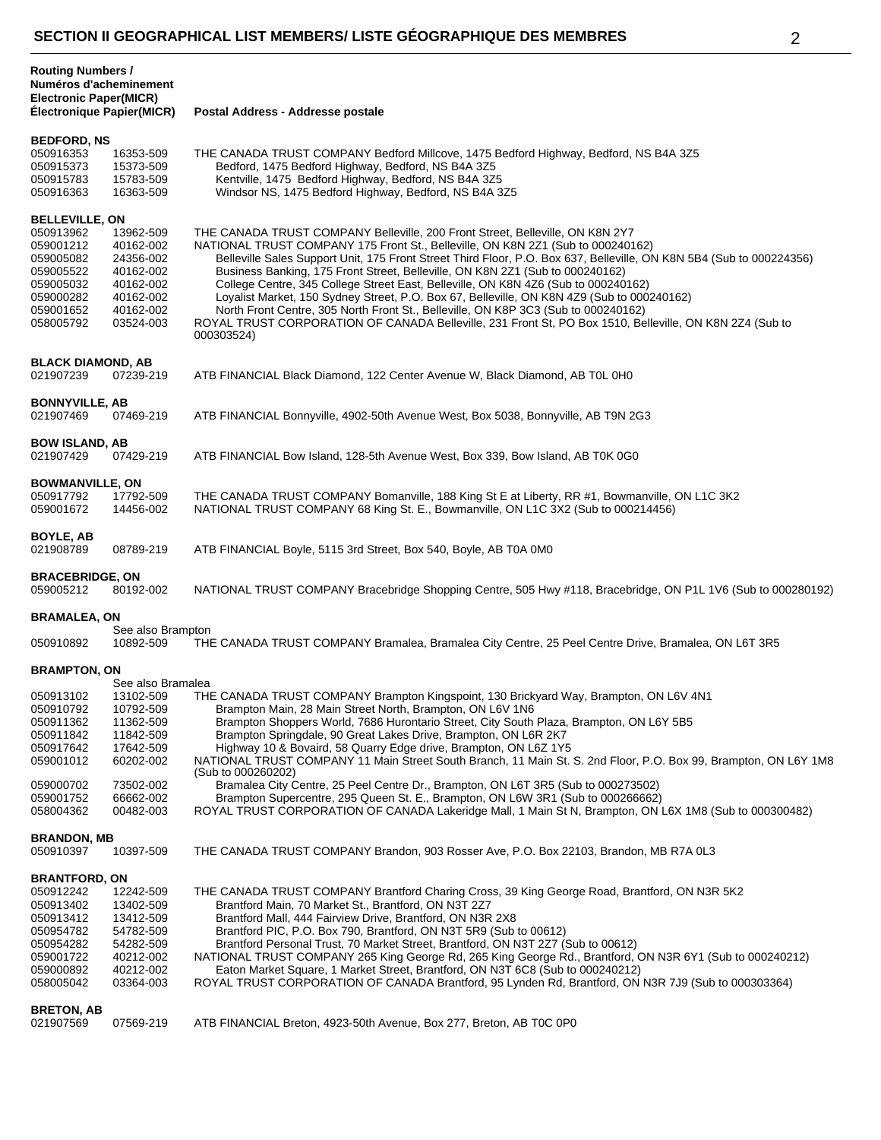| <b>Routing Numbers /</b><br>Numéros d'acheminement<br><b>Electronic Paper(MICR)</b>                                           |                                                                                                      |                                                                                                                                                                                                                                                                                                                                                                                                                                                                                                                                                                                                                                                                                                                                                                              |
|-------------------------------------------------------------------------------------------------------------------------------|------------------------------------------------------------------------------------------------------|------------------------------------------------------------------------------------------------------------------------------------------------------------------------------------------------------------------------------------------------------------------------------------------------------------------------------------------------------------------------------------------------------------------------------------------------------------------------------------------------------------------------------------------------------------------------------------------------------------------------------------------------------------------------------------------------------------------------------------------------------------------------------|
| Électronique Papier(MICR)                                                                                                     |                                                                                                      | Postal Address - Addresse postale                                                                                                                                                                                                                                                                                                                                                                                                                                                                                                                                                                                                                                                                                                                                            |
| <b>BEDFORD, NS</b><br>050916353<br>050915373<br>050915783<br>050916363                                                        | 16353-509<br>15373-509<br>15783-509<br>16363-509                                                     | THE CANADA TRUST COMPANY Bedford Millcove, 1475 Bedford Highway, Bedford, NS B4A 3Z5<br>Bedford, 1475 Bedford Highway, Bedford, NS B4A 3Z5<br>Kentville, 1475 Bedford Highway, Bedford, NS B4A 3Z5<br>Windsor NS, 1475 Bedford Highway, Bedford, NS B4A 3Z5                                                                                                                                                                                                                                                                                                                                                                                                                                                                                                                  |
| <b>BELLEVILLE, ON</b><br>050913962<br>059001212<br>059005082<br>059005522<br>059005032<br>059000282<br>059001652<br>058005792 | 13962-509<br>40162-002<br>24356-002<br>40162-002<br>40162-002<br>40162-002<br>40162-002<br>03524-003 | THE CANADA TRUST COMPANY Belleville, 200 Front Street, Belleville, ON K8N 2Y7<br>NATIONAL TRUST COMPANY 175 Front St., Belleville, ON K8N 2Z1 (Sub to 000240162)<br>Belleville Sales Support Unit, 175 Front Street Third Floor, P.O. Box 637, Belleville, ON K8N 5B4 (Sub to 000224356)<br>Business Banking, 175 Front Street, Belleville, ON K8N 2Z1 (Sub to 000240162)<br>College Centre, 345 College Street East, Belleville, ON K8N 4Z6 (Sub to 000240162)<br>Loyalist Market, 150 Sydney Street, P.O. Box 67, Belleville, ON K8N 4Z9 (Sub to 000240162)<br>North Front Centre, 305 North Front St., Belleville, ON K8P 3C3 (Sub to 000240162)<br>ROYAL TRUST CORPORATION OF CANADA Belleville, 231 Front St, PO Box 1510, Belleville, ON K8N 2Z4 (Sub to<br>000303524) |
| <b>BLACK DIAMOND, AB</b><br>021907239                                                                                         | 07239-219                                                                                            | ATB FINANCIAL Black Diamond, 122 Center Avenue W, Black Diamond, AB T0L 0H0                                                                                                                                                                                                                                                                                                                                                                                                                                                                                                                                                                                                                                                                                                  |
| <b>BONNYVILLE, AB</b><br>021907469                                                                                            | 07469-219                                                                                            | ATB FINANCIAL Bonnyville, 4902-50th Avenue West, Box 5038, Bonnyville, AB T9N 2G3                                                                                                                                                                                                                                                                                                                                                                                                                                                                                                                                                                                                                                                                                            |
| <b>BOW ISLAND, AB</b><br>021907429                                                                                            | 07429-219                                                                                            | ATB FINANCIAL Bow Island, 128-5th Avenue West, Box 339, Bow Island, AB T0K 0G0                                                                                                                                                                                                                                                                                                                                                                                                                                                                                                                                                                                                                                                                                               |
| <b>BOWMANVILLE, ON</b><br>050917792<br>059001672                                                                              | 17792-509<br>14456-002                                                                               | THE CANADA TRUST COMPANY Bomanville, 188 King St E at Liberty, RR #1, Bowmanville, ON L1C 3K2<br>NATIONAL TRUST COMPANY 68 King St. E., Bowmanville, ON L1C 3X2 (Sub to 000214456)                                                                                                                                                                                                                                                                                                                                                                                                                                                                                                                                                                                           |
| BOYLE, AB<br>021908789                                                                                                        | 08789-219                                                                                            | ATB FINANCIAL Boyle, 5115 3rd Street, Box 540, Boyle, AB T0A 0M0                                                                                                                                                                                                                                                                                                                                                                                                                                                                                                                                                                                                                                                                                                             |
| <b>BRACEBRIDGE, ON</b><br>059005212                                                                                           | 80192-002                                                                                            | NATIONAL TRUST COMPANY Bracebridge Shopping Centre, 505 Hwy #118, Bracebridge, ON P1L 1V6 (Sub to 000280192)                                                                                                                                                                                                                                                                                                                                                                                                                                                                                                                                                                                                                                                                 |
| BRAMALEA, ON                                                                                                                  |                                                                                                      |                                                                                                                                                                                                                                                                                                                                                                                                                                                                                                                                                                                                                                                                                                                                                                              |
| 050910892                                                                                                                     | See also Brampton<br>10892-509                                                                       | THE CANADA TRUST COMPANY Bramalea, Bramalea City Centre, 25 Peel Centre Drive, Bramalea, ON L6T 3R5                                                                                                                                                                                                                                                                                                                                                                                                                                                                                                                                                                                                                                                                          |
| <b>BRAMPTON, ON</b>                                                                                                           | See also Bramalea                                                                                    |                                                                                                                                                                                                                                                                                                                                                                                                                                                                                                                                                                                                                                                                                                                                                                              |
| 050913102<br>050910792<br>050911362<br>050911842<br>050917642<br>059001012                                                    | 13102-509<br>10792-509<br>11362-509<br>11842-509<br>17642-509<br>60202-002                           | THE CANADA TRUST COMPANY Brampton Kingspoint, 130 Brickyard Way, Brampton, ON L6V 4N1<br>Brampton Main, 28 Main Street North, Brampton, ON L6V 1N6<br>Brampton Shoppers World, 7686 Hurontario Street, City South Plaza, Brampton, ON L6Y 5B5<br>Brampton Springdale, 90 Great Lakes Drive, Brampton, ON L6R 2K7<br>Highway 10 & Bovaird, 58 Quarry Edge drive, Brampton, ON L6Z 1Y5<br>NATIONAL TRUST COMPANY 11 Main Street South Branch, 11 Main St. S. 2nd Floor, P.O. Box 99, Brampton, ON L6Y 1M8                                                                                                                                                                                                                                                                      |
| 059000702<br>059001752<br>058004362                                                                                           | 73502-002<br>66662-002<br>00482-003                                                                  | (Sub to 000260202)<br>Bramalea City Centre, 25 Peel Centre Dr., Brampton, ON L6T 3R5 (Sub to 000273502)<br>Brampton Supercentre, 295 Queen St. E., Brampton, ON L6W 3R1 (Sub to 000266662)<br>ROYAL TRUST CORPORATION OF CANADA Lakeridge Mall, 1 Main St N, Brampton, ON L6X 1M8 (Sub to 000300482)                                                                                                                                                                                                                                                                                                                                                                                                                                                                         |
| <b>BRANDON, MB</b><br>050910397                                                                                               | 10397-509                                                                                            | THE CANADA TRUST COMPANY Brandon, 903 Rosser Ave, P.O. Box 22103, Brandon, MB R7A 0L3                                                                                                                                                                                                                                                                                                                                                                                                                                                                                                                                                                                                                                                                                        |
| <b>BRANTFORD, ON</b><br>050912242<br>050913402<br>050913412<br>050954782<br>050954282<br>059001722<br>059000892<br>058005042  | 12242-509<br>13402-509<br>13412-509<br>54782-509<br>54282-509<br>40212-002<br>40212-002<br>03364-003 | THE CANADA TRUST COMPANY Brantford Charing Cross, 39 King George Road, Brantford, ON N3R 5K2<br>Brantford Main, 70 Market St., Brantford, ON N3T 2Z7<br>Brantford Mall, 444 Fairview Drive, Brantford, ON N3R 2X8<br>Brantford PIC, P.O. Box 790, Brantford, ON N3T 5R9 (Sub to 00612)<br>Brantford Personal Trust, 70 Market Street, Brantford, ON N3T 2Z7 (Sub to 00612)<br>NATIONAL TRUST COMPANY 265 King George Rd, 265 King George Rd., Brantford, ON N3R 6Y1 (Sub to 000240212)<br>Eaton Market Square, 1 Market Street, Brantford, ON N3T 6C8 (Sub to 000240212)<br>ROYAL TRUST CORPORATION OF CANADA Brantford, 95 Lynden Rd, Brantford, ON N3R 7J9 (Sub to 000303364)                                                                                              |
| <b>BRETON, AB</b><br>021907569                                                                                                | 07569-219                                                                                            | ATB FINANCIAL Breton, 4923-50th Avenue, Box 277, Breton, AB T0C 0P0                                                                                                                                                                                                                                                                                                                                                                                                                                                                                                                                                                                                                                                                                                          |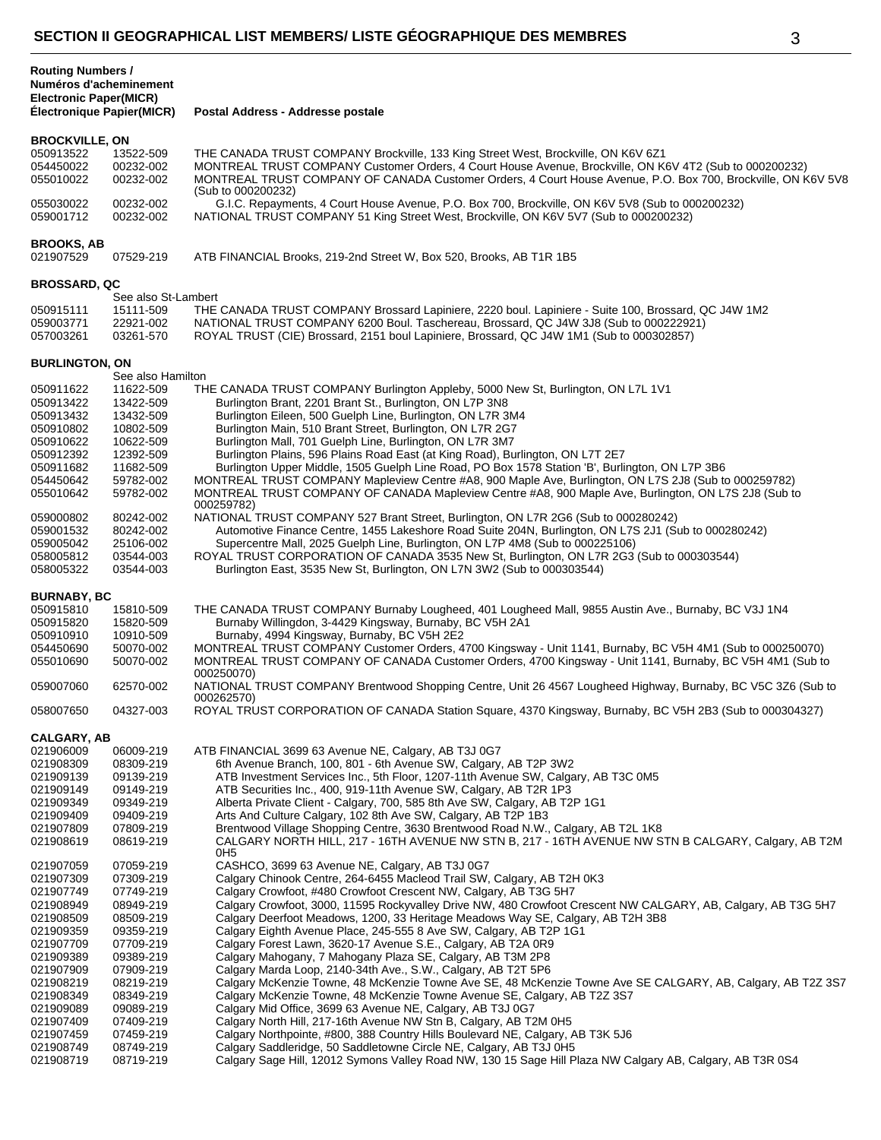| <b>Routing Numbers /</b><br>Numéros d'acheminement<br><b>Electronic Paper(MICR)</b><br><b>Électronique Papier(MICR)</b> |                     | Postal Address - Addresse postale                                                                             |
|-------------------------------------------------------------------------------------------------------------------------|---------------------|---------------------------------------------------------------------------------------------------------------|
|                                                                                                                         |                     |                                                                                                               |
| <b>BROCKVILLE, ON</b>                                                                                                   |                     |                                                                                                               |
| 050913522                                                                                                               | 13522-509           | THE CANADA TRUST COMPANY Brockville, 133 King Street West, Brockville, ON K6V 6Z1                             |
| 054450022                                                                                                               | 00232-002           | MONTREAL TRUST COMPANY Customer Orders, 4 Court House Avenue, Brockville, ON K6V 4T2 (Sub to 000200232)       |
| 055010022                                                                                                               | 00232-002           | MONTREAL TRUST COMPANY OF CANADA Customer Orders, 4 Court House Avenue, P.O. Box 700, Brockville, ON K6V 5V8  |
|                                                                                                                         |                     | (Sub to 000200232)                                                                                            |
| 055030022                                                                                                               | 00232-002           | G.I.C. Repayments, 4 Court House Avenue, P.O. Box 700, Brockville, ON K6V 5V8 (Sub to 000200232)              |
| 059001712                                                                                                               | 00232-002           | NATIONAL TRUST COMPANY 51 King Street West, Brockville, ON K6V 5V7 (Sub to 000200232)                         |
|                                                                                                                         |                     |                                                                                                               |
|                                                                                                                         |                     |                                                                                                               |
| <b>BROOKS, AB</b>                                                                                                       |                     |                                                                                                               |
| 021907529                                                                                                               | 07529-219           | ATB FINANCIAL Brooks, 219-2nd Street W, Box 520, Brooks, AB T1R 1B5                                           |
|                                                                                                                         |                     |                                                                                                               |
| <b>BROSSARD, QC</b>                                                                                                     |                     |                                                                                                               |
|                                                                                                                         | See also St-Lambert |                                                                                                               |
| 050915111                                                                                                               | 15111-509           | THE CANADA TRUST COMPANY Brossard Lapiniere, 2220 boul. Lapiniere - Suite 100, Brossard, QC J4W 1M2           |
| 059003771                                                                                                               | 22921-002           | NATIONAL TRUST COMPANY 6200 Boul. Taschereau, Brossard, QC J4W 3J8 (Sub to 000222921)                         |
| 057003261                                                                                                               | 03261-570           | ROYAL TRUST (CIE) Brossard, 2151 boul Lapiniere, Brossard, QC J4W 1M1 (Sub to 000302857)                      |
|                                                                                                                         |                     |                                                                                                               |
| <b>BURLINGTON, ON</b>                                                                                                   |                     |                                                                                                               |
|                                                                                                                         | See also Hamilton   |                                                                                                               |
| 050911622                                                                                                               | 11622-509           | THE CANADA TRUST COMPANY Burlington Appleby, 5000 New St, Burlington, ON L7L 1V1                              |
| 050913422                                                                                                               | 13422-509           | Burlington Brant, 2201 Brant St., Burlington, ON L7P 3N8                                                      |
| 050913432                                                                                                               | 13432-509           | Burlington Eileen, 500 Guelph Line, Burlington, ON L7R 3M4                                                    |
|                                                                                                                         |                     |                                                                                                               |
| 050910802                                                                                                               | 10802-509           | Burlington Main, 510 Brant Street, Burlington, ON L7R 2G7                                                     |
| 050910622                                                                                                               | 10622-509           | Burlington Mall, 701 Guelph Line, Burlington, ON L7R 3M7                                                      |
| 050912392                                                                                                               | 12392-509           | Burlington Plains, 596 Plains Road East (at King Road), Burlington, ON L7T 2E7                                |
| 050911682                                                                                                               | 11682-509           | Burlington Upper Middle, 1505 Guelph Line Road, PO Box 1578 Station 'B', Burlington, ON L7P 3B6               |
| 054450642                                                                                                               | 59782-002           | MONTREAL TRUST COMPANY Mapleview Centre #A8, 900 Maple Ave, Burlington, ON L7S 2J8 (Sub to 000259782)         |
| 055010642                                                                                                               | 59782-002           | MONTREAL TRUST COMPANY OF CANADA Mapleview Centre #A8, 900 Maple Ave, Burlington, ON L7S 2J8 (Sub to          |
|                                                                                                                         |                     | 000259782)                                                                                                    |
| 059000802                                                                                                               | 80242-002           | NATIONAL TRUST COMPANY 527 Brant Street, Burlington, ON L7R 2G6 (Sub to 000280242)                            |
| 059001532                                                                                                               | 80242-002           | Automotive Finance Centre, 1455 Lakeshore Road Suite 204N, Burlington, ON L7S 2J1 (Sub to 000280242)          |
|                                                                                                                         |                     |                                                                                                               |
| 059005042                                                                                                               | 25106-002           | Supercentre Mall, 2025 Guelph Line, Burlington, ON L7P 4M8 (Sub to 000225106)                                 |
| 058005812                                                                                                               | 03544-003           | ROYAL TRUST CORPORATION OF CANADA 3535 New St, Burlington, ON L7R 2G3 (Sub to 000303544)                      |
| 058005322                                                                                                               | 03544-003           | Burlington East, 3535 New St, Burlington, ON L7N 3W2 (Sub to 000303544)                                       |
|                                                                                                                         |                     |                                                                                                               |
| <b>BURNABY, BC</b>                                                                                                      |                     |                                                                                                               |
| 050915810                                                                                                               | 15810-509           | THE CANADA TRUST COMPANY Burnaby Lougheed, 401 Lougheed Mall, 9855 Austin Ave., Burnaby, BC V3J 1N4           |
| 050915820                                                                                                               | 15820-509           | Burnaby Willingdon, 3-4429 Kingsway, Burnaby, BC V5H 2A1                                                      |
| 050910910                                                                                                               | 10910-509           | Burnaby, 4994 Kingsway, Burnaby, BC V5H 2E2                                                                   |
| 054450690                                                                                                               | 50070-002           | MONTREAL TRUST COMPANY Customer Orders, 4700 Kingsway - Unit 1141, Burnaby, BC V5H 4M1 (Sub to 000250070)     |
| 055010690                                                                                                               | 50070-002           | MONTREAL TRUST COMPANY OF CANADA Customer Orders, 4700 Kingsway - Unit 1141, Burnaby, BC V5H 4M1 (Sub to      |
|                                                                                                                         |                     | 000250070)                                                                                                    |
| 059007060                                                                                                               | 62570-002           | NATIONAL TRUST COMPANY Brentwood Shopping Centre, Unit 26 4567 Lougheed Highway, Burnaby, BC V5C 3Z6 (Sub to  |
|                                                                                                                         |                     | 000262570)                                                                                                    |
| 058007650                                                                                                               | 04327-003           | ROYAL TRUST CORPORATION OF CANADA Station Square, 4370 Kingsway, Burnaby, BC V5H 2B3 (Sub to 000304327)       |
|                                                                                                                         |                     |                                                                                                               |
|                                                                                                                         |                     |                                                                                                               |
| <b>CALGARY, AB</b>                                                                                                      |                     |                                                                                                               |
| 021906009                                                                                                               | 06009-219           | ATB FINANCIAL 3699 63 Avenue NE, Calgary, AB T3J 0G7                                                          |
| 021908309                                                                                                               | 08309-219           | 6th Avenue Branch, 100, 801 - 6th Avenue SW, Calgary, AB T2P 3W2                                              |
| 021909139                                                                                                               | 09139-219           | ATB Investment Services Inc., 5th Floor, 1207-11th Avenue SW, Calgary, AB T3C 0M5                             |
| 021909149                                                                                                               | 09149-219           | ATB Securities Inc., 400, 919-11th Avenue SW, Calgary, AB T2R 1P3                                             |
| 021909349                                                                                                               | 09349-219           | Alberta Private Client - Calgary, 700, 585 8th Ave SW, Calgary, AB T2P 1G1                                    |
| 021909409                                                                                                               | 09409-219           | Arts And Culture Calgary, 102 8th Ave SW, Calgary, AB T2P 1B3                                                 |
| 021907809                                                                                                               | 07809-219           | Brentwood Village Shopping Centre, 3630 Brentwood Road N.W., Calgary, AB T2L 1K8                              |
|                                                                                                                         |                     | CALGARY NORTH HILL, 217 - 16TH AVENUE NW STN B, 217 - 16TH AVENUE NW STN B CALGARY, Calgary, AB T2M           |
| 021908619                                                                                                               | 08619-219           | OH <sub>5</sub>                                                                                               |
| 021907059                                                                                                               | 07059-219           | CASHCO, 3699 63 Avenue NE, Calgary, AB T3J 0G7                                                                |
|                                                                                                                         |                     |                                                                                                               |
| 021907309                                                                                                               | 07309-219           | Calgary Chinook Centre, 264-6455 Macleod Trail SW, Calgary, AB T2H 0K3                                        |
| 021907749                                                                                                               | 07749-219           | Calgary Crowfoot, #480 Crowfoot Crescent NW, Calgary, AB T3G 5H7                                              |
| 021908949                                                                                                               | 08949-219           | Calgary Crowfoot, 3000, 11595 Rockyvalley Drive NW, 480 Crowfoot Crescent NW CALGARY, AB, Calgary, AB T3G 5H7 |
| 021908509                                                                                                               | 08509-219           | Calgary Deerfoot Meadows, 1200, 33 Heritage Meadows Way SE, Calgary, AB T2H 3B8                               |
| 021909359                                                                                                               | 09359-219           | Calgary Eighth Avenue Place, 245-555 8 Ave SW, Calgary, AB T2P 1G1                                            |
| 021907709                                                                                                               | 07709-219           | Calgary Forest Lawn, 3620-17 Avenue S.E., Calgary, AB T2A 0R9                                                 |
| 021909389                                                                                                               | 09389-219           | Calgary Mahogany, 7 Mahogany Plaza SE, Calgary, AB T3M 2P8                                                    |
| 021907909                                                                                                               | 07909-219           | Calgary Marda Loop, 2140-34th Ave., S.W., Calgary, AB T2T 5P6                                                 |
|                                                                                                                         |                     |                                                                                                               |
| 021908219                                                                                                               | 08219-219           | Calgary McKenzie Towne, 48 McKenzie Towne Ave SE, 48 McKenzie Towne Ave SE CALGARY, AB, Calgary, AB T2Z 3S7   |
| 021908349                                                                                                               | 08349-219           | Calgary McKenzie Towne, 48 McKenzie Towne Avenue SE, Calgary, AB T2Z 3S7                                      |
| 021909089                                                                                                               | 09089-219           | Calgary Mid Office, 3699 63 Avenue NE, Calgary, AB T3J 0G7                                                    |

 09089-219 Calgary Mid Office, 3699 63 Avenue NE, Calgary, AB T3J 0G7 021907409 07409-219 Calgary North Hill, 217-16th Avenue NW Stn B, Calgary, AB T2M 0H5<br>021907459 07459-219 Calgary Northpointe. #800. 388 Country Hills Boulevard NE. Calgary.

021908749 08749-219 Calgary Saddleridge, 50 Saddletowne Circle NE, Calgary, AB T3J 0H5<br>021908719 08719-219 Calgary Sage Hill, 12012 Symons Valley Road NW, 130 15 Sage Hill P

Calgary Northpointe, #800, 388 Country Hills Boulevard NE, Calgary, AB T3K 5J6

Calgary Sage Hill, 12012 Symons Valley Road NW, 130 15 Sage Hill Plaza NW Calgary AB, Calgary, AB T3R 0S4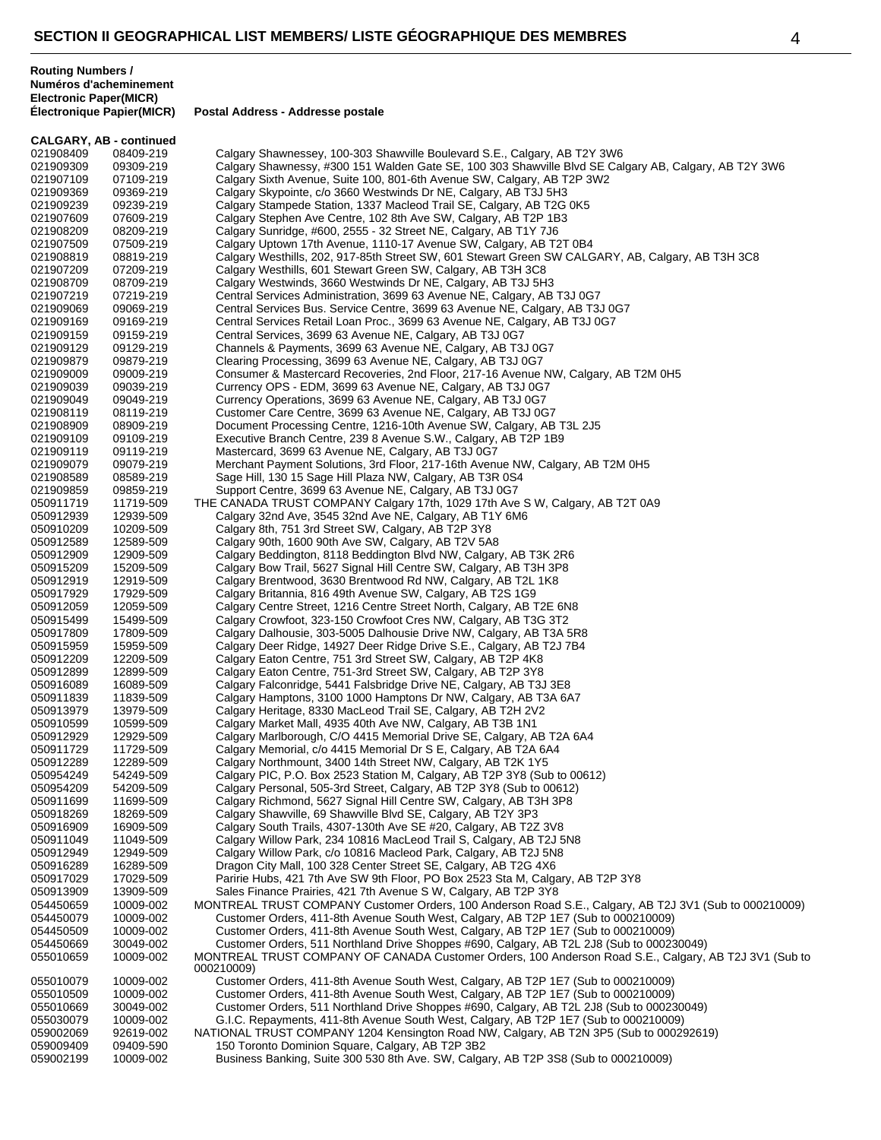|                        | <b>CALGARY, AB - continued</b> |                                                                                                                                                                                 |
|------------------------|--------------------------------|---------------------------------------------------------------------------------------------------------------------------------------------------------------------------------|
| 021908409              | 08409-219                      | Calgary Shawnessey, 100-303 Shawville Boulevard S.E., Calgary, AB T2Y 3W6                                                                                                       |
| 021909309              | 09309-219                      | Calgary Shawnessy, #300 151 Walden Gate SE, 100 303 Shawville Blvd SE Calgary AB, Calgary, AB T2Y 3W6                                                                           |
| 021907109              | 07109-219                      | Calgary Sixth Avenue, Suite 100, 801-6th Avenue SW, Calgary, AB T2P 3W2                                                                                                         |
| 021909369              | 09369-219                      | Calgary Skypointe, c/o 3660 Westwinds Dr NE, Calgary, AB T3J 5H3                                                                                                                |
| 021909239              | 09239-219                      | Calgary Stampede Station, 1337 Macleod Trail SE, Calgary, AB T2G 0K5                                                                                                            |
| 021907609<br>021908209 | 07609-219<br>08209-219         | Calgary Stephen Ave Centre, 102 8th Ave SW, Calgary, AB T2P 1B3<br>Calgary Sunridge, #600, 2555 - 32 Street NE, Calgary, AB T1Y 7J6                                             |
| 021907509              | 07509-219                      | Calgary Uptown 17th Avenue, 1110-17 Avenue SW, Calgary, AB T2T 0B4                                                                                                              |
| 021908819              | 08819-219                      | Calgary Westhills, 202, 917-85th Street SW, 601 Stewart Green SW CALGARY, AB, Calgary, AB T3H 3C8                                                                               |
| 021907209              | 07209-219                      | Calgary Westhills, 601 Stewart Green SW, Calgary, AB T3H 3C8                                                                                                                    |
| 021908709              | 08709-219                      | Calgary Westwinds, 3660 Westwinds Dr NE, Calgary, AB T3J 5H3                                                                                                                    |
| 021907219              | 07219-219                      | Central Services Administration, 3699 63 Avenue NE, Calgary, AB T3J 0G7                                                                                                         |
| 021909069              | 09069-219                      | Central Services Bus. Service Centre, 3699 63 Avenue NE, Calgary, AB T3J 0G7                                                                                                    |
| 021909169              | 09169-219                      | Central Services Retail Loan Proc., 3699 63 Avenue NE, Calgary, AB T3J 0G7                                                                                                      |
| 021909159<br>021909129 | 09159-219<br>09129-219         | Central Services, 3699 63 Avenue NE, Calgary, AB T3J 0G7<br>Channels & Payments, 3699 63 Avenue NE, Calgary, AB T3J 0G7                                                         |
| 021909879              | 09879-219                      | Clearing Processing, 3699 63 Avenue NE, Calgary, AB T3J 0G7                                                                                                                     |
| 021909009              | 09009-219                      | Consumer & Mastercard Recoveries, 2nd Floor, 217-16 Avenue NW, Calgary, AB T2M 0H5                                                                                              |
| 021909039              | 09039-219                      | Currency OPS - EDM, 3699 63 Avenue NE, Calgary, AB T3J 0G7                                                                                                                      |
| 021909049              | 09049-219                      | Currency Operations, 3699 63 Avenue NE, Calgary, AB T3J 0G7                                                                                                                     |
| 021908119              | 08119-219                      | Customer Care Centre, 3699 63 Avenue NE, Calgary, AB T3J 0G7                                                                                                                    |
| 021908909              | 08909-219                      | Document Processing Centre, 1216-10th Avenue SW, Calgary, AB T3L 2J5                                                                                                            |
| 021909109              | 09109-219                      | Executive Branch Centre, 239 8 Avenue S.W., Calgary, AB T2P 1B9                                                                                                                 |
| 021909119<br>021909079 | 09119-219<br>09079-219         | Mastercard, 3699 63 Avenue NE, Calgary, AB T3J 0G7<br>Merchant Payment Solutions, 3rd Floor, 217-16th Avenue NW, Calgary, AB T2M 0H5                                            |
| 021908589              | 08589-219                      | Sage Hill, 130 15 Sage Hill Plaza NW, Calgary, AB T3R 0S4                                                                                                                       |
| 021909859              | 09859-219                      | Support Centre, 3699 63 Avenue NE, Calgary, AB T3J 0G7                                                                                                                          |
| 050911719              | 11719-509                      | THE CANADA TRUST COMPANY Calgary 17th, 1029 17th Ave S W, Calgary, AB T2T 0A9                                                                                                   |
| 050912939              | 12939-509                      | Calgary 32nd Ave, 3545 32nd Ave NE, Calgary, AB T1Y 6M6                                                                                                                         |
| 050910209              | 10209-509                      | Calgary 8th, 751 3rd Street SW, Calgary, AB T2P 3Y8                                                                                                                             |
| 050912589              | 12589-509                      | Calgary 90th, 1600 90th Ave SW, Calgary, AB T2V 5A8                                                                                                                             |
| 050912909<br>050915209 | 12909-509<br>15209-509         | Calgary Beddington, 8118 Beddington Blvd NW, Calgary, AB T3K 2R6<br>Calgary Bow Trail, 5627 Signal Hill Centre SW, Calgary, AB T3H 3P8                                          |
| 050912919              | 12919-509                      | Calgary Brentwood, 3630 Brentwood Rd NW, Calgary, AB T2L 1K8                                                                                                                    |
| 050917929              | 17929-509                      | Calgary Britannia, 816 49th Avenue SW, Calgary, AB T2S 1G9                                                                                                                      |
| 050912059              | 12059-509                      | Calgary Centre Street, 1216 Centre Street North, Calgary, AB T2E 6N8                                                                                                            |
| 050915499              | 15499-509                      | Calgary Crowfoot, 323-150 Crowfoot Cres NW, Calgary, AB T3G 3T2                                                                                                                 |
| 050917809              | 17809-509                      | Calgary Dalhousie, 303-5005 Dalhousie Drive NW, Calgary, AB T3A 5R8                                                                                                             |
| 050915959              | 15959-509                      | Calgary Deer Ridge, 14927 Deer Ridge Drive S.E., Calgary, AB T2J 7B4                                                                                                            |
| 050912209<br>050912899 | 12209-509<br>12899-509         | Calgary Eaton Centre, 751 3rd Street SW, Calgary, AB T2P 4K8<br>Calgary Eaton Centre, 751-3rd Street SW, Calgary, AB T2P 3Y8                                                    |
| 050916089              | 16089-509                      | Calgary Falconridge, 5441 Falsbridge Drive NE, Calgary, AB T3J 3E8                                                                                                              |
| 050911839              | 11839-509                      | Calgary Hamptons, 3100 1000 Hamptons Dr NW, Calgary, AB T3A 6A7                                                                                                                 |
| 050913979              | 13979-509                      | Calgary Heritage, 8330 MacLeod Trail SE, Calgary, AB T2H 2V2                                                                                                                    |
| 050910599              | 10599-509                      | Calgary Market Mall, 4935 40th Ave NW, Calgary, AB T3B 1N1                                                                                                                      |
| 050912929              | 12929-509                      | Calgary Marlborough, C/O 4415 Memorial Drive SE, Calgary, AB T2A 6A4                                                                                                            |
| 050911729              | 11729-509                      | Calgary Memorial, c/o 4415 Memorial Dr S E, Calgary, AB T2A 6A4                                                                                                                 |
| 050912289<br>050954249 | 12289-509<br>54249-509         | Calgary Northmount, 3400 14th Street NW, Calgary, AB T2K 1Y5<br>Calgary PIC, P.O. Box 2523 Station M, Calgary, AB T2P 3Y8 (Sub to 00612)                                        |
| 050954209              | 54209-509                      | Calgary Personal, 505-3rd Street, Calgary, AB T2P 3Y8 (Sub to 00612)                                                                                                            |
| 050911699              | 11699-509                      | Calgary Richmond, 5627 Signal Hill Centre SW, Calgary, AB T3H 3P8                                                                                                               |
| 050918269              | 18269-509                      | Calgary Shawville, 69 Shawville Blvd SE, Calgary, AB T2Y 3P3                                                                                                                    |
| 050916909              | 16909-509                      | Calgary South Trails, 4307-130th Ave SE #20, Calgary, AB T2Z 3V8                                                                                                                |
| 050911049              | 11049-509                      | Calgary Willow Park, 234 10816 MacLeod Trail S, Calgary, AB T2J 5N8                                                                                                             |
| 050912949              | 12949-509                      | Calgary Willow Park, c/o 10816 Macleod Park, Calgary, AB T2J 5N8                                                                                                                |
| 050916289              | 16289-509                      | Dragon City Mall, 100 328 Center Street SE, Calgary, AB T2G 4X6                                                                                                                 |
| 050917029<br>050913909 | 17029-509<br>13909-509         | Paririe Hubs, 421 7th Ave SW 9th Floor, PO Box 2523 Sta M, Calgary, AB T2P 3Y8<br>Sales Finance Prairies, 421 7th Avenue S W, Calgary, AB T2P 3Y8                               |
| 054450659              | 10009-002                      | MONTREAL TRUST COMPANY Customer Orders, 100 Anderson Road S.E., Calgary, AB T2J 3V1 (Sub to 000210009)                                                                          |
| 054450079              | 10009-002                      | Customer Orders, 411-8th Avenue South West, Calgary, AB T2P 1E7 (Sub to 000210009)                                                                                              |
| 054450509              | 10009-002                      | Customer Orders, 411-8th Avenue South West, Calgary, AB T2P 1E7 (Sub to 000210009)                                                                                              |
| 054450669              | 30049-002                      | Customer Orders, 511 Northland Drive Shoppes #690, Calgary, AB T2L 2J8 (Sub to 000230049)                                                                                       |
| 055010659              | 10009-002                      | MONTREAL TRUST COMPANY OF CANADA Customer Orders, 100 Anderson Road S.E., Calgary, AB T2J 3V1 (Sub to<br>000210009)                                                             |
| 055010079              | 10009-002                      | Customer Orders, 411-8th Avenue South West, Calgary, AB T2P 1E7 (Sub to 000210009)                                                                                              |
| 055010509<br>055010669 | 10009-002<br>30049-002         | Customer Orders, 411-8th Avenue South West, Calgary, AB T2P 1E7 (Sub to 000210009)<br>Customer Orders, 511 Northland Drive Shoppes #690, Calgary, AB T2L 2J8 (Sub to 000230049) |
| 055030079              | 10009-002                      | G.I.C. Repayments, 411-8th Avenue South West, Calgary, AB T2P 1E7 (Sub to 000210009)                                                                                            |
| 059002069              | 92619-002                      | NATIONAL TRUST COMPANY 1204 Kensington Road NW, Calgary, AB T2N 3P5 (Sub to 000292619)                                                                                          |
| 059009409              | 09409-590                      | 150 Toronto Dominion Square, Calgary, AB T2P 3B2                                                                                                                                |
| 059002199              | 10009-002                      | Business Banking, Suite 300 530 8th Ave. SW, Calgary, AB T2P 3S8 (Sub to 000210009)                                                                                             |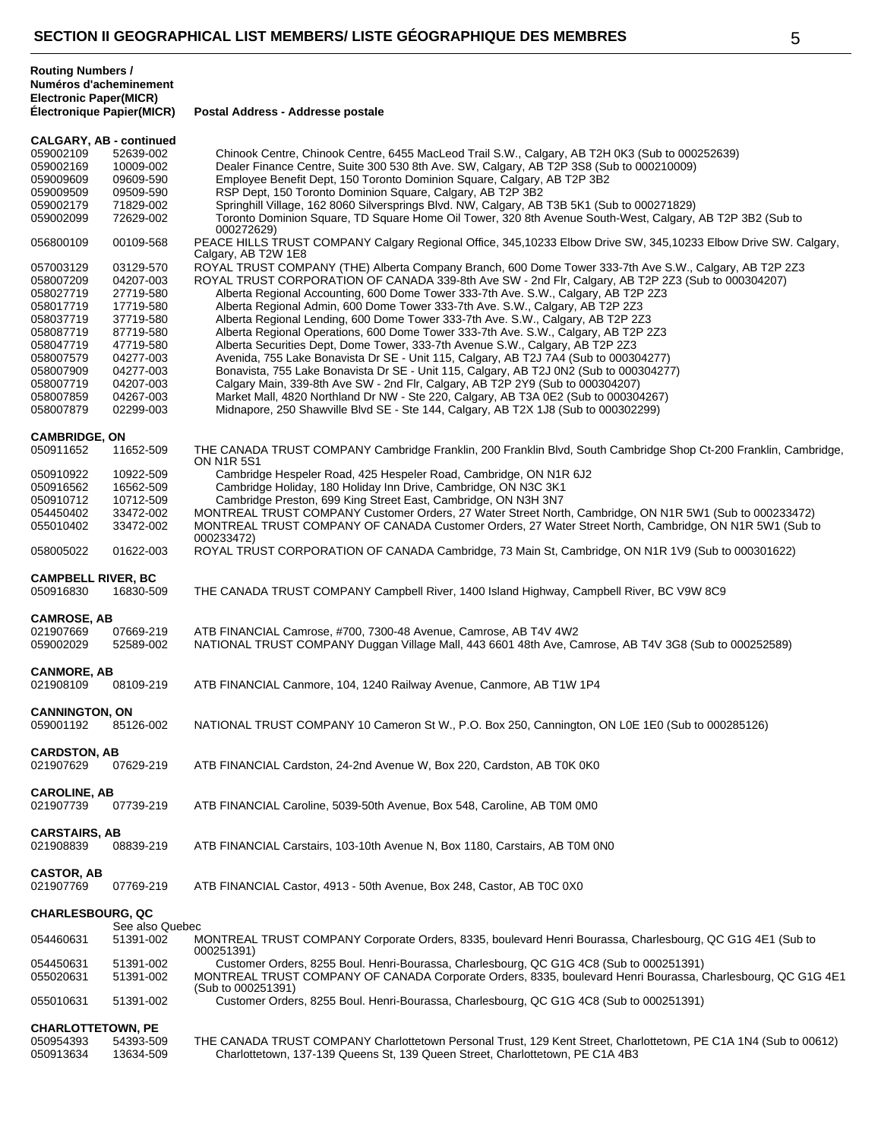| <b>Routing Numbers /</b>      |
|-------------------------------|
| Numéros d'acheminement        |
| <b>Electronic Paper(MICR)</b> |
| $\mathbf{r}$ . The summer     |

**Électronique Papier(MICR) Postal Address - Addresse postale**

|                                  | <b>CALGARY, AB - continued</b> |                                                                                                                                                                                                   |
|----------------------------------|--------------------------------|---------------------------------------------------------------------------------------------------------------------------------------------------------------------------------------------------|
| 059002109                        | 52639-002                      | Chinook Centre, Chinook Centre, 6455 MacLeod Trail S.W., Calgary, AB T2H 0K3 (Sub to 000252639)                                                                                                   |
| 059002169                        | 10009-002                      | Dealer Finance Centre, Suite 300 530 8th Ave. SW, Calgary, AB T2P 3S8 (Sub to 000210009)                                                                                                          |
| 059009609                        | 09609-590                      | Employee Benefit Dept, 150 Toronto Dominion Square, Calgary, AB T2P 3B2                                                                                                                           |
| 059009509                        | 09509-590                      | RSP Dept, 150 Toronto Dominion Square, Calgary, AB T2P 3B2                                                                                                                                        |
| 059002179                        | 71829-002                      | Springhill Village, 162 8060 Silversprings Blvd. NW, Calgary, AB T3B 5K1 (Sub to 000271829)                                                                                                       |
| 059002099                        | 72629-002                      | Toronto Dominion Square, TD Square Home Oil Tower, 320 8th Avenue South-West, Calgary, AB T2P 3B2 (Sub to<br>000272629)                                                                           |
| 056800109                        | 00109-568                      | PEACE HILLS TRUST COMPANY Calgary Regional Office, 345,10233 Elbow Drive SW, 345,10233 Elbow Drive SW. Calgary,<br>Calgary, AB T2W 1E8                                                            |
| 057003129                        | 03129-570                      | ROYAL TRUST COMPANY (THE) Alberta Company Branch, 600 Dome Tower 333-7th Ave S.W., Calgary, AB T2P 2Z3                                                                                            |
| 058007209                        | 04207-003                      | ROYAL TRUST CORPORATION OF CANADA 339-8th Ave SW - 2nd Flr, Calgary, AB T2P 2Z3 (Sub to 000304207)                                                                                                |
| 058027719                        | 27719-580                      | Alberta Regional Accounting, 600 Dome Tower 333-7th Ave. S.W., Calgary, AB T2P 2Z3                                                                                                                |
| 058017719                        | 17719-580                      | Alberta Regional Admin, 600 Dome Tower 333-7th Ave. S.W., Calgary, AB T2P 2Z3                                                                                                                     |
| 058037719                        | 37719-580                      | Alberta Regional Lending, 600 Dome Tower 333-7th Ave. S.W., Calgary, AB T2P 2Z3                                                                                                                   |
| 058087719                        | 87719-580                      | Alberta Regional Operations, 600 Dome Tower 333-7th Ave. S.W., Calgary, AB T2P 2Z3                                                                                                                |
| 058047719                        | 47719-580                      | Alberta Securities Dept, Dome Tower, 333-7th Avenue S.W., Calgary, AB T2P 2Z3                                                                                                                     |
| 058007579                        | 04277-003                      | Avenida, 755 Lake Bonavista Dr SE - Unit 115, Calgary, AB T2J 7A4 (Sub to 000304277)                                                                                                              |
| 058007909                        | 04277-003                      | Bonavista, 755 Lake Bonavista Dr SE - Unit 115, Calgary, AB T2J 0N2 (Sub to 000304277)                                                                                                            |
| 058007719                        | 04207-003                      | Calgary Main, 339-8th Ave SW - 2nd Flr, Calgary, AB T2P 2Y9 (Sub to 000304207)                                                                                                                    |
| 058007859                        | 04267-003                      | Market Mall, 4820 Northland Dr NW - Ste 220, Calgary, AB T3A 0E2 (Sub to 000304267)                                                                                                               |
| 058007879                        | 02299-003                      | Midnapore, 250 Shawville Blvd SE - Ste 144, Calgary, AB T2X 1J8 (Sub to 000302299)                                                                                                                |
| <b>CAMBRIDGE, ON</b>             |                                |                                                                                                                                                                                                   |
| 050911652                        | 11652-509                      | THE CANADA TRUST COMPANY Cambridge Franklin, 200 Franklin Blvd, South Cambridge Shop Ct-200 Franklin, Cambridge,<br><b>ON N1R 5S1</b>                                                             |
| 050910922                        | 10922-509                      | Cambridge Hespeler Road, 425 Hespeler Road, Cambridge, ON N1R 6J2                                                                                                                                 |
| 050916562                        | 16562-509                      | Cambridge Holiday, 180 Holiday Inn Drive, Cambridge, ON N3C 3K1                                                                                                                                   |
| 050910712                        | 10712-509                      | Cambridge Preston, 699 King Street East, Cambridge, ON N3H 3N7                                                                                                                                    |
| 054450402                        | 33472-002                      | MONTREAL TRUST COMPANY Customer Orders, 27 Water Street North, Cambridge, ON N1R 5W1 (Sub to 000233472)                                                                                           |
| 055010402                        | 33472-002                      | MONTREAL TRUST COMPANY OF CANADA Customer Orders, 27 Water Street North, Cambridge, ON N1R 5W1 (Sub to<br>000233472)                                                                              |
| 058005022                        | 01622-003                      | ROYAL TRUST CORPORATION OF CANADA Cambridge, 73 Main St, Cambridge, ON N1R 1V9 (Sub to 000301622)                                                                                                 |
| <b>CAMPBELL RIVER, BC</b>        |                                |                                                                                                                                                                                                   |
| 050916830                        | 16830-509                      | THE CANADA TRUST COMPANY Campbell River, 1400 Island Highway, Campbell River, BC V9W 8C9                                                                                                          |
|                                  |                                |                                                                                                                                                                                                   |
|                                  |                                |                                                                                                                                                                                                   |
| <b>CAMROSE, AB</b>               |                                |                                                                                                                                                                                                   |
| 021907669                        | 07669-219                      | ATB FINANCIAL Camrose, #700, 7300-48 Avenue, Camrose, AB T4V 4W2                                                                                                                                  |
| 059002029                        | 52589-002                      | NATIONAL TRUST COMPANY Duggan Village Mall, 443 6601 48th Ave, Camrose, AB T4V 3G8 (Sub to 000252589)                                                                                             |
| <b>CANMORE, AB</b>               |                                |                                                                                                                                                                                                   |
| 021908109                        | 08109-219                      | ATB FINANCIAL Canmore, 104, 1240 Railway Avenue, Canmore, AB T1W 1P4                                                                                                                              |
|                                  |                                |                                                                                                                                                                                                   |
| <b>CANNINGTON, ON</b>            |                                |                                                                                                                                                                                                   |
| 059001192                        | 85126-002                      | NATIONAL TRUST COMPANY 10 Cameron St W., P.O. Box 250, Cannington, ON L0E 1E0 (Sub to 000285126)                                                                                                  |
|                                  |                                |                                                                                                                                                                                                   |
| <b>CARDSTON, AB</b>              |                                |                                                                                                                                                                                                   |
| 021907629                        | 07629-219                      | ATB FINANCIAL Cardston, 24-2nd Avenue W, Box 220, Cardston, AB T0K 0K0                                                                                                                            |
|                                  |                                |                                                                                                                                                                                                   |
| <b>CAROLINE, AB</b><br>021907739 |                                | ATB FINANCIAL Caroline, 5039-50th Avenue, Box 548, Caroline, AB T0M 0M0                                                                                                                           |
|                                  | 07739-219                      |                                                                                                                                                                                                   |
| <b>CARSTAIRS, AB</b>             |                                |                                                                                                                                                                                                   |
| 021908839                        | 08839-219                      | ATB FINANCIAL Carstairs, 103-10th Avenue N, Box 1180, Carstairs, AB T0M 0N0                                                                                                                       |
|                                  |                                |                                                                                                                                                                                                   |
| <b>CASTOR, AB</b>                |                                |                                                                                                                                                                                                   |
| 021907769                        | 07769-219                      | ATB FINANCIAL Castor, 4913 - 50th Avenue, Box 248, Castor, AB T0C 0X0                                                                                                                             |
|                                  |                                |                                                                                                                                                                                                   |
| <b>CHARLESBOURG, QC</b>          |                                |                                                                                                                                                                                                   |
|                                  | See also Quebec                |                                                                                                                                                                                                   |
| 054460631                        | 51391-002                      | MONTREAL TRUST COMPANY Corporate Orders, 8335, boulevard Henri Bourassa, Charlesbourg, QC G1G 4E1 (Sub to                                                                                         |
|                                  |                                | 000251391)                                                                                                                                                                                        |
| 054450631                        | 51391-002                      | Customer Orders, 8255 Boul. Henri-Bourassa, Charlesbourg, QC G1G 4C8 (Sub to 000251391)                                                                                                           |
| 055020631                        | 51391-002                      | MONTREAL TRUST COMPANY OF CANADA Corporate Orders, 8335, boulevard Henri Bourassa, Charlesbourg, QC G1G 4E1                                                                                       |
| 055010631                        | 51391-002                      | (Sub to 000251391)<br>Customer Orders, 8255 Boul. Henri-Bourassa, Charlesbourg, QC G1G 4C8 (Sub to 000251391)                                                                                     |
|                                  |                                |                                                                                                                                                                                                   |
| <b>CHARLOTTETOWN, PE</b>         |                                |                                                                                                                                                                                                   |
| 050954393<br>050913634           | 54393-509<br>13634-509         | THE CANADA TRUST COMPANY Charlottetown Personal Trust, 129 Kent Street, Charlottetown, PE C1A 1N4 (Sub to 00612)<br>Charlottetown, 137-139 Queens St, 139 Queen Street, Charlottetown, PE C1A 4B3 |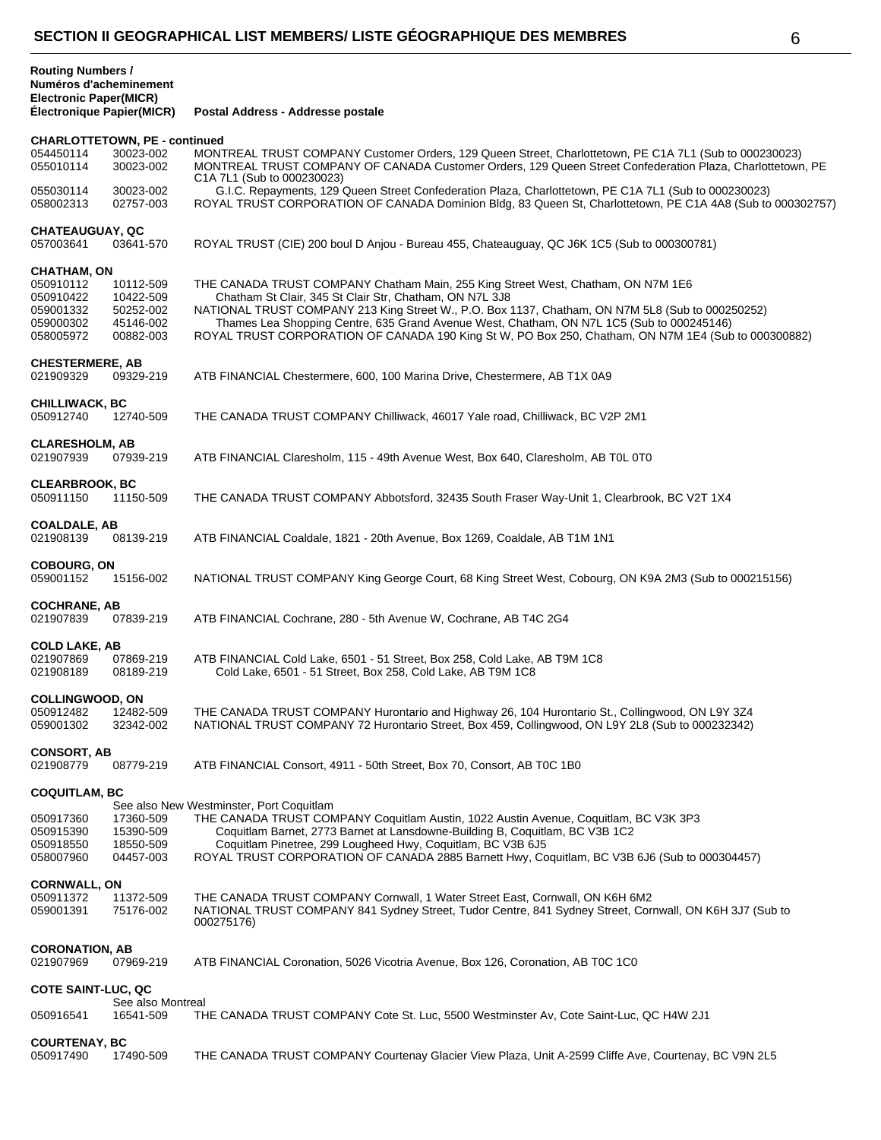| Numéros d'acheminement<br><b>Electronic Paper(MICR)</b><br><b>Électronique Papier(MICR)</b> |                                                               | Postal Address - Addresse postale                                                                                                                                                                                                                                                                                                                                                                                                                   |
|---------------------------------------------------------------------------------------------|---------------------------------------------------------------|-----------------------------------------------------------------------------------------------------------------------------------------------------------------------------------------------------------------------------------------------------------------------------------------------------------------------------------------------------------------------------------------------------------------------------------------------------|
| <b>CHARLOTTETOWN, PE - continued</b>                                                        |                                                               |                                                                                                                                                                                                                                                                                                                                                                                                                                                     |
| 054450114<br>055010114                                                                      | 30023-002<br>30023-002                                        | MONTREAL TRUST COMPANY Customer Orders, 129 Queen Street, Charlottetown, PE C1A 7L1 (Sub to 000230023)<br>MONTREAL TRUST COMPANY OF CANADA Customer Orders, 129 Queen Street Confederation Plaza, Charlottetown, PE<br>C1A 7L1 (Sub to 000230023)                                                                                                                                                                                                   |
| 055030114<br>058002313                                                                      | 30023-002<br>02757-003                                        | G.I.C. Repayments, 129 Queen Street Confederation Plaza, Charlottetown, PE C1A 7L1 (Sub to 000230023)<br>ROYAL TRUST CORPORATION OF CANADA Dominion Bldg, 83 Queen St, Charlottetown, PE C1A 4A8 (Sub to 000302757)                                                                                                                                                                                                                                 |
| <b>CHATEAUGUAY, QC</b><br>057003641                                                         | 03641-570                                                     | ROYAL TRUST (CIE) 200 boul D Anjou - Bureau 455, Chateauguay, QC J6K 1C5 (Sub to 000300781)                                                                                                                                                                                                                                                                                                                                                         |
| <b>CHATHAM, ON</b>                                                                          |                                                               |                                                                                                                                                                                                                                                                                                                                                                                                                                                     |
| 050910112<br>050910422<br>059001332<br>059000302<br>058005972                               | 10112-509<br>10422-509<br>50252-002<br>45146-002<br>00882-003 | THE CANADA TRUST COMPANY Chatham Main, 255 King Street West, Chatham, ON N7M 1E6<br>Chatham St Clair, 345 St Clair Str, Chatham, ON N7L 3J8<br>NATIONAL TRUST COMPANY 213 King Street W., P.O. Box 1137, Chatham, ON N7M 5L8 (Sub to 000250252)<br>Thames Lea Shopping Centre, 635 Grand Avenue West, Chatham, ON N7L 1C5 (Sub to 000245146)<br>ROYAL TRUST CORPORATION OF CANADA 190 King St W, PO Box 250, Chatham, ON N7M 1E4 (Sub to 000300882) |
| <b>CHESTERMERE, AB</b><br>021909329                                                         | 09329-219                                                     | ATB FINANCIAL Chestermere, 600, 100 Marina Drive, Chestermere, AB T1X 0A9                                                                                                                                                                                                                                                                                                                                                                           |
| <b>CHILLIWACK, BC</b>                                                                       |                                                               |                                                                                                                                                                                                                                                                                                                                                                                                                                                     |
| 050912740                                                                                   | 12740-509                                                     | THE CANADA TRUST COMPANY Chilliwack, 46017 Yale road, Chilliwack, BC V2P 2M1                                                                                                                                                                                                                                                                                                                                                                        |
| <b>CLARESHOLM, AB</b><br>021907939                                                          | 07939-219                                                     | ATB FINANCIAL Claresholm, 115 - 49th Avenue West, Box 640, Claresholm, AB TOL 0T0                                                                                                                                                                                                                                                                                                                                                                   |
| <b>CLEARBROOK, BC</b><br>050911150                                                          | 11150-509                                                     | THE CANADA TRUST COMPANY Abbotsford, 32435 South Fraser Way-Unit 1, Clearbrook, BC V2T 1X4                                                                                                                                                                                                                                                                                                                                                          |
| <b>COALDALE, AB</b><br>021908139                                                            | 08139-219                                                     | ATB FINANCIAL Coaldale, 1821 - 20th Avenue, Box 1269, Coaldale, AB T1M 1N1                                                                                                                                                                                                                                                                                                                                                                          |
| <b>COBOURG, ON</b><br>059001152                                                             | 15156-002                                                     | NATIONAL TRUST COMPANY King George Court, 68 King Street West, Cobourg, ON K9A 2M3 (Sub to 000215156)                                                                                                                                                                                                                                                                                                                                               |
| <b>COCHRANE, AB</b><br>021907839                                                            | 07839-219                                                     | ATB FINANCIAL Cochrane, 280 - 5th Avenue W, Cochrane, AB T4C 2G4                                                                                                                                                                                                                                                                                                                                                                                    |
| <b>COLD LAKE, AB</b><br>021907869<br>021908189                                              | 07869-219<br>08189-219                                        | ATB FINANCIAL Cold Lake, 6501 - 51 Street, Box 258, Cold Lake, AB T9M 1C8<br>Cold Lake, 6501 - 51 Street, Box 258, Cold Lake, AB T9M 1C8                                                                                                                                                                                                                                                                                                            |
| <b>COLLINGWOOD, ON</b><br>050912482<br>059001302                                            | 12482-509<br>32342-002                                        | THE CANADA TRUST COMPANY Hurontario and Highway 26, 104 Hurontario St., Collingwood, ON L9Y 3Z4<br>NATIONAL TRUST COMPANY 72 Hurontario Street, Box 459, Collingwood, ON L9Y 2L8 (Sub to 000232342)                                                                                                                                                                                                                                                 |
| <b>CONSORT, AB</b><br>021908779                                                             | 08779-219                                                     | ATB FINANCIAL Consort, 4911 - 50th Street, Box 70, Consort, AB T0C 1B0                                                                                                                                                                                                                                                                                                                                                                              |
| <b>COQUITLAM, BC</b>                                                                        |                                                               |                                                                                                                                                                                                                                                                                                                                                                                                                                                     |
|                                                                                             |                                                               | See also New Westminster, Port Coquitlam                                                                                                                                                                                                                                                                                                                                                                                                            |
| 050917360<br>050915390<br>050918550<br>058007960                                            | 17360-509<br>15390-509<br>18550-509<br>04457-003              | THE CANADA TRUST COMPANY Coquitlam Austin, 1022 Austin Avenue, Coquitlam, BC V3K 3P3<br>Coquitlam Barnet, 2773 Barnet at Lansdowne-Building B, Coquitlam, BC V3B 1C2<br>Coquitlam Pinetree, 299 Lougheed Hwy, Coquitlam, BC V3B 6J5<br>ROYAL TRUST CORPORATION OF CANADA 2885 Barnett Hwy, Coquitlam, BC V3B 6J6 (Sub to 000304457)                                                                                                                 |
|                                                                                             |                                                               |                                                                                                                                                                                                                                                                                                                                                                                                                                                     |
| <b>CORNWALL, ON</b><br>050911372<br>059001391                                               | 11372-509<br>75176-002                                        | THE CANADA TRUST COMPANY Cornwall, 1 Water Street East, Cornwall, ON K6H 6M2<br>NATIONAL TRUST COMPANY 841 Sydney Street, Tudor Centre, 841 Sydney Street, Cornwall, ON K6H 3J7 (Sub to<br>000275176)                                                                                                                                                                                                                                               |
| <b>CORONATION, AB</b><br>021907969                                                          | 07969-219                                                     | ATB FINANCIAL Coronation, 5026 Vicotria Avenue, Box 126, Coronation, AB T0C 1C0                                                                                                                                                                                                                                                                                                                                                                     |
| <b>COTE SAINT-LUC, QC</b>                                                                   |                                                               |                                                                                                                                                                                                                                                                                                                                                                                                                                                     |
| 050916541                                                                                   | See also Montreal<br>16541-509                                | THE CANADA TRUST COMPANY Cote St. Luc, 5500 Westminster Av, Cote Saint-Luc, QC H4W 2J1                                                                                                                                                                                                                                                                                                                                                              |
|                                                                                             |                                                               |                                                                                                                                                                                                                                                                                                                                                                                                                                                     |

**Routing Numbers /**

**COURTENAY, BC**<br>050917490 17490-509 THE CANADA TRUST COMPANY Courtenay Glacier View Plaza, Unit A-2599 Cliffe Ave, Courtenay, BC V9N 2L5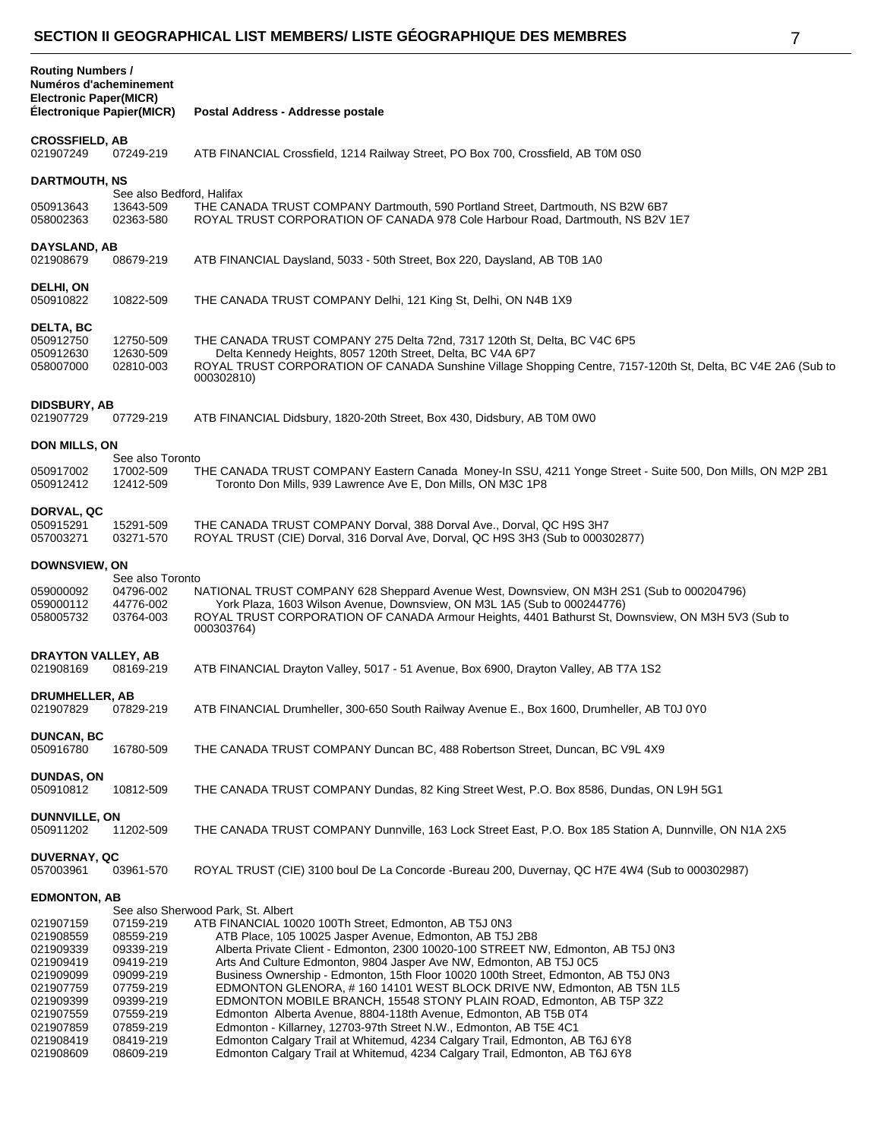|  |   | S |  |
|--|---|---|--|
|  | I | ı |  |
|  |   |   |  |
|  |   |   |  |

| <b>Routing Numbers /</b><br>Numéros d'acheminement<br><b>Electronic Paper(MICR)</b><br><b>Électronique Papier(MICR)</b> |                                                                                                      | Postal Address - Addresse postale                                                                                                                                                                                                                                                                                                                                                                                                                                                                                                                                                          |
|-------------------------------------------------------------------------------------------------------------------------|------------------------------------------------------------------------------------------------------|--------------------------------------------------------------------------------------------------------------------------------------------------------------------------------------------------------------------------------------------------------------------------------------------------------------------------------------------------------------------------------------------------------------------------------------------------------------------------------------------------------------------------------------------------------------------------------------------|
| <b>CROSSFIELD, AB</b><br>021907249                                                                                      | 07249-219                                                                                            | ATB FINANCIAL Crossfield, 1214 Railway Street, PO Box 700, Crossfield, AB T0M 0S0                                                                                                                                                                                                                                                                                                                                                                                                                                                                                                          |
| <b>DARTMOUTH, NS</b>                                                                                                    |                                                                                                      |                                                                                                                                                                                                                                                                                                                                                                                                                                                                                                                                                                                            |
| 050913643<br>058002363                                                                                                  | See also Bedford, Halifax<br>13643-509<br>02363-580                                                  | THE CANADA TRUST COMPANY Dartmouth, 590 Portland Street, Dartmouth, NS B2W 6B7<br>ROYAL TRUST CORPORATION OF CANADA 978 Cole Harbour Road, Dartmouth, NS B2V 1E7                                                                                                                                                                                                                                                                                                                                                                                                                           |
| DAYSLAND, AB<br>021908679                                                                                               | 08679-219                                                                                            | ATB FINANCIAL Daysland, 5033 - 50th Street, Box 220, Daysland, AB T0B 1A0                                                                                                                                                                                                                                                                                                                                                                                                                                                                                                                  |
| DELHI, ON<br>050910822                                                                                                  | 10822-509                                                                                            | THE CANADA TRUST COMPANY Delhi, 121 King St, Delhi, ON N4B 1X9                                                                                                                                                                                                                                                                                                                                                                                                                                                                                                                             |
| <b>DELTA, BC</b><br>050912750<br>050912630<br>058007000                                                                 | 12750-509<br>12630-509<br>02810-003                                                                  | THE CANADA TRUST COMPANY 275 Delta 72nd, 7317 120th St, Delta, BC V4C 6P5<br>Delta Kennedy Heights, 8057 120th Street, Delta, BC V4A 6P7<br>ROYAL TRUST CORPORATION OF CANADA Sunshine Village Shopping Centre, 7157-120th St, Delta, BC V4E 2A6 (Sub to<br>000302810)                                                                                                                                                                                                                                                                                                                     |
| <b>DIDSBURY, AB</b><br>021907729                                                                                        | 07729-219                                                                                            | ATB FINANCIAL Didsbury, 1820-20th Street, Box 430, Didsbury, AB T0M 0W0                                                                                                                                                                                                                                                                                                                                                                                                                                                                                                                    |
| <b>DON MILLS, ON</b>                                                                                                    |                                                                                                      |                                                                                                                                                                                                                                                                                                                                                                                                                                                                                                                                                                                            |
| 050917002<br>050912412                                                                                                  | See also Toronto<br>17002-509<br>12412-509                                                           | THE CANADA TRUST COMPANY Eastern Canada Money-In SSU, 4211 Yonge Street - Suite 500, Don Mills, ON M2P 2B1<br>Toronto Don Mills, 939 Lawrence Ave E, Don Mills, ON M3C 1P8                                                                                                                                                                                                                                                                                                                                                                                                                 |
| DORVAL, QC<br>050915291<br>057003271                                                                                    | 15291-509<br>03271-570                                                                               | THE CANADA TRUST COMPANY Dorval, 388 Dorval Ave., Dorval, QC H9S 3H7<br>ROYAL TRUST (CIE) Dorval, 316 Dorval Ave, Dorval, QC H9S 3H3 (Sub to 000302877)                                                                                                                                                                                                                                                                                                                                                                                                                                    |
| DOWNSVIEW, ON                                                                                                           |                                                                                                      |                                                                                                                                                                                                                                                                                                                                                                                                                                                                                                                                                                                            |
| 059000092<br>059000112<br>058005732                                                                                     | See also Toronto<br>04796-002<br>44776-002<br>03764-003                                              | NATIONAL TRUST COMPANY 628 Sheppard Avenue West, Downsview, ON M3H 2S1 (Sub to 000204796)<br>York Plaza, 1603 Wilson Avenue, Downsview, ON M3L 1A5 (Sub to 000244776)<br>ROYAL TRUST CORPORATION OF CANADA Armour Heights, 4401 Bathurst St, Downsview, ON M3H 5V3 (Sub to<br>000303764)                                                                                                                                                                                                                                                                                                   |
| DRAYTON VALLEY, AB<br>021908169                                                                                         | 08169-219                                                                                            | ATB FINANCIAL Drayton Valley, 5017 - 51 Avenue, Box 6900, Drayton Valley, AB T7A 1S2                                                                                                                                                                                                                                                                                                                                                                                                                                                                                                       |
| <b>DRUMHELLER, AB</b><br>021907829                                                                                      | 07829-219                                                                                            | ATB FINANCIAL Drumheller, 300-650 South Railway Avenue E., Box 1600, Drumheller, AB T0J 0Y0                                                                                                                                                                                                                                                                                                                                                                                                                                                                                                |
| <b>DUNCAN, BC</b><br>050916780                                                                                          | 16780-509                                                                                            | THE CANADA TRUST COMPANY Duncan BC, 488 Robertson Street, Duncan, BC V9L 4X9                                                                                                                                                                                                                                                                                                                                                                                                                                                                                                               |
| <b>DUNDAS, ON</b><br>050910812                                                                                          | 10812-509                                                                                            | THE CANADA TRUST COMPANY Dundas, 82 King Street West, P.O. Box 8586, Dundas, ON L9H 5G1                                                                                                                                                                                                                                                                                                                                                                                                                                                                                                    |
| <b>DUNNVILLE, ON</b><br>050911202                                                                                       | 11202-509                                                                                            | THE CANADA TRUST COMPANY Dunnville, 163 Lock Street East, P.O. Box 185 Station A, Dunnville, ON N1A 2X5                                                                                                                                                                                                                                                                                                                                                                                                                                                                                    |
| <b>DUVERNAY, QC</b><br>057003961                                                                                        | 03961-570                                                                                            | ROYAL TRUST (CIE) 3100 boul De La Concorde -Bureau 200, Duvernay, QC H7E 4W4 (Sub to 000302987)                                                                                                                                                                                                                                                                                                                                                                                                                                                                                            |
| <b>EDMONTON, AB</b>                                                                                                     |                                                                                                      | See also Sherwood Park, St. Albert                                                                                                                                                                                                                                                                                                                                                                                                                                                                                                                                                         |
| 021907159<br>021908559<br>021909339<br>021909419<br>021909099<br>021907759<br>021909399<br>021907559                    | 07159-219<br>08559-219<br>09339-219<br>09419-219<br>09099-219<br>07759-219<br>09399-219<br>07559-219 | ATB FINANCIAL 10020 100Th Street, Edmonton, AB T5J 0N3<br>ATB Place, 105 10025 Jasper Avenue, Edmonton, AB T5J 2B8<br>Alberta Private Client - Edmonton, 2300 10020-100 STREET NW, Edmonton, AB T5J 0N3<br>Arts And Culture Edmonton, 9804 Jasper Ave NW, Edmonton, AB T5J 0C5<br>Business Ownership - Edmonton, 15th Floor 10020 100th Street, Edmonton, AB T5J 0N3<br>EDMONTON GLENORA, #160 14101 WEST BLOCK DRIVE NW, Edmonton, AB T5N 1L5<br>EDMONTON MOBILE BRANCH, 15548 STONY PLAIN ROAD, Edmonton, AB T5P 3Z2<br>Edmonton Alberta Avenue, 8804-118th Avenue, Edmonton, AB T5B 0T4 |
| 021907859<br>021908419<br>021908609                                                                                     | 07859-219<br>08419-219<br>08609-219                                                                  | Edmonton - Killarney, 12703-97th Street N.W., Edmonton, AB T5E 4C1<br>Edmonton Calgary Trail at Whitemud, 4234 Calgary Trail, Edmonton, AB T6J 6Y8<br>Edmonton Calgary Trail at Whitemud, 4234 Calgary Trail, Edmonton, AB T6J 6Y8                                                                                                                                                                                                                                                                                                                                                         |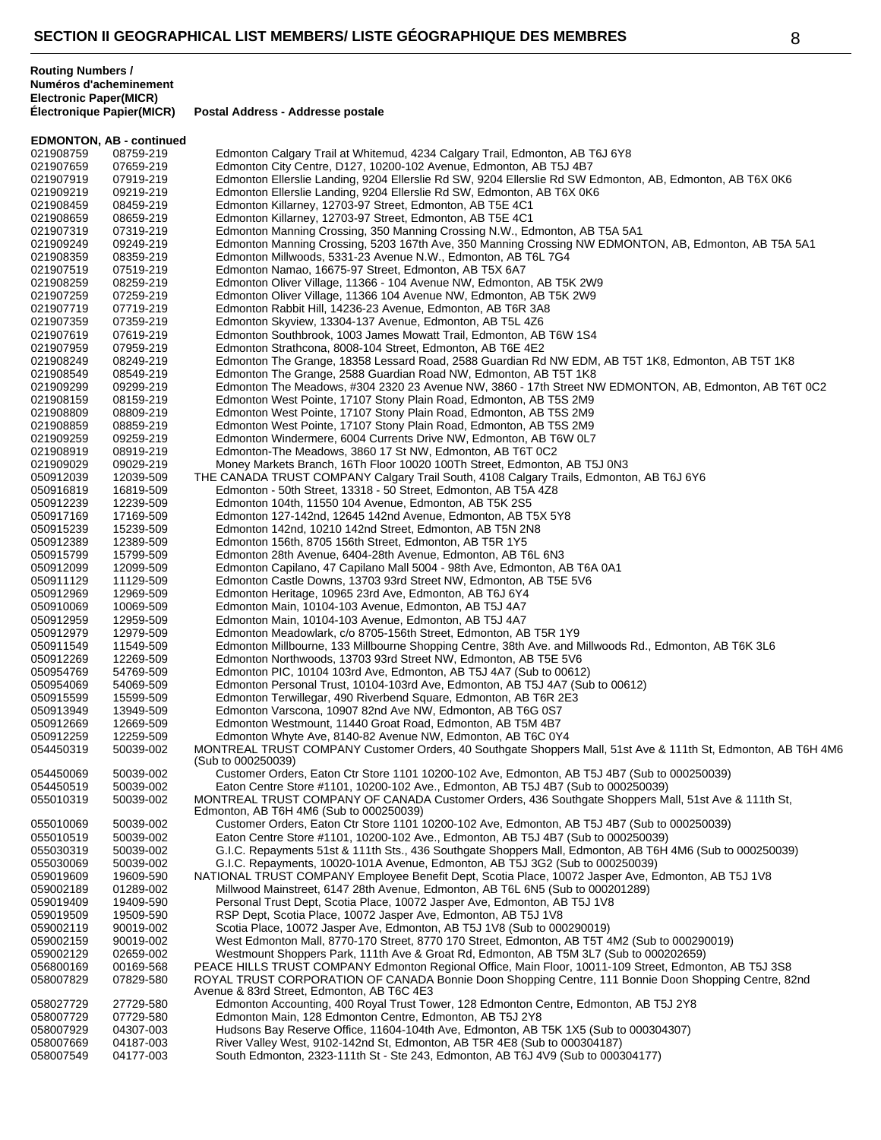|                        | <b>EDMONTON, AB - continued</b> |                                                                                                                                                                                                                |
|------------------------|---------------------------------|----------------------------------------------------------------------------------------------------------------------------------------------------------------------------------------------------------------|
| 021908759              | 08759-219                       | Edmonton Calgary Trail at Whitemud, 4234 Calgary Trail, Edmonton, AB T6J 6Y8                                                                                                                                   |
| 021907659              | 07659-219                       | Edmonton City Centre, D127, 10200-102 Avenue, Edmonton, AB T5J 4B7                                                                                                                                             |
| 021907919              | 07919-219                       | Edmonton Ellerslie Landing, 9204 Ellerslie Rd SW, 9204 Ellerslie Rd SW Edmonton, AB, Edmonton, AB T6X 0K6                                                                                                      |
| 021909219              | 09219-219                       | Edmonton Ellerslie Landing, 9204 Ellerslie Rd SW, Edmonton, AB T6X 0K6                                                                                                                                         |
| 021908459<br>021908659 | 08459-219<br>08659-219          | Edmonton Killarney, 12703-97 Street, Edmonton, AB T5E 4C1                                                                                                                                                      |
| 021907319              | 07319-219                       | Edmonton Killarney, 12703-97 Street, Edmonton, AB T5E 4C1<br>Edmonton Manning Crossing, 350 Manning Crossing N.W., Edmonton, AB T5A 5A1                                                                        |
| 021909249              | 09249-219                       | Edmonton Manning Crossing, 5203 167th Ave, 350 Manning Crossing NW EDMONTON, AB, Edmonton, AB T5A 5A1                                                                                                          |
| 021908359              | 08359-219                       | Edmonton Millwoods, 5331-23 Avenue N.W., Edmonton, AB T6L 7G4                                                                                                                                                  |
| 021907519              | 07519-219                       | Edmonton Namao, 16675-97 Street, Edmonton, AB T5X 6A7                                                                                                                                                          |
| 021908259              | 08259-219                       | Edmonton Oliver Village, 11366 - 104 Avenue NW, Edmonton, AB T5K 2W9                                                                                                                                           |
| 021907259              | 07259-219                       | Edmonton Oliver Village, 11366 104 Avenue NW, Edmonton, AB T5K 2W9                                                                                                                                             |
| 021907719              | 07719-219                       | Edmonton Rabbit Hill, 14236-23 Avenue, Edmonton, AB T6R 3A8                                                                                                                                                    |
| 021907359              | 07359-219                       | Edmonton Skyview, 13304-137 Avenue, Edmonton, AB T5L 4Z6                                                                                                                                                       |
| 021907619<br>021907959 | 07619-219<br>07959-219          | Edmonton Southbrook, 1003 James Mowatt Trail, Edmonton, AB T6W 1S4<br>Edmonton Strathcona, 8008-104 Street, Edmonton, AB T6E 4E2                                                                               |
| 021908249              | 08249-219                       | Edmonton The Grange, 18358 Lessard Road, 2588 Guardian Rd NW EDM, AB T5T 1K8, Edmonton, AB T5T 1K8                                                                                                             |
| 021908549              | 08549-219                       | Edmonton The Grange, 2588 Guardian Road NW, Edmonton, AB T5T 1K8                                                                                                                                               |
| 021909299              | 09299-219                       | Edmonton The Meadows, #304 2320 23 Avenue NW, 3860 - 17th Street NW EDMONTON, AB, Edmonton, AB T6T 0C2                                                                                                         |
| 021908159              | 08159-219                       | Edmonton West Pointe, 17107 Stony Plain Road, Edmonton, AB T5S 2M9                                                                                                                                             |
| 021908809              | 08809-219                       | Edmonton West Pointe, 17107 Stony Plain Road, Edmonton, AB T5S 2M9                                                                                                                                             |
| 021908859              | 08859-219                       | Edmonton West Pointe, 17107 Stony Plain Road, Edmonton, AB T5S 2M9                                                                                                                                             |
| 021909259              | 09259-219                       | Edmonton Windermere, 6004 Currents Drive NW, Edmonton, AB T6W 0L7                                                                                                                                              |
| 021908919              | 08919-219<br>09029-219          | Edmonton-The Meadows, 3860 17 St NW, Edmonton, AB T6T 0C2                                                                                                                                                      |
| 021909029<br>050912039 | 12039-509                       | Money Markets Branch, 16Th Floor 10020 100Th Street, Edmonton, AB T5J 0N3<br>THE CANADA TRUST COMPANY Calgary Trail South, 4108 Calgary Trails, Edmonton, AB T6J 6Y6                                           |
| 050916819              | 16819-509                       | Edmonton - 50th Street, 13318 - 50 Street, Edmonton, AB T5A 4Z8                                                                                                                                                |
| 050912239              | 12239-509                       | Edmonton 104th, 11550 104 Avenue, Edmonton, AB T5K 2S5                                                                                                                                                         |
| 050917169              | 17169-509                       | Edmonton 127-142nd, 12645 142nd Avenue, Edmonton, AB T5X 5Y8                                                                                                                                                   |
| 050915239              | 15239-509                       | Edmonton 142nd, 10210 142nd Street, Edmonton, AB T5N 2N8                                                                                                                                                       |
| 050912389              | 12389-509                       | Edmonton 156th, 8705 156th Street, Edmonton, AB T5R 1Y5                                                                                                                                                        |
| 050915799              | 15799-509                       | Edmonton 28th Avenue, 6404-28th Avenue, Edmonton, AB T6L 6N3                                                                                                                                                   |
| 050912099              | 12099-509                       | Edmonton Capilano, 47 Capilano Mall 5004 - 98th Ave, Edmonton, AB T6A 0A1                                                                                                                                      |
| 050911129<br>050912969 | 11129-509<br>12969-509          | Edmonton Castle Downs, 13703 93rd Street NW, Edmonton, AB T5E 5V6<br>Edmonton Heritage, 10965 23rd Ave, Edmonton, AB T6J 6Y4                                                                                   |
| 050910069              | 10069-509                       | Edmonton Main, 10104-103 Avenue, Edmonton, AB T5J 4A7                                                                                                                                                          |
| 050912959              | 12959-509                       | Edmonton Main, 10104-103 Avenue, Edmonton, AB T5J 4A7                                                                                                                                                          |
| 050912979              | 12979-509                       | Edmonton Meadowlark, c/o 8705-156th Street, Edmonton, AB T5R 1Y9                                                                                                                                               |
| 050911549              | 11549-509                       | Edmonton Millbourne, 133 Millbourne Shopping Centre, 38th Ave. and Millwoods Rd., Edmonton, AB T6K 3L6                                                                                                         |
| 050912269              | 12269-509                       | Edmonton Northwoods, 13703 93rd Street NW, Edmonton, AB T5E 5V6                                                                                                                                                |
| 050954769<br>050954069 | 54769-509<br>54069-509          | Edmonton PIC, 10104 103rd Ave, Edmonton, AB T5J 4A7 (Sub to 00612)<br>Edmonton Personal Trust, 10104-103rd Ave, Edmonton, AB T5J 4A7 (Sub to 00612)                                                            |
| 050915599              | 15599-509                       | Edmonton Terwillegar, 490 Riverbend Square, Edmonton, AB T6R 2E3                                                                                                                                               |
| 050913949              | 13949-509                       | Edmonton Varscona, 10907 82nd Ave NW, Edmonton, AB T6G 0S7                                                                                                                                                     |
| 050912669              | 12669-509                       | Edmonton Westmount, 11440 Groat Road, Edmonton, AB T5M 4B7                                                                                                                                                     |
| 050912259              | 12259-509                       | Edmonton Whyte Ave, 8140-82 Avenue NW, Edmonton, AB T6C 0Y4                                                                                                                                                    |
| 054450319              | 50039-002                       | MONTREAL TRUST COMPANY Customer Orders, 40 Southgate Shoppers Mall, 51st Ave & 111th St, Edmonton, AB T6H 4M6                                                                                                  |
| 054450069              | 50039-002                       | (Sub to 000250039)<br>Customer Orders, Eaton Ctr Store 1101 10200-102 Ave, Edmonton, AB T5J 4B7 (Sub to 000250039)                                                                                             |
| 054450519              | 50039-002                       | Eaton Centre Store #1101, 10200-102 Ave., Edmonton, AB T5J 4B7 (Sub to 000250039)                                                                                                                              |
| 055010319              | 50039-002                       | MONTREAL TRUST COMPANY OF CANADA Customer Orders, 436 Southgate Shoppers Mall, 51st Ave & 111th St,                                                                                                            |
|                        |                                 | Edmonton, AB T6H 4M6 (Sub to 000250039)                                                                                                                                                                        |
| 055010069              | 50039-002                       | Customer Orders, Eaton Ctr Store 1101 10200-102 Ave, Edmonton, AB T5J 4B7 (Sub to 000250039)                                                                                                                   |
| 055010519              | 50039-002                       | Eaton Centre Store #1101, 10200-102 Ave., Edmonton, AB T5J 4B7 (Sub to 000250039)                                                                                                                              |
| 055030319              | 50039-002                       | G.I.C. Repayments 51st & 111th Sts., 436 Southgate Shoppers Mall, Edmonton, AB T6H 4M6 (Sub to 000250039)                                                                                                      |
| 055030069<br>059019609 | 50039-002<br>19609-590          | G.I.C. Repayments, 10020-101A Avenue, Edmonton, AB T5J 3G2 (Sub to 000250039)<br>NATIONAL TRUST COMPANY Employee Benefit Dept, Scotia Place, 10072 Jasper Ave, Edmonton, AB T5J 1V8                            |
| 059002189              | 01289-002                       | Millwood Mainstreet, 6147 28th Avenue, Edmonton, AB T6L 6N5 (Sub to 000201289)                                                                                                                                 |
| 059019409              | 19409-590                       | Personal Trust Dept, Scotia Place, 10072 Jasper Ave, Edmonton, AB T5J 1V8                                                                                                                                      |
| 059019509              | 19509-590                       | RSP Dept, Scotia Place, 10072 Jasper Ave, Edmonton, AB T5J 1V8                                                                                                                                                 |
| 059002119              | 90019-002                       | Scotia Place, 10072 Jasper Ave, Edmonton, AB T5J 1V8 (Sub to 000290019)                                                                                                                                        |
| 059002159              | 90019-002                       | West Edmonton Mall, 8770-170 Street, 8770 170 Street, Edmonton, AB T5T 4M2 (Sub to 000290019)                                                                                                                  |
| 059002129              | 02659-002                       | Westmount Shoppers Park, 111th Ave & Groat Rd, Edmonton, AB T5M 3L7 (Sub to 000202659)                                                                                                                         |
| 056800169              | 00169-568                       | PEACE HILLS TRUST COMPANY Edmonton Regional Office, Main Floor, 10011-109 Street, Edmonton, AB T5J 3S8<br>ROYAL TRUST CORPORATION OF CANADA Bonnie Doon Shopping Centre, 111 Bonnie Doon Shopping Centre, 82nd |
| 058007829              | 07829-580                       | Avenue & 83rd Street, Edmonton, AB T6C 4E3                                                                                                                                                                     |
| 058027729              | 27729-580                       | Edmonton Accounting, 400 Royal Trust Tower, 128 Edmonton Centre, Edmonton, AB T5J 2Y8                                                                                                                          |
| 058007729              | 07729-580                       | Edmonton Main, 128 Edmonton Centre, Edmonton, AB T5J 2Y8                                                                                                                                                       |
| 058007929              | 04307-003                       | Hudsons Bay Reserve Office, 11604-104th Ave, Edmonton, AB T5K 1X5 (Sub to 000304307)                                                                                                                           |
| 058007669              | 04187-003                       | River Valley West, 9102-142nd St, Edmonton, AB T5R 4E8 (Sub to 000304187)                                                                                                                                      |
| 058007549              | 04177-003                       | South Edmonton, 2323-111th St - Ste 243, Edmonton, AB T6J 4V9 (Sub to 000304177)                                                                                                                               |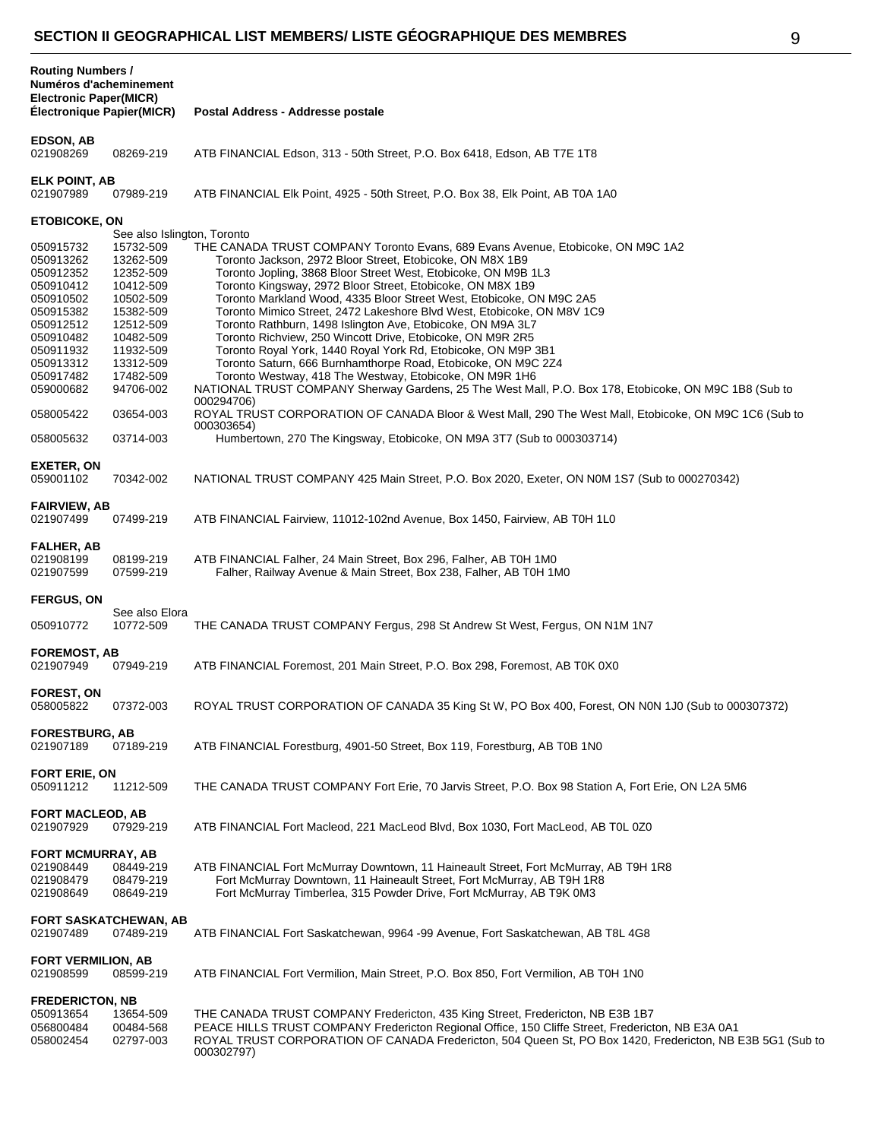| <b>Routing Numbers /</b><br>Numéros d'acheminement<br><b>Electronic Paper(MICR)</b> |                                     |                                                                                                                                                                                                                                        |
|-------------------------------------------------------------------------------------|-------------------------------------|----------------------------------------------------------------------------------------------------------------------------------------------------------------------------------------------------------------------------------------|
| Électronique Papier(MICR)                                                           |                                     | Postal Address - Addresse postale                                                                                                                                                                                                      |
| <b>EDSON, AB</b><br>021908269                                                       | 08269-219                           | ATB FINANCIAL Edson, 313 - 50th Street, P.O. Box 6418, Edson, AB T7E 1T8                                                                                                                                                               |
| <b>ELK POINT, AB</b><br>021907989                                                   | 07989-219                           | ATB FINANCIAL EIK Point, 4925 - 50th Street, P.O. Box 38, Elk Point, AB T0A 1A0                                                                                                                                                        |
| <b>ETOBICOKE, ON</b>                                                                | See also Islington, Toronto         |                                                                                                                                                                                                                                        |
|                                                                                     |                                     | THE CANADA TRUST COMPANY Toronto Evans, 689 Evans Avenue, Etobicoke, ON M9C 1A2                                                                                                                                                        |
| 050915732                                                                           | 15732-509                           |                                                                                                                                                                                                                                        |
| 050913262                                                                           | 13262-509                           | Toronto Jackson, 2972 Bloor Street, Etobicoke, ON M8X 1B9                                                                                                                                                                              |
| 050912352                                                                           | 12352-509                           | Toronto Jopling, 3868 Bloor Street West, Etobicoke, ON M9B 1L3                                                                                                                                                                         |
| 050910412                                                                           | 10412-509                           | Toronto Kingsway, 2972 Bloor Street, Etobicoke, ON M8X 1B9                                                                                                                                                                             |
| 050910502                                                                           | 10502-509                           | Toronto Markland Wood, 4335 Bloor Street West, Etobicoke, ON M9C 2A5                                                                                                                                                                   |
| 050915382                                                                           | 15382-509                           | Toronto Mimico Street, 2472 Lakeshore Blvd West, Etobicoke, ON M8V 1C9                                                                                                                                                                 |
|                                                                                     |                                     | Toronto Rathburn, 1498 Islington Ave, Etobicoke, ON M9A 3L7                                                                                                                                                                            |
| 050912512                                                                           | 12512-509                           |                                                                                                                                                                                                                                        |
| 050910482                                                                           | 10482-509                           | Toronto Richview, 250 Wincott Drive, Etobicoke, ON M9R 2R5                                                                                                                                                                             |
| 050911932                                                                           | 11932-509                           | Toronto Royal York, 1440 Royal York Rd, Etobicoke, ON M9P 3B1                                                                                                                                                                          |
| 050913312                                                                           | 13312-509                           | Toronto Saturn, 666 Burnhamthorpe Road, Etobicoke, ON M9C 2Z4                                                                                                                                                                          |
| 050917482                                                                           | 17482-509                           | Toronto Westway, 418 The Westway, Etobicoke, ON M9R 1H6                                                                                                                                                                                |
| 059000682                                                                           | 94706-002                           | NATIONAL TRUST COMPANY Sherway Gardens, 25 The West Mall, P.O. Box 178, Etobicoke, ON M9C 1B8 (Sub to                                                                                                                                  |
|                                                                                     |                                     | 000294706)                                                                                                                                                                                                                             |
| 058005422                                                                           | 03654-003                           | ROYAL TRUST CORPORATION OF CANADA Bloor & West Mall, 290 The West Mall, Etobicoke, ON M9C 1C6 (Sub to<br>000303654)                                                                                                                    |
| 058005632                                                                           | 03714-003                           | Humbertown, 270 The Kingsway, Etobicoke, ON M9A 3T7 (Sub to 000303714)                                                                                                                                                                 |
|                                                                                     |                                     |                                                                                                                                                                                                                                        |
| EXETER, ON<br>059001102                                                             | 70342-002                           | NATIONAL TRUST COMPANY 425 Main Street, P.O. Box 2020, Exeter, ON N0M 1S7 (Sub to 000270342)                                                                                                                                           |
|                                                                                     |                                     |                                                                                                                                                                                                                                        |
| <b>FAIRVIEW, AB</b><br>021907499                                                    | 07499-219                           | ATB FINANCIAL Fairview, 11012-102nd Avenue, Box 1450, Fairview, AB T0H 1L0                                                                                                                                                             |
| <b>FALHER, AB</b><br>021908199                                                      | 08199-219                           | ATB FINANCIAL Falher, 24 Main Street, Box 296, Falher, AB T0H 1M0                                                                                                                                                                      |
| 021907599                                                                           | 07599-219                           | Falher, Railway Avenue & Main Street, Box 238, Falher, AB T0H 1M0                                                                                                                                                                      |
| <b>FERGUS, ON</b>                                                                   |                                     |                                                                                                                                                                                                                                        |
|                                                                                     | See also Elora                      |                                                                                                                                                                                                                                        |
| 050910772                                                                           | 10772-509                           | THE CANADA TRUST COMPANY Fergus, 298 St Andrew St West, Fergus, ON N1M 1N7                                                                                                                                                             |
| <b>FOREMOST, AB</b><br>021907949                                                    |                                     | ATB FINANCIAL Foremost, 201 Main Street, P.O. Box 298, Foremost, AB T0K 0X0                                                                                                                                                            |
|                                                                                     | 07949-219                           |                                                                                                                                                                                                                                        |
| <b>FOREST, ON</b><br>058005822                                                      | 07372-003                           | ROYAL TRUST CORPORATION OF CANADA 35 King St W, PO Box 400, Forest, ON N0N 1J0 (Sub to 000307372)                                                                                                                                      |
| <b>FORESTBURG, AB</b><br>021907189                                                  | 07189-219                           | ATB FINANCIAL Forestburg, 4901-50 Street, Box 119, Forestburg, AB T0B 1N0                                                                                                                                                              |
|                                                                                     |                                     |                                                                                                                                                                                                                                        |
| <b>FORT ERIE, ON</b><br>050911212                                                   | 11212-509                           | THE CANADA TRUST COMPANY Fort Erie, 70 Jarvis Street, P.O. Box 98 Station A, Fort Erie, ON L2A 5M6                                                                                                                                     |
| <b>FORT MACLEOD, AB</b><br>021907929                                                | 07929-219                           | ATB FINANCIAL Fort Macleod, 221 MacLeod Blvd, Box 1030, Fort MacLeod, AB T0L 0Z0                                                                                                                                                       |
| <b>FORT MCMURRAY, AB</b><br>021908449<br>021908479<br>021908649                     | 08449-219<br>08479-219<br>08649-219 | ATB FINANCIAL Fort McMurray Downtown, 11 Haineault Street, Fort McMurray, AB T9H 1R8<br>Fort McMurray Downtown, 11 Haineault Street, Fort McMurray, AB T9H 1R8<br>Fort McMurray Timberlea, 315 Powder Drive, Fort McMurray, AB T9K 0M3 |
|                                                                                     | <b>FORT SASKATCHEWAN, AB</b>        |                                                                                                                                                                                                                                        |
| 021907489                                                                           | 07489-219                           | ATB FINANCIAL Fort Saskatchewan, 9964 -99 Avenue, Fort Saskatchewan, AB T8L 4G8                                                                                                                                                        |
| <b>FORT VERMILION, AB</b><br>021908599                                              | 08599-219                           | ATB FINANCIAL Fort Vermilion, Main Street, P.O. Box 850, Fort Vermilion, AB T0H 1N0                                                                                                                                                    |
| <b>FREDERICTON, NB</b>                                                              |                                     |                                                                                                                                                                                                                                        |
| 050913654                                                                           | 13654-509                           | THE CANADA TRUST COMPANY Fredericton, 435 King Street, Fredericton, NB E3B 1B7                                                                                                                                                         |
| 056800484<br>058002454                                                              | 00484-568<br>02797-003              | PEACE HILLS TRUST COMPANY Fredericton Regional Office, 150 Cliffe Street, Fredericton, NB E3A 0A1<br>ROYAL TRUST CORPORATION OF CANADA Fredericton, 504 Queen St, PO Box 1420, Fredericton, NB E3B 5G1 (Sub to<br>000302797)           |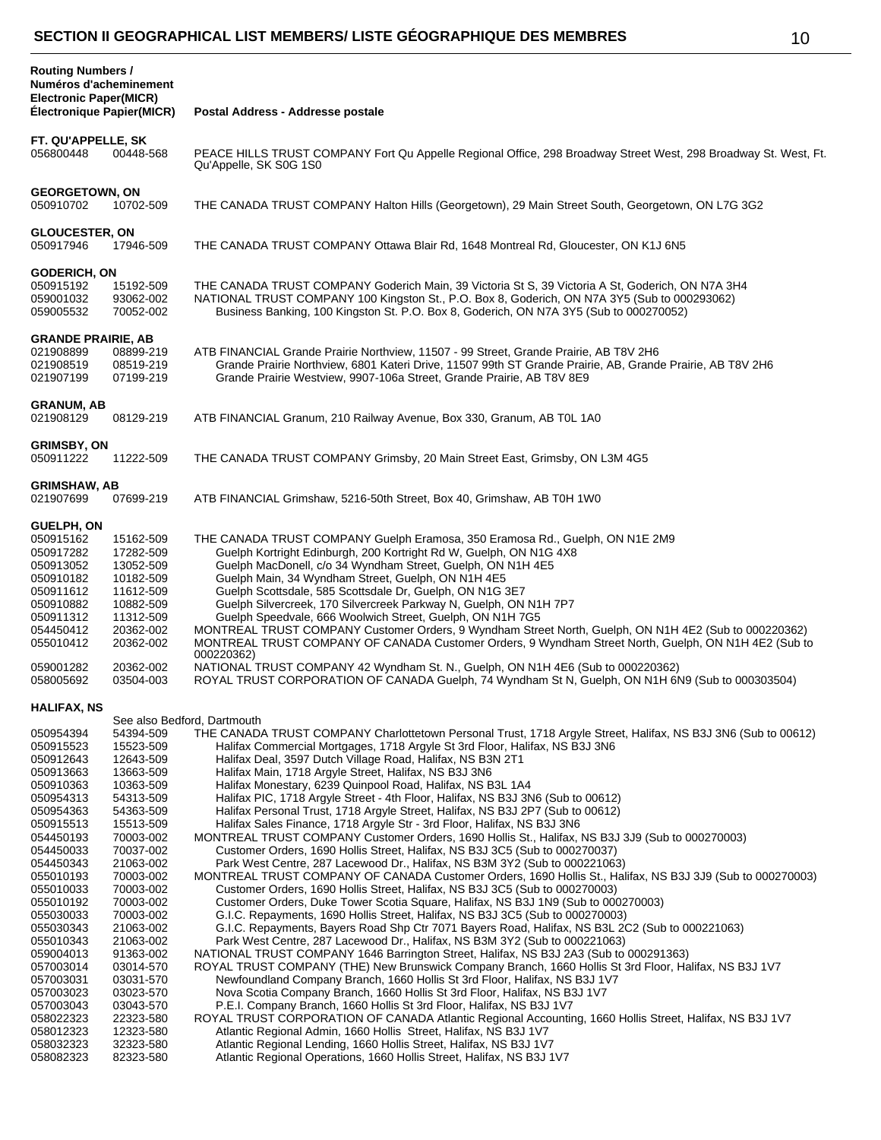| ×,      |
|---------|
| ٦<br>۰. |

| <b>Routing Numbers /</b><br>Numéros d'acheminement<br><b>Electronic Paper(MICR)</b><br>Électronique Papier(MICR)                                                                                                                                                                                                                                                                                                                                                                                                                                                                                                                                                                             | Postal Address - Addresse postale                                                                                                                                                                                                                                                                                                                                                                                                                                                                                                                                                                                                                                                                                                                                                                                                                                                                                                                                                                                                                                                                                                                                                                                                                                                                                                                                                                                                                                                                                                                                                                                                                                                                                                                                                                                                                                                                                                                                                                                                                                                                                                                                             |
|----------------------------------------------------------------------------------------------------------------------------------------------------------------------------------------------------------------------------------------------------------------------------------------------------------------------------------------------------------------------------------------------------------------------------------------------------------------------------------------------------------------------------------------------------------------------------------------------------------------------------------------------------------------------------------------------|-------------------------------------------------------------------------------------------------------------------------------------------------------------------------------------------------------------------------------------------------------------------------------------------------------------------------------------------------------------------------------------------------------------------------------------------------------------------------------------------------------------------------------------------------------------------------------------------------------------------------------------------------------------------------------------------------------------------------------------------------------------------------------------------------------------------------------------------------------------------------------------------------------------------------------------------------------------------------------------------------------------------------------------------------------------------------------------------------------------------------------------------------------------------------------------------------------------------------------------------------------------------------------------------------------------------------------------------------------------------------------------------------------------------------------------------------------------------------------------------------------------------------------------------------------------------------------------------------------------------------------------------------------------------------------------------------------------------------------------------------------------------------------------------------------------------------------------------------------------------------------------------------------------------------------------------------------------------------------------------------------------------------------------------------------------------------------------------------------------------------------------------------------------------------------|
| FT. QU'APPELLE, SK<br>056800448<br>00448-568                                                                                                                                                                                                                                                                                                                                                                                                                                                                                                                                                                                                                                                 | PEACE HILLS TRUST COMPANY Fort Qu Appelle Regional Office, 298 Broadway Street West, 298 Broadway St. West, Ft.<br>Qu'Appelle, SK S0G 1S0                                                                                                                                                                                                                                                                                                                                                                                                                                                                                                                                                                                                                                                                                                                                                                                                                                                                                                                                                                                                                                                                                                                                                                                                                                                                                                                                                                                                                                                                                                                                                                                                                                                                                                                                                                                                                                                                                                                                                                                                                                     |
| <b>GEORGETOWN, ON</b><br>050910702<br>10702-509                                                                                                                                                                                                                                                                                                                                                                                                                                                                                                                                                                                                                                              | THE CANADA TRUST COMPANY Halton Hills (Georgetown), 29 Main Street South, Georgetown, ON L7G 3G2                                                                                                                                                                                                                                                                                                                                                                                                                                                                                                                                                                                                                                                                                                                                                                                                                                                                                                                                                                                                                                                                                                                                                                                                                                                                                                                                                                                                                                                                                                                                                                                                                                                                                                                                                                                                                                                                                                                                                                                                                                                                              |
| <b>GLOUCESTER, ON</b><br>050917946<br>17946-509                                                                                                                                                                                                                                                                                                                                                                                                                                                                                                                                                                                                                                              | THE CANADA TRUST COMPANY Ottawa Blair Rd, 1648 Montreal Rd, Gloucester, ON K1J 6N5                                                                                                                                                                                                                                                                                                                                                                                                                                                                                                                                                                                                                                                                                                                                                                                                                                                                                                                                                                                                                                                                                                                                                                                                                                                                                                                                                                                                                                                                                                                                                                                                                                                                                                                                                                                                                                                                                                                                                                                                                                                                                            |
| <b>GODERICH, ON</b><br>050915192<br>15192-509<br>059001032<br>93062-002<br>70052-002<br>059005532                                                                                                                                                                                                                                                                                                                                                                                                                                                                                                                                                                                            | THE CANADA TRUST COMPANY Goderich Main, 39 Victoria St S, 39 Victoria A St, Goderich, ON N7A 3H4<br>NATIONAL TRUST COMPANY 100 Kingston St., P.O. Box 8, Goderich, ON N7A 3Y5 (Sub to 000293062)<br>Business Banking, 100 Kingston St. P.O. Box 8, Goderich, ON N7A 3Y5 (Sub to 000270052)                                                                                                                                                                                                                                                                                                                                                                                                                                                                                                                                                                                                                                                                                                                                                                                                                                                                                                                                                                                                                                                                                                                                                                                                                                                                                                                                                                                                                                                                                                                                                                                                                                                                                                                                                                                                                                                                                    |
| <b>GRANDE PRAIRIE, AB</b><br>021908899<br>08899-219<br>021908519<br>08519-219<br>021907199<br>07199-219                                                                                                                                                                                                                                                                                                                                                                                                                                                                                                                                                                                      | ATB FINANCIAL Grande Prairie Northview, 11507 - 99 Street, Grande Prairie, AB T8V 2H6<br>Grande Prairie Northview, 6801 Kateri Drive, 11507 99th ST Grande Prairie, AB, Grande Prairie, AB T8V 2H6<br>Grande Prairie Westview, 9907-106a Street, Grande Prairie, AB T8V 8E9                                                                                                                                                                                                                                                                                                                                                                                                                                                                                                                                                                                                                                                                                                                                                                                                                                                                                                                                                                                                                                                                                                                                                                                                                                                                                                                                                                                                                                                                                                                                                                                                                                                                                                                                                                                                                                                                                                   |
| <b>GRANUM, AB</b><br>021908129<br>08129-219                                                                                                                                                                                                                                                                                                                                                                                                                                                                                                                                                                                                                                                  | ATB FINANCIAL Granum, 210 Railway Avenue, Box 330, Granum, AB T0L 1A0                                                                                                                                                                                                                                                                                                                                                                                                                                                                                                                                                                                                                                                                                                                                                                                                                                                                                                                                                                                                                                                                                                                                                                                                                                                                                                                                                                                                                                                                                                                                                                                                                                                                                                                                                                                                                                                                                                                                                                                                                                                                                                         |
| <b>GRIMSBY, ON</b><br>050911222<br>11222-509                                                                                                                                                                                                                                                                                                                                                                                                                                                                                                                                                                                                                                                 | THE CANADA TRUST COMPANY Grimsby, 20 Main Street East, Grimsby, ON L3M 4G5                                                                                                                                                                                                                                                                                                                                                                                                                                                                                                                                                                                                                                                                                                                                                                                                                                                                                                                                                                                                                                                                                                                                                                                                                                                                                                                                                                                                                                                                                                                                                                                                                                                                                                                                                                                                                                                                                                                                                                                                                                                                                                    |
| <b>GRIMSHAW, AB</b><br>021907699<br>07699-219                                                                                                                                                                                                                                                                                                                                                                                                                                                                                                                                                                                                                                                | ATB FINANCIAL Grimshaw, 5216-50th Street, Box 40, Grimshaw, AB T0H 1W0                                                                                                                                                                                                                                                                                                                                                                                                                                                                                                                                                                                                                                                                                                                                                                                                                                                                                                                                                                                                                                                                                                                                                                                                                                                                                                                                                                                                                                                                                                                                                                                                                                                                                                                                                                                                                                                                                                                                                                                                                                                                                                        |
| <b>GUELPH, ON</b><br>050915162<br>15162-509<br>050917282<br>17282-509<br>13052-509<br>050913052<br>10182-509<br>050910182<br>050911612<br>11612-509<br>10882-509<br>050910882<br>050911312<br>11312-509<br>20362-002<br>054450412<br>055010412<br>20362-002<br>20362-002<br>059001282<br>058005692<br>03504-003                                                                                                                                                                                                                                                                                                                                                                              | THE CANADA TRUST COMPANY Guelph Eramosa, 350 Eramosa Rd., Guelph, ON N1E 2M9<br>Guelph Kortright Edinburgh, 200 Kortright Rd W, Guelph, ON N1G 4X8<br>Guelph MacDonell, c/o 34 Wyndham Street, Guelph, ON N1H 4E5<br>Guelph Main, 34 Wyndham Street, Guelph, ON N1H 4E5<br>Guelph Scottsdale, 585 Scottsdale Dr, Guelph, ON N1G 3E7<br>Guelph Silvercreek, 170 Silvercreek Parkway N, Guelph, ON N1H 7P7<br>Guelph Speedvale, 666 Woolwich Street, Guelph, ON N1H 7G5<br>MONTREAL TRUST COMPANY Customer Orders, 9 Wyndham Street North, Guelph, ON N1H 4E2 (Sub to 000220362)<br>MONTREAL TRUST COMPANY OF CANADA Customer Orders, 9 Wyndham Street North, Guelph, ON N1H 4E2 (Sub to<br>000220362)<br>NATIONAL TRUST COMPANY 42 Wyndham St. N., Guelph, ON N1H 4E6 (Sub to 000220362)<br>ROYAL TRUST CORPORATION OF CANADA Guelph, 74 Wyndham St N, Guelph, ON N1H 6N9 (Sub to 000303504)                                                                                                                                                                                                                                                                                                                                                                                                                                                                                                                                                                                                                                                                                                                                                                                                                                                                                                                                                                                                                                                                                                                                                                                                                                                                                   |
| <b>HALIFAX, NS</b><br>050954394<br>54394-509<br>050915523<br>15523-509<br>050912643<br>12643-509<br>050913663<br>13663-509<br>050910363<br>10363-509<br>050954313<br>54313-509<br>050954363<br>54363-509<br>050915513<br>15513-509<br>054450193<br>70003-002<br>054450033<br>70037-002<br>054450343<br>21063-002<br>055010193<br>70003-002<br>70003-002<br>055010033<br>055010192<br>70003-002<br>055030033<br>70003-002<br>055030343<br>21063-002<br>055010343<br>21063-002<br>059004013<br>91363-002<br>057003014<br>03014-570<br>057003031<br>03031-570<br>057003023<br>03023-570<br>057003043<br>03043-570<br>058022323<br>22323-580<br>058012323<br>12323-580<br>058032323<br>32323-580 | See also Bedford, Dartmouth<br>THE CANADA TRUST COMPANY Charlottetown Personal Trust, 1718 Argyle Street, Halifax, NS B3J 3N6 (Sub to 00612)<br>Halifax Commercial Mortgages, 1718 Argyle St 3rd Floor, Halifax, NS B3J 3N6<br>Halifax Deal, 3597 Dutch Village Road, Halifax, NS B3N 2T1<br>Halifax Main, 1718 Argyle Street, Halifax, NS B3J 3N6<br>Halifax Monestary, 6239 Quinpool Road, Halifax, NS B3L 1A4<br>Halifax PIC, 1718 Argyle Street - 4th Floor, Halifax, NS B3J 3N6 (Sub to 00612)<br>Halifax Personal Trust, 1718 Argyle Street, Halifax, NS B3J 2P7 (Sub to 00612)<br>Halifax Sales Finance, 1718 Argyle Str - 3rd Floor, Halifax, NS B3J 3N6<br>MONTREAL TRUST COMPANY Customer Orders, 1690 Hollis St., Halifax, NS B3J 3J9 (Sub to 000270003)<br>Customer Orders, 1690 Hollis Street, Halifax, NS B3J 3C5 (Sub to 000270037)<br>Park West Centre, 287 Lacewood Dr., Halifax, NS B3M 3Y2 (Sub to 000221063)<br>MONTREAL TRUST COMPANY OF CANADA Customer Orders, 1690 Hollis St., Halifax, NS B3J 3J9 (Sub to 000270003)<br>Customer Orders, 1690 Hollis Street, Halifax, NS B3J 3C5 (Sub to 000270003)<br>Customer Orders, Duke Tower Scotia Square, Halifax, NS B3J 1N9 (Sub to 000270003)<br>G.I.C. Repayments, 1690 Hollis Street, Halifax, NS B3J 3C5 (Sub to 000270003)<br>G.I.C. Repayments, Bayers Road Shp Ctr 7071 Bayers Road, Halifax, NS B3L 2C2 (Sub to 000221063)<br>Park West Centre, 287 Lacewood Dr., Halifax, NS B3M 3Y2 (Sub to 000221063)<br>NATIONAL TRUST COMPANY 1646 Barrington Street, Halifax, NS B3J 2A3 (Sub to 000291363)<br>ROYAL TRUST COMPANY (THE) New Brunswick Company Branch, 1660 Hollis St 3rd Floor, Halifax, NS B3J 1V7<br>Newfoundland Company Branch, 1660 Hollis St 3rd Floor, Halifax, NS B3J 1V7<br>Nova Scotia Company Branch, 1660 Hollis St 3rd Floor, Halifax, NS B3J 1V7<br>P.E.I. Company Branch, 1660 Hollis St 3rd Floor, Halifax, NS B3J 1V7<br>ROYAL TRUST CORPORATION OF CANADA Atlantic Regional Accounting, 1660 Hollis Street, Halifax, NS B3J 1V7<br>Atlantic Regional Admin, 1660 Hollis Street, Halifax, NS B3J 1V7<br>Atlantic Regional Lending, 1660 Hollis Street, Halifax, NS B3J 1V7 |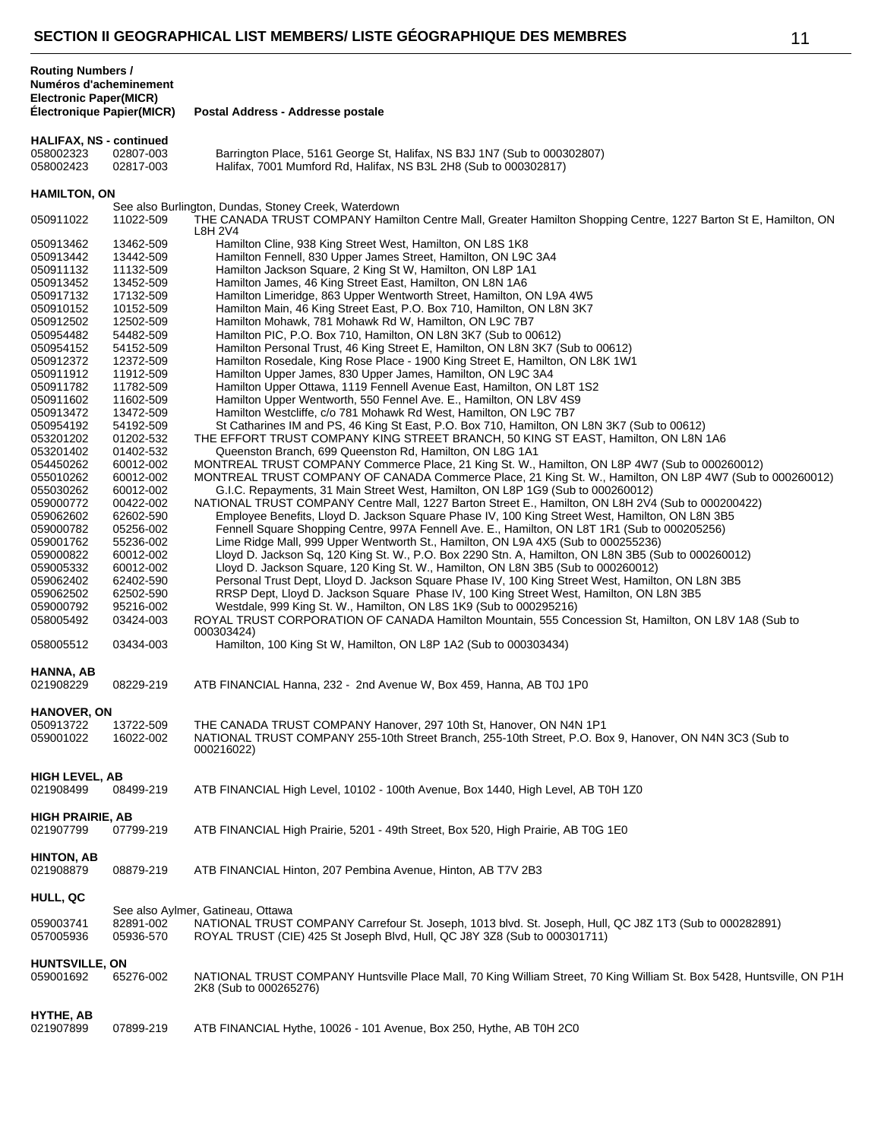**Routing Numbers /**

| Numéros d'acheminement<br><b>Electronic Paper(MICR)</b><br>Électronique Papier(MICR) |                        | Postal Address - Addresse postale                                                                                                                                                            |
|--------------------------------------------------------------------------------------|------------------------|----------------------------------------------------------------------------------------------------------------------------------------------------------------------------------------------|
|                                                                                      |                        |                                                                                                                                                                                              |
| <b>HALIFAX, NS - continued</b><br>058002323                                          | 02807-003              | Barrington Place, 5161 George St, Halifax, NS B3J 1N7 (Sub to 000302807)                                                                                                                     |
| 058002423                                                                            | 02817-003              | Halifax, 7001 Mumford Rd, Halifax, NS B3L 2H8 (Sub to 000302817)                                                                                                                             |
|                                                                                      |                        |                                                                                                                                                                                              |
| <b>HAMILTON, ON</b>                                                                  |                        |                                                                                                                                                                                              |
| 050911022                                                                            | 11022-509              | See also Burlington, Dundas, Stoney Creek, Waterdown<br>THE CANADA TRUST COMPANY Hamilton Centre Mall, Greater Hamilton Shopping Centre, 1227 Barton St E, Hamilton, ON                      |
| 050913462                                                                            | 13462-509              | L8H 2V4<br>Hamilton Cline, 938 King Street West, Hamilton, ON L8S 1K8                                                                                                                        |
| 050913442                                                                            | 13442-509              | Hamilton Fennell, 830 Upper James Street, Hamilton, ON L9C 3A4                                                                                                                               |
| 050911132                                                                            | 11132-509              | Hamilton Jackson Square, 2 King St W, Hamilton, ON L8P 1A1                                                                                                                                   |
| 050913452                                                                            | 13452-509              | Hamilton James, 46 King Street East, Hamilton, ON L8N 1A6                                                                                                                                    |
| 050917132                                                                            | 17132-509              | Hamilton Limeridge, 863 Upper Wentworth Street, Hamilton, ON L9A 4W5                                                                                                                         |
| 050910152<br>050912502                                                               | 10152-509<br>12502-509 | Hamilton Main, 46 King Street East, P.O. Box 710, Hamilton, ON L8N 3K7<br>Hamilton Mohawk, 781 Mohawk Rd W, Hamilton, ON L9C 7B7                                                             |
| 050954482                                                                            | 54482-509              | Hamilton PIC, P.O. Box 710, Hamilton, ON L8N 3K7 (Sub to 00612)                                                                                                                              |
| 050954152                                                                            | 54152-509              | Hamilton Personal Trust, 46 King Street E, Hamilton, ON L8N 3K7 (Sub to 00612)                                                                                                               |
| 050912372                                                                            | 12372-509              | Hamilton Rosedale, King Rose Place - 1900 King Street E, Hamilton, ON L8K 1W1                                                                                                                |
| 050911912                                                                            | 11912-509              | Hamilton Upper James, 830 Upper James, Hamilton, ON L9C 3A4                                                                                                                                  |
| 050911782                                                                            | 11782-509              | Hamilton Upper Ottawa, 1119 Fennell Avenue East, Hamilton, ON L8T 1S2                                                                                                                        |
| 050911602<br>050913472                                                               | 11602-509<br>13472-509 | Hamilton Upper Wentworth, 550 Fennel Ave. E., Hamilton, ON L8V 4S9<br>Hamilton Westcliffe, c/o 781 Mohawk Rd West, Hamilton, ON L9C 7B7                                                      |
| 050954192                                                                            | 54192-509              | St Catharines IM and PS, 46 King St East, P.O. Box 710, Hamilton, ON L8N 3K7 (Sub to 00612)                                                                                                  |
| 053201202                                                                            | 01202-532              | THE EFFORT TRUST COMPANY KING STREET BRANCH, 50 KING ST EAST, Hamilton, ON L8N 1A6                                                                                                           |
| 053201402                                                                            | 01402-532              | Queenston Branch, 699 Queenston Rd, Hamilton, ON L8G 1A1                                                                                                                                     |
| 054450262                                                                            | 60012-002              | MONTREAL TRUST COMPANY Commerce Place, 21 King St. W., Hamilton, ON L8P 4W7 (Sub to 000260012)                                                                                               |
| 055010262                                                                            | 60012-002              | MONTREAL TRUST COMPANY OF CANADA Commerce Place, 21 King St. W., Hamilton, ON L8P 4W7 (Sub to 000260012)                                                                                     |
| 055030262<br>059000772                                                               | 60012-002<br>00422-002 | G.I.C. Repayments, 31 Main Street West, Hamilton, ON L8P 1G9 (Sub to 000260012)<br>NATIONAL TRUST COMPANY Centre Mall, 1227 Barton Street E., Hamilton, ON L8H 2V4 (Sub to 000200422)        |
| 059062602                                                                            | 62602-590              | Employee Benefits, Lloyd D. Jackson Square Phase IV, 100 King Street West, Hamilton, ON L8N 3B5                                                                                              |
| 059000782                                                                            | 05256-002              | Fennell Square Shopping Centre, 997A Fennell Ave. E., Hamilton, ON L8T 1R1 (Sub to 000205256)                                                                                                |
| 059001762                                                                            | 55236-002              | Lime Ridge Mall, 999 Upper Wentworth St., Hamilton, ON L9A 4X5 (Sub to 000255236)                                                                                                            |
| 059000822                                                                            | 60012-002              | Lloyd D. Jackson Sq, 120 King St. W., P.O. Box 2290 Stn. A, Hamilton, ON L8N 3B5 (Sub to 000260012)                                                                                          |
| 059005332                                                                            | 60012-002              | Lloyd D. Jackson Square, 120 King St. W., Hamilton, ON L8N 3B5 (Sub to 000260012)                                                                                                            |
| 059062402<br>059062502                                                               | 62402-590<br>62502-590 | Personal Trust Dept, Lloyd D. Jackson Square Phase IV, 100 King Street West, Hamilton, ON L8N 3B5<br>RRSP Dept, Lloyd D. Jackson Square Phase IV, 100 King Street West, Hamilton, ON L8N 3B5 |
| 059000792                                                                            | 95216-002              | Westdale, 999 King St. W., Hamilton, ON L8S 1K9 (Sub to 000295216)                                                                                                                           |
| 058005492                                                                            | 03424-003              | ROYAL TRUST CORPORATION OF CANADA Hamilton Mountain, 555 Concession St, Hamilton, ON L8V 1A8 (Sub to                                                                                         |
|                                                                                      |                        | 000303424)                                                                                                                                                                                   |
| 058005512                                                                            | 03434-003              | Hamilton, 100 King St W, Hamilton, ON L8P 1A2 (Sub to 000303434)                                                                                                                             |
|                                                                                      |                        |                                                                                                                                                                                              |
| HANNA, AB<br>021908229                                                               | 08229-219              | ATB FINANCIAL Hanna, 232 - 2nd Avenue W, Box 459, Hanna, AB T0J 1P0                                                                                                                          |
|                                                                                      |                        |                                                                                                                                                                                              |
| <b>HANOVER, ON</b><br>050913722<br>059001022                                         | 13722-509<br>16022-002 | THE CANADA TRUST COMPANY Hanover, 297 10th St, Hanover, ON N4N 1P1<br>NATIONAL TRUST COMPANY 255-10th Street Branch, 255-10th Street, P.O. Box 9, Hanover, ON N4N 3C3 (Sub to<br>000216022)  |
| <b>HIGH LEVEL, AB</b><br>021908499                                                   | 08499-219              | ATB FINANCIAL High Level, 10102 - 100th Avenue, Box 1440, High Level, AB T0H 1Z0                                                                                                             |
| <b>HIGH PRAIRIE, AB</b><br>021907799                                                 | 07799-219              | ATB FINANCIAL High Prairie, 5201 - 49th Street, Box 520, High Prairie, AB T0G 1E0                                                                                                            |
| <b>HINTON, AB</b><br>021908879                                                       | 08879-219              | ATB FINANCIAL Hinton, 207 Pembina Avenue, Hinton, AB T7V 2B3                                                                                                                                 |
| HULL, QC                                                                             |                        |                                                                                                                                                                                              |
|                                                                                      |                        | See also Aylmer, Gatineau, Ottawa                                                                                                                                                            |
| 059003741<br>057005936                                                               | 82891-002<br>05936-570 | NATIONAL TRUST COMPANY Carrefour St. Joseph, 1013 blvd. St. Joseph, Hull, QC J8Z 1T3 (Sub to 000282891)<br>ROYAL TRUST (CIE) 425 St Joseph Blvd, Hull, QC J8Y 3Z8 (Sub to 000301711)         |
| HUNTSVILLE, ON<br>059001692                                                          | 65276-002              | NATIONAL TRUST COMPANY Huntsville Place Mall, 70 King William Street, 70 King William St. Box 5428, Huntsville, ON P1H<br>2K8 (Sub to 000265276)                                             |
| HYTHE, AB<br>021907899                                                               | 07899-219              | ATB FINANCIAL Hythe, 10026 - 101 Avenue, Box 250, Hythe, AB T0H 2C0                                                                                                                          |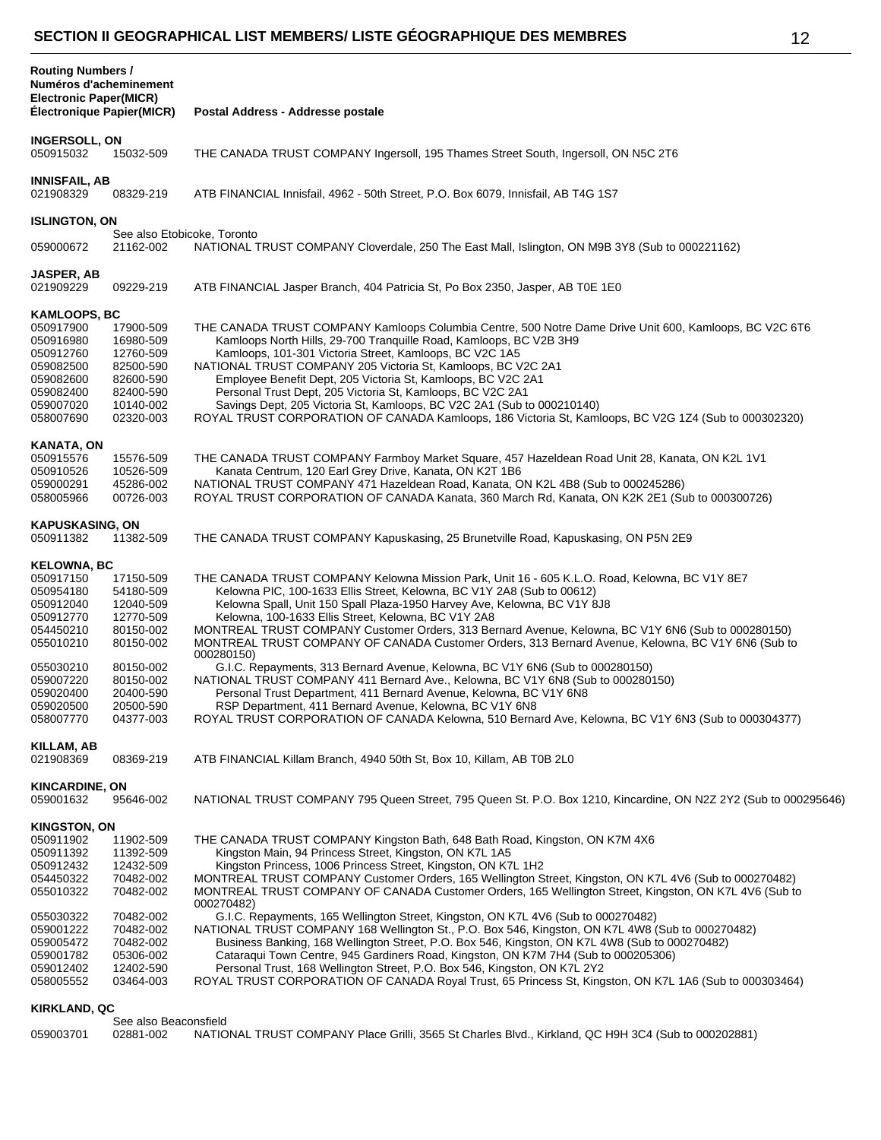| v<br>×             |
|--------------------|
| I<br>I<br>I<br>. . |

| <b>Routing Numbers /</b><br>Numéros d'acheminement<br><b>Electronic Paper(MICR)</b><br><b>Électronique Papier(MICR)</b>                                            |                                                                                                                                             | Postal Address - Addresse postale                                                                                                                                                                                                                                                                                                                                                                                                                                                                                                                                                                                                                                                                                                                                                                                                                                                                                                                                                                                |
|--------------------------------------------------------------------------------------------------------------------------------------------------------------------|---------------------------------------------------------------------------------------------------------------------------------------------|------------------------------------------------------------------------------------------------------------------------------------------------------------------------------------------------------------------------------------------------------------------------------------------------------------------------------------------------------------------------------------------------------------------------------------------------------------------------------------------------------------------------------------------------------------------------------------------------------------------------------------------------------------------------------------------------------------------------------------------------------------------------------------------------------------------------------------------------------------------------------------------------------------------------------------------------------------------------------------------------------------------|
|                                                                                                                                                                    |                                                                                                                                             |                                                                                                                                                                                                                                                                                                                                                                                                                                                                                                                                                                                                                                                                                                                                                                                                                                                                                                                                                                                                                  |
| <b>INGERSOLL, ON</b><br>050915032                                                                                                                                  | 15032-509                                                                                                                                   | THE CANADA TRUST COMPANY Ingersoll, 195 Thames Street South, Ingersoll, ON N5C 2T6                                                                                                                                                                                                                                                                                                                                                                                                                                                                                                                                                                                                                                                                                                                                                                                                                                                                                                                               |
| INNISFAIL, AB<br>021908329                                                                                                                                         | 08329-219                                                                                                                                   | ATB FINANCIAL Innisfail, 4962 - 50th Street, P.O. Box 6079, Innisfail, AB T4G 1S7                                                                                                                                                                                                                                                                                                                                                                                                                                                                                                                                                                                                                                                                                                                                                                                                                                                                                                                                |
| <b>ISLINGTON, ON</b>                                                                                                                                               |                                                                                                                                             |                                                                                                                                                                                                                                                                                                                                                                                                                                                                                                                                                                                                                                                                                                                                                                                                                                                                                                                                                                                                                  |
| 059000672                                                                                                                                                          | 21162-002                                                                                                                                   | See also Etobicoke, Toronto<br>NATIONAL TRUST COMPANY Cloverdale, 250 The East Mall, Islington, ON M9B 3Y8 (Sub to 000221162)                                                                                                                                                                                                                                                                                                                                                                                                                                                                                                                                                                                                                                                                                                                                                                                                                                                                                    |
| JASPER, AB<br>021909229                                                                                                                                            | 09229-219                                                                                                                                   | ATB FINANCIAL Jasper Branch, 404 Patricia St, Po Box 2350, Jasper, AB T0E 1E0                                                                                                                                                                                                                                                                                                                                                                                                                                                                                                                                                                                                                                                                                                                                                                                                                                                                                                                                    |
| KAMLOOPS, BC                                                                                                                                                       |                                                                                                                                             |                                                                                                                                                                                                                                                                                                                                                                                                                                                                                                                                                                                                                                                                                                                                                                                                                                                                                                                                                                                                                  |
| 050917900<br>050916980<br>050912760<br>059082500<br>059082600<br>059082400<br>059007020<br>058007690                                                               | 17900-509<br>16980-509<br>12760-509<br>82500-590<br>82600-590<br>82400-590<br>10140-002<br>02320-003                                        | THE CANADA TRUST COMPANY Kamloops Columbia Centre, 500 Notre Dame Drive Unit 600, Kamloops, BC V2C 6T6<br>Kamloops North Hills, 29-700 Tranquille Road, Kamloops, BC V2B 3H9<br>Kamloops, 101-301 Victoria Street, Kamloops, BC V2C 1A5<br>NATIONAL TRUST COMPANY 205 Victoria St, Kamloops, BC V2C 2A1<br>Employee Benefit Dept, 205 Victoria St, Kamloops, BC V2C 2A1<br>Personal Trust Dept, 205 Victoria St, Kamloops, BC V2C 2A1<br>Savings Dept, 205 Victoria St, Kamloops, BC V2C 2A1 (Sub to 000210140)<br>ROYAL TRUST CORPORATION OF CANADA Kamloops, 186 Victoria St, Kamloops, BC V2G 1Z4 (Sub to 000302320)                                                                                                                                                                                                                                                                                                                                                                                          |
| <b>KANATA, ON</b><br>050915576<br>050910526<br>059000291<br>058005966                                                                                              | 15576-509<br>10526-509<br>45286-002<br>00726-003                                                                                            | THE CANADA TRUST COMPANY Farmboy Market Square, 457 Hazeldean Road Unit 28, Kanata, ON K2L 1V1<br>Kanata Centrum, 120 Earl Grey Drive, Kanata, ON K2T 1B6<br>NATIONAL TRUST COMPANY 471 Hazeldean Road, Kanata, ON K2L 4B8 (Sub to 000245286)<br>ROYAL TRUST CORPORATION OF CANADA Kanata, 360 March Rd, Kanata, ON K2K 2E1 (Sub to 000300726)                                                                                                                                                                                                                                                                                                                                                                                                                                                                                                                                                                                                                                                                   |
| <b>KAPUSKASING, ON</b><br>050911382                                                                                                                                | 11382-509                                                                                                                                   | THE CANADA TRUST COMPANY Kapuskasing, 25 Brunetville Road, Kapuskasing, ON P5N 2E9                                                                                                                                                                                                                                                                                                                                                                                                                                                                                                                                                                                                                                                                                                                                                                                                                                                                                                                               |
| <b>KELOWNA, BC</b><br>050917150<br>050954180<br>050912040<br>050912770<br>054450210<br>055010210                                                                   | 17150-509<br>54180-509<br>12040-509<br>12770-509<br>80150-002<br>80150-002                                                                  | THE CANADA TRUST COMPANY Kelowna Mission Park, Unit 16 - 605 K.L.O. Road, Kelowna, BC V1Y 8E7<br>Kelowna PIC, 100-1633 Ellis Street, Kelowna, BC V1Y 2A8 (Sub to 00612)<br>Kelowna Spall, Unit 150 Spall Plaza-1950 Harvey Ave, Kelowna, BC V1Y 8J8<br>Kelowna, 100-1633 Ellis Street, Kelowna, BC V1Y 2A8<br>MONTREAL TRUST COMPANY Customer Orders, 313 Bernard Avenue, Kelowna, BC V1Y 6N6 (Sub to 000280150)<br>MONTREAL TRUST COMPANY OF CANADA Customer Orders, 313 Bernard Avenue, Kelowna, BC V1Y 6N6 (Sub to<br>000280150)                                                                                                                                                                                                                                                                                                                                                                                                                                                                              |
| 055030210<br>059007220<br>059020400<br>059020500<br>058007770                                                                                                      | 80150-002<br>80150-002<br>20400-590<br>20500-590<br>04377-003                                                                               | G.I.C. Repayments, 313 Bernard Avenue, Kelowna, BC V1Y 6N6 (Sub to 000280150)<br>NATIONAL TRUST COMPANY 411 Bernard Ave., Kelowna, BC V1Y 6N8 (Sub to 000280150)<br>Personal Trust Department, 411 Bernard Avenue, Kelowna, BC V1Y 6N8<br>RSP Department, 411 Bernard Avenue, Kelowna, BC V1Y 6N8<br>ROYAL TRUST CORPORATION OF CANADA Kelowna, 510 Bernard Ave, Kelowna, BC V1Y 6N3 (Sub to 000304377)                                                                                                                                                                                                                                                                                                                                                                                                                                                                                                                                                                                                          |
| KILLAM, AB<br>021908369                                                                                                                                            | 08369-219                                                                                                                                   | ATB FINANCIAL Killam Branch, 4940 50th St, Box 10, Killam, AB T0B 2L0                                                                                                                                                                                                                                                                                                                                                                                                                                                                                                                                                                                                                                                                                                                                                                                                                                                                                                                                            |
| <b>KINCARDINE, ON</b><br>059001632                                                                                                                                 | 95646-002                                                                                                                                   | NATIONAL TRUST COMPANY 795 Queen Street, 795 Queen St. P.O. Box 1210, Kincardine, ON N2Z 2Y2 (Sub to 000295646)                                                                                                                                                                                                                                                                                                                                                                                                                                                                                                                                                                                                                                                                                                                                                                                                                                                                                                  |
| <b>KINGSTON, ON</b><br>050911902<br>050911392<br>050912432<br>054450322<br>055010322<br>055030322<br>059001222<br>059005472<br>059001782<br>059012402<br>058005552 | 11902-509<br>11392-509<br>12432-509<br>70482-002<br>70482-002<br>70482-002<br>70482-002<br>70482-002<br>05306-002<br>12402-590<br>03464-003 | THE CANADA TRUST COMPANY Kingston Bath, 648 Bath Road, Kingston, ON K7M 4X6<br>Kingston Main, 94 Princess Street, Kingston, ON K7L 1A5<br>Kingston Princess, 1006 Princess Street, Kingston, ON K7L 1H2<br>MONTREAL TRUST COMPANY Customer Orders, 165 Wellington Street, Kingston, ON K7L 4V6 (Sub to 000270482)<br>MONTREAL TRUST COMPANY OF CANADA Customer Orders, 165 Wellington Street, Kingston, ON K7L 4V6 (Sub to<br>000270482)<br>G.I.C. Repayments, 165 Wellington Street, Kingston, ON K7L 4V6 (Sub to 000270482)<br>NATIONAL TRUST COMPANY 168 Wellington St., P.O. Box 546, Kingston, ON K7L 4W8 (Sub to 000270482)<br>Business Banking, 168 Wellington Street, P.O. Box 546, Kingston, ON K7L 4W8 (Sub to 000270482)<br>Cataraqui Town Centre, 945 Gardiners Road, Kingston, ON K7M 7H4 (Sub to 000205306)<br>Personal Trust, 168 Wellington Street, P.O. Box 546, Kingston, ON K7L 2Y2<br>ROYAL TRUST CORPORATION OF CANADA Royal Trust, 65 Princess St, Kingston, ON K7L 1A6 (Sub to 000303464) |
| <b>KIRKLAND, QC</b>                                                                                                                                                | See also Beaconsfield                                                                                                                       |                                                                                                                                                                                                                                                                                                                                                                                                                                                                                                                                                                                                                                                                                                                                                                                                                                                                                                                                                                                                                  |

#### 02881-002 NATIONAL TRUST COMPANY Place Grilli, 3565 St Charles Blvd., Kirkland, QC H9H 3C4 (Sub to 000202881)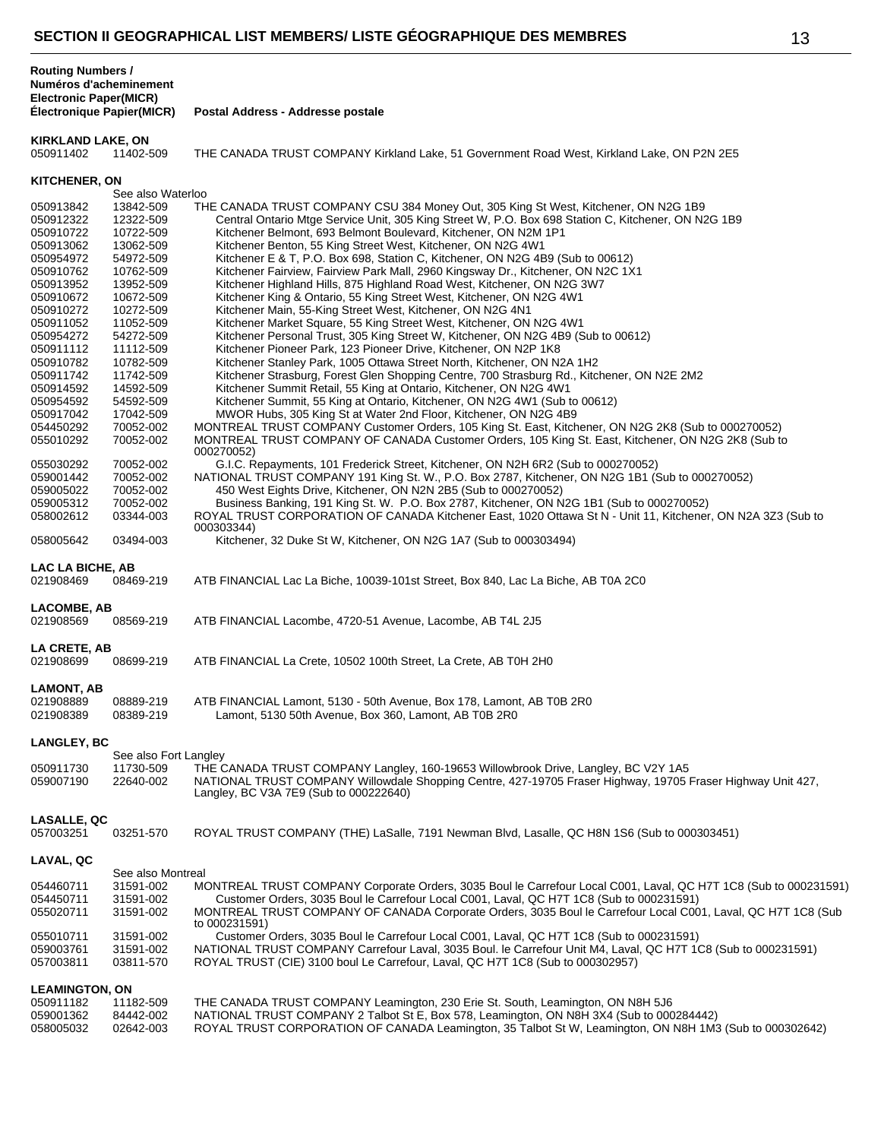**Postal Address - Addresse postale** 

# **KIRKLAND LAKE, ON**<br>050911402 11402-509

THE CANADA TRUST COMPANY Kirkland Lake, 51 Government Road West, Kirkland Lake, ON P2N 2E5

| <b>KITCHENER, ON</b>   |                        |                                                                                                                                                                                                                                             |
|------------------------|------------------------|---------------------------------------------------------------------------------------------------------------------------------------------------------------------------------------------------------------------------------------------|
|                        | See also Waterloo      |                                                                                                                                                                                                                                             |
| 050913842              | 13842-509              | THE CANADA TRUST COMPANY CSU 384 Money Out, 305 King St West, Kitchener, ON N2G 1B9                                                                                                                                                         |
| 050912322              | 12322-509              | Central Ontario Mtge Service Unit, 305 King Street W, P.O. Box 698 Station C, Kitchener, ON N2G 1B9                                                                                                                                         |
| 050910722              | 10722-509              | Kitchener Belmont, 693 Belmont Boulevard, Kitchener, ON N2M 1P1                                                                                                                                                                             |
| 050913062              | 13062-509              | Kitchener Benton, 55 King Street West, Kitchener, ON N2G 4W1                                                                                                                                                                                |
| 050954972              | 54972-509              | Kitchener E & T, P.O. Box 698, Station C, Kitchener, ON N2G 4B9 (Sub to 00612)                                                                                                                                                              |
| 050910762              | 10762-509              | Kitchener Fairview, Fairview Park Mall, 2960 Kingsway Dr., Kitchener, ON N2C 1X1                                                                                                                                                            |
| 050913952              | 13952-509              | Kitchener Highland Hills, 875 Highland Road West, Kitchener, ON N2G 3W7                                                                                                                                                                     |
| 050910672              | 10672-509              | Kitchener King & Ontario, 55 King Street West, Kitchener, ON N2G 4W1                                                                                                                                                                        |
| 050910272              | 10272-509              | Kitchener Main, 55-King Street West, Kitchener, ON N2G 4N1                                                                                                                                                                                  |
| 050911052              | 11052-509              | Kitchener Market Square, 55 King Street West, Kitchener, ON N2G 4W1                                                                                                                                                                         |
| 050954272              | 54272-509              | Kitchener Personal Trust, 305 King Street W, Kitchener, ON N2G 4B9 (Sub to 00612)                                                                                                                                                           |
| 050911112              | 11112-509              | Kitchener Pioneer Park, 123 Pioneer Drive, Kitchener, ON N2P 1K8                                                                                                                                                                            |
| 050910782              | 10782-509              | Kitchener Stanley Park, 1005 Ottawa Street North, Kitchener, ON N2A 1H2                                                                                                                                                                     |
| 050911742              | 11742-509              | Kitchener Strasburg, Forest Glen Shopping Centre, 700 Strasburg Rd., Kitchener, ON N2E 2M2                                                                                                                                                  |
| 050914592              | 14592-509              | Kitchener Summit Retail, 55 King at Ontario, Kitchener, ON N2G 4W1                                                                                                                                                                          |
| 050954592              | 54592-509              | Kitchener Summit, 55 King at Ontario, Kitchener, ON N2G 4W1 (Sub to 00612)                                                                                                                                                                  |
| 050917042              | 17042-509              | MWOR Hubs, 305 King St at Water 2nd Floor, Kitchener, ON N2G 4B9                                                                                                                                                                            |
| 054450292<br>055010292 | 70052-002<br>70052-002 | MONTREAL TRUST COMPANY Customer Orders, 105 King St. East, Kitchener, ON N2G 2K8 (Sub to 000270052)<br>MONTREAL TRUST COMPANY OF CANADA Customer Orders, 105 King St. East, Kitchener, ON N2G 2K8 (Sub to<br>000270052)                     |
| 055030292              | 70052-002              | G.I.C. Repayments, 101 Frederick Street, Kitchener, ON N2H 6R2 (Sub to 000270052)                                                                                                                                                           |
| 059001442              | 70052-002              | NATIONAL TRUST COMPANY 191 King St. W., P.O. Box 2787, Kitchener, ON N2G 1B1 (Sub to 000270052)                                                                                                                                             |
| 059005022              | 70052-002              | 450 West Eights Drive, Kitchener, ON N2N 2B5 (Sub to 000270052)                                                                                                                                                                             |
| 059005312              | 70052-002              | Business Banking, 191 King St. W. P.O. Box 2787, Kitchener, ON N2G 1B1 (Sub to 000270052)                                                                                                                                                   |
| 058002612              | 03344-003              | ROYAL TRUST CORPORATION OF CANADA Kitchener East, 1020 Ottawa St N - Unit 11, Kitchener, ON N2A 3Z3 (Sub to<br>000303344)                                                                                                                   |
| 058005642              | 03494-003              | Kitchener, 32 Duke St W, Kitchener, ON N2G 1A7 (Sub to 000303494)                                                                                                                                                                           |
| LAC LA BICHE, AB       |                        |                                                                                                                                                                                                                                             |
| 021908469              | 08469-219              | ATB FINANCIAL Lac La Biche, 10039-101st Street, Box 840, Lac La Biche, AB T0A 2C0                                                                                                                                                           |
| LACOMBE, AB            |                        |                                                                                                                                                                                                                                             |
| 021908569              | 08569-219              | ATB FINANCIAL Lacombe, 4720-51 Avenue, Lacombe, AB T4L 2J5                                                                                                                                                                                  |
| LA CRETE, AB           |                        |                                                                                                                                                                                                                                             |
| 021908699              | 08699-219              | ATB FINANCIAL La Crete, 10502 100th Street, La Crete, AB T0H 2H0                                                                                                                                                                            |
|                        |                        |                                                                                                                                                                                                                                             |
| LAMONT, AB             |                        |                                                                                                                                                                                                                                             |
| 021908889<br>021908389 | 08889-219<br>08389-219 | ATB FINANCIAL Lamont, 5130 - 50th Avenue, Box 178, Lamont, AB T0B 2R0<br>Lamont, 5130 50th Avenue, Box 360, Lamont, AB T0B 2R0                                                                                                              |
| LANGLEY, BC            |                        |                                                                                                                                                                                                                                             |
|                        | See also Fort Langley  |                                                                                                                                                                                                                                             |
| 050911730<br>059007190 | 11730-509<br>22640-002 | THE CANADA TRUST COMPANY Langley, 160-19653 Willowbrook Drive, Langley, BC V2Y 1A5<br>NATIONAL TRUST COMPANY Willowdale Shopping Centre, 427-19705 Fraser Highway, 19705 Fraser Highway Unit 427,<br>Langley, BC V3A 7E9 (Sub to 000222640) |
|                        |                        |                                                                                                                                                                                                                                             |
| LASALLE, QC            |                        |                                                                                                                                                                                                                                             |
| 057003251              | 03251-570              | ROYAL TRUST COMPANY (THE) LaSalle, 7191 Newman Blvd, Lasalle, QC H8N 1S6 (Sub to 000303451)                                                                                                                                                 |
| LAVAL, QC              |                        |                                                                                                                                                                                                                                             |
|                        | See also Montreal      |                                                                                                                                                                                                                                             |
| 054460711              | 31591-002              | MONTREAL TRUST COMPANY Corporate Orders, 3035 Boul le Carrefour Local C001, Laval, QC H7T 1C8 (Sub to 000231591)                                                                                                                            |
| 054450711              | 31591-002              | Customer Orders, 3035 Boul le Carrefour Local C001, Laval, QC H7T 1C8 (Sub to 000231591)                                                                                                                                                    |
| 055020711              | 31591-002              | MONTREAL TRUST COMPANY OF CANADA Corporate Orders, 3035 Boul le Carrefour Local C001, Laval, QC H7T 1C8 (Sub<br>to 000231591)                                                                                                               |
| 055010711              | 31591-002              | Customer Orders, 3035 Boul le Carrefour Local C001, Laval, QC H7T 1C8 (Sub to 000231591)                                                                                                                                                    |
| 059003761              | 31591-002              | NATIONAL TRUST COMPANY Carrefour Laval, 3035 Boul. le Carrefour Unit M4, Laval, QC H7T 1C8 (Sub to 000231591)                                                                                                                               |
| 057003811              | 03811-570              | ROYAL TRUST (CIE) 3100 boul Le Carrefour, Laval, QC H7T 1C8 (Sub to 000302957)                                                                                                                                                              |
| <b>LEAMINGTON, ON</b>  |                        |                                                                                                                                                                                                                                             |
| 050911182              | 11182-509              | THE CANADA TRUST COMPANY Leamington, 230 Erie St. South, Leamington, ON N8H 5J6                                                                                                                                                             |
| 059001362              | 84442-002              | NATIONAL TRUST COMPANY 2 Talbot St E, Box 578, Leamington, ON N8H 3X4 (Sub to 000284442)                                                                                                                                                    |
| 058005032              | 02642-003              | ROYAL TRUST CORPORATION OF CANADA Leamington, 35 Talbot St W, Leamington, ON N8H 1M3 (Sub to 000302642)                                                                                                                                     |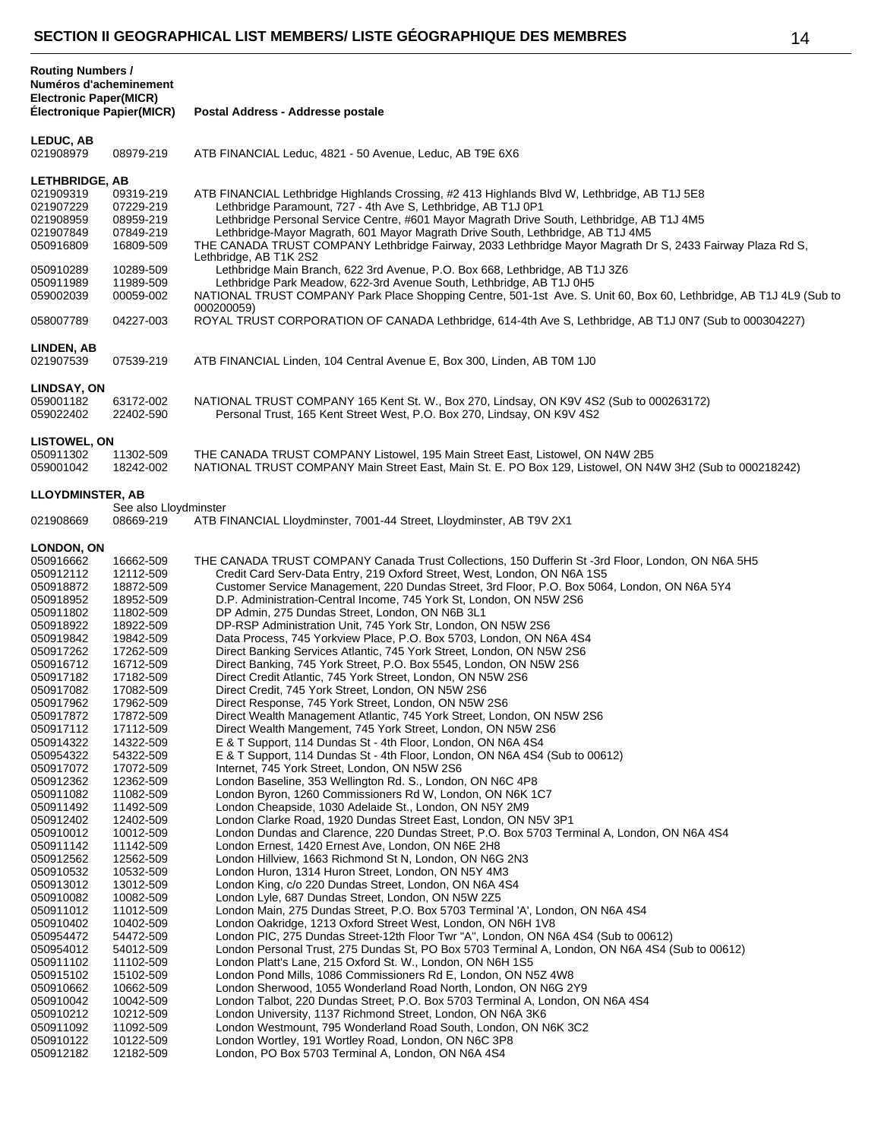| <b>Routing Numbers /</b><br>Numéros d'acheminement<br>Electronic Paper(MICR)<br>Electronique Papier(MICR) |                                                               | Postal Address - Addresse postale                                                                                                                                                                                                                                                                                                                                                                                                                                                     |
|-----------------------------------------------------------------------------------------------------------|---------------------------------------------------------------|---------------------------------------------------------------------------------------------------------------------------------------------------------------------------------------------------------------------------------------------------------------------------------------------------------------------------------------------------------------------------------------------------------------------------------------------------------------------------------------|
| <b>LEDUC, AB</b><br>021908979                                                                             | 08979-219                                                     | ATB FINANCIAL Leduc, 4821 - 50 Avenue, Leduc, AB T9E 6X6                                                                                                                                                                                                                                                                                                                                                                                                                              |
| <b>LETHBRIDGE, AB</b><br>021909319<br>021907229<br>021908959<br>021907849<br>050916809                    | 09319-219<br>07229-219<br>08959-219<br>07849-219<br>16809-509 | ATB FINANCIAL Lethbridge Highlands Crossing, #2 413 Highlands Blvd W, Lethbridge, AB T1J 5E8<br>Lethbridge Paramount, 727 - 4th Ave S, Lethbridge, AB T1J 0P1<br>Lethbridge Personal Service Centre, #601 Mayor Magrath Drive South, Lethbridge, AB T1J 4M5<br>Lethbridge-Mayor Magrath, 601 Mayor Magrath Drive South, Lethbridge, AB T1J 4M5<br>THE CANADA TRUST COMPANY Lethbridge Fairway, 2033 Lethbridge Mayor Magrath Dr S, 2433 Fairway Plaza Rd S,<br>Lethbridge, AB T1K 2S2 |
| 050910289<br>050911989<br>059002039                                                                       | 10289-509<br>11989-509<br>00059-002                           | Lethbridge Main Branch, 622 3rd Avenue, P.O. Box 668, Lethbridge, AB T1J 3Z6<br>Lethbridge Park Meadow, 622-3rd Avenue South, Lethbridge, AB T1J 0H5<br>NATIONAL TRUST COMPANY Park Place Shopping Centre, 501-1st Ave. S. Unit 60, Box 60, Lethbridge, AB T1J 4L9 (Sub to<br>000200059)                                                                                                                                                                                              |
| 058007789                                                                                                 | 04227-003                                                     | ROYAL TRUST CORPORATION OF CANADA Lethbridge, 614-4th Ave S, Lethbridge, AB T1J 0N7 (Sub to 000304227)                                                                                                                                                                                                                                                                                                                                                                                |
| LINDEN, AB<br>021907539                                                                                   | 07539-219                                                     | ATB FINANCIAL Linden, 104 Central Avenue E, Box 300, Linden, AB T0M 1J0                                                                                                                                                                                                                                                                                                                                                                                                               |
| LINDSAY, ON<br>059001182<br>059022402                                                                     | 63172-002<br>22402-590                                        | NATIONAL TRUST COMPANY 165 Kent St. W., Box 270, Lindsay, ON K9V 4S2 (Sub to 000263172)<br>Personal Trust, 165 Kent Street West, P.O. Box 270, Lindsay, ON K9V 4S2                                                                                                                                                                                                                                                                                                                    |
| <b>LISTOWEL, ON</b><br>050911302<br>059001042                                                             | 11302-509<br>18242-002                                        | THE CANADA TRUST COMPANY Listowel, 195 Main Street East, Listowel, ON N4W 2B5<br>NATIONAL TRUST COMPANY Main Street East, Main St. E. PO Box 129, Listowel, ON N4W 3H2 (Sub to 000218242)                                                                                                                                                                                                                                                                                             |
| <b>LLOYDMINSTER, AB</b>                                                                                   | See also Lloydminster                                         |                                                                                                                                                                                                                                                                                                                                                                                                                                                                                       |
| 021908669                                                                                                 | 08669-219                                                     | ATB FINANCIAL Lloydminster, 7001-44 Street, Lloydminster, AB T9V 2X1                                                                                                                                                                                                                                                                                                                                                                                                                  |
| <b>LONDON, ON</b><br>050916662                                                                            | 16662-509                                                     | THE CANADA TRUST COMPANY Canada Trust Collections, 150 Dufferin St -3rd Floor, London, ON N6A 5H5                                                                                                                                                                                                                                                                                                                                                                                     |
| 050912112<br>050918872                                                                                    | 12112-509<br>18872-509                                        | Credit Card Serv-Data Entry, 219 Oxford Street, West, London, ON N6A 1S5<br>Customer Service Management, 220 Dundas Street, 3rd Floor, P.O. Box 5064, London, ON N6A 5Y4                                                                                                                                                                                                                                                                                                              |
| 050918952                                                                                                 | 18952-509                                                     | D.P. Administration-Central Income, 745 York St, London, ON N5W 2S6                                                                                                                                                                                                                                                                                                                                                                                                                   |
| 050911802                                                                                                 | 11802-509                                                     | DP Admin, 275 Dundas Street, London, ON N6B 3L1                                                                                                                                                                                                                                                                                                                                                                                                                                       |
| 050918922<br>050919842                                                                                    | 18922-509<br>19842-509                                        | DP-RSP Administration Unit, 745 York Str, London, ON N5W 2S6<br>Data Process, 745 Yorkview Place, P.O. Box 5703, London, ON N6A 4S4                                                                                                                                                                                                                                                                                                                                                   |
| 050917262                                                                                                 | 17262-509                                                     | Direct Banking Services Atlantic, 745 York Street, London, ON N5W 2S6                                                                                                                                                                                                                                                                                                                                                                                                                 |
| 050916712                                                                                                 | 16712-509                                                     | Direct Banking, 745 York Street, P.O. Box 5545, London, ON N5W 2S6                                                                                                                                                                                                                                                                                                                                                                                                                    |
| 050917182                                                                                                 | 17182-509                                                     | Direct Credit Atlantic, 745 York Street, London, ON N5W 2S6                                                                                                                                                                                                                                                                                                                                                                                                                           |
| 050917082                                                                                                 | 17082-509                                                     | Direct Credit, 745 York Street, London, ON N5W 2S6                                                                                                                                                                                                                                                                                                                                                                                                                                    |
| 050917962<br>050917872                                                                                    | 17962-509<br>17872-509                                        | Direct Response, 745 York Street, London, ON N5W 2S6<br>Direct Wealth Management Atlantic, 745 York Street, London, ON N5W 2S6                                                                                                                                                                                                                                                                                                                                                        |
| 050917112                                                                                                 | 17112-509                                                     | Direct Wealth Mangement, 745 York Street, London, ON N5W 2S6                                                                                                                                                                                                                                                                                                                                                                                                                          |
| 050914322                                                                                                 | 14322-509                                                     | E & T Support, 114 Dundas St - 4th Floor, London, ON N6A 4S4                                                                                                                                                                                                                                                                                                                                                                                                                          |
| 050954322                                                                                                 | 54322-509                                                     | E & T Support, 114 Dundas St - 4th Floor, London, ON N6A 4S4 (Sub to 00612)                                                                                                                                                                                                                                                                                                                                                                                                           |
| 050917072                                                                                                 | 17072-509                                                     | Internet, 745 York Street, London, ON N5W 2S6                                                                                                                                                                                                                                                                                                                                                                                                                                         |
| 050912362<br>050911082                                                                                    | 12362-509<br>11082-509                                        | London Baseline, 353 Wellington Rd. S., London, ON N6C 4P8<br>London Byron, 1260 Commissioners Rd W, London, ON N6K 1C7                                                                                                                                                                                                                                                                                                                                                               |
| 050911492                                                                                                 | 11492-509                                                     | London Cheapside, 1030 Adelaide St., London, ON N5Y 2M9                                                                                                                                                                                                                                                                                                                                                                                                                               |
| 050912402                                                                                                 | 12402-509                                                     | London Clarke Road, 1920 Dundas Street East, London, ON N5V 3P1                                                                                                                                                                                                                                                                                                                                                                                                                       |
| 050910012                                                                                                 | 10012-509                                                     | London Dundas and Clarence, 220 Dundas Street, P.O. Box 5703 Terminal A, London, ON N6A 4S4                                                                                                                                                                                                                                                                                                                                                                                           |
| 050911142<br>050912562                                                                                    | 11142-509                                                     | London Ernest, 1420 Ernest Ave, London, ON N6E 2H8                                                                                                                                                                                                                                                                                                                                                                                                                                    |
| 050910532                                                                                                 | 12562-509<br>10532-509                                        | London Hillview, 1663 Richmond St N, London, ON N6G 2N3<br>London Huron, 1314 Huron Street, London, ON N5Y 4M3                                                                                                                                                                                                                                                                                                                                                                        |
| 050913012                                                                                                 | 13012-509                                                     | London King, c/o 220 Dundas Street, London, ON N6A 4S4                                                                                                                                                                                                                                                                                                                                                                                                                                |
| 050910082                                                                                                 | 10082-509                                                     | London Lyle, 687 Dundas Street, London, ON N5W 2Z5                                                                                                                                                                                                                                                                                                                                                                                                                                    |
| 050911012                                                                                                 | 11012-509                                                     | London Main, 275 Dundas Street, P.O. Box 5703 Terminal 'A', London, ON N6A 4S4                                                                                                                                                                                                                                                                                                                                                                                                        |
| 050910402                                                                                                 | 10402-509                                                     | London Oakridge, 1213 Oxford Street West, London, ON N6H 1V8                                                                                                                                                                                                                                                                                                                                                                                                                          |
| 050954472<br>050954012                                                                                    | 54472-509<br>54012-509                                        | London PIC, 275 Dundas Street-12th Floor Twr "A", London, ON N6A 4S4 (Sub to 00612)<br>London Personal Trust, 275 Dundas St, PO Box 5703 Terminal A, London, ON N6A 4S4 (Sub to 00612)                                                                                                                                                                                                                                                                                                |
| 050911102                                                                                                 | 11102-509                                                     | London Platt's Lane, 215 Oxford St. W., London, ON N6H 1S5                                                                                                                                                                                                                                                                                                                                                                                                                            |
| 050915102                                                                                                 | 15102-509                                                     | London Pond Mills, 1086 Commissioners Rd E, London, ON N5Z 4W8                                                                                                                                                                                                                                                                                                                                                                                                                        |
| 050910662                                                                                                 | 10662-509                                                     | London Sherwood, 1055 Wonderland Road North, London, ON N6G 2Y9                                                                                                                                                                                                                                                                                                                                                                                                                       |
| 050910042                                                                                                 | 10042-509                                                     | London Talbot, 220 Dundas Street, P.O. Box 5703 Terminal A, London, ON N6A 4S4                                                                                                                                                                                                                                                                                                                                                                                                        |
| 050910212                                                                                                 | 10212-509                                                     | London University, 1137 Richmond Street, London, ON N6A 3K6                                                                                                                                                                                                                                                                                                                                                                                                                           |
| 050911092<br>050910122                                                                                    | 11092-509<br>10122-509                                        | London Westmount, 795 Wonderland Road South, London, ON N6K 3C2<br>London Wortley, 191 Wortley Road, London, ON N6C 3P8                                                                                                                                                                                                                                                                                                                                                               |
| 050912182                                                                                                 | 12182-509                                                     | London, PO Box 5703 Terminal A, London, ON N6A 4S4                                                                                                                                                                                                                                                                                                                                                                                                                                    |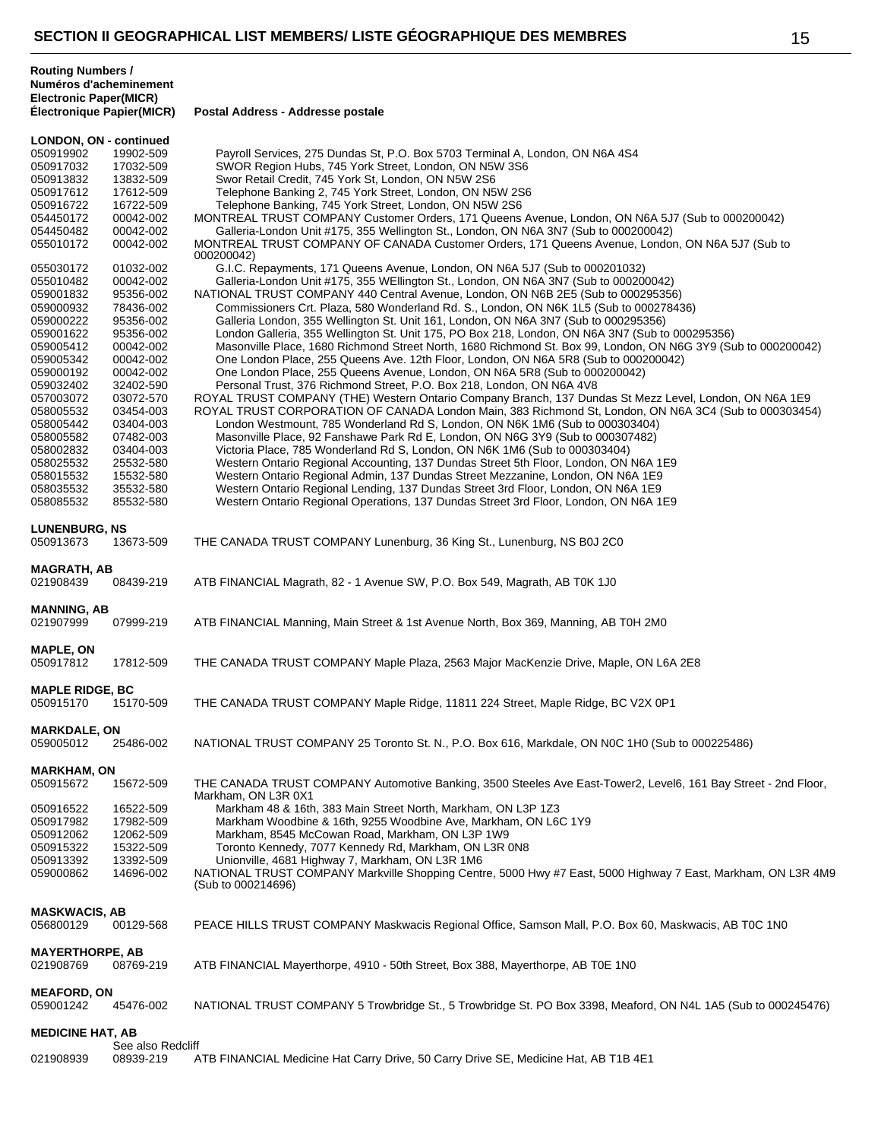**Routing Numbers / Numéros d'acheminement**

| <b>Electronic Paper(MICR)</b><br><b>Électronique Papier(MICR)</b> |                   | Postal Address - Addresse postale                                                                              |
|-------------------------------------------------------------------|-------------------|----------------------------------------------------------------------------------------------------------------|
| <b>LONDON, ON - continued</b>                                     |                   |                                                                                                                |
| 050919902                                                         | 19902-509         | Payroll Services, 275 Dundas St, P.O. Box 5703 Terminal A, London, ON N6A 4S4                                  |
| 050917032                                                         | 17032-509         | SWOR Region Hubs, 745 York Street, London, ON N5W 3S6                                                          |
| 050913832                                                         | 13832-509         | Swor Retail Credit, 745 York St, London, ON N5W 2S6                                                            |
| 050917612                                                         | 17612-509         | Telephone Banking 2, 745 York Street, London, ON N5W 2S6                                                       |
| 050916722                                                         | 16722-509         | Telephone Banking, 745 York Street, London, ON N5W 2S6                                                         |
| 054450172                                                         | 00042-002         | MONTREAL TRUST COMPANY Customer Orders, 171 Queens Avenue, London, ON N6A 5J7 (Sub to 000200042)               |
| 054450482                                                         | 00042-002         | Galleria-London Unit #175, 355 Wellington St., London, ON N6A 3N7 (Sub to 000200042)                           |
|                                                                   |                   |                                                                                                                |
| 055010172                                                         | 00042-002         | MONTREAL TRUST COMPANY OF CANADA Customer Orders, 171 Queens Avenue, London, ON N6A 5J7 (Sub to<br>000200042)  |
| 055030172                                                         |                   | G.I.C. Repayments, 171 Queens Avenue, London, ON N6A 5J7 (Sub to 000201032)                                    |
|                                                                   | 01032-002         |                                                                                                                |
| 055010482                                                         | 00042-002         | Galleria-London Unit #175, 355 WEllington St., London, ON N6A 3N7 (Sub to 000200042)                           |
| 059001832                                                         | 95356-002         | NATIONAL TRUST COMPANY 440 Central Avenue, London, ON N6B 2E5 (Sub to 000295356)                               |
| 059000932                                                         | 78436-002         | Commissioners Crt. Plaza, 580 Wonderland Rd. S., London, ON N6K 1L5 (Sub to 000278436)                         |
| 059000222                                                         | 95356-002         | Galleria London, 355 Wellington St. Unit 161, London, ON N6A 3N7 (Sub to 000295356)                            |
| 059001622                                                         | 95356-002         | London Galleria, 355 Wellington St. Unit 175, PO Box 218, London, ON N6A 3N7 (Sub to 000295356)                |
| 059005412                                                         | 00042-002         | Masonville Place, 1680 Richmond Street North, 1680 Richmond St. Box 99, London, ON N6G 3Y9 (Sub to 000200042)  |
| 059005342                                                         | 00042-002         | One London Place, 255 Queens Ave. 12th Floor, London, ON N6A 5R8 (Sub to 000200042)                            |
| 059000192                                                         | 00042-002         | One London Place, 255 Queens Avenue, London, ON N6A 5R8 (Sub to 000200042)                                     |
| 059032402                                                         | 32402-590         | Personal Trust, 376 Richmond Street, P.O. Box 218, London, ON N6A 4V8                                          |
| 057003072                                                         | 03072-570         | ROYAL TRUST COMPANY (THE) Western Ontario Company Branch, 137 Dundas St Mezz Level, London, ON N6A 1E9         |
| 058005532                                                         | 03454-003         | ROYAL TRUST CORPORATION OF CANADA London Main, 383 Richmond St, London, ON N6A 3C4 (Sub to 000303454)          |
| 058005442                                                         | 03404-003         | London Westmount, 785 Wonderland Rd S, London, ON N6K 1M6 (Sub to 000303404)                                   |
| 058005582                                                         | 07482-003         | Masonville Place, 92 Fanshawe Park Rd E, London, ON N6G 3Y9 (Sub to 000307482)                                 |
| 058002832                                                         | 03404-003         | Victoria Place, 785 Wonderland Rd S, London, ON N6K 1M6 (Sub to 000303404)                                     |
|                                                                   |                   |                                                                                                                |
| 058025532                                                         | 25532-580         | Western Ontario Regional Accounting, 137 Dundas Street 5th Floor, London, ON N6A 1E9                           |
| 058015532                                                         | 15532-580         | Western Ontario Regional Admin, 137 Dundas Street Mezzanine, London, ON N6A 1E9                                |
| 058035532                                                         | 35532-580         | Western Ontario Regional Lending, 137 Dundas Street 3rd Floor, London, ON N6A 1E9                              |
| 058085532                                                         | 85532-580         | Western Ontario Regional Operations, 137 Dundas Street 3rd Floor, London, ON N6A 1E9                           |
|                                                                   |                   |                                                                                                                |
| <b>LUNENBURG, NS</b>                                              |                   |                                                                                                                |
| 050913673                                                         | 13673-509         | THE CANADA TRUST COMPANY Lunenburg, 36 King St., Lunenburg, NS B0J 2C0                                         |
|                                                                   |                   |                                                                                                                |
| <b>MAGRATH, AB</b>                                                |                   |                                                                                                                |
| 021908439                                                         | 08439-219         | ATB FINANCIAL Magrath, 82 - 1 Avenue SW, P.O. Box 549, Magrath, AB T0K 1J0                                     |
|                                                                   |                   |                                                                                                                |
| <b>MANNING, AB</b>                                                |                   |                                                                                                                |
| 021907999                                                         | 07999-219         | ATB FINANCIAL Manning, Main Street & 1st Avenue North, Box 369, Manning, AB T0H 2M0                            |
|                                                                   |                   |                                                                                                                |
| <b>MAPLE, ON</b>                                                  |                   |                                                                                                                |
| 050917812                                                         | 17812-509         | THE CANADA TRUST COMPANY Maple Plaza, 2563 Major MacKenzie Drive, Maple, ON L6A 2E8                            |
|                                                                   |                   |                                                                                                                |
| <b>MAPLE RIDGE, BC</b>                                            |                   |                                                                                                                |
| 050915170                                                         | 15170-509         | THE CANADA TRUST COMPANY Maple Ridge, 11811 224 Street, Maple Ridge, BC V2X 0P1                                |
|                                                                   |                   |                                                                                                                |
| <b>MARKDALE, ON</b>                                               |                   |                                                                                                                |
| 059005012                                                         | 25486-002         | NATIONAL TRUST COMPANY 25 Toronto St. N., P.O. Box 616, Markdale, ON N0C 1H0 (Sub to 000225486)                |
|                                                                   |                   |                                                                                                                |
| <b>MARKHAM, ON</b>                                                |                   |                                                                                                                |
| 050915672                                                         | 15672-509         | THE CANADA TRUST COMPANY Automotive Banking, 3500 Steeles Ave East-Tower2, Level6, 161 Bay Street - 2nd Floor, |
|                                                                   |                   | Markham, ON L3R 0X1                                                                                            |
| 050916522                                                         | 16522-509         | Markham 48 & 16th, 383 Main Street North, Markham, ON L3P 1Z3                                                  |
|                                                                   |                   |                                                                                                                |
| 050917982                                                         | 17982-509         | Markham Woodbine & 16th, 9255 Woodbine Ave, Markham, ON L6C 1Y9                                                |
| 050912062                                                         | 12062-509         | Markham, 8545 McCowan Road, Markham, ON L3P 1W9                                                                |
| 050915322                                                         | 15322-509         | Toronto Kennedy, 7077 Kennedy Rd, Markham, ON L3R 0N8                                                          |
| 050913392                                                         | 13392-509         | Unionville, 4681 Highway 7, Markham, ON L3R 1M6                                                                |
| 059000862                                                         | 14696-002         | NATIONAL TRUST COMPANY Markville Shopping Centre, 5000 Hwy #7 East, 5000 Highway 7 East, Markham, ON L3R 4M9   |
|                                                                   |                   | (Sub to 000214696)                                                                                             |
|                                                                   |                   |                                                                                                                |
| <b>MASKWACIS, AB</b>                                              |                   |                                                                                                                |
| 056800129                                                         | 00129-568         | PEACE HILLS TRUST COMPANY Maskwacis Regional Office, Samson Mall, P.O. Box 60, Maskwacis, AB T0C 1N0           |
|                                                                   |                   |                                                                                                                |
| <b>MAYERTHORPE, AB</b>                                            |                   |                                                                                                                |
| 021908769                                                         | 08769-219         | ATB FINANCIAL Mayerthorpe, 4910 - 50th Street, Box 388, Mayerthorpe, AB TOE 1N0                                |
|                                                                   |                   |                                                                                                                |
| <b>MEAFORD, ON</b>                                                |                   |                                                                                                                |
| 059001242                                                         | 45476-002         | NATIONAL TRUST COMPANY 5 Trowbridge St., 5 Trowbridge St. PO Box 3398, Meaford, ON N4L 1A5 (Sub to 000245476)  |
|                                                                   |                   |                                                                                                                |
| <b>MEDICINE HAT, AB</b>                                           |                   |                                                                                                                |
|                                                                   | See also Redcliff |                                                                                                                |
| 021908939                                                         | 08939-219         | ATB FINANCIAL Medicine Hat Carry Drive, 50 Carry Drive SE, Medicine Hat, AB T1B 4E1                            |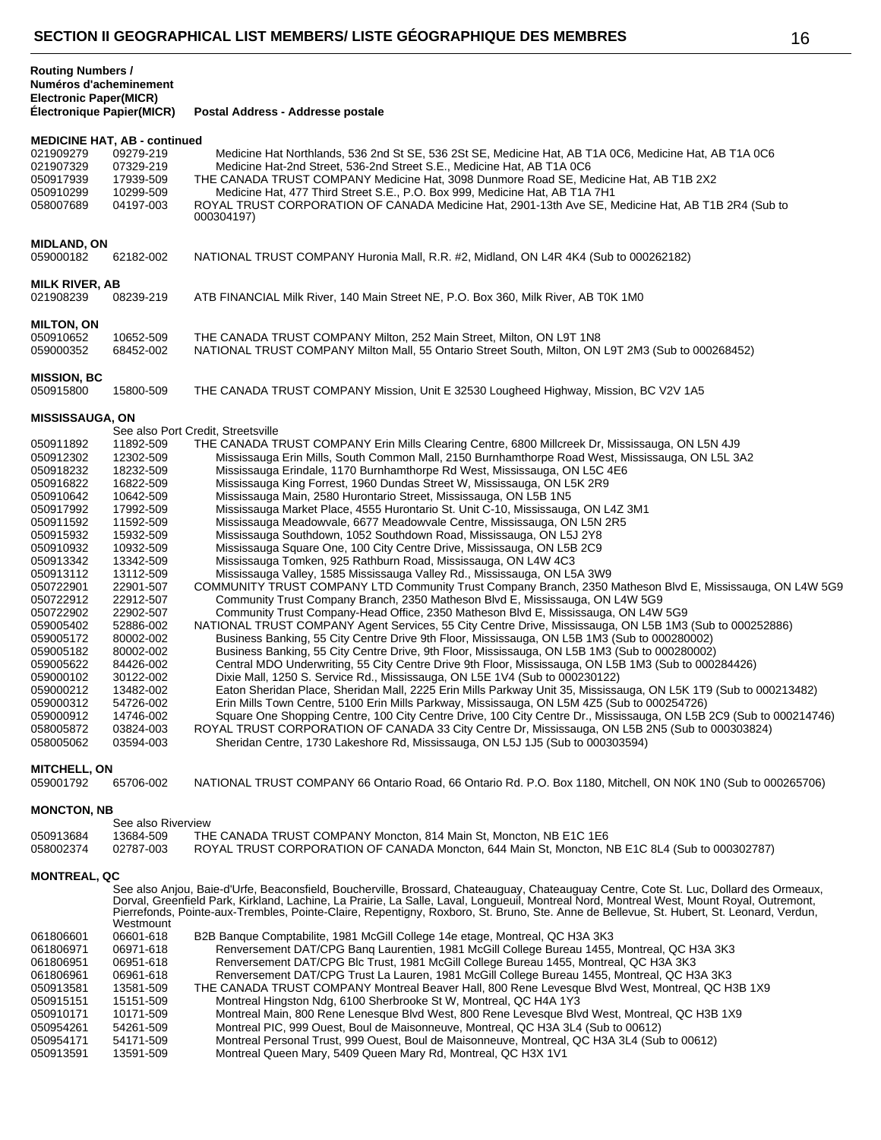| 021909279<br>021907329              | <b>MEDICINE HAT, AB - continued</b><br>09279-219<br>07329-219 | Medicine Hat Northlands, 536 2nd St SE, 536 2St SE, Medicine Hat, AB T1A 0C6, Medicine Hat, AB T1A 0C6<br>Medicine Hat-2nd Street, 536-2nd Street S.E., Medicine Hat, AB T1A 0C6                                                                                                                                                                                                                                                |
|-------------------------------------|---------------------------------------------------------------|---------------------------------------------------------------------------------------------------------------------------------------------------------------------------------------------------------------------------------------------------------------------------------------------------------------------------------------------------------------------------------------------------------------------------------|
| 050917939<br>050910299<br>058007689 | 17939-509<br>10299-509<br>04197-003                           | THE CANADA TRUST COMPANY Medicine Hat, 3098 Dunmore Road SE, Medicine Hat, AB T1B 2X2<br>Medicine Hat, 477 Third Street S.E., P.O. Box 999, Medicine Hat, AB T1A 7H1<br>ROYAL TRUST CORPORATION OF CANADA Medicine Hat, 2901-13th Ave SE, Medicine Hat, AB T1B 2R4 (Sub to                                                                                                                                                      |
|                                     |                                                               | 000304197)                                                                                                                                                                                                                                                                                                                                                                                                                      |
| <b>MIDLAND, ON</b><br>059000182     | 62182-002                                                     | NATIONAL TRUST COMPANY Huronia Mall, R.R. #2, Midland, ON L4R 4K4 (Sub to 000262182)                                                                                                                                                                                                                                                                                                                                            |
| <b>MILK RIVER, AB</b><br>021908239  | 08239-219                                                     | ATB FINANCIAL Milk River, 140 Main Street NE, P.O. Box 360, Milk River, AB T0K 1M0                                                                                                                                                                                                                                                                                                                                              |
| <b>MILTON, ON</b>                   |                                                               |                                                                                                                                                                                                                                                                                                                                                                                                                                 |
| 050910652<br>059000352              | 10652-509<br>68452-002                                        | THE CANADA TRUST COMPANY Milton, 252 Main Street, Milton, ON L9T 1N8<br>NATIONAL TRUST COMPANY Milton Mall, 55 Ontario Street South, Milton, ON L9T 2M3 (Sub to 000268452)                                                                                                                                                                                                                                                      |
| <b>MISSION, BC</b><br>050915800     | 15800-509                                                     | THE CANADA TRUST COMPANY Mission, Unit E 32530 Lougheed Highway, Mission, BC V2V 1A5                                                                                                                                                                                                                                                                                                                                            |
| <b>MISSISSAUGA, ON</b>              |                                                               |                                                                                                                                                                                                                                                                                                                                                                                                                                 |
|                                     |                                                               | See also Port Credit, Streetsville                                                                                                                                                                                                                                                                                                                                                                                              |
| 050911892                           | 11892-509                                                     | THE CANADA TRUST COMPANY Erin Mills Clearing Centre, 6800 Millcreek Dr, Mississauga, ON L5N 4J9                                                                                                                                                                                                                                                                                                                                 |
| 050912302                           | 12302-509                                                     | Mississauga Erin Mills, South Common Mall, 2150 Burnhamthorpe Road West, Mississauga, ON L5L 3A2                                                                                                                                                                                                                                                                                                                                |
| 050918232<br>050916822              | 18232-509                                                     | Mississauga Erindale, 1170 Burnhamthorpe Rd West, Mississauga, ON L5C 4E6                                                                                                                                                                                                                                                                                                                                                       |
| 050910642                           | 16822-509<br>10642-509                                        | Mississauga King Forrest, 1960 Dundas Street W, Mississauga, ON L5K 2R9<br>Mississauga Main, 2580 Hurontario Street, Mississauga, ON L5B 1N5                                                                                                                                                                                                                                                                                    |
| 050917992                           | 17992-509                                                     | Mississauga Market Place, 4555 Hurontario St. Unit C-10, Mississauga, ON L4Z 3M1                                                                                                                                                                                                                                                                                                                                                |
| 050911592                           | 11592-509                                                     | Mississauga Meadowyale, 6677 Meadowyale Centre, Mississauga, ON L5N 2R5                                                                                                                                                                                                                                                                                                                                                         |
| 050915932                           | 15932-509                                                     | Mississauga Southdown, 1052 Southdown Road, Mississauga, ON L5J 2Y8                                                                                                                                                                                                                                                                                                                                                             |
| 050910932                           | 10932-509                                                     | Mississauga Square One, 100 City Centre Drive, Mississauga, ON L5B 2C9                                                                                                                                                                                                                                                                                                                                                          |
| 050913342                           | 13342-509                                                     | Mississauga Tomken, 925 Rathburn Road, Mississauga, ON L4W 4C3                                                                                                                                                                                                                                                                                                                                                                  |
| 050913112                           | 13112-509                                                     | Mississauga Valley, 1585 Mississauga Valley Rd., Mississauga, ON L5A 3W9                                                                                                                                                                                                                                                                                                                                                        |
| 050722901                           | 22901-507                                                     | COMMUNITY TRUST COMPANY LTD Community Trust Company Branch, 2350 Matheson Blvd E, Mississauga, ON L4W 5G9                                                                                                                                                                                                                                                                                                                       |
| 050722912                           | 22912-507                                                     | Community Trust Company Branch, 2350 Matheson Blvd E, Mississauga, ON L4W 5G9                                                                                                                                                                                                                                                                                                                                                   |
| 050722902                           | 22902-507                                                     | Community Trust Company-Head Office, 2350 Matheson Blvd E, Mississauga, ON L4W 5G9                                                                                                                                                                                                                                                                                                                                              |
| 059005402<br>059005172              | 52886-002                                                     | NATIONAL TRUST COMPANY Agent Services, 55 City Centre Drive, Mississauga, ON L5B 1M3 (Sub to 000252886)<br>Business Banking, 55 City Centre Drive 9th Floor, Mississauga, ON L5B 1M3 (Sub to 000280002)                                                                                                                                                                                                                         |
| 059005182                           | 80002-002<br>80002-002                                        | Business Banking, 55 City Centre Drive, 9th Floor, Mississauga, ON L5B 1M3 (Sub to 000280002)                                                                                                                                                                                                                                                                                                                                   |
| 059005622                           | 84426-002                                                     | Central MDO Underwriting, 55 City Centre Drive 9th Floor, Mississauga, ON L5B 1M3 (Sub to 000284426)                                                                                                                                                                                                                                                                                                                            |
| 059000102                           | 30122-002                                                     | Dixie Mall, 1250 S. Service Rd., Mississauga, ON L5E 1V4 (Sub to 000230122)                                                                                                                                                                                                                                                                                                                                                     |
| 059000212                           | 13482-002                                                     | Eaton Sheridan Place, Sheridan Mall, 2225 Erin Mills Parkway Unit 35, Mississauga, ON L5K 1T9 (Sub to 000213482)                                                                                                                                                                                                                                                                                                                |
| 059000312                           | 54726-002                                                     | Erin Mills Town Centre, 5100 Erin Mills Parkway, Mississauga, ON L5M 4Z5 (Sub to 000254726)                                                                                                                                                                                                                                                                                                                                     |
| 059000912                           | 14746-002                                                     | Square One Shopping Centre, 100 City Centre Drive, 100 City Centre Dr., Mississauga, ON L5B 2C9 (Sub to 000214746)                                                                                                                                                                                                                                                                                                              |
| 058005872                           | 03824-003                                                     | ROYAL TRUST CORPORATION OF CANADA 33 City Centre Dr, Mississauga, ON L5B 2N5 (Sub to 000303824)                                                                                                                                                                                                                                                                                                                                 |
| 058005062                           | 03594-003                                                     | Sheridan Centre, 1730 Lakeshore Rd, Mississauga, ON L5J 1J5 (Sub to 000303594)                                                                                                                                                                                                                                                                                                                                                  |
| <b>MITCHELL, ON</b>                 |                                                               |                                                                                                                                                                                                                                                                                                                                                                                                                                 |
| 059001792                           | 65706-002                                                     | NATIONAL TRUST COMPANY 66 Ontario Road, 66 Ontario Rd. P.O. Box 1180, Mitchell, ON N0K 1N0 (Sub to 000265706)                                                                                                                                                                                                                                                                                                                   |
| <b>MONCTON, NB</b>                  |                                                               |                                                                                                                                                                                                                                                                                                                                                                                                                                 |
|                                     | See also Riverview                                            |                                                                                                                                                                                                                                                                                                                                                                                                                                 |
| 050913684<br>058002374              | 13684-509<br>02787-003                                        | THE CANADA TRUST COMPANY Moncton, 814 Main St, Moncton, NB E1C 1E6<br>ROYAL TRUST CORPORATION OF CANADA Moncton, 644 Main St, Moncton, NB E1C 8L4 (Sub to 000302787)                                                                                                                                                                                                                                                            |
| <b>MONTREAL, QC</b>                 |                                                               |                                                                                                                                                                                                                                                                                                                                                                                                                                 |
|                                     | Westmount                                                     | See also Anjou, Baie-d'Urfe, Beaconsfield, Boucherville, Brossard, Chateauguay, Chateauguay Centre, Cote St. Luc, Dollard des Ormeaux,<br>Dorval, Greenfield Park, Kirkland, Lachine, La Prairie, La Salle, Laval, Longueuil, Montreal Nord, Montreal West, Mount Royal, Outremont,<br>Pierrefonds, Pointe-aux-Trembles, Pointe-Claire, Repentigny, Roxboro, St. Bruno, Ste. Anne de Bellevue, St. Hubert, St. Leonard, Verdun, |
| 061806601                           | 06601-618                                                     | B2B Banque Comptabilite, 1981 McGill College 14e etage, Montreal, QC H3A 3K3                                                                                                                                                                                                                                                                                                                                                    |
| 061806971                           | 06971-618                                                     | Renversement DAT/CPG Bang Laurentien, 1981 McGill College Bureau 1455, Montreal, QC H3A 3K3                                                                                                                                                                                                                                                                                                                                     |
| 061806951                           | 06951-618                                                     | Renversement DAT/CPG Blc Trust, 1981 McGill College Bureau 1455, Montreal, QC H3A 3K3                                                                                                                                                                                                                                                                                                                                           |
| 061806961                           | 06961-618                                                     | Renversement DAT/CPG Trust La Lauren, 1981 McGill College Bureau 1455, Montreal, QC H3A 3K3                                                                                                                                                                                                                                                                                                                                     |
| 050913581                           | 13581-509                                                     | THE CANADA TRUST COMPANY Montreal Beaver Hall, 800 Rene Levesque Blvd West, Montreal, QC H3B 1X9                                                                                                                                                                                                                                                                                                                                |
| 050915151                           | 15151-509                                                     | Montreal Hingston Ndg, 6100 Sherbrooke St W, Montreal, QC H4A 1Y3                                                                                                                                                                                                                                                                                                                                                               |
| 050910171                           | 10171-509                                                     | Montreal Main, 800 Rene Lenesque Blvd West, 800 Rene Levesque Blvd West, Montreal, QC H3B 1X9                                                                                                                                                                                                                                                                                                                                   |
| 050954261                           | 54261-509                                                     | Montreal PIC, 999 Ouest, Boul de Maisonneuve, Montreal, QC H3A 3L4 (Sub to 00612)                                                                                                                                                                                                                                                                                                                                               |
| 050954171<br>050913591              | 54171-509<br>13591-509                                        | Montreal Personal Trust, 999 Ouest, Boul de Maisonneuve, Montreal, QC H3A 3L4 (Sub to 00612)<br>Montreal Queen Mary, 5409 Queen Mary Rd, Montreal, QC H3X 1V1                                                                                                                                                                                                                                                                   |
|                                     |                                                               |                                                                                                                                                                                                                                                                                                                                                                                                                                 |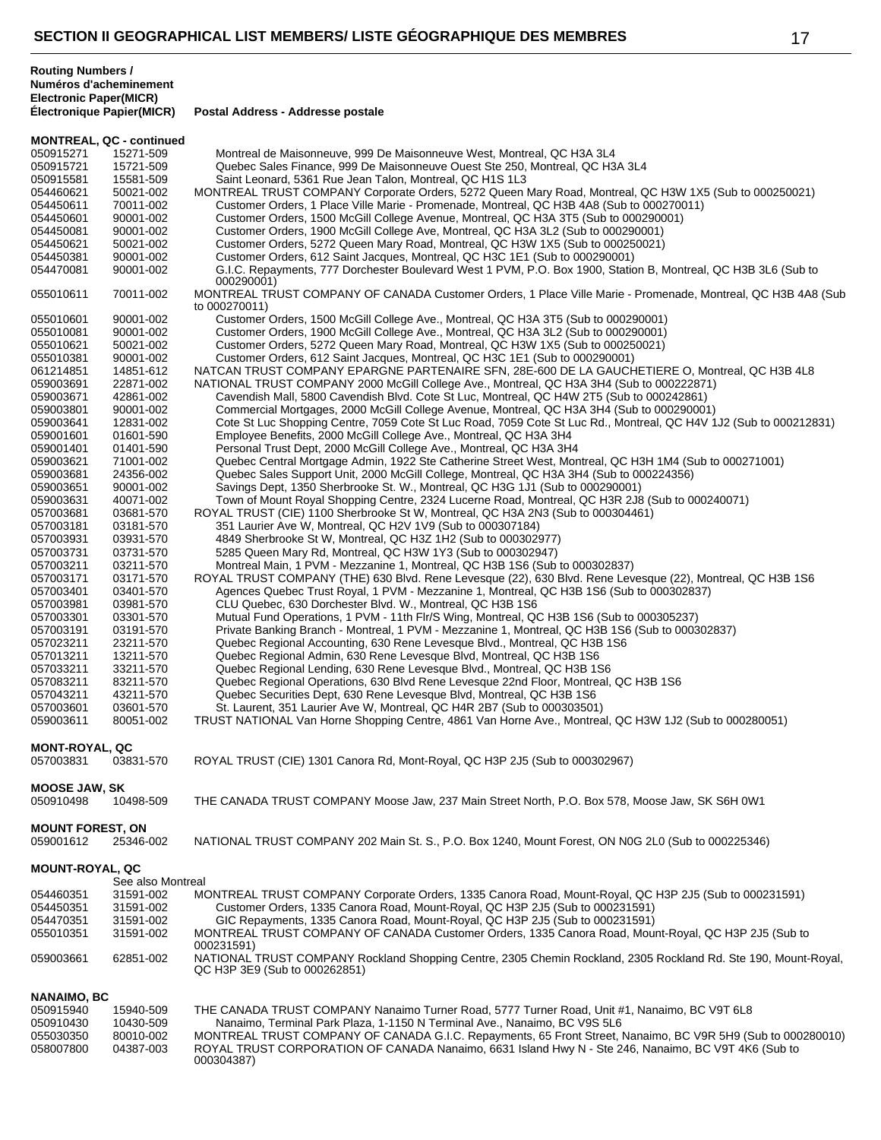| <b>MONTREAL, QC - continued</b>      |                        |                                                                                                                                                                                                                                  |  |
|--------------------------------------|------------------------|----------------------------------------------------------------------------------------------------------------------------------------------------------------------------------------------------------------------------------|--|
| 050915271                            | 15271-509              | Montreal de Maisonneuve, 999 De Maisonneuve West, Montreal, QC H3A 3L4                                                                                                                                                           |  |
| 050915721                            | 15721-509              | Quebec Sales Finance, 999 De Maisonneuve Ouest Ste 250, Montreal, QC H3A 3L4                                                                                                                                                     |  |
| 050915581                            | 15581-509              | Saint Leonard, 5361 Rue Jean Talon, Montreal, QC H1S 1L3                                                                                                                                                                         |  |
| 054460621                            | 50021-002              | MONTREAL TRUST COMPANY Corporate Orders, 5272 Queen Mary Road, Montreal, QC H3W 1X5 (Sub to 000250021)                                                                                                                           |  |
| 054450611                            | 70011-002              | Customer Orders, 1 Place Ville Marie - Promenade, Montreal, QC H3B 4A8 (Sub to 000270011)                                                                                                                                        |  |
| 054450601                            | 90001-002              | Customer Orders, 1500 McGill College Avenue, Montreal, QC H3A 3T5 (Sub to 000290001)                                                                                                                                             |  |
| 054450081                            | 90001-002              | Customer Orders, 1900 McGill College Ave, Montreal, QC H3A 3L2 (Sub to 000290001)                                                                                                                                                |  |
| 054450621                            | 50021-002              | Customer Orders, 5272 Queen Mary Road, Montreal, QC H3W 1X5 (Sub to 000250021)                                                                                                                                                   |  |
| 054450381                            | 90001-002              | Customer Orders, 612 Saint Jacques, Montreal, QC H3C 1E1 (Sub to 000290001)                                                                                                                                                      |  |
| 054470081                            | 90001-002              | G.I.C. Repayments, 777 Dorchester Boulevard West 1 PVM, P.O. Box 1900, Station B, Montreal, QC H3B 3L6 (Sub to<br>000290001)                                                                                                     |  |
| 055010611                            | 70011-002              | MONTREAL TRUST COMPANY OF CANADA Customer Orders, 1 Place Ville Marie - Promenade, Montreal, QC H3B 4A8 (Sub<br>to 000270011)                                                                                                    |  |
| 055010601                            | 90001-002              | Customer Orders, 1500 McGill College Ave., Montreal, QC H3A 3T5 (Sub to 000290001)                                                                                                                                               |  |
| 055010081                            | 90001-002              | Customer Orders, 1900 McGill College Ave., Montreal, QC H3A 3L2 (Sub to 000290001)                                                                                                                                               |  |
| 055010621                            | 50021-002              | Customer Orders, 5272 Queen Mary Road, Montreal, QC H3W 1X5 (Sub to 000250021)                                                                                                                                                   |  |
| 055010381                            | 90001-002              | Customer Orders, 612 Saint Jacques, Montreal, QC H3C 1E1 (Sub to 000290001)                                                                                                                                                      |  |
| 061214851                            | 14851-612              | NATCAN TRUST COMPANY EPARGNE PARTENAIRE SFN, 28E-600 DE LA GAUCHETIERE O, Montreal, QC H3B 4L8                                                                                                                                   |  |
| 059003691                            | 22871-002<br>42861-002 | NATIONAL TRUST COMPANY 2000 McGill College Ave., Montreal, QC H3A 3H4 (Sub to 000222871)<br>Cavendish Mall, 5800 Cavendish Blvd. Cote St Luc, Montreal, QC H4W 2T5 (Sub to 000242861)                                            |  |
| 059003671<br>059003801               | 90001-002              | Commercial Mortgages, 2000 McGill College Avenue, Montreal, QC H3A 3H4 (Sub to 000290001)                                                                                                                                        |  |
| 059003641                            | 12831-002              | Cote St Luc Shopping Centre, 7059 Cote St Luc Road, 7059 Cote St Luc Rd., Montreal, QC H4V 1J2 (Sub to 000212831)                                                                                                                |  |
| 059001601                            | 01601-590              | Employee Benefits, 2000 McGill College Ave., Montreal, QC H3A 3H4                                                                                                                                                                |  |
| 059001401                            | 01401-590              | Personal Trust Dept, 2000 McGill College Ave., Montreal, QC H3A 3H4                                                                                                                                                              |  |
| 059003621                            | 71001-002              | Quebec Central Mortgage Admin, 1922 Ste Catherine Street West, Montreal, QC H3H 1M4 (Sub to 000271001)                                                                                                                           |  |
| 059003681                            | 24356-002              | Quebec Sales Support Unit, 2000 McGill College, Montreal, QC H3A 3H4 (Sub to 000224356)                                                                                                                                          |  |
| 059003651                            | 90001-002              | Savings Dept, 1350 Sherbrooke St. W., Montreal, QC H3G 1J1 (Sub to 000290001)                                                                                                                                                    |  |
| 059003631                            | 40071-002              | Town of Mount Royal Shopping Centre, 2324 Lucerne Road, Montreal, QC H3R 2J8 (Sub to 000240071)                                                                                                                                  |  |
| 057003681                            | 03681-570              | ROYAL TRUST (CIE) 1100 Sherbrooke St W, Montreal, QC H3A 2N3 (Sub to 000304461)                                                                                                                                                  |  |
| 057003181                            | 03181-570              | 351 Laurier Ave W, Montreal, QC H2V 1V9 (Sub to 000307184)                                                                                                                                                                       |  |
| 057003931                            | 03931-570              | 4849 Sherbrooke St W, Montreal, QC H3Z 1H2 (Sub to 000302977)                                                                                                                                                                    |  |
| 057003731                            | 03731-570              | 5285 Queen Mary Rd, Montreal, QC H3W 1Y3 (Sub to 000302947)                                                                                                                                                                      |  |
| 057003211                            | 03211-570              | Montreal Main, 1 PVM - Mezzanine 1, Montreal, QC H3B 1S6 (Sub to 000302837)                                                                                                                                                      |  |
| 057003171                            | 03171-570              | ROYAL TRUST COMPANY (THE) 630 Blvd. Rene Levesque (22), 630 Blvd. Rene Levesque (22), Montreal, QC H3B 1S6                                                                                                                       |  |
| 057003401                            | 03401-570              | Agences Quebec Trust Royal, 1 PVM - Mezzanine 1, Montreal, QC H3B 1S6 (Sub to 000302837)                                                                                                                                         |  |
| 057003981                            | 03981-570              | CLU Quebec, 630 Dorchester Blvd. W., Montreal, QC H3B 1S6                                                                                                                                                                        |  |
| 057003301                            | 03301-570              | Mutual Fund Operations, 1 PVM - 11th Flr/S Wing, Montreal, QC H3B 1S6 (Sub to 000305237)                                                                                                                                         |  |
| 057003191                            | 03191-570              | Private Banking Branch - Montreal, 1 PVM - Mezzanine 1, Montreal, QC H3B 1S6 (Sub to 000302837)                                                                                                                                  |  |
| 057023211                            | 23211-570              | Quebec Regional Accounting, 630 Rene Levesque Blvd., Montreal, QC H3B 1S6                                                                                                                                                        |  |
| 057013211                            | 13211-570              | Quebec Regional Admin, 630 Rene Levesque Blvd, Montreal, QC H3B 1S6                                                                                                                                                              |  |
| 057033211                            | 33211-570              | Quebec Regional Lending, 630 Rene Levesque Blvd., Montreal, QC H3B 1S6                                                                                                                                                           |  |
| 057083211                            | 83211-570              | Quebec Regional Operations, 630 Blvd Rene Levesque 22nd Floor, Montreal, QC H3B 1S6                                                                                                                                              |  |
| 057043211                            | 43211-570              | Quebec Securities Dept, 630 Rene Levesque Blvd, Montreal, QC H3B 1S6                                                                                                                                                             |  |
| 057003601                            | 03601-570              | St. Laurent, 351 Laurier Ave W, Montreal, QC H4R 2B7 (Sub to 000303501)                                                                                                                                                          |  |
| 059003611                            | 80051-002              | TRUST NATIONAL Van Horne Shopping Centre, 4861 Van Horne Ave., Montreal, QC H3W 1J2 (Sub to 000280051)                                                                                                                           |  |
| <b>MONT-ROYAL, QC</b><br>057003831   | 03831-570              | ROYAL TRUST (CIE) 1301 Canora Rd, Mont-Royal, QC H3P 2J5 (Sub to 000302967)                                                                                                                                                      |  |
| <b>MOOSE JAW, SK</b>                 |                        |                                                                                                                                                                                                                                  |  |
| 050910498                            | 10498-509              | THE CANADA TRUST COMPANY Moose Jaw, 237 Main Street North, P.O. Box 578, Moose Jaw, SK S6H 0W1                                                                                                                                   |  |
|                                      |                        |                                                                                                                                                                                                                                  |  |
| <b>MOUNT FOREST, ON</b><br>059001612 | 25346-002              | NATIONAL TRUST COMPANY 202 Main St. S., P.O. Box 1240, Mount Forest, ON N0G 2L0 (Sub to 000225346)                                                                                                                               |  |
| <b>MOUNT-ROYAL, QC</b>               |                        |                                                                                                                                                                                                                                  |  |
|                                      | See also Montreal      |                                                                                                                                                                                                                                  |  |
| 054460351                            | 31591-002              | MONTREAL TRUST COMPANY Corporate Orders, 1335 Canora Road, Mount-Royal, QC H3P 2J5 (Sub to 000231591)                                                                                                                            |  |
| 054450351                            | 31591-002              | Customer Orders, 1335 Canora Road, Mount-Royal, QC H3P 2J5 (Sub to 000231591)                                                                                                                                                    |  |
| 054470351<br>055010351               | 31591-002<br>31591-002 | GIC Repayments, 1335 Canora Road, Mount-Royal, QC H3P 2J5 (Sub to 000231591)<br>MONTREAL TRUST COMPANY OF CANADA Customer Orders, 1335 Canora Road, Mount-Royal, QC H3P 2J5 (Sub to                                              |  |
| 059003661                            | 62851-002              | 000231591)<br>NATIONAL TRUST COMPANY Rockland Shopping Centre, 2305 Chemin Rockland, 2305 Rockland Rd. Ste 190, Mount-Royal,<br>QC H3P 3E9 (Sub to 000262851)                                                                    |  |
|                                      |                        |                                                                                                                                                                                                                                  |  |
| NANAIMO, BC                          |                        |                                                                                                                                                                                                                                  |  |
| 050915940                            | 15940-509              | THE CANADA TRUST COMPANY Nanaimo Turner Road, 5777 Turner Road, Unit #1, Nanaimo, BC V9T 6L8                                                                                                                                     |  |
| 050910430                            | 10430-509              | Nanaimo, Terminal Park Plaza, 1-1150 N Terminal Ave., Nanaimo, BC V9S 5L6                                                                                                                                                        |  |
| 055030350<br>058007800               | 80010-002<br>04387-003 | MONTREAL TRUST COMPANY OF CANADA G.I.C. Repayments, 65 Front Street, Nanaimo, BC V9R 5H9 (Sub to 000280010)<br>ROYAL TRUST CORPORATION OF CANADA Nanaimo, 6631 Island Hwy N - Ste 246, Nanaimo, BC V9T 4K6 (Sub to<br>000304387) |  |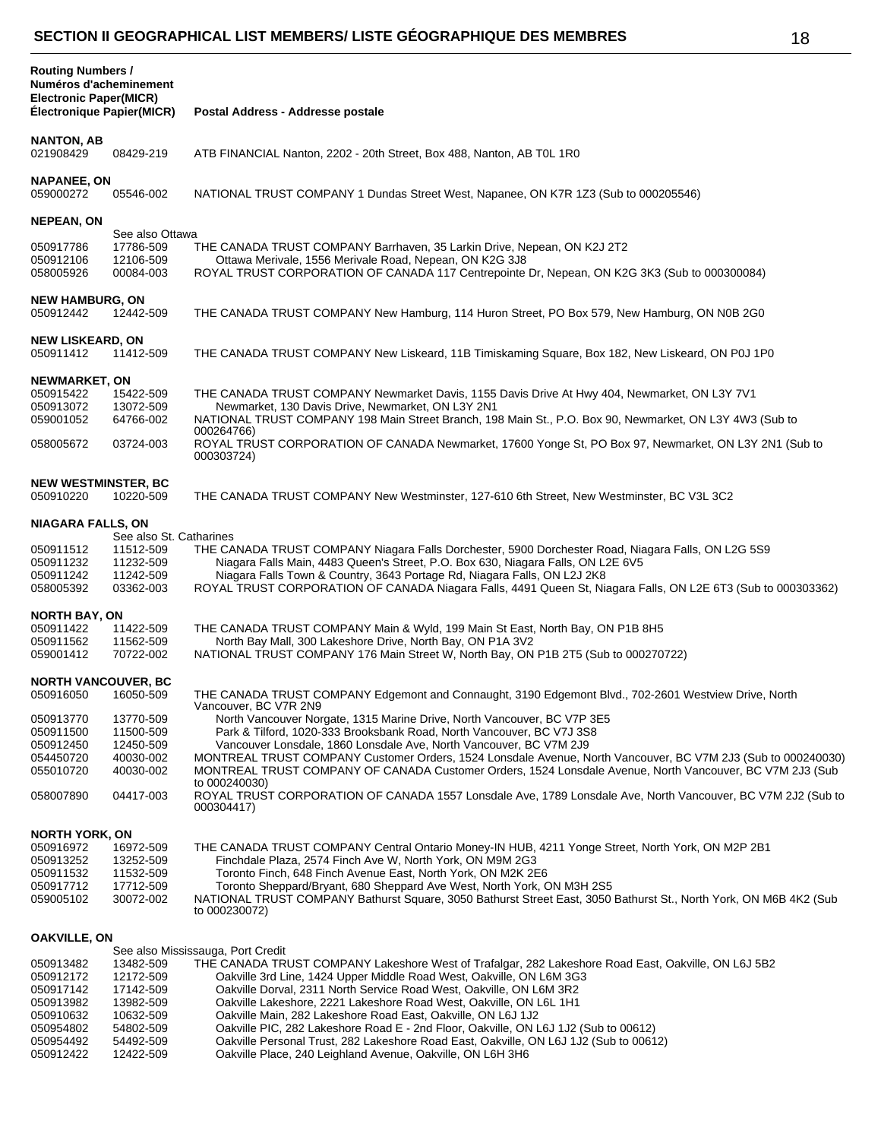| <b>Routing Numbers /</b><br>Numéros d'acheminement<br><b>Electronic Paper(MICR)</b><br>Électronique Papier(MICR) |                                     | Postal Address - Addresse postale                                                                                                                                                                                                                                            |
|------------------------------------------------------------------------------------------------------------------|-------------------------------------|------------------------------------------------------------------------------------------------------------------------------------------------------------------------------------------------------------------------------------------------------------------------------|
|                                                                                                                  |                                     |                                                                                                                                                                                                                                                                              |
| <b>NANTON, AB</b><br>021908429                                                                                   | 08429-219                           | ATB FINANCIAL Nanton, 2202 - 20th Street, Box 488, Nanton, AB TOL 1R0                                                                                                                                                                                                        |
| <b>NAPANEE, ON</b><br>059000272                                                                                  | 05546-002                           | NATIONAL TRUST COMPANY 1 Dundas Street West, Napanee, ON K7R 1Z3 (Sub to 000205546)                                                                                                                                                                                          |
| <b>NEPEAN, ON</b>                                                                                                | See also Ottawa                     |                                                                                                                                                                                                                                                                              |
| 050917786<br>050912106<br>058005926                                                                              | 17786-509<br>12106-509<br>00084-003 | THE CANADA TRUST COMPANY Barrhaven, 35 Larkin Drive, Nepean, ON K2J 2T2<br>Ottawa Merivale, 1556 Merivale Road, Nepean, ON K2G 3J8<br>ROYAL TRUST CORPORATION OF CANADA 117 Centrepointe Dr, Nepean, ON K2G 3K3 (Sub to 000300084)                                           |
| <b>NEW HAMBURG, ON</b><br>050912442                                                                              | 12442-509                           | THE CANADA TRUST COMPANY New Hamburg, 114 Huron Street, PO Box 579, New Hamburg, ON N0B 2G0                                                                                                                                                                                  |
| <b>NEW LISKEARD, ON</b><br>050911412                                                                             | 11412-509                           | THE CANADA TRUST COMPANY New Liskeard, 11B Timiskaming Square, Box 182, New Liskeard, ON P0J 1P0                                                                                                                                                                             |
| <b>NEWMARKET, ON</b><br>050915422<br>050913072                                                                   | 15422-509<br>13072-509              | THE CANADA TRUST COMPANY Newmarket Davis, 1155 Davis Drive At Hwy 404, Newmarket, ON L3Y 7V1<br>Newmarket, 130 Davis Drive, Newmarket, ON L3Y 2N1                                                                                                                            |
| 059001052                                                                                                        | 64766-002                           | NATIONAL TRUST COMPANY 198 Main Street Branch, 198 Main St., P.O. Box 90, Newmarket, ON L3Y 4W3 (Sub to<br>000264766)                                                                                                                                                        |
| 058005672                                                                                                        | 03724-003                           | ROYAL TRUST CORPORATION OF CANADA Newmarket, 17600 Yonge St, PO Box 97, Newmarket, ON L3Y 2N1 (Sub to<br>000303724)                                                                                                                                                          |
| <b>NEW WESTMINSTER, BC</b><br>050910220                                                                          | 10220-509                           | THE CANADA TRUST COMPANY New Westminster, 127-610 6th Street, New Westminster, BC V3L 3C2                                                                                                                                                                                    |
| <b>NIAGARA FALLS, ON</b>                                                                                         | See also St. Catharines             |                                                                                                                                                                                                                                                                              |
| 050911512                                                                                                        | 11512-509                           | THE CANADA TRUST COMPANY Niagara Falls Dorchester, 5900 Dorchester Road, Niagara Falls, ON L2G 5S9                                                                                                                                                                           |
| 050911232<br>050911242<br>058005392                                                                              | 11232-509<br>11242-509<br>03362-003 | Niagara Falls Main, 4483 Queen's Street, P.O. Box 630, Niagara Falls, ON L2E 6V5<br>Niagara Falls Town & Country, 3643 Portage Rd, Niagara Falls, ON L2J 2K8<br>ROYAL TRUST CORPORATION OF CANADA Niagara Falls, 4491 Queen St, Niagara Falls, ON L2E 6T3 (Sub to 000303362) |
| <b>NORTH BAY, ON</b>                                                                                             |                                     |                                                                                                                                                                                                                                                                              |
| 050911422<br>050911562<br>059001412                                                                              | 11422-509<br>11562-509<br>70722-002 | THE CANADA TRUST COMPANY Main & Wyld, 199 Main St East, North Bay, ON P1B 8H5<br>North Bay Mall, 300 Lakeshore Drive, North Bay, ON P1A 3V2<br>NATIONAL TRUST COMPANY 176 Main Street W, North Bay, ON P1B 2T5 (Sub to 000270722)                                            |
|                                                                                                                  |                                     |                                                                                                                                                                                                                                                                              |
| <b>NORTH VANCOUVER, BC</b><br>050916050                                                                          | 16050-509                           | THE CANADA TRUST COMPANY Edgemont and Connaught, 3190 Edgemont Blvd., 702-2601 Westview Drive, North<br>Vancouver, BC V7R 2N9                                                                                                                                                |
| 050913770<br>050911500                                                                                           | 13770-509<br>11500-509              | North Vancouver Norgate, 1315 Marine Drive, North Vancouver, BC V7P 3E5<br>Park & Tilford, 1020-333 Brooksbank Road, North Vancouver, BC V7J 3S8                                                                                                                             |
| 050912450<br>054450720                                                                                           | 12450-509<br>40030-002              | Vancouver Lonsdale, 1860 Lonsdale Ave, North Vancouver, BC V7M 2J9<br>MONTREAL TRUST COMPANY Customer Orders, 1524 Lonsdale Avenue, North Vancouver, BC V7M 2J3 (Sub to 000240030)                                                                                           |
| 055010720                                                                                                        | 40030-002                           | MONTREAL TRUST COMPANY OF CANADA Customer Orders, 1524 Lonsdale Avenue, North Vancouver, BC V7M 2J3 (Sub<br>to 000240030)                                                                                                                                                    |
| 058007890                                                                                                        | 04417-003                           | ROYAL TRUST CORPORATION OF CANADA 1557 Lonsdale Ave, 1789 Lonsdale Ave, North Vancouver, BC V7M 2J2 (Sub to<br>000304417)                                                                                                                                                    |
| <b>NORTH YORK, ON</b>                                                                                            |                                     |                                                                                                                                                                                                                                                                              |
| 050916972                                                                                                        | 16972-509                           | THE CANADA TRUST COMPANY Central Ontario Money-IN HUB, 4211 Yonge Street, North York, ON M2P 2B1                                                                                                                                                                             |
| 050913252<br>050911532                                                                                           | 13252-509<br>11532-509              | Finchdale Plaza, 2574 Finch Ave W, North York, ON M9M 2G3<br>Toronto Finch, 648 Finch Avenue East, North York, ON M2K 2E6                                                                                                                                                    |
| 050917712                                                                                                        | 17712-509                           | Toronto Sheppard/Bryant, 680 Sheppard Ave West, North York, ON M3H 2S5                                                                                                                                                                                                       |
| 059005102                                                                                                        | 30072-002                           | NATIONAL TRUST COMPANY Bathurst Square, 3050 Bathurst Street East, 3050 Bathurst St., North York, ON M6B 4K2 (Sub<br>to 000230072)                                                                                                                                           |
| <b>OAKVILLE, ON</b>                                                                                              |                                     |                                                                                                                                                                                                                                                                              |
| 050913482                                                                                                        | 13482-509                           | See also Mississauga, Port Credit<br>THE CANADA TRUST COMPANY Lakeshore West of Trafalgar, 282 Lakeshore Road East, Oakville, ON L6J 5B2                                                                                                                                     |
| 050912172                                                                                                        | 12172-509                           | Oakville 3rd Line, 1424 Upper Middle Road West, Oakville, ON L6M 3G3                                                                                                                                                                                                         |
| 050917142                                                                                                        | 17142-509                           | Oakville Dorval, 2311 North Service Road West, Oakville, ON L6M 3R2                                                                                                                                                                                                          |
| 050913982<br>050910632                                                                                           | 13982-509<br>10632-509              | Oakville Lakeshore, 2221 Lakeshore Road West, Oakville, ON L6L 1H1<br>Oakville Main, 282 Lakeshore Road East, Oakville, ON L6J 1J2                                                                                                                                           |
| 050954802                                                                                                        | 54802-509                           | Oakville PIC, 282 Lakeshore Road E - 2nd Floor, Oakville, ON L6J 1J2 (Sub to 00612)                                                                                                                                                                                          |
| 050954492<br>050912422                                                                                           | 54492-509<br>12422-509              | Oakville Personal Trust, 282 Lakeshore Road East, Oakville, ON L6J 1J2 (Sub to 00612)<br>Oakville Place, 240 Leighland Avenue, Oakville, ON L6H 3H6                                                                                                                          |
|                                                                                                                  |                                     |                                                                                                                                                                                                                                                                              |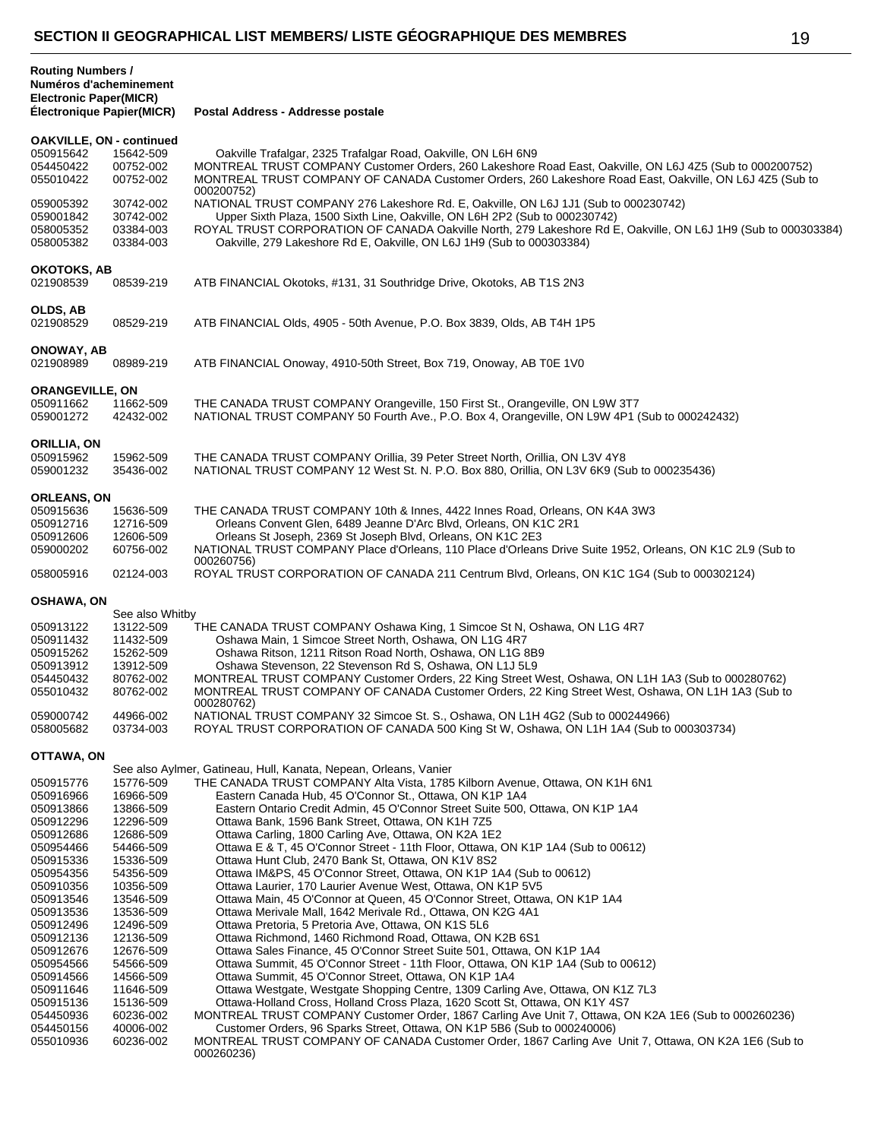| <b>Routing Numbers /</b><br>Numéros d'acheminement<br><b>Electronic Paper(MICR)</b><br>Électronique Papier(MICR) |                                                  | Postal Address - Addresse postale                                                                                                                                                                                                                                                                                                                            |
|------------------------------------------------------------------------------------------------------------------|--------------------------------------------------|--------------------------------------------------------------------------------------------------------------------------------------------------------------------------------------------------------------------------------------------------------------------------------------------------------------------------------------------------------------|
|                                                                                                                  |                                                  |                                                                                                                                                                                                                                                                                                                                                              |
| <b>OAKVILLE, ON - continued</b><br>050915642<br>054450422<br>055010422                                           | 15642-509<br>00752-002<br>00752-002              | Oakville Trafalgar, 2325 Trafalgar Road, Oakville, ON L6H 6N9<br>MONTREAL TRUST COMPANY Customer Orders, 260 Lakeshore Road East, Oakville, ON L6J 4Z5 (Sub to 000200752)<br>MONTREAL TRUST COMPANY OF CANADA Customer Orders, 260 Lakeshore Road East, Oakville, ON L6J 4Z5 (Sub to<br>000200752)                                                           |
| 059005392<br>059001842<br>058005352<br>058005382                                                                 | 30742-002<br>30742-002<br>03384-003<br>03384-003 | NATIONAL TRUST COMPANY 276 Lakeshore Rd. E, Oakville, ON L6J 1J1 (Sub to 000230742)<br>Upper Sixth Plaza, 1500 Sixth Line, Oakville, ON L6H 2P2 (Sub to 000230742)<br>ROYAL TRUST CORPORATION OF CANADA Oakville North, 279 Lakeshore Rd E, Oakville, ON L6J 1H9 (Sub to 000303384)<br>Oakville, 279 Lakeshore Rd E, Oakville, ON L6J 1H9 (Sub to 000303384) |
| <b>OKOTOKS, AB</b><br>021908539                                                                                  | 08539-219                                        | ATB FINANCIAL Okotoks, #131, 31 Southridge Drive, Okotoks, AB T1S 2N3                                                                                                                                                                                                                                                                                        |
| OLDS, AB<br>021908529                                                                                            | 08529-219                                        | ATB FINANCIAL Olds, 4905 - 50th Avenue, P.O. Box 3839, Olds, AB T4H 1P5                                                                                                                                                                                                                                                                                      |
| ONOWAY, AB<br>021908989                                                                                          | 08989-219                                        | ATB FINANCIAL Onoway, 4910-50th Street, Box 719, Onoway, AB T0E 1V0                                                                                                                                                                                                                                                                                          |
| <b>ORANGEVILLE, ON</b><br>050911662<br>059001272                                                                 | 11662-509<br>42432-002                           | THE CANADA TRUST COMPANY Orangeville, 150 First St., Orangeville, ON L9W 3T7<br>NATIONAL TRUST COMPANY 50 Fourth Ave., P.O. Box 4, Orangeville, ON L9W 4P1 (Sub to 000242432)                                                                                                                                                                                |
| ORILLIA, ON<br>050915962<br>059001232                                                                            | 15962-509<br>35436-002                           | THE CANADA TRUST COMPANY Orillia, 39 Peter Street North, Orillia, ON L3V 4Y8<br>NATIONAL TRUST COMPANY 12 West St. N. P.O. Box 880, Orillia, ON L3V 6K9 (Sub to 000235436)                                                                                                                                                                                   |
| <b>ORLEANS, ON</b>                                                                                               |                                                  |                                                                                                                                                                                                                                                                                                                                                              |
| 050915636                                                                                                        | 15636-509                                        | THE CANADA TRUST COMPANY 10th & Innes, 4422 Innes Road, Orleans, ON K4A 3W3                                                                                                                                                                                                                                                                                  |
| 050912716<br>050912606                                                                                           | 12716-509<br>12606-509                           | Orleans Convent Glen, 6489 Jeanne D'Arc Blvd, Orleans, ON K1C 2R1<br>Orleans St Joseph, 2369 St Joseph Blvd, Orleans, ON K1C 2E3                                                                                                                                                                                                                             |
| 059000202                                                                                                        | 60756-002                                        | NATIONAL TRUST COMPANY Place d'Orleans, 110 Place d'Orleans Drive Suite 1952, Orleans, ON K1C 2L9 (Sub to                                                                                                                                                                                                                                                    |
| 058005916                                                                                                        | 02124-003                                        | 000260756)<br>ROYAL TRUST CORPORATION OF CANADA 211 Centrum Blvd, Orleans, ON K1C 1G4 (Sub to 000302124)                                                                                                                                                                                                                                                     |
| <b>OSHAWA, ON</b>                                                                                                |                                                  |                                                                                                                                                                                                                                                                                                                                                              |
|                                                                                                                  | See also Whitby                                  |                                                                                                                                                                                                                                                                                                                                                              |
| 050913122                                                                                                        | 13122-509                                        | THE CANADA TRUST COMPANY Oshawa King, 1 Simcoe St N, Oshawa, ON L1G 4R7                                                                                                                                                                                                                                                                                      |
| 050911432<br>050915262                                                                                           | 11432-509<br>15262-509                           | Oshawa Main, 1 Simcoe Street North, Oshawa, ON L1G 4R7<br>Oshawa Ritson, 1211 Ritson Road North, Oshawa, ON L1G 8B9                                                                                                                                                                                                                                          |
| 050913912                                                                                                        | 13912-509                                        | Oshawa Stevenson, 22 Stevenson Rd S, Oshawa, ON L1J 5L9                                                                                                                                                                                                                                                                                                      |
| 054450432                                                                                                        | 80762-002                                        | MONTREAL TRUST COMPANY Customer Orders, 22 King Street West, Oshawa, ON L1H 1A3 (Sub to 000280762)                                                                                                                                                                                                                                                           |
| 055010432                                                                                                        | 80762-002                                        | MONTREAL TRUST COMPANY OF CANADA Customer Orders, 22 King Street West, Oshawa, ON L1H 1A3 (Sub to<br>000280762)                                                                                                                                                                                                                                              |
| 059000742                                                                                                        | 44966-002                                        | NATIONAL TRUST COMPANY 32 Simcoe St. S., Oshawa, ON L1H 4G2 (Sub to 000244966)                                                                                                                                                                                                                                                                               |
| 058005682                                                                                                        | 03734-003                                        | ROYAL TRUST CORPORATION OF CANADA 500 King St W, Oshawa, ON L1H 1A4 (Sub to 000303734)                                                                                                                                                                                                                                                                       |
| OTTAWA, ON                                                                                                       |                                                  |                                                                                                                                                                                                                                                                                                                                                              |
| 050915776                                                                                                        | 15776-509                                        | See also Aylmer, Gatineau, Hull, Kanata, Nepean, Orleans, Vanier<br>THE CANADA TRUST COMPANY Alta Vista, 1785 Kilborn Avenue, Ottawa, ON K1H 6N1                                                                                                                                                                                                             |
| 050916966                                                                                                        | 16966-509                                        | Eastern Canada Hub, 45 O'Connor St., Ottawa, ON K1P 1A4                                                                                                                                                                                                                                                                                                      |
| 050913866                                                                                                        | 13866-509                                        | Eastern Ontario Credit Admin, 45 O'Connor Street Suite 500, Ottawa, ON K1P 1A4                                                                                                                                                                                                                                                                               |
| 050912296                                                                                                        | 12296-509                                        | Ottawa Bank, 1596 Bank Street, Ottawa, ON K1H 7Z5                                                                                                                                                                                                                                                                                                            |
| 050912686<br>050954466                                                                                           | 12686-509<br>54466-509                           | Ottawa Carling, 1800 Carling Ave, Ottawa, ON K2A 1E2<br>Ottawa E & T, 45 O'Connor Street - 11th Floor, Ottawa, ON K1P 1A4 (Sub to 00612)                                                                                                                                                                                                                     |
| 050915336                                                                                                        | 15336-509                                        | Ottawa Hunt Club, 2470 Bank St, Ottawa, ON K1V 8S2                                                                                                                                                                                                                                                                                                           |
| 050954356                                                                                                        | 54356-509                                        | Ottawa IM&PS, 45 O'Connor Street, Ottawa, ON K1P 1A4 (Sub to 00612)                                                                                                                                                                                                                                                                                          |
| 050910356                                                                                                        | 10356-509                                        | Ottawa Laurier, 170 Laurier Avenue West, Ottawa, ON K1P 5V5                                                                                                                                                                                                                                                                                                  |
| 050913546                                                                                                        | 13546-509                                        | Ottawa Main, 45 O'Connor at Queen, 45 O'Connor Street, Ottawa, ON K1P 1A4                                                                                                                                                                                                                                                                                    |
| 050913536<br>050912496                                                                                           | 13536-509<br>12496-509                           | Ottawa Merivale Mall, 1642 Merivale Rd., Ottawa, ON K2G 4A1<br>Ottawa Pretoria, 5 Pretoria Ave, Ottawa, ON K1S 5L6                                                                                                                                                                                                                                           |
| 050912136                                                                                                        | 12136-509                                        | Ottawa Richmond, 1460 Richmond Road, Ottawa, ON K2B 6S1                                                                                                                                                                                                                                                                                                      |
| 050912676                                                                                                        | 12676-509                                        | Ottawa Sales Finance, 45 O'Connor Street Suite 501, Ottawa, ON K1P 1A4                                                                                                                                                                                                                                                                                       |
| 050954566                                                                                                        | 54566-509                                        | Ottawa Summit, 45 O'Connor Street - 11th Floor, Ottawa, ON K1P 1A4 (Sub to 00612)                                                                                                                                                                                                                                                                            |
| 050914566                                                                                                        | 14566-509                                        | Ottawa Summit, 45 O'Connor Street, Ottawa, ON K1P 1A4                                                                                                                                                                                                                                                                                                        |
| 050911646<br>050915136                                                                                           | 11646-509<br>15136-509                           | Ottawa Westgate, Westgate Shopping Centre, 1309 Carling Ave, Ottawa, ON K1Z 7L3<br>Ottawa-Holland Cross, Holland Cross Plaza, 1620 Scott St, Ottawa, ON K1Y 4S7                                                                                                                                                                                              |
| 054450936                                                                                                        | 60236-002                                        | MONTREAL TRUST COMPANY Customer Order, 1867 Carling Ave Unit 7, Ottawa, ON K2A 1E6 (Sub to 000260236)                                                                                                                                                                                                                                                        |
| 054450156                                                                                                        | 40006-002                                        | Customer Orders, 96 Sparks Street, Ottawa, ON K1P 5B6 (Sub to 000240006)                                                                                                                                                                                                                                                                                     |
| 055010936                                                                                                        | 60236-002                                        | MONTREAL TRUST COMPANY OF CANADA Customer Order, 1867 Carling Ave Unit 7, Ottawa, ON K2A 1E6 (Sub to<br>000260236)                                                                                                                                                                                                                                           |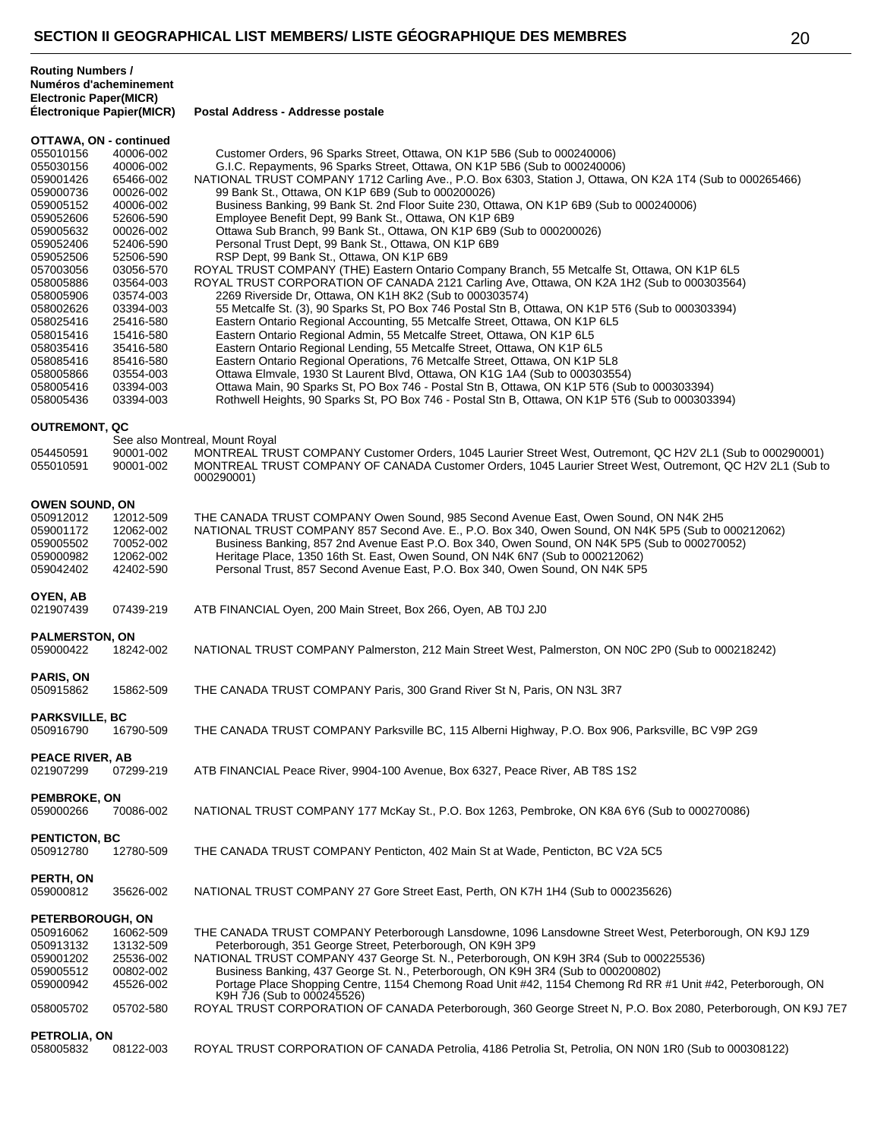| <b>Routing Numbers /</b>      |
|-------------------------------|
| Numéros d'acheminement        |
| <b>Electronic Paper(MICR)</b> |
| Éloctronique Panier(MICP)     |

**Électronique Papier(MICR) Postal Address - Addresse postale**

| OTTAWA, ON - continued |                        |                                                                                                                                              |
|------------------------|------------------------|----------------------------------------------------------------------------------------------------------------------------------------------|
| 055010156              | 40006-002              | Customer Orders, 96 Sparks Street, Ottawa, ON K1P 5B6 (Sub to 000240006)                                                                     |
| 055030156              | 40006-002              | G.I.C. Repayments, 96 Sparks Street, Ottawa, ON K1P 5B6 (Sub to 000240006)                                                                   |
| 059001426              | 65466-002              | NATIONAL TRUST COMPANY 1712 Carling Ave., P.O. Box 6303, Station J, Ottawa, ON K2A 1T4 (Sub to 000265466)                                    |
| 059000736              | 00026-002              | 99 Bank St., Ottawa, ON K1P 6B9 (Sub to 000200026)                                                                                           |
| 059005152              | 40006-002              | Business Banking, 99 Bank St. 2nd Floor Suite 230, Ottawa, ON K1P 6B9 (Sub to 000240006)                                                     |
| 059052606              | 52606-590              | Employee Benefit Dept, 99 Bank St., Ottawa, ON K1P 6B9                                                                                       |
| 059005632              | 00026-002              | Ottawa Sub Branch, 99 Bank St., Ottawa, ON K1P 6B9 (Sub to 000200026)                                                                        |
| 059052406              | 52406-590              | Personal Trust Dept, 99 Bank St., Ottawa, ON K1P 6B9                                                                                         |
| 059052506              | 52506-590              | RSP Dept, 99 Bank St., Ottawa, ON K1P 6B9                                                                                                    |
| 057003056              | 03056-570              | ROYAL TRUST COMPANY (THE) Eastern Ontario Company Branch, 55 Metcalfe St, Ottawa, ON K1P 6L5                                                 |
| 058005886              | 03564-003              | ROYAL TRUST CORPORATION OF CANADA 2121 Carling Ave, Ottawa, ON K2A 1H2 (Sub to 000303564)                                                    |
| 058005906              | 03574-003              | 2269 Riverside Dr, Ottawa, ON K1H 8K2 (Sub to 000303574)                                                                                     |
| 058002626              | 03394-003              | 55 Metcalfe St. (3), 90 Sparks St, PO Box 746 Postal Stn B, Ottawa, ON K1P 5T6 (Sub to 000303394)                                            |
| 058025416              | 25416-580              | Eastern Ontario Regional Accounting, 55 Metcalfe Street, Ottawa, ON K1P 6L5                                                                  |
| 058015416              | 15416-580              | Eastern Ontario Regional Admin, 55 Metcalfe Street, Ottawa, ON K1P 6L5                                                                       |
| 058035416              | 35416-580              | Eastern Ontario Regional Lending, 55 Metcalfe Street, Ottawa, ON K1P 6L5                                                                     |
| 058085416              | 85416-580              | Eastern Ontario Regional Operations, 76 Metcalfe Street, Ottawa, ON K1P 5L8                                                                  |
| 058005866              | 03554-003              | Ottawa Elmvale, 1930 St Laurent Blvd, Ottawa, ON K1G 1A4 (Sub to 000303554)                                                                  |
| 058005416              | 03394-003              | Ottawa Main, 90 Sparks St, PO Box 746 - Postal Stn B, Ottawa, ON K1P 5T6 (Sub to 000303394)                                                  |
| 058005436              | 03394-003              | Rothwell Heights, 90 Sparks St, PO Box 746 - Postal Stn B, Ottawa, ON K1P 5T6 (Sub to 000303394)                                             |
|                        |                        |                                                                                                                                              |
| <b>OUTREMONT, QC</b>   |                        |                                                                                                                                              |
| 054450591              |                        | See also Montreal, Mount Royal<br>MONTREAL TRUST COMPANY Customer Orders, 1045 Laurier Street West, Outremont, QC H2V 2L1 (Sub to 000290001) |
| 055010591              | 90001-002<br>90001-002 | MONTREAL TRUST COMPANY OF CANADA Customer Orders, 1045 Laurier Street West, Outremont, QC H2V 2L1 (Sub to                                    |
|                        |                        | 000290001)                                                                                                                                   |
|                        |                        |                                                                                                                                              |
| <b>OWEN SOUND, ON</b>  |                        |                                                                                                                                              |
| 050912012              | 12012-509              | THE CANADA TRUST COMPANY Owen Sound, 985 Second Avenue East, Owen Sound, ON N4K 2H5                                                          |
| 059001172              | 12062-002              | NATIONAL TRUST COMPANY 857 Second Ave. E., P.O. Box 340, Owen Sound, ON N4K 5P5 (Sub to 000212062)                                           |
| 059005502              | 70052-002              | Business Banking, 857 2nd Avenue East P.O. Box 340, Owen Sound, ON N4K 5P5 (Sub to 000270052)                                                |
| 059000982              | 12062-002              | Heritage Place, 1350 16th St. East, Owen Sound, ON N4K 6N7 (Sub to 000212062)                                                                |
| 059042402              | 42402-590              | Personal Trust, 857 Second Avenue East, P.O. Box 340, Owen Sound, ON N4K 5P5                                                                 |
|                        |                        |                                                                                                                                              |
| OYEN, AB               |                        |                                                                                                                                              |
| 021907439              | 07439-219              | ATB FINANCIAL Oyen, 200 Main Street, Box 266, Oyen, AB T0J 2J0                                                                               |
| <b>PALMERSTON, ON</b>  |                        |                                                                                                                                              |
| 059000422              | 18242-002              | NATIONAL TRUST COMPANY Palmerston, 212 Main Street West, Palmerston, ON N0C 2P0 (Sub to 000218242)                                           |
|                        |                        |                                                                                                                                              |
| <b>PARIS, ON</b>       |                        |                                                                                                                                              |
| 050915862              | 15862-509              | THE CANADA TRUST COMPANY Paris, 300 Grand River St N, Paris, ON N3L 3R7                                                                      |
|                        |                        |                                                                                                                                              |
| <b>PARKSVILLE, BC</b>  |                        |                                                                                                                                              |
| 050916790              | 16790-509              | THE CANADA TRUST COMPANY Parksville BC, 115 Alberni Highway, P.O. Box 906, Parksville, BC V9P 2G9                                            |
|                        |                        |                                                                                                                                              |
| <b>PEACE RIVER, AB</b> |                        |                                                                                                                                              |
| 021907299              | 07299-219              | ATB FINANCIAL Peace River, 9904-100 Avenue, Box 6327, Peace River, AB T8S 1S2                                                                |
|                        |                        |                                                                                                                                              |
| <b>PEMBROKE, ON</b>    |                        |                                                                                                                                              |
| 059000266              | 70086-002              | NATIONAL TRUST COMPANY 177 McKay St., P.O. Box 1263, Pembroke, ON K8A 6Y6 (Sub to 000270086)                                                 |
|                        |                        |                                                                                                                                              |
| <b>PENTICTON, BC</b>   |                        |                                                                                                                                              |
| 050912780              | 12780-509              | THE CANADA TRUST COMPANY Penticton, 402 Main St at Wade, Penticton, BC V2A 5C5                                                               |
| PERTH, ON              |                        |                                                                                                                                              |
| 059000812              | 35626-002              | NATIONAL TRUST COMPANY 27 Gore Street East, Perth, ON K7H 1H4 (Sub to 000235626)                                                             |
|                        |                        |                                                                                                                                              |
| PETERBOROUGH, ON       |                        |                                                                                                                                              |
| 050916062              | 16062-509              | THE CANADA TRUST COMPANY Peterborough Lansdowne, 1096 Lansdowne Street West, Peterborough, ON K9J 1Z9                                        |
| 050913132              | 13132-509              | Peterborough, 351 George Street, Peterborough, ON K9H 3P9                                                                                    |
| 059001202              | 25536-002              | NATIONAL TRUST COMPANY 437 George St. N., Peterborough, ON K9H 3R4 (Sub to 000225536)                                                        |
| 059005512              | 00802-002              | Business Banking, 437 George St. N., Peterborough, ON K9H 3R4 (Sub to 000200802)                                                             |
| 059000942              | 45526-002              | Portage Place Shopping Centre, 1154 Chemong Road Unit #42, 1154 Chemong Rd RR #1 Unit #42, Peterborough, ON                                  |
|                        |                        | K9H 7J6 (Sub to 000245526)                                                                                                                   |
| 058005702              | 05702-580              | ROYAL TRUST CORPORATION OF CANADA Peterborough, 360 George Street N, P.O. Box 2080, Peterborough, ON K9J 7E7                                 |
| PETROLIA, ON           |                        |                                                                                                                                              |
| 058005832              | 08122-003              | ROYAL TRUST CORPORATION OF CANADA Petrolia, 4186 Petrolia St, Petrolia, ON N0N 1R0 (Sub to 000308122)                                        |
|                        |                        |                                                                                                                                              |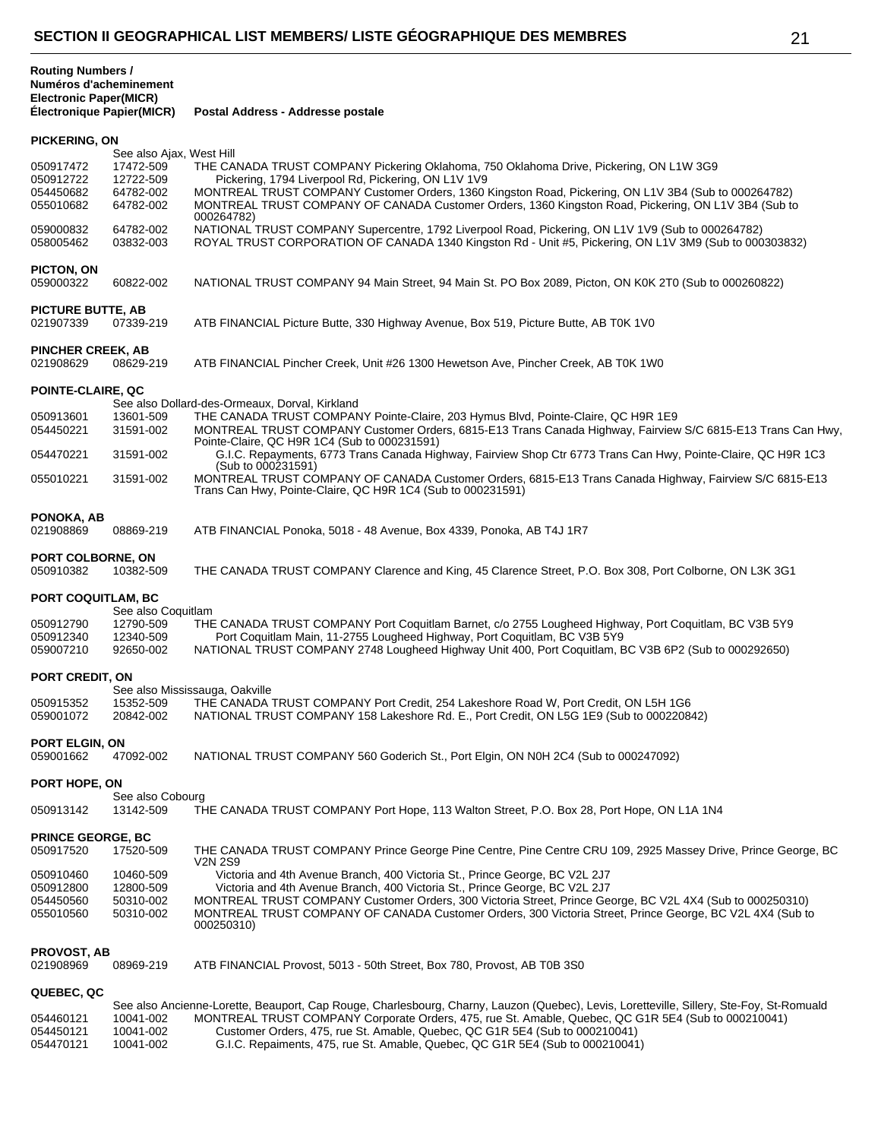| <b>Routing Numbers /</b>  |
|---------------------------|
| Numéros d'acheminement    |
| Electronic Paper(MICR)    |
| Électronique Panier/MICP) |

**Électronique Papier(MICR) Postal Address - Addresse postale**

# **PICKERING, ON**

| PICKERING, ON                         |                                                    |                                                                                                                                                                                                                                                                                                    |
|---------------------------------------|----------------------------------------------------|----------------------------------------------------------------------------------------------------------------------------------------------------------------------------------------------------------------------------------------------------------------------------------------------------|
| 050917472<br>050912722                | See also Ajax, West Hill<br>17472-509<br>12722-509 | THE CANADA TRUST COMPANY Pickering Oklahoma, 750 Oklahoma Drive, Pickering, ON L1W 3G9<br>Pickering, 1794 Liverpool Rd, Pickering, ON L1V 1V9                                                                                                                                                      |
| 054450682<br>055010682                | 64782-002<br>64782-002                             | MONTREAL TRUST COMPANY Customer Orders, 1360 Kingston Road, Pickering, ON L1V 3B4 (Sub to 000264782)<br>MONTREAL TRUST COMPANY OF CANADA Customer Orders, 1360 Kingston Road, Pickering, ON L1V 3B4 (Sub to<br>000264782)                                                                          |
| 059000832<br>058005462                | 64782-002<br>03832-003                             | NATIONAL TRUST COMPANY Supercentre, 1792 Liverpool Road, Pickering, ON L1V 1V9 (Sub to 000264782)<br>ROYAL TRUST CORPORATION OF CANADA 1340 Kingston Rd - Unit #5, Pickering, ON L1V 3M9 (Sub to 000303832)                                                                                        |
| PICTON, ON<br>059000322               | 60822-002                                          | NATIONAL TRUST COMPANY 94 Main Street, 94 Main St. PO Box 2089, Picton, ON K0K 2T0 (Sub to 000260822)                                                                                                                                                                                              |
| <b>PICTURE BUTTE, AB</b><br>021907339 | 07339-219                                          | ATB FINANCIAL Picture Butte, 330 Highway Avenue, Box 519, Picture Butte, AB T0K 1V0                                                                                                                                                                                                                |
| <b>PINCHER CREEK, AB</b><br>021908629 | 08629-219                                          | ATB FINANCIAL Pincher Creek, Unit #26 1300 Hewetson Ave, Pincher Creek, AB T0K 1W0                                                                                                                                                                                                                 |
| POINTE-CLAIRE, QC                     |                                                    |                                                                                                                                                                                                                                                                                                    |
| 050913601<br>054450221                | 13601-509<br>31591-002                             | See also Dollard-des-Ormeaux, Dorval, Kirkland<br>THE CANADA TRUST COMPANY Pointe-Claire, 203 Hymus Blvd, Pointe-Claire, QC H9R 1E9<br>MONTREAL TRUST COMPANY Customer Orders, 6815-E13 Trans Canada Highway, Fairview S/C 6815-E13 Trans Can Hwy,<br>Pointe-Claire, QC H9R 1C4 (Sub to 000231591) |
| 054470221                             | 31591-002                                          | G.I.C. Repayments, 6773 Trans Canada Highway, Fairview Shop Ctr 6773 Trans Can Hwy, Pointe-Claire, QC H9R 1C3<br>(Sub to 000231591)                                                                                                                                                                |
| 055010221                             | 31591-002                                          | MONTREAL TRUST COMPANY OF CANADA Customer Orders, 6815-E13 Trans Canada Highway, Fairview S/C 6815-E13<br>Trans Can Hwy, Pointe-Claire, QC H9R 1C4 (Sub to 000231591)                                                                                                                              |
| PONOKA, AB<br>021908869               | 08869-219                                          | ATB FINANCIAL Ponoka, 5018 - 48 Avenue, Box 4339, Ponoka, AB T4J 1R7                                                                                                                                                                                                                               |
| PORT COLBORNE, ON<br>050910382        | 10382-509                                          | THE CANADA TRUST COMPANY Clarence and King, 45 Clarence Street, P.O. Box 308, Port Colborne, ON L3K 3G1                                                                                                                                                                                            |
| PORT COQUITLAM, BC                    |                                                    |                                                                                                                                                                                                                                                                                                    |
| 050912790<br>050912340                | See also Coquitlam<br>12790-509<br>12340-509       | THE CANADA TRUST COMPANY Port Coquitlam Barnet, c/o 2755 Lougheed Highway, Port Coquitlam, BC V3B 5Y9<br>Port Coquitlam Main, 11-2755 Lougheed Highway, Port Coquitlam, BC V3B 5Y9                                                                                                                 |
| 059007210                             | 92650-002                                          | NATIONAL TRUST COMPANY 2748 Lougheed Highway Unit 400, Port Coquitlam, BC V3B 6P2 (Sub to 000292650)                                                                                                                                                                                               |
| PORT CREDIT, ON                       |                                                    |                                                                                                                                                                                                                                                                                                    |
| 050915352<br>059001072                | 15352-509<br>20842-002                             | See also Mississauga, Oakville<br>THE CANADA TRUST COMPANY Port Credit, 254 Lakeshore Road W, Port Credit, ON L5H 1G6<br>NATIONAL TRUST COMPANY 158 Lakeshore Rd. E., Port Credit, ON L5G 1E9 (Sub to 000220842)                                                                                   |
| <b>PORT ELGIN, ON</b><br>059001662    | 47092-002                                          | NATIONAL TRUST COMPANY 560 Goderich St., Port Elgin, ON N0H 2C4 (Sub to 000247092)                                                                                                                                                                                                                 |
| PORT HOPE, ON                         |                                                    |                                                                                                                                                                                                                                                                                                    |
| 050913142                             | See also Cobourg<br>13142-509                      | THE CANADA TRUST COMPANY Port Hope, 113 Walton Street, P.O. Box 28, Port Hope, ON L1A 1N4                                                                                                                                                                                                          |
| <b>PRINCE GEORGE, BC</b><br>050917520 | 17520-509                                          | THE CANADA TRUST COMPANY Prince George Pine Centre, Pine Centre CRU 109, 2925 Massey Drive, Prince George, BC<br>V2N 2S9                                                                                                                                                                           |
| 050910460                             | 10460-509                                          | Victoria and 4th Avenue Branch, 400 Victoria St., Prince George, BC V2L 2J7                                                                                                                                                                                                                        |
| 050912800<br>054450560                | 12800-509<br>50310-002                             | Victoria and 4th Avenue Branch, 400 Victoria St., Prince George, BC V2L 2J7<br>MONTREAL TRUST COMPANY Customer Orders, 300 Victoria Street, Prince George, BC V2L 4X4 (Sub to 000250310)                                                                                                           |
| 055010560                             | 50310-002                                          | MONTREAL TRUST COMPANY OF CANADA Customer Orders, 300 Victoria Street, Prince George, BC V2L 4X4 (Sub to<br>000250310)                                                                                                                                                                             |
| <b>PROVOST, AB</b>                    |                                                    |                                                                                                                                                                                                                                                                                                    |
| 021908969                             | 08969-219                                          | ATB FINANCIAL Provost, 5013 - 50th Street, Box 780, Provost, AB T0B 3S0                                                                                                                                                                                                                            |
| QUEBEC, QC                            |                                                    | See also Ancienne-Lorette, Beauport, Cap Rouge, Charlesbourg, Charny, Lauzon (Quebec), Levis, Loretteville, Sillery, Ste-Foy, St-Romuald                                                                                                                                                           |
| 054460121                             | 10041-002                                          | MONTREAL TRUST COMPANY Corporate Orders, 475, rue St. Amable, Quebec, QC G1R 5E4 (Sub to 000210041)                                                                                                                                                                                                |
| 054450121                             | 10041-002                                          | Customer Orders, 475, rue St. Amable, Quebec, QC G1R 5E4 (Sub to 000210041)                                                                                                                                                                                                                        |

054470121 10041-002 G.I.C. Repaiments, 475, rue St. Amable, Quebec, QC G1R 5E4 (Sub to 000210041)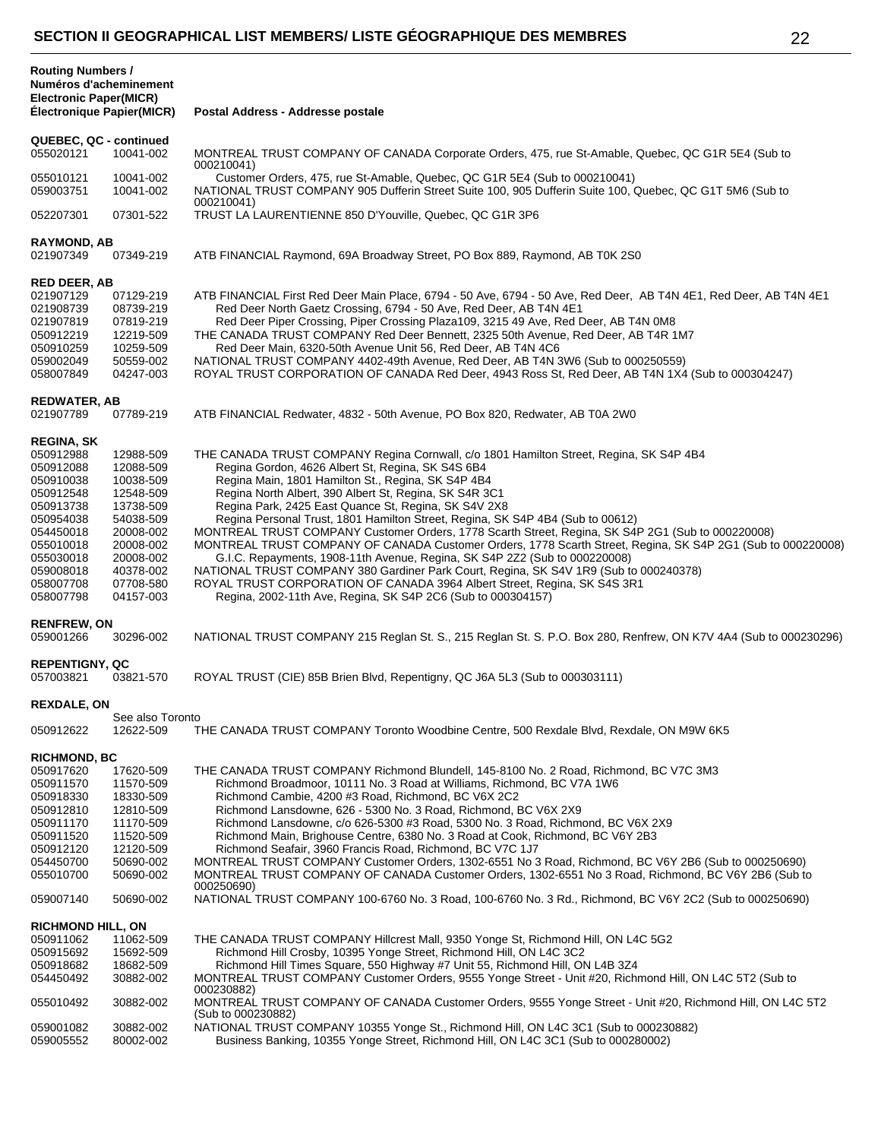| <b>Routing Numbers /</b><br>Numéros d'acheminement<br><b>Electronic Paper(MICR)</b><br><b>Électronique Papier(MICR)</b>                                                                                                                                                                                                                   | Postal Address - Addresse postale                                                                                                                                                                                                                                                                                                                                                                                                                                                                                                                                                                                                                                                                                                                                                                                                                                                                                                            |  |
|-------------------------------------------------------------------------------------------------------------------------------------------------------------------------------------------------------------------------------------------------------------------------------------------------------------------------------------------|----------------------------------------------------------------------------------------------------------------------------------------------------------------------------------------------------------------------------------------------------------------------------------------------------------------------------------------------------------------------------------------------------------------------------------------------------------------------------------------------------------------------------------------------------------------------------------------------------------------------------------------------------------------------------------------------------------------------------------------------------------------------------------------------------------------------------------------------------------------------------------------------------------------------------------------------|--|
| QUEBEC, QC - continued<br>055020121<br>10041-002                                                                                                                                                                                                                                                                                          | MONTREAL TRUST COMPANY OF CANADA Corporate Orders, 475, rue St-Amable, Quebec, QC G1R 5E4 (Sub to                                                                                                                                                                                                                                                                                                                                                                                                                                                                                                                                                                                                                                                                                                                                                                                                                                            |  |
| 055010121<br>10041-002<br>059003751<br>10041-002                                                                                                                                                                                                                                                                                          | 000210041)<br>Customer Orders, 475, rue St-Amable, Quebec, QC G1R 5E4 (Sub to 000210041)<br>NATIONAL TRUST COMPANY 905 Dufferin Street Suite 100, 905 Dufferin Suite 100, Quebec, QC G1T 5M6 (Sub to                                                                                                                                                                                                                                                                                                                                                                                                                                                                                                                                                                                                                                                                                                                                         |  |
| 052207301<br>07301-522                                                                                                                                                                                                                                                                                                                    | 000210041)<br>TRUST LA LAURENTIENNE 850 D'Youville, Quebec, QC G1R 3P6                                                                                                                                                                                                                                                                                                                                                                                                                                                                                                                                                                                                                                                                                                                                                                                                                                                                       |  |
| <b>RAYMOND, AB</b><br>021907349<br>07349-219                                                                                                                                                                                                                                                                                              | ATB FINANCIAL Raymond, 69A Broadway Street, PO Box 889, Raymond, AB T0K 2S0                                                                                                                                                                                                                                                                                                                                                                                                                                                                                                                                                                                                                                                                                                                                                                                                                                                                  |  |
| <b>RED DEER, AB</b><br>021907129<br>07129-219<br>021908739<br>08739-219<br>07819-219<br>021907819<br>12219-509<br>050912219<br>10259-509<br>050910259<br>50559-002<br>059002049<br>058007849<br>04247-003                                                                                                                                 | ATB FINANCIAL First Red Deer Main Place, 6794 - 50 Ave, 6794 - 50 Ave, Red Deer, AB T4N 4E1, Red Deer, AB T4N 4E1<br>Red Deer North Gaetz Crossing, 6794 - 50 Ave, Red Deer, AB T4N 4E1<br>Red Deer Piper Crossing, Piper Crossing Plaza109, 3215 49 Ave, Red Deer, AB T4N 0M8<br>THE CANADA TRUST COMPANY Red Deer Bennett, 2325 50th Avenue, Red Deer, AB T4R 1M7<br>Red Deer Main, 6320-50th Avenue Unit 56, Red Deer, AB T4N 4C6<br>NATIONAL TRUST COMPANY 4402-49th Avenue, Red Deer, AB T4N 3W6 (Sub to 000250559)<br>ROYAL TRUST CORPORATION OF CANADA Red Deer, 4943 Ross St, Red Deer, AB T4N 1X4 (Sub to 000304247)                                                                                                                                                                                                                                                                                                                |  |
| <b>REDWATER, AB</b><br>021907789<br>07789-219                                                                                                                                                                                                                                                                                             | ATB FINANCIAL Redwater, 4832 - 50th Avenue, PO Box 820, Redwater, AB T0A 2W0                                                                                                                                                                                                                                                                                                                                                                                                                                                                                                                                                                                                                                                                                                                                                                                                                                                                 |  |
| <b>REGINA, SK</b><br>050912988<br>12988-509<br>050912088<br>12088-509<br>050910038<br>10038-509<br>050912548<br>12548-509<br>13738-509<br>050913738<br>54038-509<br>050954038<br>20008-002<br>054450018<br>20008-002<br>055010018<br>20008-002<br>055030018<br>40378-002<br>059008018<br>07708-580<br>058007708<br>058007798<br>04157-003 | THE CANADA TRUST COMPANY Regina Cornwall, c/o 1801 Hamilton Street, Regina, SK S4P 4B4<br>Regina Gordon, 4626 Albert St, Regina, SK S4S 6B4<br>Regina Main, 1801 Hamilton St., Regina, SK S4P 4B4<br>Regina North Albert, 390 Albert St, Regina, SK S4R 3C1<br>Regina Park, 2425 East Quance St, Regina, SK S4V 2X8<br>Regina Personal Trust, 1801 Hamilton Street, Regina, SK S4P 4B4 (Sub to 00612)<br>MONTREAL TRUST COMPANY Customer Orders, 1778 Scarth Street, Regina, SK S4P 2G1 (Sub to 000220008)<br>MONTREAL TRUST COMPANY OF CANADA Customer Orders, 1778 Scarth Street, Regina, SK S4P 2G1 (Sub to 000220008)<br>G.I.C. Repayments, 1908-11th Avenue, Regina, SK S4P 2Z2 (Sub to 000220008)<br>NATIONAL TRUST COMPANY 380 Gardiner Park Court, Regina, SK S4V 1R9 (Sub to 000240378)<br>ROYAL TRUST CORPORATION OF CANADA 3964 Albert Street, Regina, SK S4S 3R1<br>Regina, 2002-11th Ave, Regina, SK S4P 2C6 (Sub to 000304157) |  |
| <b>RENFREW, ON</b><br>059001266<br>30296-002                                                                                                                                                                                                                                                                                              | NATIONAL TRUST COMPANY 215 Reglan St. S., 215 Reglan St. S. P.O. Box 280, Renfrew, ON K7V 4A4 (Sub to 000230296)                                                                                                                                                                                                                                                                                                                                                                                                                                                                                                                                                                                                                                                                                                                                                                                                                             |  |
| <b>REPENTIGNY, QC</b><br>057003821<br>03821-570                                                                                                                                                                                                                                                                                           | ROYAL TRUST (CIE) 85B Brien Blvd, Repentigny, QC J6A 5L3 (Sub to 000303111)                                                                                                                                                                                                                                                                                                                                                                                                                                                                                                                                                                                                                                                                                                                                                                                                                                                                  |  |
| <b>REXDALE, ON</b>                                                                                                                                                                                                                                                                                                                        |                                                                                                                                                                                                                                                                                                                                                                                                                                                                                                                                                                                                                                                                                                                                                                                                                                                                                                                                              |  |
| See also Toronto<br>050912622<br>12622-509                                                                                                                                                                                                                                                                                                | THE CANADA TRUST COMPANY Toronto Woodbine Centre, 500 Rexdale Blvd, Rexdale, ON M9W 6K5                                                                                                                                                                                                                                                                                                                                                                                                                                                                                                                                                                                                                                                                                                                                                                                                                                                      |  |
| <b>RICHMOND, BC</b><br>17620-509<br>050917620<br>050911570<br>11570-509<br>050918330<br>18330-509<br>12810-509<br>050912810<br>11170-509<br>050911170<br>11520-509<br>050911520<br>12120-509<br>050912120<br>50690-002<br>054450700<br>50690-002<br>055010700                                                                             | THE CANADA TRUST COMPANY Richmond Blundell, 145-8100 No. 2 Road, Richmond, BC V7C 3M3<br>Richmond Broadmoor, 10111 No. 3 Road at Williams, Richmond, BC V7A 1W6<br>Richmond Cambie, 4200 #3 Road, Richmond, BC V6X 2C2<br>Richmond Lansdowne, 626 - 5300 No. 3 Road, Richmond, BC V6X 2X9<br>Richmond Lansdowne, c/o 626-5300 #3 Road, 5300 No. 3 Road, Richmond, BC V6X 2X9<br>Richmond Main, Brighouse Centre, 6380 No. 3 Road at Cook, Richmond, BC V6Y 2B3<br>Richmond Seafair, 3960 Francis Road, Richmond, BC V7C 1J7<br>MONTREAL TRUST COMPANY Customer Orders, 1302-6551 No 3 Road, Richmond, BC V6Y 2B6 (Sub to 000250690)<br>MONTREAL TRUST COMPANY OF CANADA Customer Orders, 1302-6551 No 3 Road, Richmond, BC V6Y 2B6 (Sub to                                                                                                                                                                                                   |  |
| 059007140<br>50690-002                                                                                                                                                                                                                                                                                                                    | 000250690)<br>NATIONAL TRUST COMPANY 100-6760 No. 3 Road, 100-6760 No. 3 Rd., Richmond, BC V6Y 2C2 (Sub to 000250690)                                                                                                                                                                                                                                                                                                                                                                                                                                                                                                                                                                                                                                                                                                                                                                                                                        |  |
| <b>RICHMOND HILL, ON</b><br>050911062<br>11062-509<br>050915692<br>15692-509<br>050918682<br>18682-509<br>054450492<br>30882-002<br>055010492<br>30882-002                                                                                                                                                                                | THE CANADA TRUST COMPANY Hillcrest Mall, 9350 Yonge St, Richmond Hill, ON L4C 5G2<br>Richmond Hill Crosby, 10395 Yonge Street, Richmond Hill, ON L4C 3C2<br>Richmond Hill Times Square, 550 Highway #7 Unit 55, Richmond Hill, ON L4B 3Z4<br>MONTREAL TRUST COMPANY Customer Orders, 9555 Yonge Street - Unit #20, Richmond Hill, ON L4C 5T2 (Sub to<br>000230882)<br>MONTREAL TRUST COMPANY OF CANADA Customer Orders, 9555 Yonge Street - Unit #20, Richmond Hill, ON L4C 5T2                                                                                                                                                                                                                                                                                                                                                                                                                                                              |  |
| 059001082<br>30882-002<br>059005552<br>80002-002                                                                                                                                                                                                                                                                                          | (Sub to 000230882)<br>NATIONAL TRUST COMPANY 10355 Yonge St., Richmond Hill, ON L4C 3C1 (Sub to 000230882)<br>Business Banking, 10355 Yonge Street, Richmond Hill, ON L4C 3C1 (Sub to 000280002)                                                                                                                                                                                                                                                                                                                                                                                                                                                                                                                                                                                                                                                                                                                                             |  |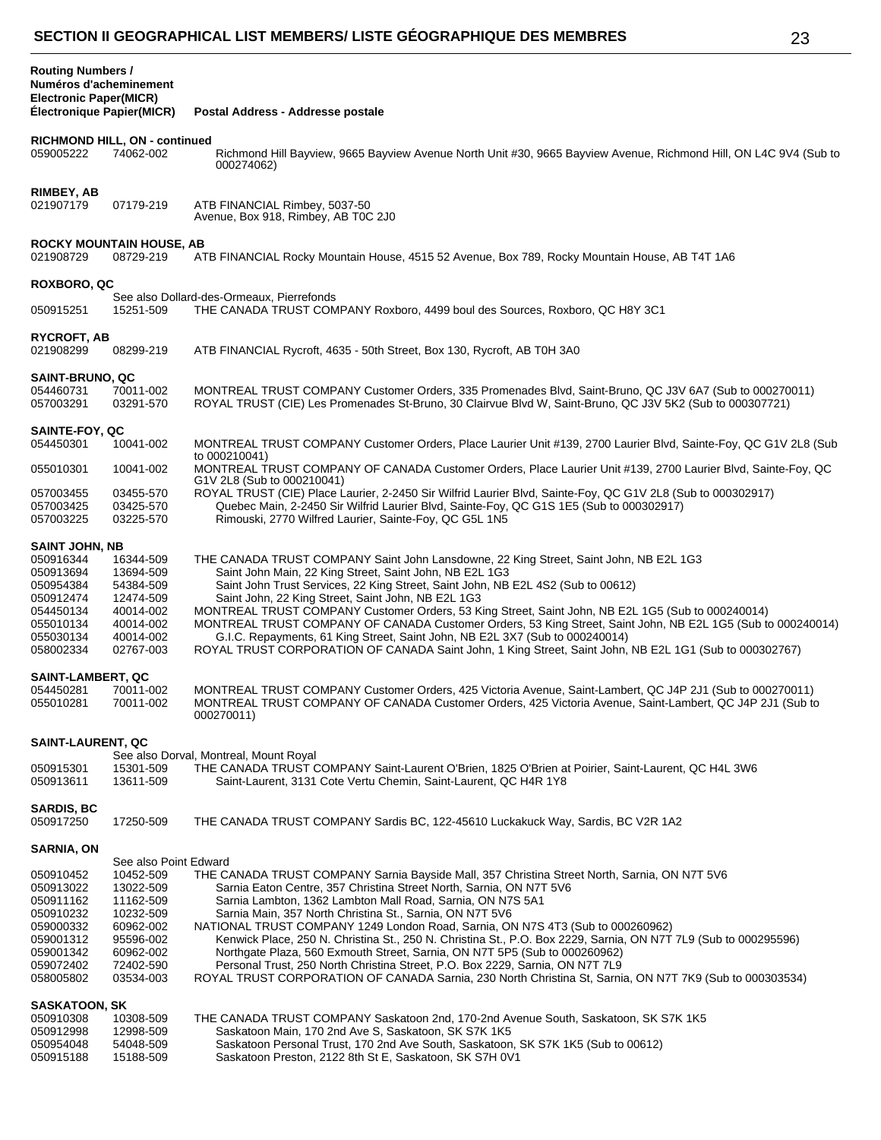| × |                       |
|---|-----------------------|
| - |                       |
|   |                       |
|   | I<br>×<br>I<br>w<br>I |

| <b>Routing Numbers /</b><br>Numéros d'acheminement<br><b>Electronic Paper(MICR)</b><br><b>Électronique Papier(MICR)</b>                |                                                                                                                                            | Postal Address - Addresse postale                                                                                                                                                                                                                                                                                                                                                                                                                                                                                                                                                                                                                                                                                                                                            |
|----------------------------------------------------------------------------------------------------------------------------------------|--------------------------------------------------------------------------------------------------------------------------------------------|------------------------------------------------------------------------------------------------------------------------------------------------------------------------------------------------------------------------------------------------------------------------------------------------------------------------------------------------------------------------------------------------------------------------------------------------------------------------------------------------------------------------------------------------------------------------------------------------------------------------------------------------------------------------------------------------------------------------------------------------------------------------------|
| 059005222                                                                                                                              | RICHMOND HILL, ON - continued<br>74062-002                                                                                                 | Richmond Hill Bayview, 9665 Bayview Avenue North Unit #30, 9665 Bayview Avenue, Richmond Hill, ON L4C 9V4 (Sub to<br>000274062)                                                                                                                                                                                                                                                                                                                                                                                                                                                                                                                                                                                                                                              |
| RIMBEY, AB<br>021907179                                                                                                                | 07179-219                                                                                                                                  | ATB FINANCIAL Rimbey, 5037-50<br>Avenue, Box 918, Rimbey, AB TOC 2J0                                                                                                                                                                                                                                                                                                                                                                                                                                                                                                                                                                                                                                                                                                         |
| 021908729                                                                                                                              | <b>ROCKY MOUNTAIN HOUSE, AB</b><br>08729-219                                                                                               | ATB FINANCIAL Rocky Mountain House, 4515 52 Avenue, Box 789, Rocky Mountain House, AB T4T 1A6                                                                                                                                                                                                                                                                                                                                                                                                                                                                                                                                                                                                                                                                                |
| <b>ROXBORO, QC</b><br>050915251                                                                                                        | 15251-509                                                                                                                                  | See also Dollard-des-Ormeaux, Pierrefonds<br>THE CANADA TRUST COMPANY Roxboro, 4499 boul des Sources, Roxboro, QC H8Y 3C1                                                                                                                                                                                                                                                                                                                                                                                                                                                                                                                                                                                                                                                    |
| RYCROFT, AB<br>021908299                                                                                                               | 08299-219                                                                                                                                  | ATB FINANCIAL Rycroft, 4635 - 50th Street, Box 130, Rycroft, AB T0H 3A0                                                                                                                                                                                                                                                                                                                                                                                                                                                                                                                                                                                                                                                                                                      |
| <b>SAINT-BRUNO, QC</b><br>054460731<br>057003291                                                                                       | 70011-002<br>03291-570                                                                                                                     | MONTREAL TRUST COMPANY Customer Orders, 335 Promenades Blvd, Saint-Bruno, QC J3V 6A7 (Sub to 000270011)<br>ROYAL TRUST (CIE) Les Promenades St-Bruno, 30 Clairvue Blvd W, Saint-Bruno, QC J3V 5K2 (Sub to 000307721)                                                                                                                                                                                                                                                                                                                                                                                                                                                                                                                                                         |
| SAINTE-FOY, QC<br>054450301                                                                                                            | 10041-002                                                                                                                                  | MONTREAL TRUST COMPANY Customer Orders, Place Laurier Unit #139, 2700 Laurier Blvd, Sainte-Foy, QC G1V 2L8 (Sub<br>to 000210041)                                                                                                                                                                                                                                                                                                                                                                                                                                                                                                                                                                                                                                             |
| 055010301                                                                                                                              | 10041-002                                                                                                                                  | MONTREAL TRUST COMPANY OF CANADA Customer Orders, Place Laurier Unit #139, 2700 Laurier Blvd, Sainte-Foy, QC<br>G1V 2L8 (Sub to 000210041)                                                                                                                                                                                                                                                                                                                                                                                                                                                                                                                                                                                                                                   |
| 057003455<br>057003425<br>057003225                                                                                                    | 03455-570<br>03425-570<br>03225-570                                                                                                        | ROYAL TRUST (CIE) Place Laurier, 2-2450 Sir Wilfrid Laurier Blvd, Sainte-Foy, QC G1V 2L8 (Sub to 000302917)<br>Quebec Main, 2-2450 Sir Wilfrid Laurier Blvd, Sainte-Foy, QC G1S 1E5 (Sub to 000302917)<br>Rimouski, 2770 Wilfred Laurier, Sainte-Foy, QC G5L 1N5                                                                                                                                                                                                                                                                                                                                                                                                                                                                                                             |
| <b>SAINT JOHN, NB</b><br>050916344<br>050913694<br>050954384<br>050912474<br>054450134<br>055010134<br>055030134<br>058002334          | 16344-509<br>13694-509<br>54384-509<br>12474-509<br>40014-002<br>40014-002<br>40014-002<br>02767-003                                       | THE CANADA TRUST COMPANY Saint John Lansdowne, 22 King Street, Saint John, NB E2L 1G3<br>Saint John Main, 22 King Street, Saint John, NB E2L 1G3<br>Saint John Trust Services, 22 King Street, Saint John, NB E2L 4S2 (Sub to 00612)<br>Saint John, 22 King Street, Saint John, NB E2L 1G3<br>MONTREAL TRUST COMPANY Customer Orders, 53 King Street, Saint John, NB E2L 1G5 (Sub to 000240014)<br>MONTREAL TRUST COMPANY OF CANADA Customer Orders, 53 King Street, Saint John, NB E2L 1G5 (Sub to 000240014)<br>G.I.C. Repayments, 61 King Street, Saint John, NB E2L 3X7 (Sub to 000240014)<br>ROYAL TRUST CORPORATION OF CANADA Saint John, 1 King Street, Saint John, NB E2L 1G1 (Sub to 000302767)                                                                     |
| <b>SAINT-LAMBERT, QC</b><br>054450281<br>055010281                                                                                     | 70011-002<br>70011-002                                                                                                                     | MONTREAL TRUST COMPANY Customer Orders, 425 Victoria Avenue, Saint-Lambert, QC J4P 2J1 (Sub to 000270011)<br>MONTREAL TRUST COMPANY OF CANADA Customer Orders, 425 Victoria Avenue, Saint-Lambert, QC J4P 2J1 (Sub to<br>000270011)                                                                                                                                                                                                                                                                                                                                                                                                                                                                                                                                          |
| <b>SAINT-LAURENT, QC</b><br>050915301                                                                                                  | 15301-509                                                                                                                                  | See also Dorval, Montreal, Mount Royal<br>THE CANADA TRUST COMPANY Saint-Laurent O'Brien, 1825 O'Brien at Poirier, Saint-Laurent, QC H4L 3W6                                                                                                                                                                                                                                                                                                                                                                                                                                                                                                                                                                                                                                 |
| 050913611<br><b>SARDIS, BC</b><br>050917250                                                                                            | 13611-509<br>17250-509                                                                                                                     | Saint-Laurent, 3131 Cote Vertu Chemin, Saint-Laurent, QC H4R 1Y8<br>THE CANADA TRUST COMPANY Sardis BC, 122-45610 Luckakuck Way, Sardis, BC V2R 1A2                                                                                                                                                                                                                                                                                                                                                                                                                                                                                                                                                                                                                          |
|                                                                                                                                        |                                                                                                                                            |                                                                                                                                                                                                                                                                                                                                                                                                                                                                                                                                                                                                                                                                                                                                                                              |
| <b>SARNIA, ON</b><br>050910452<br>050913022<br>050911162<br>050910232<br>059000332<br>059001312<br>059001342<br>059072402<br>058005802 | See also Point Edward<br>10452-509<br>13022-509<br>11162-509<br>10232-509<br>60962-002<br>95596-002<br>60962-002<br>72402-590<br>03534-003 | THE CANADA TRUST COMPANY Sarnia Bayside Mall, 357 Christina Street North, Sarnia, ON N7T 5V6<br>Sarnia Eaton Centre, 357 Christina Street North, Sarnia, ON N7T 5V6<br>Sarnia Lambton, 1362 Lambton Mall Road, Sarnia, ON N7S 5A1<br>Sarnia Main, 357 North Christina St., Sarnia, ON N7T 5V6<br>NATIONAL TRUST COMPANY 1249 London Road, Sarnia, ON N7S 4T3 (Sub to 000260962)<br>Kenwick Place, 250 N. Christina St., 250 N. Christina St., P.O. Box 2229, Sarnia, ON N7T 7L9 (Sub to 000295596)<br>Northgate Plaza, 560 Exmouth Street, Sarnia, ON N7T 5P5 (Sub to 000260962)<br>Personal Trust, 250 North Christina Street, P.O. Box 2229, Sarnia, ON N7T 7L9<br>ROYAL TRUST CORPORATION OF CANADA Sarnia, 230 North Christina St, Sarnia, ON N7T 7K9 (Sub to 000303534) |
| <b>SASKATOON, SK</b><br>050910308<br>050912998<br>050954048<br>050915188                                                               | 10308-509<br>12998-509<br>54048-509<br>15188-509                                                                                           | THE CANADA TRUST COMPANY Saskatoon 2nd, 170-2nd Avenue South, Saskatoon, SK S7K 1K5<br>Saskatoon Main, 170 2nd Ave S, Saskatoon, SK S7K 1K5<br>Saskatoon Personal Trust, 170 2nd Ave South, Saskatoon, SK S7K 1K5 (Sub to 00612)<br>Saskatoon Preston, 2122 8th St E, Saskatoon, SK S7H 0V1                                                                                                                                                                                                                                                                                                                                                                                                                                                                                  |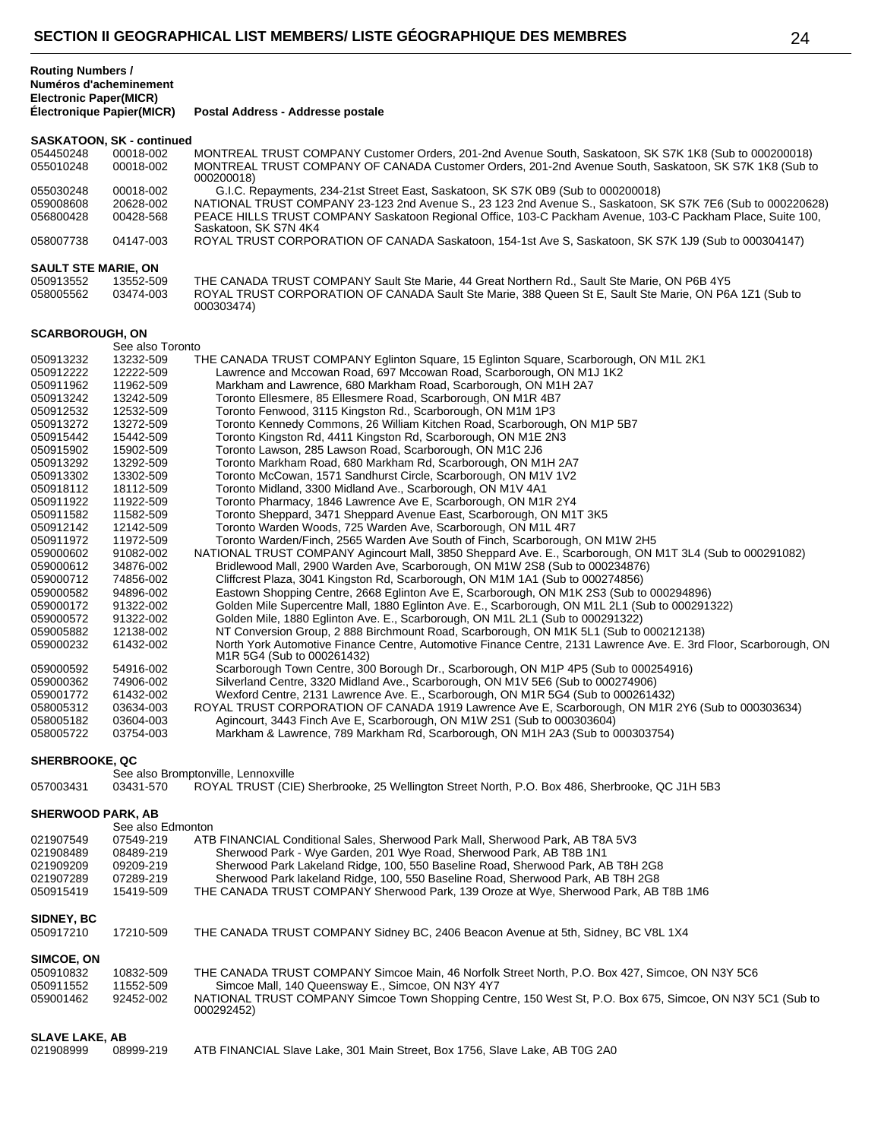**Postal Address - Addresse postale** 

#### **SASKATOON, SK - continued**

| 054450248 | 00018-002 | MONTREAL TRUST COMPANY Customer Orders, 201-2nd Avenue South, Saskatoon, SK S7K 1K8 (Sub to 000200018)      |
|-----------|-----------|-------------------------------------------------------------------------------------------------------------|
| 055010248 | 00018-002 | MONTREAL TRUST COMPANY OF CANADA Customer Orders, 201-2nd Avenue South, Saskatoon, SK S7K 1K8 (Sub to       |
|           |           | 000200018)                                                                                                  |
| 055030248 | 00018-002 | G.I.C. Repayments, 234-21st Street East, Saskatoon, SK S7K 0B9 (Sub to 000200018)                           |
| 059008608 | 20628-002 | NATIONAL TRUST COMPANY 23-123 2nd Avenue S., 23 123 2nd Avenue S., Saskatoon, SK S7K 7E6 (Sub to 000220628) |
| 056800428 | 00428-568 | PEACE HILLS TRUST COMPANY Saskatoon Regional Office, 103-C Packham Avenue, 103-C Packham Place, Suite 100,  |
|           |           | Saskatoon, SK S7N 4K4                                                                                       |
| 058007738 | 04147-003 | ROYAL TRUST CORPORATION OF CANADA Saskatoon, 154-1st Ave S, Saskatoon, SK S7K 1J9 (Sub to 000304147)        |

## **SAULT STE MARIE, ON**

| 050913552 | 13552-509 | THE CANADA TRUST COMPANY Sault Ste Marie, 44 Great Northern Rd., Sault Ste Marie, ON P6B 4Y5           |
|-----------|-----------|--------------------------------------------------------------------------------------------------------|
| 058005562 | 03474-003 | ROYAL TRUST CORPORATION OF CANADA Sault Ste Marie, 388 Queen St E. Sault Ste Marie, ON P6A 1Z1 (Sub to |
|           |           | 000303474)                                                                                             |

## **SCARBOROUGH, ON**

|           | See also Toronto |                                                                                                                                                              |
|-----------|------------------|--------------------------------------------------------------------------------------------------------------------------------------------------------------|
| 050913232 | 13232-509        | THE CANADA TRUST COMPANY Eglinton Square, 15 Eglinton Square, Scarborough, ON M1L 2K1                                                                        |
| 050912222 | 12222-509        | Lawrence and Mccowan Road, 697 Mccowan Road, Scarborough, ON M1J 1K2                                                                                         |
| 050911962 | 11962-509        | Markham and Lawrence, 680 Markham Road, Scarborough, ON M1H 2A7                                                                                              |
| 050913242 | 13242-509        | Toronto Ellesmere, 85 Ellesmere Road, Scarborough, ON M1R 4B7                                                                                                |
| 050912532 | 12532-509        | Toronto Fenwood, 3115 Kingston Rd., Scarborough, ON M1M 1P3                                                                                                  |
| 050913272 | 13272-509        | Toronto Kennedy Commons, 26 William Kitchen Road, Scarborough, ON M1P 5B7                                                                                    |
| 050915442 | 15442-509        | Toronto Kingston Rd, 4411 Kingston Rd, Scarborough, ON M1E 2N3                                                                                               |
| 050915902 | 15902-509        | Toronto Lawson, 285 Lawson Road, Scarborough, ON M1C 2J6                                                                                                     |
| 050913292 | 13292-509        | Toronto Markham Road, 680 Markham Rd, Scarborough, ON M1H 2A7                                                                                                |
| 050913302 | 13302-509        | Toronto McCowan, 1571 Sandhurst Circle, Scarborough, ON M1V 1V2                                                                                              |
| 050918112 | 18112-509        | Toronto Midland, 3300 Midland Ave., Scarborough, ON M1V 4A1                                                                                                  |
| 050911922 | 11922-509        | Toronto Pharmacy, 1846 Lawrence Ave E, Scarborough, ON M1R 2Y4                                                                                               |
| 050911582 | 11582-509        | Toronto Sheppard, 3471 Sheppard Avenue East, Scarborough, ON M1T 3K5                                                                                         |
| 050912142 | 12142-509        | Toronto Warden Woods, 725 Warden Ave, Scarborough, ON M1L 4R7                                                                                                |
| 050911972 | 11972-509        | Toronto Warden/Finch, 2565 Warden Ave South of Finch, Scarborough, ON M1W 2H5                                                                                |
| 059000602 | 91082-002        | NATIONAL TRUST COMPANY Agincourt Mall, 3850 Sheppard Ave. E., Scarborough, ON M1T 3L4 (Sub to 000291082)                                                     |
| 059000612 | 34876-002        | Bridlewood Mall, 2900 Warden Ave, Scarborough, ON M1W 2S8 (Sub to 000234876)                                                                                 |
| 059000712 | 74856-002        | Cliffcrest Plaza, 3041 Kingston Rd, Scarborough, ON M1M 1A1 (Sub to 000274856)                                                                               |
| 059000582 | 94896-002        | Eastown Shopping Centre, 2668 Eglinton Ave E, Scarborough, ON M1K 2S3 (Sub to 000294896)                                                                     |
| 059000172 | 91322-002        | Golden Mile Supercentre Mall, 1880 Eglinton Ave. E., Scarborough, ON M1L 2L1 (Sub to 000291322)                                                              |
| 059000572 | 91322-002        | Golden Mile, 1880 Eglinton Ave. E., Scarborough, ON M1L 2L1 (Sub to 000291322)                                                                               |
| 059005882 | 12138-002        | NT Conversion Group, 2 888 Birchmount Road, Scarborough, ON M1K 5L1 (Sub to 000212138)                                                                       |
| 059000232 | 61432-002        | North York Automotive Finance Centre, Automotive Finance Centre, 2131 Lawrence Ave. E. 3rd Floor, Scarborough, ON<br>M <sub>1</sub> R 5G4 (Sub to 000261432) |
| 059000592 | 54916-002        | Scarborough Town Centre, 300 Borough Dr., Scarborough, ON M1P 4P5 (Sub to 000254916)                                                                         |
| 059000362 | 74906-002        | Silverland Centre, 3320 Midland Ave., Scarborough, ON M1V 5E6 (Sub to 000274906)                                                                             |
| 059001772 | 61432-002        | Wexford Centre, 2131 Lawrence Ave. E., Scarborough, ON M1R 5G4 (Sub to 000261432)                                                                            |
| 058005312 | 03634-003        | ROYAL TRUST CORPORATION OF CANADA 1919 Lawrence Ave E, Scarborough, ON M1R 2Y6 (Sub to 000303634)                                                            |
| 058005182 | 03604-003        | Agincourt, 3443 Finch Ave E, Scarborough, ON M1W 2S1 (Sub to 000303604)                                                                                      |
| 058005722 | 03754-003        | Markham & Lawrence, 789 Markham Rd, Scarborough, ON M1H 2A3 (Sub to 000303754)                                                                               |
|           |                  |                                                                                                                                                              |

| <b>SHERBROOKE, QC</b> |                   |                                                                                                                         |
|-----------------------|-------------------|-------------------------------------------------------------------------------------------------------------------------|
|                       |                   | See also Bromptonville, Lennoxville                                                                                     |
| 057003431             | 03431-570         | ROYAL TRUST (CIE) Sherbrooke, 25 Wellington Street North, P.O. Box 486, Sherbrooke, QC J1H 5B3                          |
| SHERWOOD PARK, AB     |                   |                                                                                                                         |
|                       | See also Edmonton |                                                                                                                         |
| 021907549             | 07549-219         | ATB FINANCIAL Conditional Sales, Sherwood Park Mall, Sherwood Park, AB T8A 5V3                                          |
| 021908489             | 08489-219         | Sherwood Park - Wye Garden, 201 Wye Road, Sherwood Park, AB T8B 1N1                                                     |
| 021909209             | 09209-219         | Sherwood Park Lakeland Ridge, 100, 550 Baseline Road, Sherwood Park, AB T8H 2G8                                         |
| 021907289             | 07289-219         | Sherwood Park lakeland Ridge, 100, 550 Baseline Road, Sherwood Park, AB T8H 2G8                                         |
| 050915419             | 15419-509         | THE CANADA TRUST COMPANY Sherwood Park, 139 Oroze at Wye, Sherwood Park, AB T8B 1M6                                     |
| <b>SIDNEY, BC</b>     |                   |                                                                                                                         |
| 050917210             | 17210-509         | THE CANADA TRUST COMPANY Sidney BC, 2406 Beacon Avenue at 5th, Sidney, BC V8L 1X4                                       |
| SIMCOE, ON            |                   |                                                                                                                         |
| 050910832             | 10832-509         | THE CANADA TRUST COMPANY Simcoe Main, 46 Norfolk Street North, P.O. Box 427, Simcoe, ON N3Y 5C6                         |
| 050911552             | 11552-509         | Simcoe Mall, 140 Queensway E., Simcoe, ON N3Y 4Y7                                                                       |
| 059001462             | 92452-002         | NATIONAL TRUST COMPANY Simcoe Town Shopping Centre, 150 West St, P.O. Box 675, Simcoe, ON N3Y 5C1 (Sub to<br>000292452) |
| SLAVE LAKE, AB        |                   |                                                                                                                         |
| 021908999             | 08999-219         | ATB FINANCIAL Slave Lake, 301 Main Street, Box 1756, Slave Lake, AB T0G 2A0                                             |
|                       |                   |                                                                                                                         |
|                       |                   |                                                                                                                         |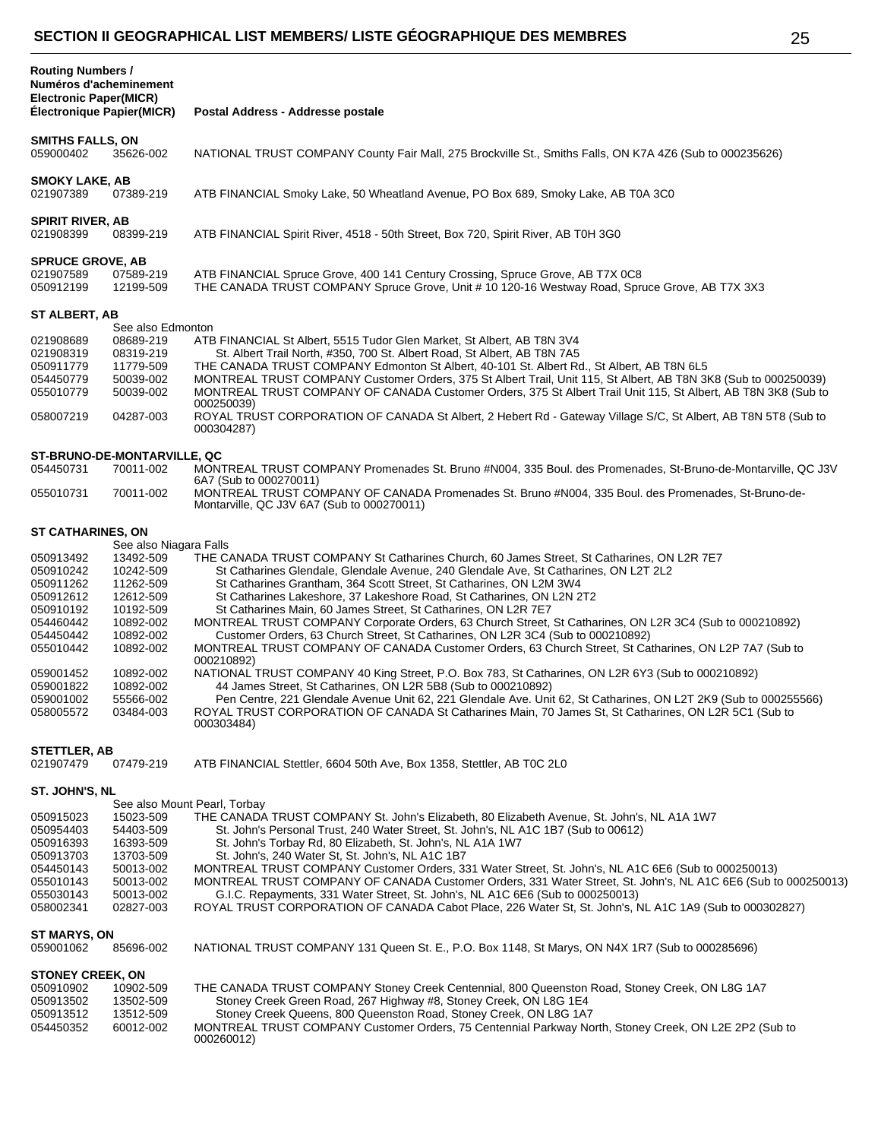| <b>Routing Numbers /</b><br>Numéros d'acheminement<br><b>Electronic Paper(MICR)</b><br>Électronique Papier(MICR) |                                                  | Postal Address - Addresse postale                                                                                                                                                                                                                                                                                                                                                                         |  |  |
|------------------------------------------------------------------------------------------------------------------|--------------------------------------------------|-----------------------------------------------------------------------------------------------------------------------------------------------------------------------------------------------------------------------------------------------------------------------------------------------------------------------------------------------------------------------------------------------------------|--|--|
|                                                                                                                  |                                                  |                                                                                                                                                                                                                                                                                                                                                                                                           |  |  |
| <b>SMITHS FALLS, ON</b><br>059000402                                                                             | 35626-002                                        | NATIONAL TRUST COMPANY County Fair Mall, 275 Brockville St., Smiths Falls, ON K7A 4Z6 (Sub to 000235626)                                                                                                                                                                                                                                                                                                  |  |  |
| <b>SMOKY LAKE, AB</b><br>021907389                                                                               | 07389-219                                        | ATB FINANCIAL Smoky Lake, 50 Wheatland Avenue, PO Box 689, Smoky Lake, AB T0A 3C0                                                                                                                                                                                                                                                                                                                         |  |  |
| <b>SPIRIT RIVER, AB</b><br>021908399                                                                             | 08399-219                                        | ATB FINANCIAL Spirit River, 4518 - 50th Street, Box 720, Spirit River, AB T0H 3G0                                                                                                                                                                                                                                                                                                                         |  |  |
|                                                                                                                  |                                                  |                                                                                                                                                                                                                                                                                                                                                                                                           |  |  |
| <b>SPRUCE GROVE, AB</b><br>021907589<br>050912199                                                                | 07589-219<br>12199-509                           | ATB FINANCIAL Spruce Grove, 400 141 Century Crossing, Spruce Grove, AB T7X 0C8<br>THE CANADA TRUST COMPANY Spruce Grove, Unit # 10 120-16 Westway Road, Spruce Grove, AB T7X 3X3                                                                                                                                                                                                                          |  |  |
| ST ALBERT, AB                                                                                                    |                                                  |                                                                                                                                                                                                                                                                                                                                                                                                           |  |  |
| 021908689                                                                                                        | See also Edmonton<br>08689-219                   | ATB FINANCIAL St Albert, 5515 Tudor Glen Market, St Albert, AB T8N 3V4                                                                                                                                                                                                                                                                                                                                    |  |  |
| 021908319<br>050911779<br>054450779<br>055010779                                                                 | 08319-219<br>11779-509<br>50039-002<br>50039-002 | St. Albert Trail North, #350, 700 St. Albert Road, St Albert, AB T8N 7A5<br>THE CANADA TRUST COMPANY Edmonton St Albert, 40-101 St. Albert Rd., St Albert, AB T8N 6L5<br>MONTREAL TRUST COMPANY Customer Orders, 375 St Albert Trail, Unit 115, St Albert, AB T8N 3K8 (Sub to 000250039)<br>MONTREAL TRUST COMPANY OF CANADA Customer Orders, 375 St Albert Trail Unit 115, St Albert, AB T8N 3K8 (Sub to |  |  |
| 058007219                                                                                                        | 04287-003                                        | 000250039)<br>ROYAL TRUST CORPORATION OF CANADA St Albert, 2 Hebert Rd - Gateway Village S/C, St Albert, AB T8N 5T8 (Sub to<br>000304287)                                                                                                                                                                                                                                                                 |  |  |
|                                                                                                                  | ST-BRUNO-DE-MONTARVILLE, QC                      |                                                                                                                                                                                                                                                                                                                                                                                                           |  |  |
| 054450731                                                                                                        | 70011-002                                        | MONTREAL TRUST COMPANY Promenades St. Bruno #N004, 335 Boul. des Promenades, St-Bruno-de-Montarville, QC J3V<br>6A7 (Sub to 000270011)                                                                                                                                                                                                                                                                    |  |  |
| 055010731                                                                                                        | 70011-002                                        | MONTREAL TRUST COMPANY OF CANADA Promenades St. Bruno #N004, 335 Boul. des Promenades, St-Bruno-de-<br>Montarville, QC J3V 6A7 (Sub to 000270011)                                                                                                                                                                                                                                                         |  |  |
| <b>ST CATHARINES, ON</b>                                                                                         |                                                  |                                                                                                                                                                                                                                                                                                                                                                                                           |  |  |
| 050913492                                                                                                        | See also Niagara Falls<br>13492-509              | THE CANADA TRUST COMPANY St Catharines Church, 60 James Street, St Catharines, ON L2R 7E7                                                                                                                                                                                                                                                                                                                 |  |  |
| 050910242                                                                                                        | 10242-509                                        | St Catharines Glendale, Glendale Avenue, 240 Glendale Ave, St Catharines, ON L2T 2L2                                                                                                                                                                                                                                                                                                                      |  |  |
| 050911262                                                                                                        | 11262-509                                        | St Catharines Grantham, 364 Scott Street, St Catharines, ON L2M 3W4                                                                                                                                                                                                                                                                                                                                       |  |  |
| 050912612<br>050910192                                                                                           | 12612-509<br>10192-509                           | St Catharines Lakeshore, 37 Lakeshore Road, St Catharines, ON L2N 2T2<br>St Catharines Main, 60 James Street, St Catharines, ON L2R 7E7                                                                                                                                                                                                                                                                   |  |  |
| 054460442                                                                                                        | 10892-002                                        | MONTREAL TRUST COMPANY Corporate Orders, 63 Church Street, St Catharines, ON L2R 3C4 (Sub to 000210892)                                                                                                                                                                                                                                                                                                   |  |  |
| 054450442                                                                                                        | 10892-002                                        | Customer Orders, 63 Church Street, St Catharines, ON L2R 3C4 (Sub to 000210892)                                                                                                                                                                                                                                                                                                                           |  |  |
| 055010442                                                                                                        | 10892-002                                        | MONTREAL TRUST COMPANY OF CANADA Customer Orders, 63 Church Street, St Catharines, ON L2P 7A7 (Sub to<br>000210892)                                                                                                                                                                                                                                                                                       |  |  |
| 059001452                                                                                                        | 10892-002<br>10892-002                           | NATIONAL TRUST COMPANY 40 King Street, P.O. Box 783, St Catharines, ON L2R 6Y3 (Sub to 000210892)<br>44 James Street, St Catharines, ON L2R 5B8 (Sub to 000210892)                                                                                                                                                                                                                                        |  |  |
| 059001822<br>059001002                                                                                           | 55566-002                                        | Pen Centre, 221 Glendale Avenue Unit 62, 221 Glendale Ave. Unit 62, St Catharines, ON L2T 2K9 (Sub to 000255566)                                                                                                                                                                                                                                                                                          |  |  |
| 058005572                                                                                                        | 03484-003                                        | ROYAL TRUST CORPORATION OF CANADA St Catharines Main, 70 James St, St Catharines, ON L2R 5C1 (Sub to<br>000303484)                                                                                                                                                                                                                                                                                        |  |  |
| <b>STETTLER, AB</b>                                                                                              |                                                  |                                                                                                                                                                                                                                                                                                                                                                                                           |  |  |
| 021907479                                                                                                        | 07479-219                                        | ATB FINANCIAL Stettler, 6604 50th Ave, Box 1358, Stettler, AB T0C 2L0                                                                                                                                                                                                                                                                                                                                     |  |  |
| ST. JOHN'S, NL                                                                                                   |                                                  |                                                                                                                                                                                                                                                                                                                                                                                                           |  |  |
|                                                                                                                  |                                                  | See also Mount Pearl, Torbay<br>THE CANADA TRUST COMPANY St. John's Elizabeth, 80 Elizabeth Avenue, St. John's, NL A1A 1W7                                                                                                                                                                                                                                                                                |  |  |
| 050915023<br>050954403                                                                                           | 15023-509<br>54403-509                           | St. John's Personal Trust, 240 Water Street, St. John's, NL A1C 1B7 (Sub to 00612)                                                                                                                                                                                                                                                                                                                        |  |  |
| 050916393                                                                                                        | 16393-509                                        | St. John's Torbay Rd, 80 Elizabeth, St. John's, NL A1A 1W7                                                                                                                                                                                                                                                                                                                                                |  |  |
| 050913703                                                                                                        | 13703-509                                        | St. John's, 240 Water St, St. John's, NL A1C 1B7                                                                                                                                                                                                                                                                                                                                                          |  |  |
| 054450143<br>055010143                                                                                           | 50013-002<br>50013-002                           | MONTREAL TRUST COMPANY Customer Orders, 331 Water Street, St. John's, NL A1C 6E6 (Sub to 000250013)<br>MONTREAL TRUST COMPANY OF CANADA Customer Orders, 331 Water Street, St. John's, NL A1C 6E6 (Sub to 000250013)                                                                                                                                                                                      |  |  |
| 055030143                                                                                                        | 50013-002                                        | G.I.C. Repayments, 331 Water Street, St. John's, NL A1C 6E6 (Sub to 000250013)                                                                                                                                                                                                                                                                                                                            |  |  |
| 058002341                                                                                                        | 02827-003                                        | ROYAL TRUST CORPORATION OF CANADA Cabot Place, 226 Water St, St. John's, NL A1C 1A9 (Sub to 000302827)                                                                                                                                                                                                                                                                                                    |  |  |
| ST MARYS, ON                                                                                                     |                                                  |                                                                                                                                                                                                                                                                                                                                                                                                           |  |  |
| 059001062                                                                                                        | 85696-002                                        | NATIONAL TRUST COMPANY 131 Queen St. E., P.O. Box 1148, St Marys, ON N4X 1R7 (Sub to 000285696)                                                                                                                                                                                                                                                                                                           |  |  |
| <b>STONEY CREEK, ON</b>                                                                                          |                                                  |                                                                                                                                                                                                                                                                                                                                                                                                           |  |  |
| 050910902<br>050913502                                                                                           | 10902-509                                        | THE CANADA TRUST COMPANY Stoney Creek Centennial, 800 Queenston Road, Stoney Creek, ON L8G 1A7<br>Stoney Creek Green Road, 267 Highway #8, Stoney Creek, ON L8G 1E4                                                                                                                                                                                                                                       |  |  |
| 050913512                                                                                                        | 13502-509<br>13512-509                           | Stoney Creek Queens, 800 Queenston Road, Stoney Creek, ON L8G 1A7                                                                                                                                                                                                                                                                                                                                         |  |  |
| 054450352                                                                                                        | 60012-002                                        | MONTREAL TRUST COMPANY Customer Orders, 75 Centennial Parkway North, Stoney Creek, ON L2E 2P2 (Sub to<br>000260012)                                                                                                                                                                                                                                                                                       |  |  |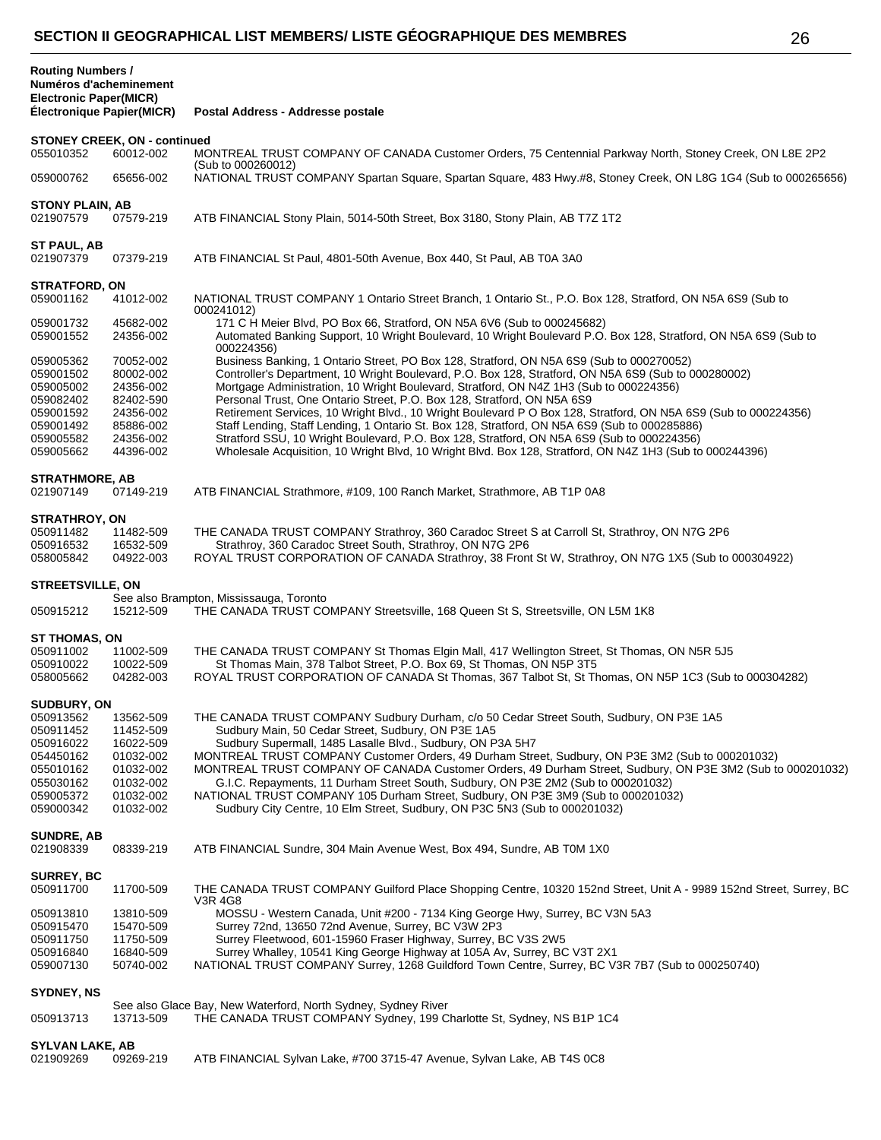| Numéros d'acheminement<br><b>Electronic Paper(MICR)</b><br><b>Électronique Papier(MICR)</b> |                                                  | Postal Address - Addresse postale                                                                                                                                                                                                                                                                       |  |  |
|---------------------------------------------------------------------------------------------|--------------------------------------------------|---------------------------------------------------------------------------------------------------------------------------------------------------------------------------------------------------------------------------------------------------------------------------------------------------------|--|--|
|                                                                                             |                                                  |                                                                                                                                                                                                                                                                                                         |  |  |
| 055010352                                                                                   | <b>STONEY CREEK, ON - continued</b><br>60012-002 | MONTREAL TRUST COMPANY OF CANADA Customer Orders, 75 Centennial Parkway North, Stoney Creek, ON L8E 2P2                                                                                                                                                                                                 |  |  |
| 059000762                                                                                   | 65656-002                                        | (Sub to 000260012)<br>NATIONAL TRUST COMPANY Spartan Square, Spartan Square, 483 Hwy.#8, Stoney Creek, ON L8G 1G4 (Sub to 000265656)                                                                                                                                                                    |  |  |
| <b>STONY PLAIN, AB</b><br>021907579                                                         | 07579-219                                        | ATB FINANCIAL Stony Plain, 5014-50th Street, Box 3180, Stony Plain, AB T7Z 1T2                                                                                                                                                                                                                          |  |  |
| ST PAUL, AB<br>021907379                                                                    | 07379-219                                        | ATB FINANCIAL St Paul, 4801-50th Avenue, Box 440, St Paul, AB T0A 3A0                                                                                                                                                                                                                                   |  |  |
|                                                                                             |                                                  |                                                                                                                                                                                                                                                                                                         |  |  |
| <b>STRATFORD, ON</b><br>059001162                                                           | 41012-002                                        | NATIONAL TRUST COMPANY 1 Ontario Street Branch, 1 Ontario St., P.O. Box 128, Stratford, ON N5A 6S9 (Sub to<br>000241012)                                                                                                                                                                                |  |  |
| 059001732<br>059001552                                                                      | 45682-002<br>24356-002                           | 171 C H Meier Blvd, PO Box 66, Stratford, ON N5A 6V6 (Sub to 000245682)<br>Automated Banking Support, 10 Wright Boulevard, 10 Wright Boulevard P.O. Box 128, Stratford, ON N5A 6S9 (Sub to<br>000224356)                                                                                                |  |  |
| 059005362<br>059001502<br>059005002                                                         | 70052-002<br>80002-002<br>24356-002              | Business Banking, 1 Ontario Street, PO Box 128, Stratford, ON N5A 6S9 (Sub to 000270052)<br>Controller's Department, 10 Wright Boulevard, P.O. Box 128, Stratford, ON N5A 6S9 (Sub to 000280002)<br>Mortgage Administration, 10 Wright Boulevard, Stratford, ON N4Z 1H3 (Sub to 000224356)              |  |  |
| 059082402<br>059001592                                                                      | 82402-590<br>24356-002                           | Personal Trust, One Ontario Street, P.O. Box 128, Stratford, ON N5A 6S9<br>Retirement Services, 10 Wright Blvd., 10 Wright Boulevard P O Box 128, Stratford, ON N5A 6S9 (Sub to 000224356)                                                                                                              |  |  |
| 059001492<br>059005582<br>059005662                                                         | 85886-002<br>24356-002<br>44396-002              | Staff Lending, Staff Lending, 1 Ontario St. Box 128, Stratford, ON N5A 6S9 (Sub to 000285886)<br>Stratford SSU, 10 Wright Boulevard, P.O. Box 128, Stratford, ON N5A 6S9 (Sub to 000224356)<br>Wholesale Acquisition, 10 Wright Blvd, 10 Wright Blvd. Box 128, Stratford, ON N4Z 1H3 (Sub to 000244396) |  |  |
|                                                                                             |                                                  |                                                                                                                                                                                                                                                                                                         |  |  |
| <b>STRATHMORE, AB</b><br>021907149                                                          | 07149-219                                        | ATB FINANCIAL Strathmore, #109, 100 Ranch Market, Strathmore, AB T1P 0A8                                                                                                                                                                                                                                |  |  |
| <b>STRATHROY, ON</b>                                                                        |                                                  |                                                                                                                                                                                                                                                                                                         |  |  |
| 050911482                                                                                   | 11482-509                                        | THE CANADA TRUST COMPANY Strathroy, 360 Caradoc Street S at Carroll St, Strathroy, ON N7G 2P6                                                                                                                                                                                                           |  |  |
| 050916532                                                                                   | 16532-509                                        | Strathroy, 360 Caradoc Street South, Strathroy, ON N7G 2P6                                                                                                                                                                                                                                              |  |  |
| 058005842                                                                                   | 04922-003                                        | ROYAL TRUST CORPORATION OF CANADA Strathroy, 38 Front St W, Strathroy, ON N7G 1X5 (Sub to 000304922)                                                                                                                                                                                                    |  |  |
| <b>STREETSVILLE, ON</b>                                                                     |                                                  |                                                                                                                                                                                                                                                                                                         |  |  |
| 050915212                                                                                   | 15212-509                                        | See also Brampton, Mississauga, Toronto<br>THE CANADA TRUST COMPANY Streetsville, 168 Queen St S, Streetsville, ON L5M 1K8                                                                                                                                                                              |  |  |
|                                                                                             |                                                  |                                                                                                                                                                                                                                                                                                         |  |  |
| ST THOMAS, ON                                                                               |                                                  |                                                                                                                                                                                                                                                                                                         |  |  |
| 050911002                                                                                   | 11002-509                                        | THE CANADA TRUST COMPANY St Thomas Elgin Mall, 417 Wellington Street, St Thomas, ON N5R 5J5                                                                                                                                                                                                             |  |  |
| 050910022                                                                                   | 10022-509                                        | St Thomas Main, 378 Talbot Street, P.O. Box 69, St Thomas, ON N5P 3T5                                                                                                                                                                                                                                   |  |  |
| 058005662                                                                                   | 04282-003                                        | ROYAL TRUST CORPORATION OF CANADA St Thomas, 367 Talbot St, St Thomas, ON N5P 1C3 (Sub to 000304282)                                                                                                                                                                                                    |  |  |
| SUDBURY, ON                                                                                 |                                                  |                                                                                                                                                                                                                                                                                                         |  |  |
| 050913562                                                                                   | 13562-509                                        | THE CANADA TRUST COMPANY Sudbury Durham, c/o 50 Cedar Street South, Sudbury, ON P3E 1A5                                                                                                                                                                                                                 |  |  |
| 050911452                                                                                   | 11452-509                                        | Sudbury Main, 50 Cedar Street, Sudbury, ON P3E 1A5                                                                                                                                                                                                                                                      |  |  |
| 050916022                                                                                   | 16022-509                                        | Sudbury Supermall, 1485 Lasalle Blvd., Sudbury, ON P3A 5H7                                                                                                                                                                                                                                              |  |  |
| 054450162                                                                                   | 01032-002                                        | MONTREAL TRUST COMPANY Customer Orders, 49 Durham Street, Sudbury, ON P3E 3M2 (Sub to 000201032)                                                                                                                                                                                                        |  |  |
| 055010162                                                                                   | 01032-002                                        | MONTREAL TRUST COMPANY OF CANADA Customer Orders, 49 Durham Street, Sudbury, ON P3E 3M2 (Sub to 000201032)                                                                                                                                                                                              |  |  |
| 055030162                                                                                   | 01032-002                                        | G.I.C. Repayments, 11 Durham Street South, Sudbury, ON P3E 2M2 (Sub to 000201032)                                                                                                                                                                                                                       |  |  |
| 059005372                                                                                   | 01032-002                                        | NATIONAL TRUST COMPANY 105 Durham Street, Sudbury, ON P3E 3M9 (Sub to 000201032)                                                                                                                                                                                                                        |  |  |
| 059000342                                                                                   | 01032-002                                        | Sudbury City Centre, 10 Elm Street, Sudbury, ON P3C 5N3 (Sub to 000201032)                                                                                                                                                                                                                              |  |  |
| <b>SUNDRE, AB</b>                                                                           |                                                  |                                                                                                                                                                                                                                                                                                         |  |  |
| 021908339                                                                                   | 08339-219                                        | ATB FINANCIAL Sundre, 304 Main Avenue West, Box 494, Sundre, AB T0M 1X0                                                                                                                                                                                                                                 |  |  |
| <b>SURREY, BC</b>                                                                           |                                                  |                                                                                                                                                                                                                                                                                                         |  |  |
| 050911700                                                                                   | 11700-509                                        | THE CANADA TRUST COMPANY Guilford Place Shopping Centre, 10320 152nd Street, Unit A - 9989 152nd Street, Surrey, BC                                                                                                                                                                                     |  |  |
|                                                                                             |                                                  | <b>V3R 4G8</b>                                                                                                                                                                                                                                                                                          |  |  |
| 050913810                                                                                   | 13810-509                                        | MOSSU - Western Canada, Unit #200 - 7134 King George Hwy, Surrey, BC V3N 5A3                                                                                                                                                                                                                            |  |  |
| 050915470                                                                                   | 15470-509                                        | Surrey 72nd, 13650 72nd Avenue, Surrey, BC V3W 2P3                                                                                                                                                                                                                                                      |  |  |
| 050911750                                                                                   | 11750-509                                        | Surrey Fleetwood, 601-15960 Fraser Highway, Surrey, BC V3S 2W5                                                                                                                                                                                                                                          |  |  |
| 050916840                                                                                   | 16840-509                                        | Surrey Whalley, 10541 King George Highway at 105A Av, Surrey, BC V3T 2X1                                                                                                                                                                                                                                |  |  |
| 059007130                                                                                   | 50740-002                                        | NATIONAL TRUST COMPANY Surrey, 1268 Guildford Town Centre, Surrey, BC V3R 7B7 (Sub to 000250740)                                                                                                                                                                                                        |  |  |
| <b>SYDNEY, NS</b>                                                                           |                                                  |                                                                                                                                                                                                                                                                                                         |  |  |
|                                                                                             |                                                  | See also Glace Bay, New Waterford, North Sydney, Sydney River                                                                                                                                                                                                                                           |  |  |
| 050913713                                                                                   | 13713-509                                        | THE CANADA TRUST COMPANY Sydney, 199 Charlotte St, Sydney, NS B1P 1C4                                                                                                                                                                                                                                   |  |  |
|                                                                                             |                                                  |                                                                                                                                                                                                                                                                                                         |  |  |

## **SYLVAN LAKE, AB**

**Routing Numbers /**

| ATB FINANCIAL Sylvan Lake, #700 3715-47 Avenue, Sylvan Lake, AB T4S 0C8<br>021909269<br>09269-219 |  |
|---------------------------------------------------------------------------------------------------|--|
|---------------------------------------------------------------------------------------------------|--|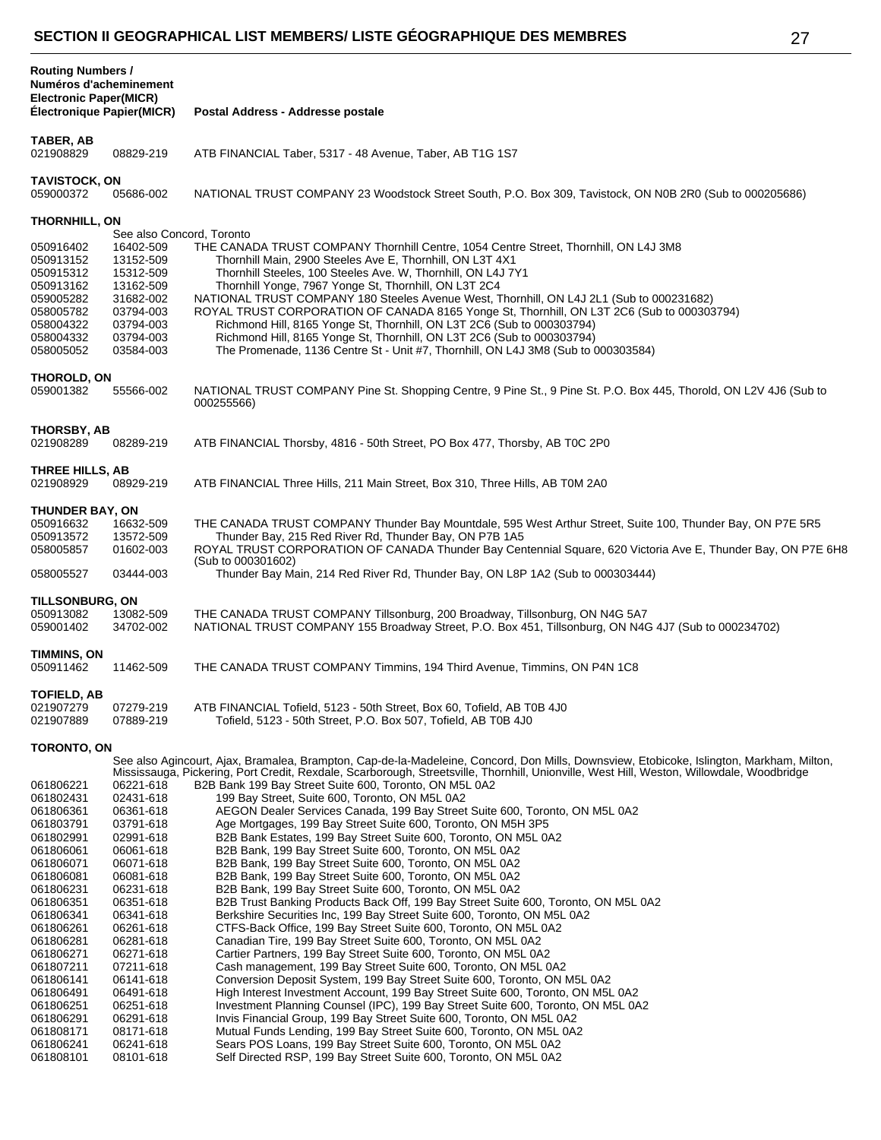| ٠<br>- |  |
|--------|--|
| . .    |  |

| <b>Routing Numbers /</b><br>Numéros d'acheminement<br><b>Electronic Paper(MICR)</b><br><b>Électronique Papier(MICR)</b>                                                                                                                |                                                                                                                                                                                                                                        | Postal Address - Addresse postale                                                                                                                                                                                                                                                                                                                                                                                                                                                                                                                                                                                                                                                                                                                                                                                                                                                                                                                                                                                                                                                                                                                                                                                                                                                                                                                                                                               |
|----------------------------------------------------------------------------------------------------------------------------------------------------------------------------------------------------------------------------------------|----------------------------------------------------------------------------------------------------------------------------------------------------------------------------------------------------------------------------------------|-----------------------------------------------------------------------------------------------------------------------------------------------------------------------------------------------------------------------------------------------------------------------------------------------------------------------------------------------------------------------------------------------------------------------------------------------------------------------------------------------------------------------------------------------------------------------------------------------------------------------------------------------------------------------------------------------------------------------------------------------------------------------------------------------------------------------------------------------------------------------------------------------------------------------------------------------------------------------------------------------------------------------------------------------------------------------------------------------------------------------------------------------------------------------------------------------------------------------------------------------------------------------------------------------------------------------------------------------------------------------------------------------------------------|
| TABER, AB                                                                                                                                                                                                                              |                                                                                                                                                                                                                                        |                                                                                                                                                                                                                                                                                                                                                                                                                                                                                                                                                                                                                                                                                                                                                                                                                                                                                                                                                                                                                                                                                                                                                                                                                                                                                                                                                                                                                 |
| 021908829                                                                                                                                                                                                                              | 08829-219                                                                                                                                                                                                                              | ATB FINANCIAL Taber, 5317 - 48 Avenue, Taber, AB T1G 1S7                                                                                                                                                                                                                                                                                                                                                                                                                                                                                                                                                                                                                                                                                                                                                                                                                                                                                                                                                                                                                                                                                                                                                                                                                                                                                                                                                        |
| <b>TAVISTOCK, ON</b><br>059000372                                                                                                                                                                                                      | 05686-002                                                                                                                                                                                                                              | NATIONAL TRUST COMPANY 23 Woodstock Street South, P.O. Box 309, Tavistock, ON N0B 2R0 (Sub to 000205686)                                                                                                                                                                                                                                                                                                                                                                                                                                                                                                                                                                                                                                                                                                                                                                                                                                                                                                                                                                                                                                                                                                                                                                                                                                                                                                        |
| THORNHILL, ON                                                                                                                                                                                                                          |                                                                                                                                                                                                                                        |                                                                                                                                                                                                                                                                                                                                                                                                                                                                                                                                                                                                                                                                                                                                                                                                                                                                                                                                                                                                                                                                                                                                                                                                                                                                                                                                                                                                                 |
| 050916402<br>050913152<br>050915312<br>050913162<br>059005282<br>058005782<br>058004322<br>058004332<br>058005052                                                                                                                      | See also Concord, Toronto<br>16402-509<br>13152-509<br>15312-509<br>13162-509<br>31682-002<br>03794-003<br>03794-003<br>03794-003<br>03584-003                                                                                         | THE CANADA TRUST COMPANY Thornhill Centre, 1054 Centre Street, Thornhill, ON L4J 3M8<br>Thornhill Main, 2900 Steeles Ave E, Thornhill, ON L3T 4X1<br>Thornhill Steeles, 100 Steeles Ave. W, Thornhill, ON L4J 7Y1<br>Thornhill Yonge, 7967 Yonge St, Thornhill, ON L3T 2C4<br>NATIONAL TRUST COMPANY 180 Steeles Avenue West, Thornhill, ON L4J 2L1 (Sub to 000231682)<br>ROYAL TRUST CORPORATION OF CANADA 8165 Yonge St, Thornhill, ON L3T 2C6 (Sub to 000303794)<br>Richmond Hill, 8165 Yonge St, Thornhill, ON L3T 2C6 (Sub to 000303794)<br>Richmond Hill, 8165 Yonge St, Thornhill, ON L3T 2C6 (Sub to 000303794)<br>The Promenade, 1136 Centre St - Unit #7, Thornhill, ON L4J 3M8 (Sub to 000303584)                                                                                                                                                                                                                                                                                                                                                                                                                                                                                                                                                                                                                                                                                                    |
| <b>THOROLD, ON</b><br>059001382                                                                                                                                                                                                        | 55566-002                                                                                                                                                                                                                              | NATIONAL TRUST COMPANY Pine St. Shopping Centre, 9 Pine St., 9 Pine St. P.O. Box 445, Thorold, ON L2V 4J6 (Sub to<br>000255566)                                                                                                                                                                                                                                                                                                                                                                                                                                                                                                                                                                                                                                                                                                                                                                                                                                                                                                                                                                                                                                                                                                                                                                                                                                                                                 |
| <b>THORSBY, AB</b><br>021908289                                                                                                                                                                                                        | 08289-219                                                                                                                                                                                                                              | ATB FINANCIAL Thorsby, 4816 - 50th Street, PO Box 477, Thorsby, AB T0C 2P0                                                                                                                                                                                                                                                                                                                                                                                                                                                                                                                                                                                                                                                                                                                                                                                                                                                                                                                                                                                                                                                                                                                                                                                                                                                                                                                                      |
| THREE HILLS, AB<br>021908929                                                                                                                                                                                                           | 08929-219                                                                                                                                                                                                                              | ATB FINANCIAL Three Hills, 211 Main Street, Box 310, Three Hills, AB T0M 2A0                                                                                                                                                                                                                                                                                                                                                                                                                                                                                                                                                                                                                                                                                                                                                                                                                                                                                                                                                                                                                                                                                                                                                                                                                                                                                                                                    |
| THUNDER BAY, ON<br>050916632<br>050913572<br>058005857                                                                                                                                                                                 | 16632-509<br>13572-509<br>01602-003                                                                                                                                                                                                    | THE CANADA TRUST COMPANY Thunder Bay Mountdale, 595 West Arthur Street, Suite 100, Thunder Bay, ON P7E 5R5<br>Thunder Bay, 215 Red River Rd, Thunder Bay, ON P7B 1A5<br>ROYAL TRUST CORPORATION OF CANADA Thunder Bay Centennial Square, 620 Victoria Ave E, Thunder Bay, ON P7E 6H8<br>(Sub to 000301602)                                                                                                                                                                                                                                                                                                                                                                                                                                                                                                                                                                                                                                                                                                                                                                                                                                                                                                                                                                                                                                                                                                      |
| 058005527                                                                                                                                                                                                                              | 03444-003                                                                                                                                                                                                                              | Thunder Bay Main, 214 Red River Rd, Thunder Bay, ON L8P 1A2 (Sub to 000303444)                                                                                                                                                                                                                                                                                                                                                                                                                                                                                                                                                                                                                                                                                                                                                                                                                                                                                                                                                                                                                                                                                                                                                                                                                                                                                                                                  |
| <b>TILLSONBURG, ON</b><br>050913082<br>059001402                                                                                                                                                                                       | 13082-509<br>34702-002                                                                                                                                                                                                                 | THE CANADA TRUST COMPANY Tillsonburg, 200 Broadway, Tillsonburg, ON N4G 5A7<br>NATIONAL TRUST COMPANY 155 Broadway Street, P.O. Box 451, Tillsonburg, ON N4G 4J7 (Sub to 000234702)                                                                                                                                                                                                                                                                                                                                                                                                                                                                                                                                                                                                                                                                                                                                                                                                                                                                                                                                                                                                                                                                                                                                                                                                                             |
| TIMMINS, ON<br>050911462                                                                                                                                                                                                               | 11462-509                                                                                                                                                                                                                              | THE CANADA TRUST COMPANY Timmins, 194 Third Avenue, Timmins, ON P4N 1C8                                                                                                                                                                                                                                                                                                                                                                                                                                                                                                                                                                                                                                                                                                                                                                                                                                                                                                                                                                                                                                                                                                                                                                                                                                                                                                                                         |
| TOFIELD, AB<br>021907279<br>021907889                                                                                                                                                                                                  | 07279-219<br>07889-219                                                                                                                                                                                                                 | ATB FINANCIAL Tofield, 5123 - 50th Street, Box 60, Tofield, AB T0B 4J0<br>Tofield, 5123 - 50th Street, P.O. Box 507, Tofield, AB T0B 4J0                                                                                                                                                                                                                                                                                                                                                                                                                                                                                                                                                                                                                                                                                                                                                                                                                                                                                                                                                                                                                                                                                                                                                                                                                                                                        |
| <b>TORONTO, ON</b>                                                                                                                                                                                                                     |                                                                                                                                                                                                                                        | See also Agincourt, Ajax, Bramalea, Brampton, Cap-de-la-Madeleine, Concord, Don Mills, Downsview, Etobicoke, Islington, Markham, Milton,                                                                                                                                                                                                                                                                                                                                                                                                                                                                                                                                                                                                                                                                                                                                                                                                                                                                                                                                                                                                                                                                                                                                                                                                                                                                        |
| 061806221<br>061802431<br>061806361<br>061803791<br>061802991<br>061806061<br>061806071<br>061806081<br>061806231<br>061806351<br>061806341<br>061806261<br>061806281<br>061806271<br>061807211<br>061806141<br>061806491<br>061806251 | 06221-618<br>02431-618<br>06361-618<br>03791-618<br>02991-618<br>06061-618<br>06071-618<br>06081-618<br>06231-618<br>06351-618<br>06341-618<br>06261-618<br>06281-618<br>06271-618<br>07211-618<br>06141-618<br>06491-618<br>06251-618 | Mississauga, Pickering, Port Credit, Rexdale, Scarborough, Streetsville, Thornhill, Unionville, West Hill, Weston, Willowdale, Woodbridge<br>B2B Bank 199 Bay Street Suite 600, Toronto, ON M5L 0A2<br>199 Bay Street, Suite 600, Toronto, ON M5L 0A2<br>AEGON Dealer Services Canada, 199 Bay Street Suite 600, Toronto, ON M5L 0A2<br>Age Mortgages, 199 Bay Street Suite 600, Toronto, ON M5H 3P5<br>B2B Bank Estates, 199 Bay Street Suite 600, Toronto, ON M5L 0A2<br>B2B Bank, 199 Bay Street Suite 600, Toronto, ON M5L 0A2<br>B2B Bank, 199 Bay Street Suite 600, Toronto, ON M5L 0A2<br>B2B Bank, 199 Bay Street Suite 600, Toronto, ON M5L 0A2<br>B2B Bank, 199 Bay Street Suite 600, Toronto, ON M5L 0A2<br>B2B Trust Banking Products Back Off, 199 Bay Street Suite 600, Toronto, ON M5L 0A2<br>Berkshire Securities Inc, 199 Bay Street Suite 600, Toronto, ON M5L 0A2<br>CTFS-Back Office, 199 Bay Street Suite 600, Toronto, ON M5L 0A2<br>Canadian Tire, 199 Bay Street Suite 600, Toronto, ON M5L 0A2<br>Cartier Partners, 199 Bay Street Suite 600, Toronto, ON M5L 0A2<br>Cash management, 199 Bay Street Suite 600, Toronto, ON M5L 0A2<br>Conversion Deposit System, 199 Bay Street Suite 600, Toronto, ON M5L 0A2<br>High Interest Investment Account, 199 Bay Street Suite 600, Toronto, ON M5L 0A2<br>Investment Planning Counsel (IPC), 199 Bay Street Suite 600, Toronto, ON M5L 0A2 |
| 061806291<br>061808171<br>061806241<br>061808101                                                                                                                                                                                       | 06291-618<br>08171-618<br>06241-618<br>08101-618                                                                                                                                                                                       | Invis Financial Group, 199 Bay Street Suite 600, Toronto, ON M5L 0A2<br>Mutual Funds Lending, 199 Bay Street Suite 600, Toronto, ON M5L 0A2<br>Sears POS Loans, 199 Bay Street Suite 600, Toronto, ON M5L 0A2<br>Self Directed RSP, 199 Bay Street Suite 600, Toronto, ON M5L 0A2                                                                                                                                                                                                                                                                                                                                                                                                                                                                                                                                                                                                                                                                                                                                                                                                                                                                                                                                                                                                                                                                                                                               |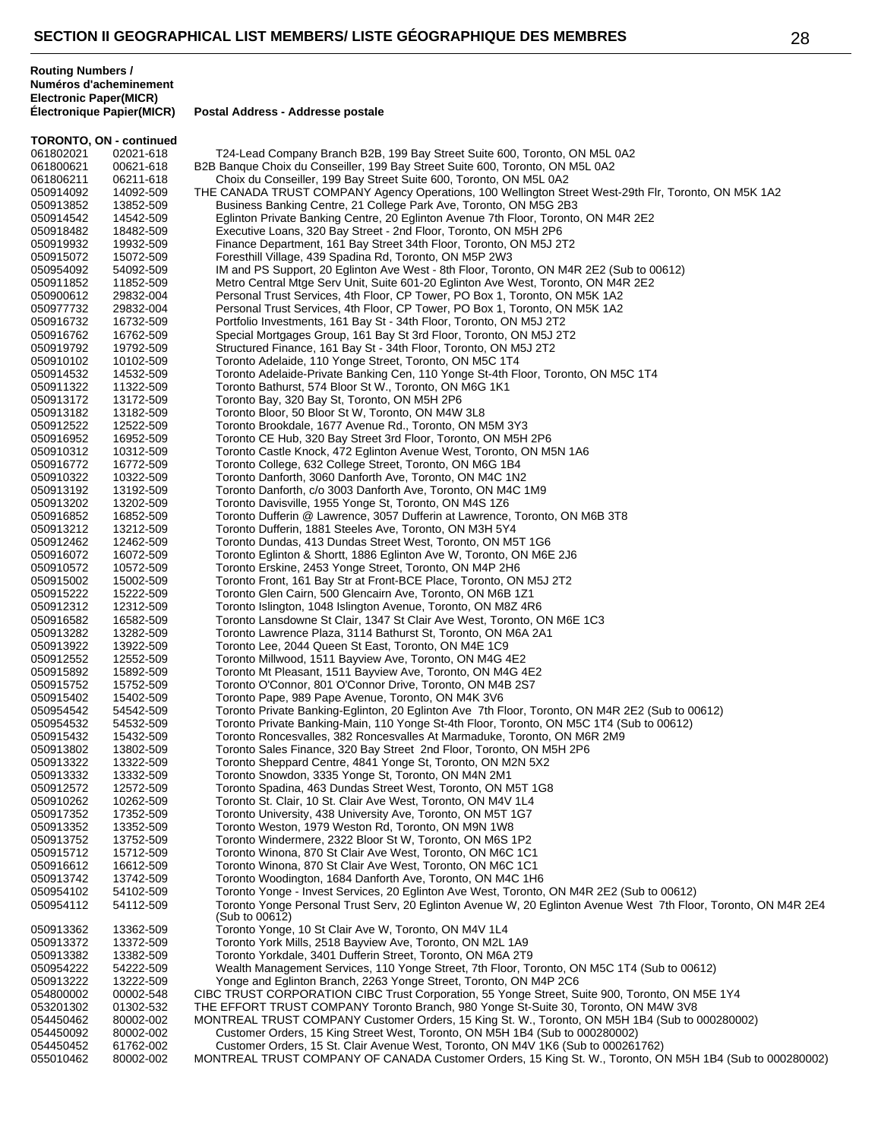|                        | <b>TORONTO, ON - continued</b> |                                                                                                                                                                      |
|------------------------|--------------------------------|----------------------------------------------------------------------------------------------------------------------------------------------------------------------|
| 061802021              | 02021-618                      | T24-Lead Company Branch B2B, 199 Bay Street Suite 600, Toronto, ON M5L 0A2                                                                                           |
| 061800621              | 00621-618                      | B2B Banque Choix du Conseiller, 199 Bay Street Suite 600, Toronto, ON M5L 0A2                                                                                        |
| 061806211              | 06211-618                      | Choix du Conseiller, 199 Bay Street Suite 600, Toronto, ON M5L 0A2                                                                                                   |
| 050914092              | 14092-509                      | THE CANADA TRUST COMPANY Agency Operations, 100 Wellington Street West-29th Flr, Toronto, ON M5K 1A2                                                                 |
| 050913852              | 13852-509                      | Business Banking Centre, 21 College Park Ave, Toronto, ON M5G 2B3                                                                                                    |
| 050914542              | 14542-509                      | Eglinton Private Banking Centre, 20 Eglinton Avenue 7th Floor, Toronto, ON M4R 2E2                                                                                   |
| 050918482              | 18482-509                      | Executive Loans, 320 Bay Street - 2nd Floor, Toronto, ON M5H 2P6                                                                                                     |
| 050919932              | 19932-509                      | Finance Department, 161 Bay Street 34th Floor, Toronto, ON M5J 2T2                                                                                                   |
| 050915072              | 15072-509                      | Foresthill Village, 439 Spadina Rd, Toronto, ON M5P 2W3                                                                                                              |
| 050954092              | 54092-509                      | IM and PS Support, 20 Eglinton Ave West - 8th Floor, Toronto, ON M4R 2E2 (Sub to 00612)                                                                              |
| 050911852              | 11852-509                      | Metro Central Mtge Serv Unit, Suite 601-20 Eglinton Ave West, Toronto, ON M4R 2E2                                                                                    |
| 050900612              | 29832-004                      | Personal Trust Services, 4th Floor, CP Tower, PO Box 1, Toronto, ON M5K 1A2                                                                                          |
| 050977732              | 29832-004                      | Personal Trust Services, 4th Floor, CP Tower, PO Box 1, Toronto, ON M5K 1A2                                                                                          |
| 050916732              | 16732-509                      | Portfolio Investments, 161 Bay St - 34th Floor, Toronto, ON M5J 2T2                                                                                                  |
| 050916762              | 16762-509                      | Special Mortgages Group, 161 Bay St 3rd Floor, Toronto, ON M5J 2T2                                                                                                   |
| 050919792              | 19792-509                      | Structured Finance, 161 Bay St - 34th Floor, Toronto, ON M5J 2T2                                                                                                     |
| 050910102              | 10102-509                      | Toronto Adelaide, 110 Yonge Street, Toronto, ON M5C 1T4                                                                                                              |
| 050914532              | 14532-509                      | Toronto Adelaide-Private Banking Cen, 110 Yonge St-4th Floor, Toronto, ON M5C 1T4                                                                                    |
| 050911322              | 11322-509                      | Toronto Bathurst, 574 Bloor St W., Toronto, ON M6G 1K1                                                                                                               |
| 050913172              | 13172-509                      | Toronto Bay, 320 Bay St, Toronto, ON M5H 2P6                                                                                                                         |
| 050913182              | 13182-509                      | Toronto Bloor, 50 Bloor St W, Toronto, ON M4W 3L8                                                                                                                    |
| 050912522              | 12522-509                      | Toronto Brookdale, 1677 Avenue Rd., Toronto, ON M5M 3Y3                                                                                                              |
| 050916952              | 16952-509                      | Toronto CE Hub, 320 Bay Street 3rd Floor, Toronto, ON M5H 2P6                                                                                                        |
| 050910312              | 10312-509                      | Toronto Castle Knock, 472 Eglinton Avenue West, Toronto, ON M5N 1A6                                                                                                  |
| 050916772              | 16772-509                      | Toronto College, 632 College Street, Toronto, ON M6G 1B4                                                                                                             |
| 050910322              | 10322-509                      | Toronto Danforth, 3060 Danforth Ave, Toronto, ON M4C 1N2                                                                                                             |
| 050913192              | 13192-509                      | Toronto Danforth, c/o 3003 Danforth Ave, Toronto, ON M4C 1M9                                                                                                         |
| 050913202              | 13202-509                      | Toronto Davisville, 1955 Yonge St, Toronto, ON M4S 1Z6                                                                                                               |
| 050916852              | 16852-509                      | Toronto Dufferin @ Lawrence, 3057 Dufferin at Lawrence, Toronto, ON M6B 3T8                                                                                          |
| 050913212              | 13212-509                      | Toronto Dufferin, 1881 Steeles Ave, Toronto, ON M3H 5Y4                                                                                                              |
| 050912462              | 12462-509                      | Toronto Dundas, 413 Dundas Street West, Toronto, ON M5T 1G6                                                                                                          |
| 050916072              | 16072-509                      | Toronto Eglinton & Shortt, 1886 Eglinton Ave W, Toronto, ON M6E 2J6                                                                                                  |
| 050910572              | 10572-509                      | Toronto Erskine, 2453 Yonge Street, Toronto, ON M4P 2H6                                                                                                              |
| 050915002              | 15002-509                      | Toronto Front, 161 Bay Str at Front-BCE Place, Toronto, ON M5J 2T2                                                                                                   |
| 050915222              | 15222-509                      | Toronto Glen Cairn, 500 Glencairn Ave, Toronto, ON M6B 1Z1                                                                                                           |
| 050912312              | 12312-509                      | Toronto Islington, 1048 Islington Avenue, Toronto, ON M8Z 4R6                                                                                                        |
| 050916582              | 16582-509                      | Toronto Lansdowne St Clair, 1347 St Clair Ave West, Toronto, ON M6E 1C3                                                                                              |
| 050913282              | 13282-509                      | Toronto Lawrence Plaza, 3114 Bathurst St, Toronto, ON M6A 2A1                                                                                                        |
| 050913922              | 13922-509                      | Toronto Lee, 2044 Queen St East, Toronto, ON M4E 1C9                                                                                                                 |
| 050912552              | 12552-509                      | Toronto Millwood, 1511 Bayview Ave, Toronto, ON M4G 4E2                                                                                                              |
| 050915892              | 15892-509                      | Toronto Mt Pleasant, 1511 Bayview Ave, Toronto, ON M4G 4E2                                                                                                           |
| 050915752              | 15752-509                      | Toronto O'Connor, 801 O'Connor Drive, Toronto, ON M4B 2S7                                                                                                            |
| 050915402              | 15402-509                      | Toronto Pape, 989 Pape Avenue, Toronto, ON M4K 3V6                                                                                                                   |
| 050954542              | 54542-509                      | Toronto Private Banking-Eglinton, 20 Eglinton Ave 7th Floor, Toronto, ON M4R 2E2 (Sub to 00612)                                                                      |
|                        |                                |                                                                                                                                                                      |
| 050954532              | 54532-509                      | Toronto Private Banking-Main, 110 Yonge St-4th Floor, Toronto, ON M5C 1T4 (Sub to 00612)<br>Toronto Roncesvalles, 382 Roncesvalles At Marmaduke, Toronto, ON M6R 2M9 |
| 050915432<br>050913802 | 15432-509                      |                                                                                                                                                                      |
|                        | 13802-509<br>13322-509         | Toronto Sales Finance, 320 Bay Street 2nd Floor, Toronto, ON M5H 2P6                                                                                                 |
| 050913322              |                                | Toronto Sheppard Centre, 4841 Yonge St, Toronto, ON M2N 5X2                                                                                                          |
| 050913332              | 13332-509                      | Toronto Snowdon, 3335 Yonge St, Toronto, ON M4N 2M1                                                                                                                  |
| 050912572              | 12572-509                      | Toronto Spadina, 463 Dundas Street West, Toronto, ON M5T 1G8                                                                                                         |
| 050910262              | 10262-509                      | Toronto St. Clair, 10 St. Clair Ave West, Toronto, ON M4V 1L4                                                                                                        |
| 050917352              | 17352-509                      | Toronto University, 438 University Ave, Toronto, ON M5T 1G7                                                                                                          |
| 050913352              | 13352-509                      | Toronto Weston, 1979 Weston Rd, Toronto, ON M9N 1W8                                                                                                                  |
| 050913752              | 13752-509                      | Toronto Windermere, 2322 Bloor St W, Toronto, ON M6S 1P2                                                                                                             |
| 050915712              | 15712-509                      | Toronto Winona, 870 St Clair Ave West, Toronto, ON M6C 1C1                                                                                                           |
| 050916612              | 16612-509                      | Toronto Winona, 870 St Clair Ave West, Toronto, ON M6C 1C1                                                                                                           |
| 050913742              | 13742-509                      | Toronto Woodington, 1684 Danforth Ave, Toronto, ON M4C 1H6                                                                                                           |
| 050954102              | 54102-509                      | Toronto Yonge - Invest Services, 20 Eglinton Ave West, Toronto, ON M4R 2E2 (Sub to 00612)                                                                            |
| 050954112              | 54112-509                      | Toronto Yonge Personal Trust Serv, 20 Eglinton Avenue W, 20 Eglinton Avenue West 7th Floor, Toronto, ON M4R 2E4                                                      |
|                        |                                | (Sub to 00612)                                                                                                                                                       |
| 050913362<br>050913372 | 13362-509                      | Toronto Yonge, 10 St Clair Ave W, Toronto, ON M4V 1L4<br>Toronto York Mills, 2518 Bayview Ave, Toronto, ON M2L 1A9                                                   |
|                        | 13372-509                      |                                                                                                                                                                      |
| 050913382              | 13382-509                      | Toronto Yorkdale, 3401 Dufferin Street, Toronto, ON M6A 2T9                                                                                                          |
| 050954222              | 54222-509                      | Wealth Management Services, 110 Yonge Street, 7th Floor, Toronto, ON M5C 1T4 (Sub to 00612)                                                                          |
| 050913222              | 13222-509                      | Yonge and Eglinton Branch, 2263 Yonge Street, Toronto, ON M4P 2C6                                                                                                    |
| 054800002              | 00002-548                      | CIBC TRUST CORPORATION CIBC Trust Corporation, 55 Yonge Street, Suite 900, Toronto, ON M5E 1Y4                                                                       |
| 053201302              | 01302-532                      | THE EFFORT TRUST COMPANY Toronto Branch, 980 Yonge St-Suite 30, Toronto, ON M4W 3V8                                                                                  |
| 054450462              | 80002-002                      | MONTREAL TRUST COMPANY Customer Orders, 15 King St. W., Toronto, ON M5H 1B4 (Sub to 000280002)                                                                       |
| 054450092              | 80002-002                      | Customer Orders, 15 King Street West, Toronto, ON M5H 1B4 (Sub to 000280002)                                                                                         |
| 054450452              | 61762-002                      | Customer Orders, 15 St. Clair Avenue West, Toronto, ON M4V 1K6 (Sub to 000261762)                                                                                    |
| 055010462              | 80002-002                      | MONTREAL TRUST COMPANY OF CANADA Customer Orders, 15 King St. W., Toronto, ON M5H 1B4 (Sub to 000280002)                                                             |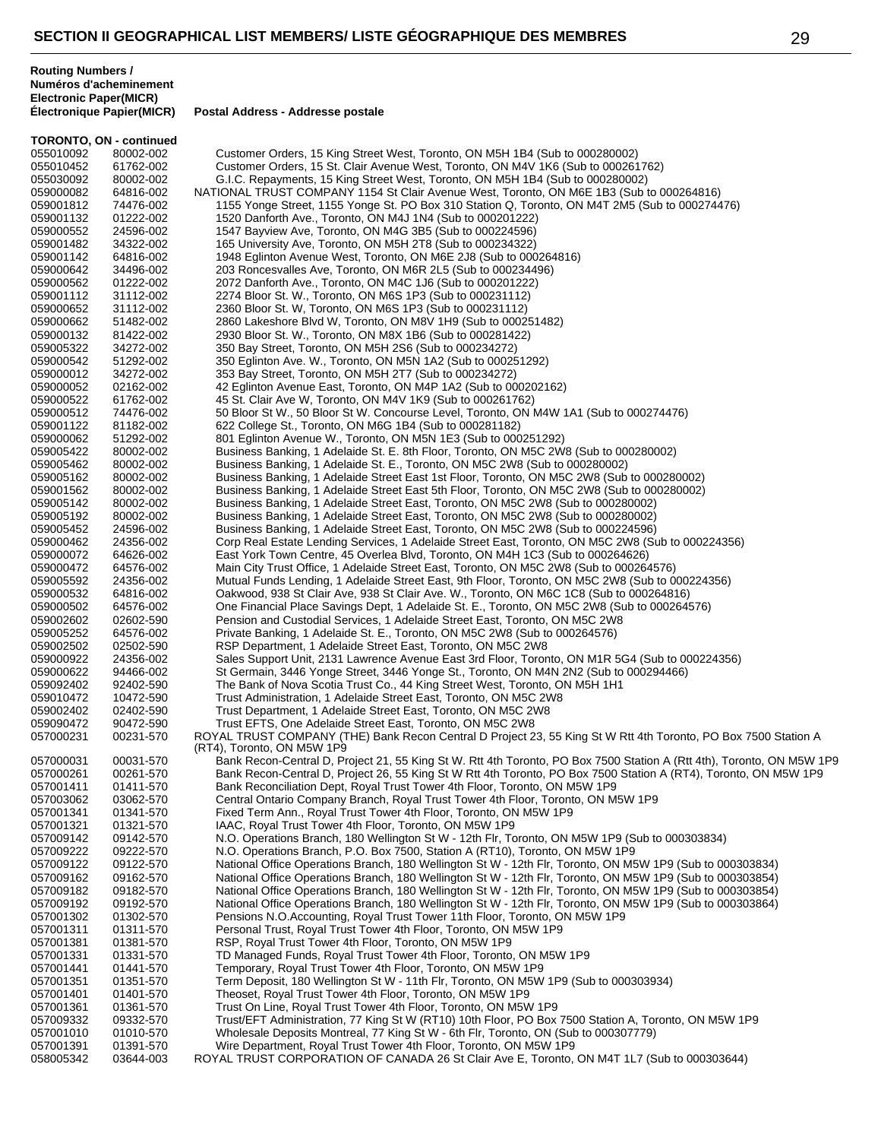**Électronique Papier(MICR) Postal Address - Addresse postale**

|                        | <b>TORONTO, ON - continued</b> |                                                                                                                                                                             |
|------------------------|--------------------------------|-----------------------------------------------------------------------------------------------------------------------------------------------------------------------------|
| 055010092              | 80002-002                      | Customer Orders, 15 King Street West, Toronto, ON M5H 1B4 (Sub to 000280002)                                                                                                |
| 055010452              | 61762-002                      | Customer Orders, 15 St. Clair Avenue West, Toronto, ON M4V 1K6 (Sub to 000261762)                                                                                           |
| 055030092              | 80002-002                      | G.I.C. Repayments, 15 King Street West, Toronto, ON M5H 1B4 (Sub to 000280002)                                                                                              |
| 059000082              | 64816-002                      | NATIONAL TRUST COMPANY 1154 St Clair Avenue West, Toronto, ON M6E 1B3 (Sub to 000264816)                                                                                    |
| 059001812              | 74476-002                      | 1155 Yonge Street, 1155 Yonge St. PO Box 310 Station Q, Toronto, ON M4T 2M5 (Sub to 000274476)                                                                              |
| 059001132              | 01222-002                      | 1520 Danforth Ave., Toronto, ON M4J 1N4 (Sub to 000201222)                                                                                                                  |
| 059000552              | 24596-002                      | 1547 Bayview Ave, Toronto, ON M4G 3B5 (Sub to 000224596)                                                                                                                    |
| 059001482              | 34322-002                      | 165 University Ave, Toronto, ON M5H 2T8 (Sub to 000234322)                                                                                                                  |
| 059001142              | 64816-002                      | 1948 Eglinton Avenue West, Toronto, ON M6E 2J8 (Sub to 000264816)                                                                                                           |
| 059000642              | 34496-002                      | 203 Roncesvalles Ave, Toronto, ON M6R 2L5 (Sub to 000234496)                                                                                                                |
| 059000562              | 01222-002                      | 2072 Danforth Ave., Toronto, ON M4C 1J6 (Sub to 000201222)                                                                                                                  |
| 059001112              | 31112-002                      | 2274 Bloor St. W., Toronto, ON M6S 1P3 (Sub to 000231112)                                                                                                                   |
| 059000652              | 31112-002                      | 2360 Bloor St. W, Toronto, ON M6S 1P3 (Sub to 000231112)                                                                                                                    |
| 059000662              | 51482-002                      | 2860 Lakeshore Blvd W, Toronto, ON M8V 1H9 (Sub to 000251482)                                                                                                               |
| 059000132              | 81422-002                      | 2930 Bloor St. W., Toronto, ON M8X 1B6 (Sub to 000281422)                                                                                                                   |
| 059005322              | 34272-002                      | 350 Bay Street, Toronto, ON M5H 2S6 (Sub to 000234272)                                                                                                                      |
| 059000542              | 51292-002                      | 350 Eglinton Ave. W., Toronto, ON M5N 1A2 (Sub to 000251292)                                                                                                                |
| 059000012              | 34272-002                      | 353 Bay Street, Toronto, ON M5H 2T7 (Sub to 000234272)                                                                                                                      |
| 059000052              | 02162-002                      | 42 Eglinton Avenue East, Toronto, ON M4P 1A2 (Sub to 000202162)                                                                                                             |
| 059000522              | 61762-002                      | 45 St. Clair Ave W, Toronto, ON M4V 1K9 (Sub to 000261762)                                                                                                                  |
| 059000512              | 74476-002                      | 50 Bloor St W., 50 Bloor St W. Concourse Level, Toronto, ON M4W 1A1 (Sub to 000274476)                                                                                      |
| 059001122              | 81182-002                      | 622 College St., Toronto, ON M6G 1B4 (Sub to 000281182)                                                                                                                     |
| 059000062              | 51292-002                      | 801 Eglinton Avenue W., Toronto, ON M5N 1E3 (Sub to 000251292)                                                                                                              |
| 059005422              | 80002-002                      | Business Banking, 1 Adelaide St. E. 8th Floor, Toronto, ON M5C 2W8 (Sub to 000280002)                                                                                       |
| 059005462              | 80002-002                      | Business Banking, 1 Adelaide St. E., Toronto, ON M5C 2W8 (Sub to 000280002)                                                                                                 |
| 059005162              | 80002-002                      | Business Banking, 1 Adelaide Street East 1st Floor, Toronto, ON M5C 2W8 (Sub to 000280002)                                                                                  |
| 059001562              | 80002-002                      | Business Banking, 1 Adelaide Street East 5th Floor, Toronto, ON M5C 2W8 (Sub to 000280002)                                                                                  |
| 059005142              | 80002-002                      | Business Banking, 1 Adelaide Street East, Toronto, ON M5C 2W8 (Sub to 000280002)                                                                                            |
| 059005192              | 80002-002                      | Business Banking, 1 Adelaide Street East, Toronto, ON M5C 2W8 (Sub to 000280002)                                                                                            |
| 059005452              | 24596-002                      | Business Banking, 1 Adelaide Street East, Toronto, ON M5C 2W8 (Sub to 000224596)                                                                                            |
| 059000462              | 24356-002                      | Corp Real Estate Lending Services, 1 Adelaide Street East, Toronto, ON M5C 2W8 (Sub to 000224356)                                                                           |
| 059000072              | 64626-002                      | East York Town Centre, 45 Overlea Blvd, Toronto, ON M4H 1C3 (Sub to 000264626)                                                                                              |
| 059000472              | 64576-002                      | Main City Trust Office, 1 Adelaide Street East, Toronto, ON M5C 2W8 (Sub to 000264576)                                                                                      |
| 059005592              | 24356-002                      | Mutual Funds Lending, 1 Adelaide Street East, 9th Floor, Toronto, ON M5C 2W8 (Sub to 000224356)                                                                             |
| 059000532              | 64816-002                      | Oakwood, 938 St Clair Ave, 938 St Clair Ave. W., Toronto, ON M6C 1C8 (Sub to 000264816)                                                                                     |
| 059000502              | 64576-002                      | One Financial Place Savings Dept, 1 Adelaide St. E., Toronto, ON M5C 2W8 (Sub to 000264576)                                                                                 |
| 059002602              | 02602-590                      | Pension and Custodial Services, 1 Adelaide Street East, Toronto, ON M5C 2W8                                                                                                 |
| 059005252              | 64576-002                      | Private Banking, 1 Adelaide St. E., Toronto, ON M5C 2W8 (Sub to 000264576)                                                                                                  |
| 059002502              | 02502-590                      | RSP Department, 1 Adelaide Street East, Toronto, ON M5C 2W8                                                                                                                 |
| 059000922              | 24356-002                      | Sales Support Unit, 2131 Lawrence Avenue East 3rd Floor, Toronto, ON M1R 5G4 (Sub to 000224356)                                                                             |
| 059000622              | 94466-002                      | St Germain, 3446 Yonge Street, 3446 Yonge St., Toronto, ON M4N 2N2 (Sub to 000294466)                                                                                       |
| 059092402              | 92402-590                      | The Bank of Nova Scotia Trust Co., 44 King Street West, Toronto, ON M5H 1H1                                                                                                 |
| 059010472              | 10472-590                      | Trust Administration, 1 Adelaide Street East, Toronto, ON M5C 2W8                                                                                                           |
| 059002402              | 02402-590                      | Trust Department, 1 Adelaide Street East, Toronto, ON M5C 2W8                                                                                                               |
| 059090472              |                                |                                                                                                                                                                             |
|                        | 90472-590<br>00231-570         | Trust EFTS, One Adelaide Street East, Toronto, ON M5C 2W8<br>ROYAL TRUST COMPANY (THE) Bank Recon Central D Project 23, 55 King St W Rtt 4th Toronto, PO Box 7500 Station A |
| 057000231              |                                | (RT4), Toronto, ON M5W 1P9                                                                                                                                                  |
| 057000031              | 00031-570                      | Bank Recon-Central D, Project 21, 55 King St W. Rtt 4th Toronto, PO Box 7500 Station A (Rtt 4th), Toronto, ON M5W 1P9                                                       |
| 057000261              | 00261-570                      | Bank Recon-Central D, Project 26, 55 King St W Rtt 4th Toronto, PO Box 7500 Station A (RT4), Toronto, ON M5W 1P9                                                            |
| 057001411              | 01411-570                      | Bank Reconciliation Dept, Royal Trust Tower 4th Floor, Toronto, ON M5W 1P9                                                                                                  |
| 057003062              | 03062-570                      | Central Ontario Company Branch, Royal Trust Tower 4th Floor, Toronto, ON M5W 1P9                                                                                            |
| 057001341              | 01341-570                      | Fixed Term Ann., Royal Trust Tower 4th Floor, Toronto, ON M5W 1P9                                                                                                           |
| 057001321              | 01321-570                      | IAAC, Royal Trust Tower 4th Floor, Toronto, ON M5W 1P9                                                                                                                      |
| 057009142              | 09142-570                      | N.O. Operations Branch, 180 Wellington St W - 12th Flr, Toronto, ON M5W 1P9 (Sub to 000303834)                                                                              |
|                        | 09222-570                      | N.O. Operations Branch, P.O. Box 7500, Station A (RT10), Toronto, ON M5W 1P9                                                                                                |
| 057009222<br>057009122 | 09122-570                      | National Office Operations Branch, 180 Wellington St W - 12th Flr, Toronto, ON M5W 1P9 (Sub to 000303834)                                                                   |
|                        |                                |                                                                                                                                                                             |
| 057009162              | 09162-570                      | National Office Operations Branch, 180 Wellington St W - 12th Flr, Toronto, ON M5W 1P9 (Sub to 000303854)                                                                   |
| 057009182              | 09182-570                      | National Office Operations Branch, 180 Wellington St W - 12th Flr, Toronto, ON M5W 1P9 (Sub to 000303854)                                                                   |
| 057009192              | 09192-570                      | National Office Operations Branch, 180 Wellington St W - 12th Flr, Toronto, ON M5W 1P9 (Sub to 000303864)                                                                   |
| 057001302              | 01302-570                      | Pensions N.O.Accounting, Royal Trust Tower 11th Floor, Toronto, ON M5W 1P9                                                                                                  |
| 057001311              | 01311-570                      | Personal Trust, Royal Trust Tower 4th Floor, Toronto, ON M5W 1P9                                                                                                            |
| 057001381              | 01381-570                      | RSP, Royal Trust Tower 4th Floor, Toronto, ON M5W 1P9                                                                                                                       |
| 057001331              | 01331-570                      | TD Managed Funds, Royal Trust Tower 4th Floor, Toronto, ON M5W 1P9                                                                                                          |
| 057001441              | 01441-570                      | Temporary, Royal Trust Tower 4th Floor, Toronto, ON M5W 1P9                                                                                                                 |
| 057001351              | 01351-570                      | Term Deposit, 180 Wellington St W - 11th Flr, Toronto, ON M5W 1P9 (Sub to 000303934)                                                                                        |
| 057001401              | 01401-570                      | Theoset, Royal Trust Tower 4th Floor, Toronto, ON M5W 1P9                                                                                                                   |
| 057001361              | 01361-570                      | Trust On Line, Royal Trust Tower 4th Floor, Toronto, ON M5W 1P9                                                                                                             |
| 057009332              | 09332-570                      | Trust/EFT Administration, 77 King St W (RT10) 10th Floor, PO Box 7500 Station A, Toronto, ON M5W 1P9                                                                        |
| 057001010              | 01010-570                      | Wholesale Deposits Montreal, 77 King St W - 6th Flr, Toronto, ON (Sub to 000307779)                                                                                         |
| 057001391              | 01391-570                      | Wire Department, Royal Trust Tower 4th Floor, Toronto, ON M5W 1P9                                                                                                           |
| 058005342              | 03644-003                      | ROYAL TRUST CORPORATION OF CANADA 26 St Clair Ave E, Toronto, ON M4T 1L7 (Sub to 000303644)                                                                                 |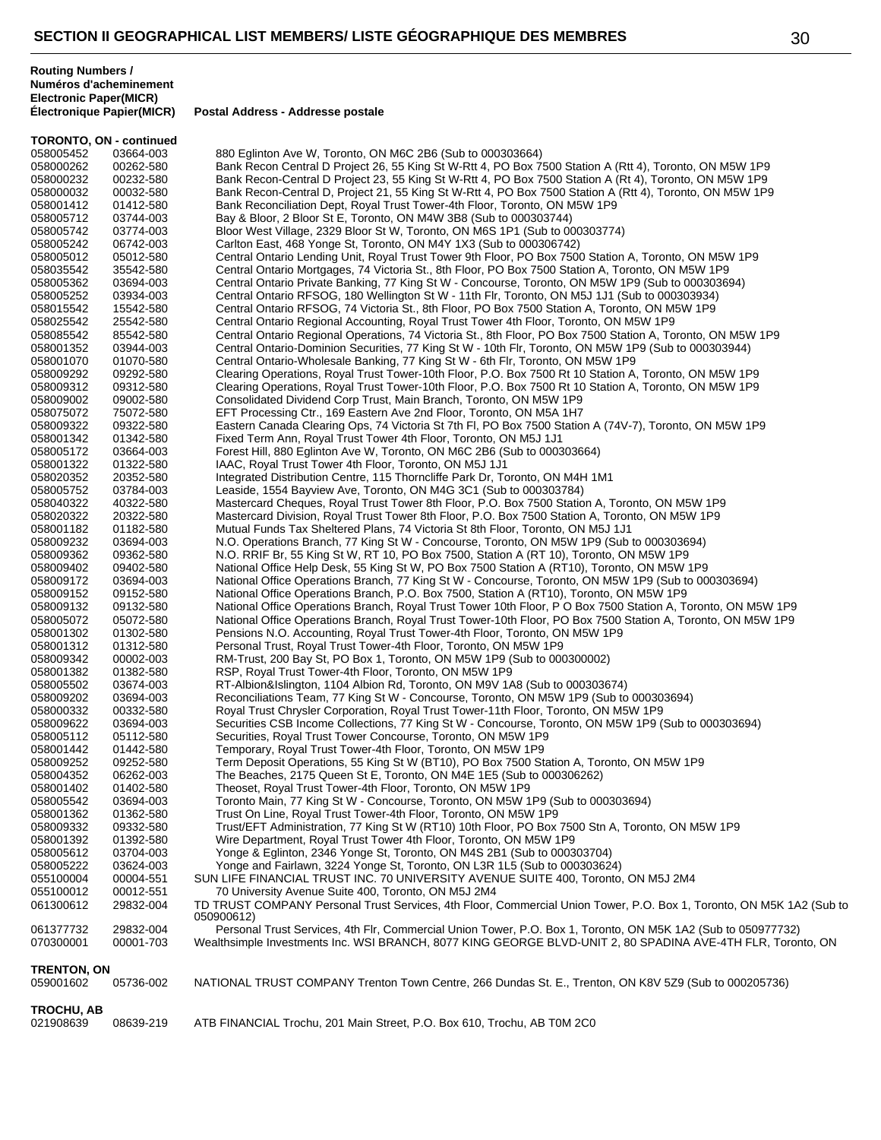| <b>TORONTO, ON - continued</b>  |                        |                                                                                                                                                                                                                             |
|---------------------------------|------------------------|-----------------------------------------------------------------------------------------------------------------------------------------------------------------------------------------------------------------------------|
| 058005452                       | 03664-003              | 880 Eglinton Ave W, Toronto, ON M6C 2B6 (Sub to 000303664)                                                                                                                                                                  |
| 058000262                       | 00262-580              | Bank Recon Central D Project 26, 55 King St W-Rtt 4, PO Box 7500 Station A (Rtt 4), Toronto, ON M5W 1P9                                                                                                                     |
| 058000232                       | 00232-580              | Bank Recon-Central D Project 23, 55 King St W-Rtt 4, PO Box 7500 Station A (Rt 4), Toronto, ON M5W 1P9                                                                                                                      |
| 058000032                       | 00032-580              | Bank Recon-Central D, Project 21, 55 King St W-Rtt 4, PO Box 7500 Station A (Rtt 4), Toronto, ON M5W 1P9                                                                                                                    |
| 058001412<br>058005712          | 01412-580<br>03744-003 | Bank Reconciliation Dept, Royal Trust Tower-4th Floor, Toronto, ON M5W 1P9<br>Bay & Bloor, 2 Bloor St E, Toronto, ON M4W 3B8 (Sub to 000303744)                                                                             |
| 058005742                       | 03774-003              | Bloor West Village, 2329 Bloor St W, Toronto, ON M6S 1P1 (Sub to 000303774)                                                                                                                                                 |
| 058005242                       | 06742-003              | Carlton East, 468 Yonge St, Toronto, ON M4Y 1X3 (Sub to 000306742)                                                                                                                                                          |
| 058005012                       | 05012-580              | Central Ontario Lending Unit, Royal Trust Tower 9th Floor, PO Box 7500 Station A, Toronto, ON M5W 1P9                                                                                                                       |
| 058035542                       | 35542-580              | Central Ontario Mortgages, 74 Victoria St., 8th Floor, PO Box 7500 Station A, Toronto, ON M5W 1P9                                                                                                                           |
| 058005362                       | 03694-003              | Central Ontario Private Banking, 77 King St W - Concourse, Toronto, ON M5W 1P9 (Sub to 000303694)                                                                                                                           |
| 058005252                       | 03934-003              | Central Ontario RFSOG, 180 Wellington St W - 11th Flr, Toronto, ON M5J 1J1 (Sub to 000303934)                                                                                                                               |
| 058015542                       | 15542-580              | Central Ontario RFSOG, 74 Victoria St., 8th Floor, PO Box 7500 Station A, Toronto, ON M5W 1P9                                                                                                                               |
| 058025542                       | 25542-580              | Central Ontario Regional Accounting, Royal Trust Tower 4th Floor, Toronto, ON M5W 1P9                                                                                                                                       |
| 058085542                       | 85542-580              | Central Ontario Regional Operations, 74 Victoria St., 8th Floor, PO Box 7500 Station A, Toronto, ON M5W 1P9                                                                                                                 |
| 058001352                       | 03944-003              | Central Ontario-Dominion Securities, 77 King St W - 10th Flr, Toronto, ON M5W 1P9 (Sub to 000303944)                                                                                                                        |
| 058001070<br>058009292          | 01070-580              | Central Ontario-Wholesale Banking, 77 King St W - 6th Flr, Toronto, ON M5W 1P9<br>Clearing Operations, Royal Trust Tower-10th Floor, P.O. Box 7500 Rt 10 Station A, Toronto, ON M5W 1P9                                     |
| 058009312                       | 09292-580<br>09312-580 | Clearing Operations, Royal Trust Tower-10th Floor, P.O. Box 7500 Rt 10 Station A, Toronto, ON M5W 1P9                                                                                                                       |
| 058009002                       | 09002-580              | Consolidated Dividend Corp Trust, Main Branch, Toronto, ON M5W 1P9                                                                                                                                                          |
| 058075072                       | 75072-580              | EFT Processing Ctr., 169 Eastern Ave 2nd Floor, Toronto, ON M5A 1H7                                                                                                                                                         |
| 058009322                       | 09322-580              | Eastern Canada Clearing Ops, 74 Victoria St 7th Fl, PO Box 7500 Station A (74V-7), Toronto, ON M5W 1P9                                                                                                                      |
| 058001342                       | 01342-580              | Fixed Term Ann, Royal Trust Tower 4th Floor, Toronto, ON M5J 1J1                                                                                                                                                            |
| 058005172                       | 03664-003              | Forest Hill, 880 Eglinton Ave W, Toronto, ON M6C 2B6 (Sub to 000303664)                                                                                                                                                     |
| 058001322                       | 01322-580              | IAAC, Royal Trust Tower 4th Floor, Toronto, ON M5J 1J1                                                                                                                                                                      |
| 058020352                       | 20352-580              | Integrated Distribution Centre, 115 Thorncliffe Park Dr, Toronto, ON M4H 1M1                                                                                                                                                |
| 058005752                       | 03784-003              | Leaside, 1554 Bayview Ave, Toronto, ON M4G 3C1 (Sub to 000303784)                                                                                                                                                           |
| 058040322                       | 40322-580              | Mastercard Cheques, Royal Trust Tower 8th Floor, P.O. Box 7500 Station A, Toronto, ON M5W 1P9                                                                                                                               |
| 058020322                       | 20322-580<br>01182-580 | Mastercard Division, Royal Trust Tower 8th Floor, P.O. Box 7500 Station A, Toronto, ON M5W 1P9<br>Mutual Funds Tax Sheltered Plans, 74 Victoria St 8th Floor, Toronto, ON M5J 1J1                                           |
| 058001182<br>058009232          | 03694-003              | N.O. Operations Branch, 77 King St W - Concourse, Toronto, ON M5W 1P9 (Sub to 000303694)                                                                                                                                    |
| 058009362                       | 09362-580              | N.O. RRIF Br, 55 King St W, RT 10, PO Box 7500, Station A (RT 10), Toronto, ON M5W 1P9                                                                                                                                      |
| 058009402                       | 09402-580              | National Office Help Desk, 55 King St W, PO Box 7500 Station A (RT10), Toronto, ON M5W 1P9                                                                                                                                  |
| 058009172                       | 03694-003              | National Office Operations Branch, 77 King St W - Concourse, Toronto, ON M5W 1P9 (Sub to 000303694)                                                                                                                         |
| 058009152                       | 09152-580              | National Office Operations Branch, P.O. Box 7500, Station A (RT10), Toronto, ON M5W 1P9                                                                                                                                     |
| 058009132                       | 09132-580              | National Office Operations Branch, Royal Trust Tower 10th Floor, P O Box 7500 Station A, Toronto, ON M5W 1P9                                                                                                                |
| 058005072                       | 05072-580              | National Office Operations Branch, Royal Trust Tower-10th Floor, PO Box 7500 Station A, Toronto, ON M5W 1P9                                                                                                                 |
| 058001302                       | 01302-580              | Pensions N.O. Accounting, Royal Trust Tower-4th Floor, Toronto, ON M5W 1P9                                                                                                                                                  |
| 058001312                       | 01312-580              | Personal Trust, Royal Trust Tower-4th Floor, Toronto, ON M5W 1P9                                                                                                                                                            |
| 058009342                       | 00002-003              | RM-Trust, 200 Bay St, PO Box 1, Toronto, ON M5W 1P9 (Sub to 000300002)                                                                                                                                                      |
| 058001382                       | 01382-580              | RSP, Royal Trust Tower-4th Floor, Toronto, ON M5W 1P9                                                                                                                                                                       |
| 058005502<br>058009202          | 03674-003<br>03694-003 | RT-Albion&Islington, 1104 Albion Rd, Toronto, ON M9V 1A8 (Sub to 000303674)<br>Reconciliations Team, 77 King St W - Concourse, Toronto, ON M5W 1P9 (Sub to 000303694)                                                       |
| 058000332                       | 00332-580              | Royal Trust Chrysler Corporation, Royal Trust Tower-11th Floor, Toronto, ON M5W 1P9                                                                                                                                         |
| 058009622                       | 03694-003              | Securities CSB Income Collections, 77 King St W - Concourse, Toronto, ON M5W 1P9 (Sub to 000303694)                                                                                                                         |
| 058005112                       | 05112-580              | Securities, Royal Trust Tower Concourse, Toronto, ON M5W 1P9                                                                                                                                                                |
| 058001442                       | 01442-580              | Temporary, Royal Trust Tower-4th Floor, Toronto, ON M5W 1P9                                                                                                                                                                 |
| 058009252                       | 09252-580              | Term Deposit Operations, 55 King St W (BT10), PO Box 7500 Station A, Toronto, ON M5W 1P9                                                                                                                                    |
| 058004352                       | 06262-003              | The Beaches, 2175 Queen St E, Toronto, ON M4E 1E5 (Sub to 000306262)                                                                                                                                                        |
| 058001402                       | 01402-580              | Theoset, Royal Trust Tower-4th Floor, Toronto, ON M5W 1P9                                                                                                                                                                   |
| 058005542                       | 03694-003              | Toronto Main, 77 King St W - Concourse, Toronto, ON M5W 1P9 (Sub to 000303694)                                                                                                                                              |
| 058001362                       | 01362-580              | Trust On Line, Royal Trust Tower-4th Floor, Toronto, ON M5W 1P9                                                                                                                                                             |
| 058009332                       | 09332-580              | Trust/EFT Administration, 77 King St W (RT10) 10th Floor, PO Box 7500 Stn A, Toronto, ON M5W 1P9                                                                                                                            |
| 058001392<br>058005612          | 01392-580<br>03704-003 | Wire Department, Royal Trust Tower 4th Floor, Toronto, ON M5W 1P9<br>Yonge & Eglinton, 2346 Yonge St, Toronto, ON M4S 2B1 (Sub to 000303704)                                                                                |
| 058005222                       | 03624-003              | Yonge and Fairlawn, 3224 Yonge St, Toronto, ON L3R 1L5 (Sub to 000303624)                                                                                                                                                   |
| 055100004                       | 00004-551              | SUN LIFE FINANCIAL TRUST INC. 70 UNIVERSITY AVENUE SUITE 400, Toronto, ON M5J 2M4                                                                                                                                           |
| 055100012                       | 00012-551              | 70 University Avenue Suite 400, Toronto, ON M5J 2M4                                                                                                                                                                         |
| 061300612                       | 29832-004              | TD TRUST COMPANY Personal Trust Services, 4th Floor, Commercial Union Tower, P.O. Box 1, Toronto, ON M5K 1A2 (Sub to<br>050900612)                                                                                          |
| 061377732<br>070300001          | 29832-004<br>00001-703 | Personal Trust Services, 4th Flr, Commercial Union Tower, P.O. Box 1, Toronto, ON M5K 1A2 (Sub to 050977732)<br>Wealthsimple Investments Inc. WSI BRANCH, 8077 KING GEORGE BLVD-UNIT 2, 80 SPADINA AVE-4TH FLR, Toronto, ON |
| <b>TRENTON, ON</b><br>059001602 | 05736-002              | NATIONAL TRUST COMPANY Trenton Town Centre, 266 Dundas St. E., Trenton, ON K8V 5Z9 (Sub to 000205736)                                                                                                                       |
| <b>TROCHU, AB</b>               |                        |                                                                                                                                                                                                                             |
| 021908639                       | 08639-219              | ATB FINANCIAL Trochu, 201 Main Street, P.O. Box 610, Trochu, AB T0M 2C0                                                                                                                                                     |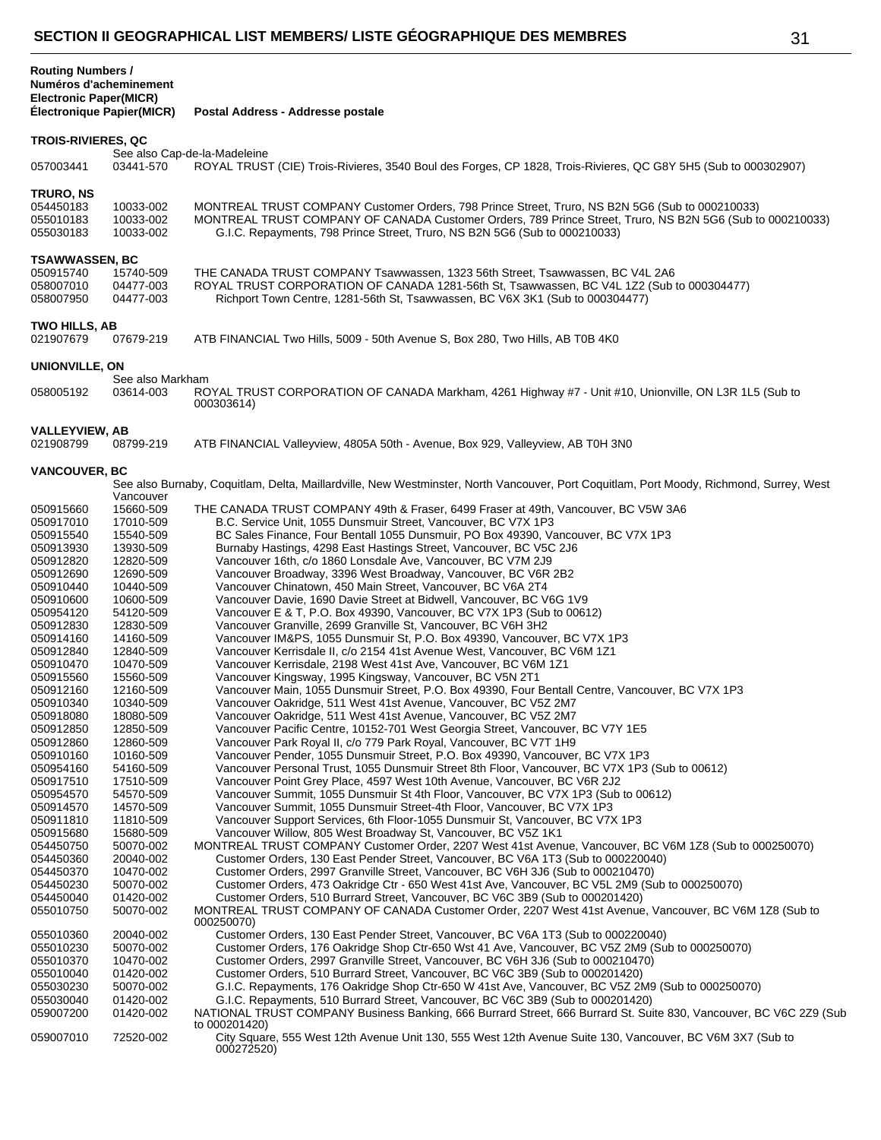**Postal Address - Addresse postale** 

## **TROIS-RIVIERES, QC**

See also Cap-de-la-Madeleine<br>03441-570 ROYAL TRUS 03441-570 ROYAL TRUST (CIE) Trois-Rivieres, 3540 Boul des Forges, CP 1828, Trois-Rivieres, QC G8Y 5H5 (Sub to 000302907) **TRURO, NS** 054450183 10033-002 MONTREAL TRUST COMPANY Customer Orders, 798 Prince Street, Truro, NS B2N 5G6 (Sub to 000210033)<br>055010183 10033-002 MONTREAL TRUST COMPANY OF CANADA Customer Orders, 789 Prince Street, Truro, NS B2N 5G6 055010183 10033-002 MONTREAL TRUST COMPANY OF CANADA Customer Orders, 789 Prince Street, Truro, NS B2N 5G6 (Sub to 000210033)<br>055030183 10033-002 G.I.C. Repayments, 798 Prince Street, Truro, NS B2N 5G6 (Sub to 000210033) G.I.C. Repayments, 798 Prince Street, Truro, NS B2N 5G6 (Sub to 000210033) **TSAWWASSEN, BC** 050915740 15740-509 THE CANADA TRUST COMPANY Tsawwassen, 1323 56th Street, Tsawwassen, BC V4L 2A6<br>058007010 04477-003 ROYAL TRUST CORPORATION OF CANADA 1281-56th St, Tsawwassen, BC V4L 1Z2 (Sub t ROYAL TRUST CORPORATION OF CANADA 1281-56th St, Tsawwassen, BC V4L 1Z2 (Sub to 000304477) 04477-003 Richport Town Centre, 1281-56th St, Tsawwassen, BC V6X 3K1 (Sub to 000304477) **TWO HILLS, AB**<br>021907679 07679-219 ATB FINANCIAL Two Hills, 5009 - 50th Avenue S, Box 280, Two Hills, AB T0B 4K0 **UNIONVILLE, ON** See also Markham<br>03614-003 RC 03614-003 ROYAL TRUST CORPORATION OF CANADA Markham, 4261 Highway #7 - Unit #10, Unionville, ON L3R 1L5 (Sub to 000303614) **VALLEYVIEW, AB**<br>021908799 08799-219 ATB FINANCIAL Valleyview, 4805A 50th - Avenue, Box 929, Valleyview, AB T0H 3N0

#### **VANCOUVER, BC**

| ,,,,,,,,,,,,,,,,,, |           |                                                                                                                                         |
|--------------------|-----------|-----------------------------------------------------------------------------------------------------------------------------------------|
|                    | Vancouver | See also Burnaby, Coquitlam, Delta, Maillardville, New Westminster, North Vancouver, Port Coquitlam, Port Moody, Richmond, Surrey, West |
| 050915660          | 15660-509 | THE CANADA TRUST COMPANY 49th & Fraser, 6499 Fraser at 49th, Vancouver, BC V5W 3A6                                                      |
| 050917010          | 17010-509 | B.C. Service Unit, 1055 Dunsmuir Street, Vancouver, BC V7X 1P3                                                                          |
| 050915540          | 15540-509 | BC Sales Finance, Four Bentall 1055 Dunsmuir, PO Box 49390, Vancouver, BC V7X 1P3                                                       |
| 050913930          | 13930-509 | Burnaby Hastings, 4298 East Hastings Street, Vancouver, BC V5C 2J6                                                                      |
| 050912820          | 12820-509 | Vancouver 16th, c/o 1860 Lonsdale Ave, Vancouver, BC V7M 2J9                                                                            |
| 050912690          | 12690-509 | Vancouver Broadway, 3396 West Broadway, Vancouver, BC V6R 2B2                                                                           |
| 050910440          | 10440-509 | Vancouver Chinatown, 450 Main Street, Vancouver, BC V6A 2T4                                                                             |
| 050910600          | 10600-509 | Vancouver Davie, 1690 Davie Street at Bidwell, Vancouver, BC V6G 1V9                                                                    |
| 050954120          | 54120-509 | Vancouver E & T, P.O. Box 49390, Vancouver, BC V7X 1P3 (Sub to 00612)                                                                   |
| 050912830          | 12830-509 | Vancouver Granville, 2699 Granville St, Vancouver, BC V6H 3H2                                                                           |
| 050914160          | 14160-509 | Vancouver IM&PS, 1055 Dunsmuir St, P.O. Box 49390, Vancouver, BC V7X 1P3                                                                |
| 050912840          | 12840-509 | Vancouver Kerrisdale II, c/o 2154 41st Avenue West, Vancouver, BC V6M 1Z1                                                               |
| 050910470          | 10470-509 | Vancouver Kerrisdale, 2198 West 41st Ave, Vancouver, BC V6M 1Z1                                                                         |
| 050915560          | 15560-509 | Vancouver Kingsway, 1995 Kingsway, Vancouver, BC V5N 2T1                                                                                |
| 050912160          | 12160-509 | Vancouver Main, 1055 Dunsmuir Street, P.O. Box 49390, Four Bentall Centre, Vancouver, BC V7X 1P3                                        |
| 050910340          | 10340-509 | Vancouver Oakridge, 511 West 41st Avenue, Vancouver, BC V5Z 2M7                                                                         |
| 050918080          | 18080-509 | Vancouver Oakridge, 511 West 41st Avenue, Vancouver, BC V5Z 2M7                                                                         |
| 050912850          | 12850-509 | Vancouver Pacific Centre, 10152-701 West Georgia Street, Vancouver, BC V7Y 1E5                                                          |
| 050912860          | 12860-509 | Vancouver Park Royal II, c/o 779 Park Royal, Vancouver, BC V7T 1H9                                                                      |
| 050910160          | 10160-509 | Vancouver Pender, 1055 Dunsmuir Street, P.O. Box 49390, Vancouver, BC V7X 1P3                                                           |
| 050954160          | 54160-509 | Vancouver Personal Trust, 1055 Dunsmuir Street 8th Floor, Vancouver, BC V7X 1P3 (Sub to 00612)                                          |
| 050917510          | 17510-509 | Vancouver Point Grey Place, 4597 West 10th Avenue, Vancouver, BC V6R 2J2                                                                |
| 050954570          | 54570-509 | Vancouver Summit, 1055 Dunsmuir St 4th Floor, Vancouver, BC V7X 1P3 (Sub to 00612)                                                      |
| 050914570          | 14570-509 | Vancouver Summit, 1055 Dunsmuir Street-4th Floor, Vancouver, BC V7X 1P3                                                                 |
| 050911810          | 11810-509 | Vancouver Support Services, 6th Floor-1055 Dunsmuir St, Vancouver, BC V7X 1P3                                                           |
| 050915680          | 15680-509 | Vancouver Willow, 805 West Broadway St, Vancouver, BC V5Z 1K1                                                                           |
| 054450750          | 50070-002 | MONTREAL TRUST COMPANY Customer Order, 2207 West 41st Avenue, Vancouver, BC V6M 1Z8 (Sub to 000250070)                                  |
| 054450360          | 20040-002 | Customer Orders, 130 East Pender Street, Vancouver, BC V6A 1T3 (Sub to 000220040)                                                       |
| 054450370          | 10470-002 | Customer Orders, 2997 Granville Street, Vancouver, BC V6H 3J6 (Sub to 000210470)                                                        |
| 054450230          | 50070-002 | Customer Orders, 473 Oakridge Ctr - 650 West 41st Ave, Vancouver, BC V5L 2M9 (Sub to 000250070)                                         |
| 054450040          | 01420-002 | Customer Orders, 510 Burrard Street, Vancouver, BC V6C 3B9 (Sub to 000201420)                                                           |
| 055010750          | 50070-002 | MONTREAL TRUST COMPANY OF CANADA Customer Order, 2207 West 41st Avenue, Vancouver, BC V6M 1Z8 (Sub to<br>000250070)                     |
| 055010360          | 20040-002 | Customer Orders, 130 East Pender Street, Vancouver, BC V6A 1T3 (Sub to 000220040)                                                       |
| 055010230          | 50070-002 | Customer Orders, 176 Oakridge Shop Ctr-650 Wst 41 Ave, Vancouver, BC V5Z 2M9 (Sub to 000250070)                                         |
| 055010370          | 10470-002 | Customer Orders, 2997 Granville Street, Vancouver, BC V6H 3J6 (Sub to 000210470)                                                        |
| 055010040          | 01420-002 | Customer Orders, 510 Burrard Street, Vancouver, BC V6C 3B9 (Sub to 000201420)                                                           |
| 055030230          | 50070-002 | G.I.C. Repayments, 176 Oakridge Shop Ctr-650 W 41st Ave, Vancouver, BC V5Z 2M9 (Sub to 000250070)                                       |
| 055030040          | 01420-002 | G.I.C. Repayments, 510 Burrard Street, Vancouver, BC V6C 3B9 (Sub to 000201420)                                                         |
| 059007200          | 01420-002 | NATIONAL TRUST COMPANY Business Banking, 666 Burrard Street, 666 Burrard St. Suite 830, Vancouver, BC V6C 2Z9 (Sub<br>to 000201420)     |
| 059007010          | 72520-002 | City Square, 555 West 12th Avenue Unit 130, 555 West 12th Avenue Suite 130, Vancouver, BC V6M 3X7 (Sub to<br>000272520)                 |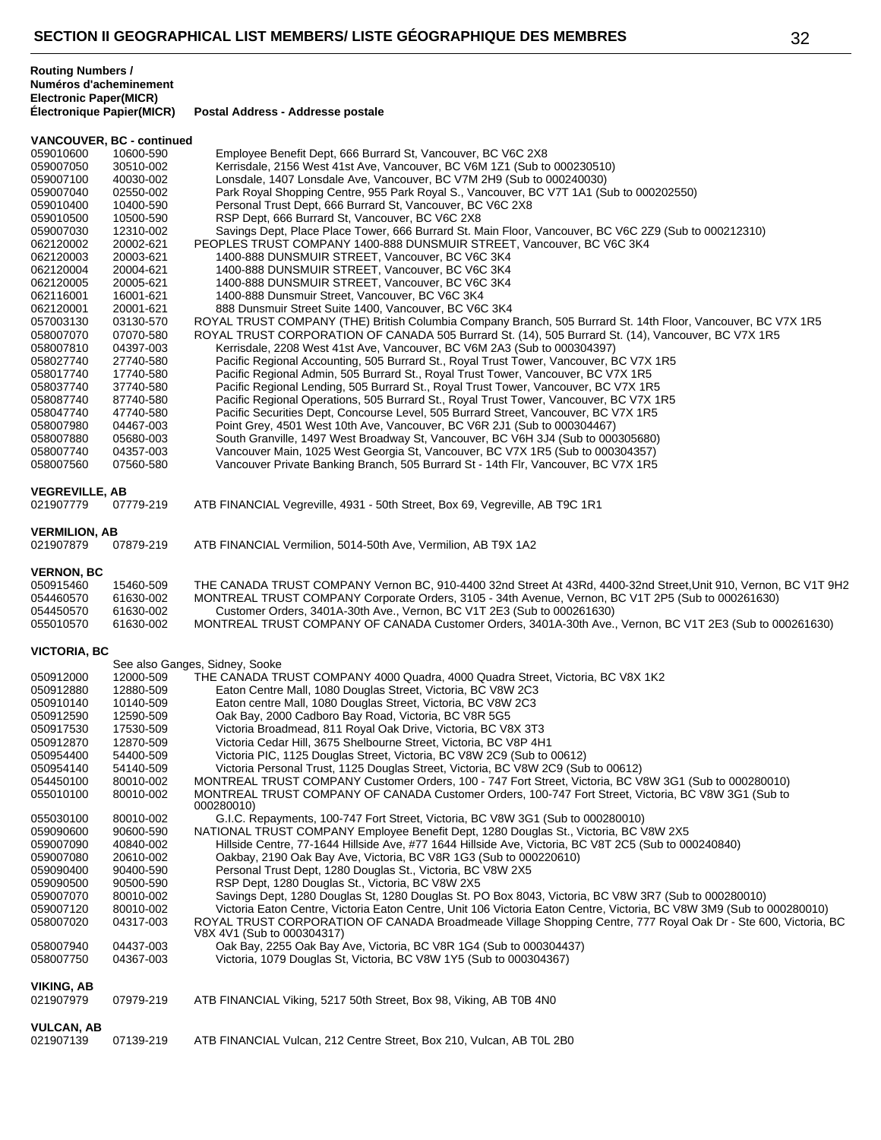|                                    | VANCOUVER, BC - continued |                                                                                                                                                                               |
|------------------------------------|---------------------------|-------------------------------------------------------------------------------------------------------------------------------------------------------------------------------|
| 059010600                          | 10600-590                 | Employee Benefit Dept, 666 Burrard St, Vancouver, BC V6C 2X8                                                                                                                  |
| 059007050                          | 30510-002                 | Kerrisdale, 2156 West 41st Ave, Vancouver, BC V6M 1Z1 (Sub to 000230510)                                                                                                      |
| 059007100                          | 40030-002                 | Lonsdale, 1407 Lonsdale Ave, Vancouver, BC V7M 2H9 (Sub to 000240030)                                                                                                         |
| 059007040                          | 02550-002                 | Park Royal Shopping Centre, 955 Park Royal S., Vancouver, BC V7T 1A1 (Sub to 000202550)                                                                                       |
| 059010400                          | 10400-590                 | Personal Trust Dept, 666 Burrard St, Vancouver, BC V6C 2X8                                                                                                                    |
| 059010500<br>059007030             | 10500-590<br>12310-002    | RSP Dept, 666 Burrard St, Vancouver, BC V6C 2X8<br>Savings Dept, Place Place Tower, 666 Burrard St. Main Floor, Vancouver, BC V6C 2Z9 (Sub to 000212310)                      |
| 062120002                          | 20002-621                 | PEOPLES TRUST COMPANY 1400-888 DUNSMUIR STREET, Vancouver, BC V6C 3K4                                                                                                         |
| 062120003                          | 20003-621                 | 1400-888 DUNSMUIR STREET, Vancouver, BC V6C 3K4                                                                                                                               |
| 062120004                          | 20004-621                 | 1400-888 DUNSMUIR STREET, Vancouver, BC V6C 3K4                                                                                                                               |
| 062120005                          | 20005-621                 | 1400-888 DUNSMUIR STREET, Vancouver, BC V6C 3K4                                                                                                                               |
| 062116001                          | 16001-621                 | 1400-888 Dunsmuir Street, Vancouver, BC V6C 3K4                                                                                                                               |
| 062120001                          | 20001-621                 | 888 Dunsmuir Street Suite 1400, Vancouver, BC V6C 3K4                                                                                                                         |
| 057003130                          | 03130-570                 | ROYAL TRUST COMPANY (THE) British Columbia Company Branch, 505 Burrard St. 14th Floor, Vancouver, BC V7X 1R5                                                                  |
| 058007070                          | 07070-580                 | ROYAL TRUST CORPORATION OF CANADA 505 Burrard St. (14), 505 Burrard St. (14), Vancouver, BC V7X 1R5                                                                           |
| 058007810                          | 04397-003                 | Kerrisdale, 2208 West 41st Ave, Vancouver, BC V6M 2A3 (Sub to 000304397)                                                                                                      |
| 058027740                          | 27740-580                 | Pacific Regional Accounting, 505 Burrard St., Royal Trust Tower, Vancouver, BC V7X 1R5                                                                                        |
| 058017740                          | 17740-580                 | Pacific Regional Admin, 505 Burrard St., Royal Trust Tower, Vancouver, BC V7X 1R5                                                                                             |
| 058037740<br>058087740             | 37740-580<br>87740-580    | Pacific Regional Lending, 505 Burrard St., Royal Trust Tower, Vancouver, BC V7X 1R5<br>Pacific Regional Operations, 505 Burrard St., Royal Trust Tower, Vancouver, BC V7X 1R5 |
| 058047740                          | 47740-580                 | Pacific Securities Dept, Concourse Level, 505 Burrard Street, Vancouver, BC V7X 1R5                                                                                           |
| 058007980                          | 04467-003                 | Point Grey, 4501 West 10th Ave, Vancouver, BC V6R 2J1 (Sub to 000304467)                                                                                                      |
| 058007880                          | 05680-003                 | South Granville, 1497 West Broadway St, Vancouver, BC V6H 3J4 (Sub to 000305680)                                                                                              |
| 058007740                          | 04357-003                 | Vancouver Main, 1025 West Georgia St, Vancouver, BC V7X 1R5 (Sub to 000304357)                                                                                                |
| 058007560                          | 07560-580                 | Vancouver Private Banking Branch, 505 Burrard St - 14th Flr, Vancouver, BC V7X 1R5                                                                                            |
|                                    |                           |                                                                                                                                                                               |
| <b>VEGREVILLE, AB</b><br>021907779 | 07779-219                 | ATB FINANCIAL Vegreville, 4931 - 50th Street, Box 69, Vegreville, AB T9C 1R1                                                                                                  |
|                                    |                           |                                                                                                                                                                               |
| <b>VERMILION, AB</b>               |                           |                                                                                                                                                                               |
| 021907879                          | 07879-219                 | ATB FINANCIAL Vermilion, 5014-50th Ave, Vermilion, AB T9X 1A2                                                                                                                 |
|                                    |                           |                                                                                                                                                                               |
| <b>VERNON, BC</b>                  |                           | THE CANADA TRUST COMPANY Vernon BC, 910-4400 32nd Street At 43Rd, 4400-32nd Street, Unit 910, Vernon, BC V1T 9H2                                                              |
| 050915460<br>054460570             | 15460-509<br>61630-002    | MONTREAL TRUST COMPANY Corporate Orders, 3105 - 34th Avenue, Vernon, BC V1T 2P5 (Sub to 000261630)                                                                            |
| 054450570                          | 61630-002                 | Customer Orders, 3401A-30th Ave., Vernon, BC V1T 2E3 (Sub to 000261630)                                                                                                       |
| 055010570                          | 61630-002                 | MONTREAL TRUST COMPANY OF CANADA Customer Orders, 3401A-30th Ave., Vernon, BC V1T 2E3 (Sub to 000261630)                                                                      |
|                                    |                           |                                                                                                                                                                               |
| <b>VICTORIA, BC</b>                |                           | See also Ganges, Sidney, Sooke                                                                                                                                                |
| 050912000                          | 12000-509                 | THE CANADA TRUST COMPANY 4000 Quadra, 4000 Quadra Street, Victoria, BC V8X 1K2                                                                                                |
| 050912880                          | 12880-509                 | Eaton Centre Mall, 1080 Douglas Street, Victoria, BC V8W 2C3                                                                                                                  |
| 050910140                          | 10140-509                 | Eaton centre Mall, 1080 Douglas Street, Victoria, BC V8W 2C3                                                                                                                  |
| 050912590                          | 12590-509                 | Oak Bay, 2000 Cadboro Bay Road, Victoria, BC V8R 5G5                                                                                                                          |
| 050917530                          | 17530-509                 | Victoria Broadmead, 811 Royal Oak Drive, Victoria, BC V8X 3T3                                                                                                                 |
| 050912870                          | 12870-509                 | Victoria Cedar Hill, 3675 Shelbourne Street, Victoria, BC V8P 4H1                                                                                                             |
| 050954400                          | 54400-509                 | Victoria PIC, 1125 Douglas Street, Victoria, BC V8W 2C9 (Sub to 00612)                                                                                                        |
| 050954140                          | 54140-509                 | Victoria Personal Trust, 1125 Douglas Street, Victoria, BC V8W 2C9 (Sub to 00612)                                                                                             |
| 054450100                          | 80010-002                 | MONTREAL TRUST COMPANY Customer Orders, 100 - 747 Fort Street, Victoria, BC V8W 3G1 (Sub to 000280010)                                                                        |
| 055010100                          | 80010-002                 | MONTREAL TRUST COMPANY OF CANADA Customer Orders, 100-747 Fort Street, Victoria, BC V8W 3G1 (Sub to<br>000280010)                                                             |
| 055030100                          | 80010-002                 | G.I.C. Repayments, 100-747 Fort Street, Victoria, BC V8W 3G1 (Sub to 000280010)                                                                                               |
| 059090600                          | 90600-590                 | NATIONAL TRUST COMPANY Employee Benefit Dept, 1280 Douglas St., Victoria, BC V8W 2X5                                                                                          |
| 059007090                          | 40840-002                 | Hillside Centre, 77-1644 Hillside Ave, #77 1644 Hillside Ave, Victoria, BC V8T 2C5 (Sub to 000240840)                                                                         |
| 059007080                          | 20610-002                 | Oakbay, 2190 Oak Bay Ave, Victoria, BC V8R 1G3 (Sub to 000220610)                                                                                                             |
| 059090400                          | 90400-590                 | Personal Trust Dept, 1280 Douglas St., Victoria, BC V8W 2X5                                                                                                                   |
| 059090500                          | 90500-590                 | RSP Dept, 1280 Douglas St., Victoria, BC V8W 2X5                                                                                                                              |
| 059007070                          | 80010-002                 | Savings Dept, 1280 Douglas St, 1280 Douglas St. PO Box 8043, Victoria, BC V8W 3R7 (Sub to 000280010)                                                                          |
| 059007120                          | 80010-002                 | Victoria Eaton Centre, Victoria Eaton Centre, Unit 106 Victoria Eaton Centre, Victoria, BC V8W 3M9 (Sub to 000280010)                                                         |
| 058007020                          | 04317-003                 | ROYAL TRUST CORPORATION OF CANADA Broadmeade Village Shopping Centre, 777 Royal Oak Dr - Ste 600, Victoria, BC<br>V8X 4V1 (Sub to 000304317)                                  |
| 058007940                          | 04437-003                 | Oak Bay, 2255 Oak Bay Ave, Victoria, BC V8R 1G4 (Sub to 000304437)                                                                                                            |
| 058007750                          | 04367-003                 | Victoria, 1079 Douglas St, Victoria, BC V8W 1Y5 (Sub to 000304367)                                                                                                            |
|                                    |                           |                                                                                                                                                                               |
| <b>VIKING, AB</b>                  |                           |                                                                                                                                                                               |
| 021907979                          | 07979-219                 | ATB FINANCIAL Viking, 5217 50th Street, Box 98, Viking, AB T0B 4N0                                                                                                            |
| <b>VULCAN, AB</b>                  |                           |                                                                                                                                                                               |
| 021907139                          | 07139-219                 | ATB FINANCIAL Vulcan, 212 Centre Street, Box 210, Vulcan, AB T0L 2B0                                                                                                          |
|                                    |                           |                                                                                                                                                                               |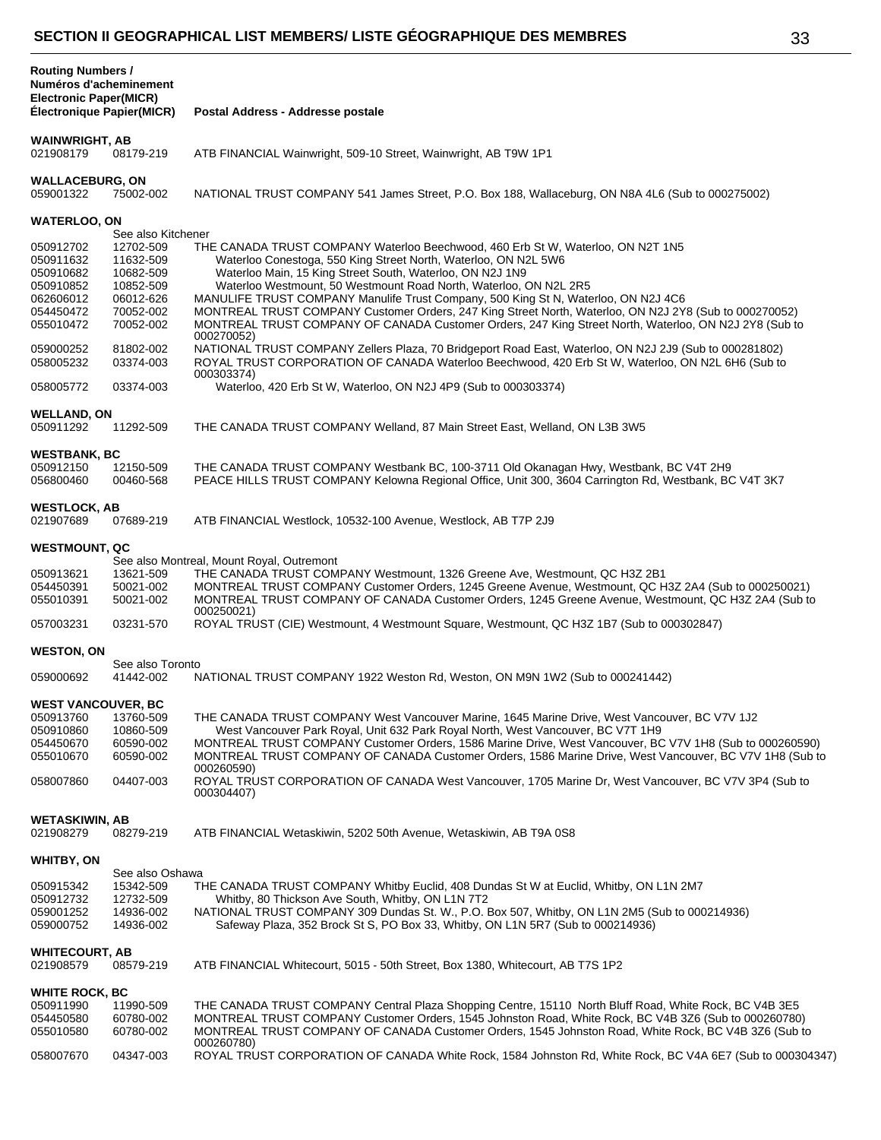| ٠                      |              |
|------------------------|--------------|
| ×<br>۰,<br>×<br>٩<br>w | I<br>I<br>۰. |

| <b>Routing Numbers /</b><br>Numéros d'acheminement<br><b>Electronic Paper(MICR)</b> |                                 |                                                                                                                                                                                                                          |
|-------------------------------------------------------------------------------------|---------------------------------|--------------------------------------------------------------------------------------------------------------------------------------------------------------------------------------------------------------------------|
| Électronique Papier(MICR)                                                           |                                 | Postal Address - Addresse postale                                                                                                                                                                                        |
| <b>WAINWRIGHT, AB</b><br>021908179                                                  | 08179-219                       | ATB FINANCIAL Wainwright, 509-10 Street, Wainwright, AB T9W 1P1                                                                                                                                                          |
| <b>WALLACEBURG, ON</b><br>059001322                                                 | 75002-002                       | NATIONAL TRUST COMPANY 541 James Street, P.O. Box 188, Wallaceburg, ON N8A 4L6 (Sub to 000275002)                                                                                                                        |
| <b>WATERLOO, ON</b>                                                                 |                                 |                                                                                                                                                                                                                          |
| 050912702                                                                           | See also Kitchener<br>12702-509 | THE CANADA TRUST COMPANY Waterloo Beechwood, 460 Erb St W, Waterloo, ON N2T 1N5                                                                                                                                          |
| 050911632                                                                           | 11632-509                       | Waterloo Conestoga, 550 King Street North, Waterloo, ON N2L 5W6                                                                                                                                                          |
| 050910682                                                                           | 10682-509                       | Waterloo Main, 15 King Street South, Waterloo, ON N2J 1N9                                                                                                                                                                |
| 050910852                                                                           | 10852-509                       | Waterloo Westmount, 50 Westmount Road North, Waterloo, ON N2L 2R5                                                                                                                                                        |
| 062606012                                                                           | 06012-626                       | MANULIFE TRUST COMPANY Manulife Trust Company, 500 King St N, Waterloo, ON N2J 4C6                                                                                                                                       |
| 054450472                                                                           | 70052-002                       | MONTREAL TRUST COMPANY Customer Orders, 247 King Street North, Waterloo, ON N2J 2Y8 (Sub to 000270052)                                                                                                                   |
| 055010472                                                                           | 70052-002                       | MONTREAL TRUST COMPANY OF CANADA Customer Orders, 247 King Street North, Waterloo, ON N2J 2Y8 (Sub to                                                                                                                    |
| 059000252<br>058005232                                                              | 81802-002<br>03374-003          | 000270052)<br>NATIONAL TRUST COMPANY Zellers Plaza, 70 Bridgeport Road East, Waterloo, ON N2J 2J9 (Sub to 000281802)<br>ROYAL TRUST CORPORATION OF CANADA Waterloo Beechwood, 420 Erb St W, Waterloo, ON N2L 6H6 (Sub to |
| 058005772                                                                           | 03374-003                       | 000303374)<br>Waterloo, 420 Erb St W, Waterloo, ON N2J 4P9 (Sub to 000303374)                                                                                                                                            |
|                                                                                     |                                 |                                                                                                                                                                                                                          |
| <b>WELLAND, ON</b><br>050911292                                                     | 11292-509                       | THE CANADA TRUST COMPANY Welland, 87 Main Street East, Welland, ON L3B 3W5                                                                                                                                               |
| <b>WESTBANK, BC</b>                                                                 |                                 |                                                                                                                                                                                                                          |
| 050912150<br>056800460                                                              | 12150-509<br>00460-568          | THE CANADA TRUST COMPANY Westbank BC, 100-3711 Old Okanagan Hwy, Westbank, BC V4T 2H9<br>PEACE HILLS TRUST COMPANY Kelowna Regional Office, Unit 300, 3604 Carrington Rd, Westbank, BC V4T 3K7                           |
| <b>WESTLOCK, AB</b><br>021907689                                                    | 07689-219                       | ATB FINANCIAL Westlock, 10532-100 Avenue, Westlock, AB T7P 2J9                                                                                                                                                           |
| <b>WESTMOUNT, QC</b>                                                                |                                 |                                                                                                                                                                                                                          |
|                                                                                     |                                 | See also Montreal, Mount Royal, Outremont                                                                                                                                                                                |
| 050913621                                                                           | 13621-509                       | THE CANADA TRUST COMPANY Westmount, 1326 Greene Ave, Westmount, QC H3Z 2B1                                                                                                                                               |
| 054450391<br>055010391                                                              | 50021-002<br>50021-002          | MONTREAL TRUST COMPANY Customer Orders, 1245 Greene Avenue, Westmount, QC H3Z 2A4 (Sub to 000250021)<br>MONTREAL TRUST COMPANY OF CANADA Customer Orders, 1245 Greene Avenue, Westmount, QC H3Z 2A4 (Sub to              |
| 057003231                                                                           | 03231-570                       | 000250021)                                                                                                                                                                                                               |
|                                                                                     |                                 | ROYAL TRUST (CIE) Westmount, 4 Westmount Square, Westmount, QC H3Z 1B7 (Sub to 000302847)                                                                                                                                |
| <b>WESTON, ON</b>                                                                   |                                 |                                                                                                                                                                                                                          |
|                                                                                     | See also Toronto<br>41442-002   | NATIONAL TRUST COMPANY 1922 Weston Rd, Weston, ON M9N 1W2 (Sub to 000241442)                                                                                                                                             |
| 059000692                                                                           |                                 |                                                                                                                                                                                                                          |
| <b>WEST VANCOUVER, BC</b>                                                           |                                 |                                                                                                                                                                                                                          |
| 050913760                                                                           | 13760-509                       | THE CANADA TRUST COMPANY West Vancouver Marine, 1645 Marine Drive, West Vancouver, BC V7V 1J2                                                                                                                            |
| 050910860                                                                           | 10860-509                       | West Vancouver Park Royal, Unit 632 Park Royal North, West Vancouver, BC V7T 1H9                                                                                                                                         |
| 054450670                                                                           | 60590-002                       | MONTREAL TRUST COMPANY Customer Orders, 1586 Marine Drive, West Vancouver, BC V7V 1H8 (Sub to 000260590)                                                                                                                 |
| 055010670                                                                           | 60590-002                       | MONTREAL TRUST COMPANY OF CANADA Customer Orders, 1586 Marine Drive, West Vancouver, BC V7V 1H8 (Sub to                                                                                                                  |
|                                                                                     |                                 | 000260590)                                                                                                                                                                                                               |
| 058007860                                                                           | 04407-003                       | ROYAL TRUST CORPORATION OF CANADA West Vancouver, 1705 Marine Dr. West Vancouver, BC V7V 3P4 (Sub to<br>000304407)                                                                                                       |
|                                                                                     |                                 |                                                                                                                                                                                                                          |
| <b>WETASKIWIN, AB</b><br>021908279                                                  | 08279-219                       | ATB FINANCIAL Wetaskiwin, 5202 50th Avenue, Wetaskiwin, AB T9A 0S8                                                                                                                                                       |
| <b>WHITBY, ON</b>                                                                   |                                 |                                                                                                                                                                                                                          |
|                                                                                     | See also Oshawa                 |                                                                                                                                                                                                                          |
| 050915342                                                                           | 15342-509                       | THE CANADA TRUST COMPANY Whitby Euclid, 408 Dundas St W at Euclid, Whitby, ON L1N 2M7                                                                                                                                    |
| 050912732                                                                           | 12732-509                       | Whitby, 80 Thickson Ave South, Whitby, ON L1N 7T2                                                                                                                                                                        |
| 059001252                                                                           | 14936-002                       | NATIONAL TRUST COMPANY 309 Dundas St. W., P.O. Box 507, Whitby, ON L1N 2M5 (Sub to 000214936)                                                                                                                            |
| 059000752                                                                           | 14936-002                       | Safeway Plaza, 352 Brock St S, PO Box 33, Whitby, ON L1N 5R7 (Sub to 000214936)                                                                                                                                          |
| <b>WHITECOURT, AB</b><br>021908579                                                  | 08579-219                       | ATB FINANCIAL Whitecourt, 5015 - 50th Street, Box 1380, Whitecourt, AB T7S 1P2                                                                                                                                           |
|                                                                                     |                                 |                                                                                                                                                                                                                          |
| <b>WHITE ROCK, BC</b>                                                               |                                 |                                                                                                                                                                                                                          |
| 050911990                                                                           | 11990-509                       | THE CANADA TRUST COMPANY Central Plaza Shopping Centre, 15110 North Bluff Road, White Rock, BC V4B 3E5                                                                                                                   |
| 054450580                                                                           | 60780-002                       | MONTREAL TRUST COMPANY Customer Orders, 1545 Johnston Road, White Rock, BC V4B 3Z6 (Sub to 000260780)<br>MONTREAL TRUST COMPANY OF CANADA Customer Orders, 1545 Johnston Road, White Rock, BC V4B 3Z6 (Sub to            |
| 055010580                                                                           | 60780-002                       | 000260780)                                                                                                                                                                                                               |
| 058007670                                                                           | 04347-003                       | ROYAL TRUST CORPORATION OF CANADA White Rock, 1584 Johnston Rd, White Rock, BC V4A 6E7 (Sub to 000304347)                                                                                                                |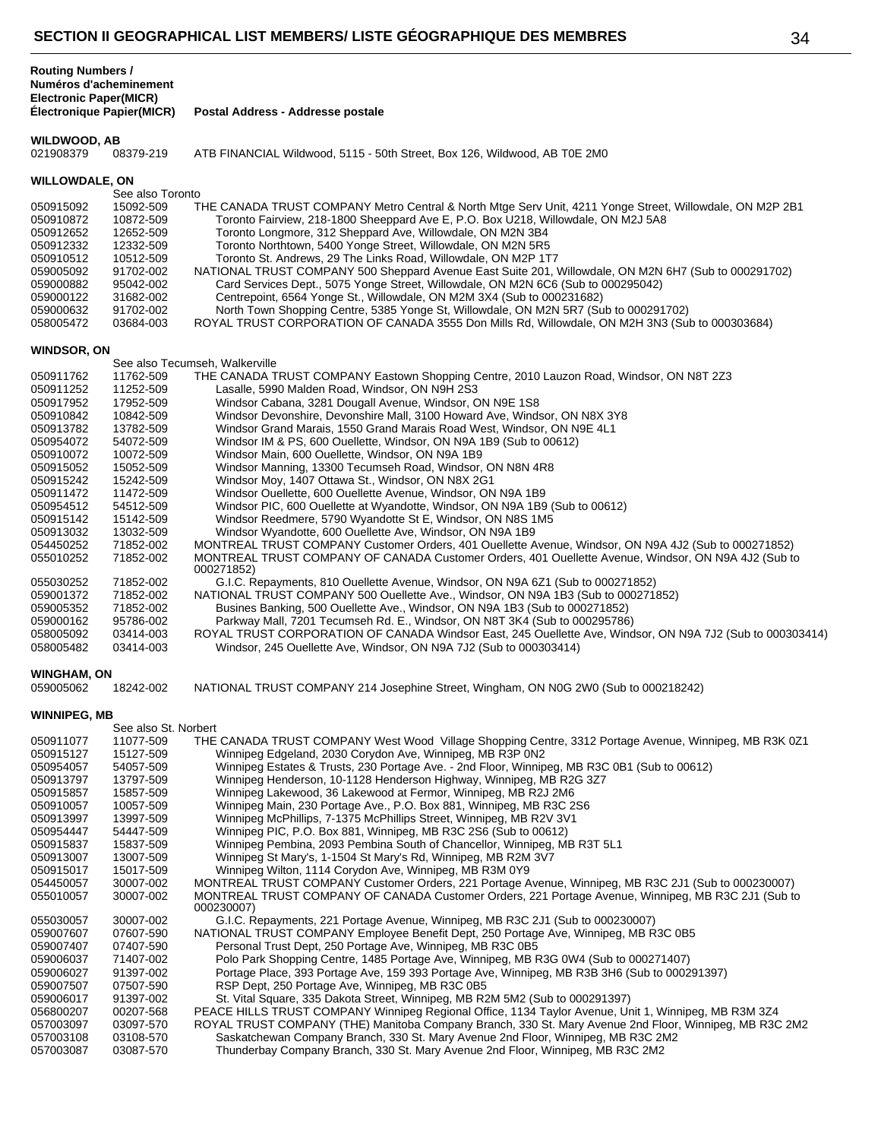|                               |                           | -VIIVN II VLVVIVAI IIIVAL LIVI MLMPLIV LIVIL VLVVIVAI IIIVVL PLV MLMPINLV                                                                                        | ى. |
|-------------------------------|---------------------------|------------------------------------------------------------------------------------------------------------------------------------------------------------------|----|
| <b>Routing Numbers /</b>      | Numéros d'acheminement    |                                                                                                                                                                  |    |
| <b>Electronic Paper(MICR)</b> |                           |                                                                                                                                                                  |    |
|                               | Électronique Papier(MICR) | Postal Address - Addresse postale                                                                                                                                |    |
| <b>WILDWOOD, AB</b>           |                           |                                                                                                                                                                  |    |
| 021908379                     | 08379-219                 | ATB FINANCIAL Wildwood, 5115 - 50th Street, Box 126, Wildwood, AB T0E 2M0                                                                                        |    |
| <b>WILLOWDALE, ON</b>         |                           |                                                                                                                                                                  |    |
|                               | See also Toronto          |                                                                                                                                                                  |    |
| 050915092                     | 15092-509                 | THE CANADA TRUST COMPANY Metro Central & North Mtge Serv Unit, 4211 Yonge Street, Willowdale, ON M2P 2B1                                                         |    |
| 050910872                     | 10872-509                 | Toronto Fairview, 218-1800 Sheeppard Ave E, P.O. Box U218, Willowdale, ON M2J 5A8                                                                                |    |
| 050912652                     | 12652-509                 | Toronto Longmore, 312 Sheppard Ave, Willowdale, ON M2N 3B4                                                                                                       |    |
| 050912332                     | 12332-509                 | Toronto Northtown, 5400 Yonge Street, Willowdale, ON M2N 5R5                                                                                                     |    |
| 050910512                     | 10512-509                 | Toronto St. Andrews, 29 The Links Road, Willowdale, ON M2P 1T7                                                                                                   |    |
| 059005092                     | 91702-002                 | NATIONAL TRUST COMPANY 500 Sheppard Avenue East Suite 201, Willowdale, ON M2N 6H7 (Sub to 000291702)                                                             |    |
| 059000882                     | 95042-002                 | Card Services Dept., 5075 Yonge Street, Willowdale, ON M2N 6C6 (Sub to 000295042)                                                                                |    |
| 059000122                     | 31682-002                 | Centrepoint, 6564 Yonge St., Willowdale, ON M2M 3X4 (Sub to 000231682)                                                                                           |    |
| 059000632                     | 91702-002                 | North Town Shopping Centre, 5385 Yonge St, Willowdale, ON M2N 5R7 (Sub to 000291702)                                                                             |    |
| 058005472                     | 03684-003                 | ROYAL TRUST CORPORATION OF CANADA 3555 Don Mills Rd, Willowdale, ON M2H 3N3 (Sub to 000303684)                                                                   |    |
| <b>WINDSOR, ON</b>            |                           |                                                                                                                                                                  |    |
|                               |                           | See also Tecumseh, Walkerville                                                                                                                                   |    |
| 050911762                     | 11762-509                 | THE CANADA TRUST COMPANY Eastown Shopping Centre, 2010 Lauzon Road, Windsor, ON N8T 2Z3                                                                          |    |
| 050911252                     | 11252-509                 | Lasalle, 5990 Malden Road, Windsor, ON N9H 2S3                                                                                                                   |    |
| 050917952                     | 17952-509                 | Windsor Cabana, 3281 Dougall Avenue, Windsor, ON N9E 1S8                                                                                                         |    |
| 050910842                     | 10842-509                 | Windsor Devonshire, Devonshire Mall, 3100 Howard Ave, Windsor, ON N8X 3Y8                                                                                        |    |
| 050913782                     | 13782-509                 | Windsor Grand Marais, 1550 Grand Marais Road West, Windsor, ON N9E 4L1                                                                                           |    |
| 050954072                     | 54072-509                 | Windsor IM & PS, 600 Ouellette, Windsor, ON N9A 1B9 (Sub to 00612)                                                                                               |    |
| 050910072                     | 10072-509                 | Windsor Main, 600 Ouellette, Windsor, ON N9A 1B9                                                                                                                 |    |
| 050915052                     | 15052-509                 | Windsor Manning, 13300 Tecumseh Road, Windsor, ON N8N 4R8                                                                                                        |    |
| 050915242                     | 15242-509                 | Windsor Moy, 1407 Ottawa St., Windsor, ON N8X 2G1                                                                                                                |    |
| 050911472                     | 11472-509                 | Windsor Ouellette, 600 Ouellette Avenue, Windsor, ON N9A 1B9                                                                                                     |    |
| 050954512                     | 54512-509                 | Windsor PIC, 600 Ouellette at Wyandotte, Windsor, ON N9A 1B9 (Sub to 00612)                                                                                      |    |
| 050915142                     | 15142-509                 | Windsor Reedmere, 5790 Wyandotte St E, Windsor, ON N8S 1M5                                                                                                       |    |
| 050913032                     | 13032-509                 | Windsor Wyandotte, 600 Ouellette Ave, Windsor, ON N9A 1B9                                                                                                        |    |
| 054450252                     | 71852-002                 | MONTREAL TRUST COMPANY Customer Orders, 401 Ouellette Avenue, Windsor, ON N9A 4J2 (Sub to 000271852)                                                             |    |
| 055010252                     | 71852-002                 | MONTREAL TRUST COMPANY OF CANADA Customer Orders, 401 Ouellette Avenue, Windsor, ON N9A 4J2 (Sub to<br>000271852)<br>$\sim$ $\sim$ $\sim$<br>$(1.040 \text{ A})$ |    |
| 0.55000000                    | 7105000                   |                                                                                                                                                                  |    |

| U3U9 13U3Z         | LOUJZ OUY | VIIIUSUI VYVAHUOLLE, OUU OUEIIELLE AVE, VYIHUSUI, ON NYA TDY                                                      |
|--------------------|-----------|-------------------------------------------------------------------------------------------------------------------|
| 054450252          | 71852-002 | MONTREAL TRUST COMPANY Customer Orders, 401 Ouellette Avenue, Windsor, ON N9A 4J2 (Sub to 000271852)              |
| 055010252          | 71852-002 | MONTREAL TRUST COMPANY OF CANADA Customer Orders, 401 Ouellette Avenue, Windsor, ON N9A 4J2 (Sub to<br>000271852) |
| 055030252          | 71852-002 | G.I.C. Repayments, 810 Ouellette Avenue, Windsor, ON N9A 6Z1 (Sub to 000271852)                                   |
| 059001372          | 71852-002 | NATIONAL TRUST COMPANY 500 Ouellette Ave., Windsor, ON N9A 1B3 (Sub to 000271852)                                 |
| 059005352          | 71852-002 | Busines Banking, 500 Ouellette Ave., Windsor, ON N9A 1B3 (Sub to 000271852)                                       |
| 059000162          | 95786-002 | Parkway Mall, 7201 Tecumseh Rd. E., Windsor, ON N8T 3K4 (Sub to 000295786)                                        |
| 058005092          | 03414-003 | ROYAL TRUST CORPORATION OF CANADA Windsor East, 245 Ouellette Ave, Windsor, ON N9A 7J2 (Sub to 000303414)         |
| 058005482          | 03414-003 | Windsor, 245 Ouellette Ave, Windsor, ON N9A 7J2 (Sub to 000303414)                                                |
| <b>WINGHAM, ON</b> |           |                                                                                                                   |
| 059005062          | 18242-002 | NATIONAL TRUST COMPANY 214 Josephine Street, Wingham, ON N0G 2W0 (Sub to 000218242)                               |
|                    |           |                                                                                                                   |

| <b>USYUUSU62</b> | 18 |
|------------------|----|
|                  |    |

#### **WINNIPEG, MB**

| THE CANADA TRUST COMPANY West Wood Village Shopping Centre, 3312 Portage Avenue, Winnipeg, MB R3K 0Z1<br>050911077<br>11077-509<br>Winnipeg Edgeland, 2030 Corydon Ave, Winnipeg, MB R3P 0N2<br>050915127<br>15127-509<br>Winnipeg Estates & Trusts, 230 Portage Ave. - 2nd Floor, Winnipeg, MB R3C 0B1 (Sub to 00612)<br>050954057<br>54057-509<br>Winnipeg Henderson, 10-1128 Henderson Highway, Winnipeg, MB R2G 3Z7<br>050913797<br>13797-509<br>Winnipeg Lakewood, 36 Lakewood at Fermor, Winnipeg, MB R2J 2M6<br>050915857<br>15857-509<br>Winnipeg Main, 230 Portage Ave., P.O. Box 881, Winnipeg, MB R3C 2S6<br>050910057<br>10057-509<br>Winnipeg McPhillips, 7-1375 McPhillips Street, Winnipeg, MB R2V 3V1<br>050913997<br>13997-509<br>Winnipeg PIC, P.O. Box 881, Winnipeg, MB R3C 2S6 (Sub to 00612)<br>050954447<br>54447-509<br>Winnipeg Pembina, 2093 Pembina South of Chancellor, Winnipeg, MB R3T 5L1<br>050915837<br>15837-509<br>Winnipeg St Mary's, 1-1504 St Mary's Rd, Winnipeg, MB R2M 3V7<br>050913007<br>13007-509<br>Winnipeg Wilton, 1114 Corydon Ave, Winnipeg, MB R3M 0Y9<br>050915017<br>15017-509<br>MONTREAL TRUST COMPANY Customer Orders, 221 Portage Avenue, Winnipeg, MB R3C 2J1 (Sub to 000230007)<br>054450057<br>30007-002<br>MONTREAL TRUST COMPANY OF CANADA Customer Orders, 221 Portage Avenue, Winnipeg, MB R3C 2J1 (Sub to<br>30007-002<br>055010057<br>000230007)<br>G.I.C. Repayments, 221 Portage Avenue, Winnipeg, MB R3C 2J1 (Sub to 000230007)<br>30007-002<br>055030057<br>NATIONAL TRUST COMPANY Employee Benefit Dept, 250 Portage Ave, Winnipeg, MB R3C 0B5<br>059007607<br>07607-590<br>Personal Trust Dept, 250 Portage Ave, Winnipeg, MB R3C 0B5<br>059007407<br>07407-590<br>Polo Park Shopping Centre, 1485 Portage Ave, Winnipeg, MB R3G 0W4 (Sub to 000271407)<br>059006037<br>71407-002<br>Portage Place, 393 Portage Ave, 159 393 Portage Ave, Winnipeg, MB R3B 3H6 (Sub to 000291397)<br>91397-002<br>059006027<br>RSP Dept, 250 Portage Ave, Winnipeg, MB R3C 0B5<br>059007507<br>07507-590<br>St. Vital Square, 335 Dakota Street, Winnipeg, MB R2M 5M2 (Sub to 000291397)<br>059006017<br>91397-002<br>PEACE HILLS TRUST COMPANY Winnipeg Regional Office, 1134 Taylor Avenue, Unit 1, Winnipeg, MB R3M 3Z4<br>056800207<br>00207-568<br>ROYAL TRUST COMPANY (THE) Manitoba Company Branch, 330 St. Mary Avenue 2nd Floor, Winnipeg, MB R3C 2M2<br>057003097<br>03097-570<br>Saskatchewan Company Branch, 330 St. Mary Avenue 2nd Floor, Winnipeg, MB R3C 2M2<br>057003108<br>03108-570<br>Thunderbay Company Branch, 330 St. Mary Avenue 2nd Floor, Winnipeg, MB R3C 2M2<br>057003087<br>03087-570 | See also St. Norbert |  |
|---------------------------------------------------------------------------------------------------------------------------------------------------------------------------------------------------------------------------------------------------------------------------------------------------------------------------------------------------------------------------------------------------------------------------------------------------------------------------------------------------------------------------------------------------------------------------------------------------------------------------------------------------------------------------------------------------------------------------------------------------------------------------------------------------------------------------------------------------------------------------------------------------------------------------------------------------------------------------------------------------------------------------------------------------------------------------------------------------------------------------------------------------------------------------------------------------------------------------------------------------------------------------------------------------------------------------------------------------------------------------------------------------------------------------------------------------------------------------------------------------------------------------------------------------------------------------------------------------------------------------------------------------------------------------------------------------------------------------------------------------------------------------------------------------------------------------------------------------------------------------------------------------------------------------------------------------------------------------------------------------------------------------------------------------------------------------------------------------------------------------------------------------------------------------------------------------------------------------------------------------------------------------------------------------------------------------------------------------------------------------------------------------------------------------------------------------------------------------------------------------------------------------------------------------------------------------------------------------------------------------------------------------------------------------|----------------------|--|
|                                                                                                                                                                                                                                                                                                                                                                                                                                                                                                                                                                                                                                                                                                                                                                                                                                                                                                                                                                                                                                                                                                                                                                                                                                                                                                                                                                                                                                                                                                                                                                                                                                                                                                                                                                                                                                                                                                                                                                                                                                                                                                                                                                                                                                                                                                                                                                                                                                                                                                                                                                                                                                                                           |                      |  |
|                                                                                                                                                                                                                                                                                                                                                                                                                                                                                                                                                                                                                                                                                                                                                                                                                                                                                                                                                                                                                                                                                                                                                                                                                                                                                                                                                                                                                                                                                                                                                                                                                                                                                                                                                                                                                                                                                                                                                                                                                                                                                                                                                                                                                                                                                                                                                                                                                                                                                                                                                                                                                                                                           |                      |  |
|                                                                                                                                                                                                                                                                                                                                                                                                                                                                                                                                                                                                                                                                                                                                                                                                                                                                                                                                                                                                                                                                                                                                                                                                                                                                                                                                                                                                                                                                                                                                                                                                                                                                                                                                                                                                                                                                                                                                                                                                                                                                                                                                                                                                                                                                                                                                                                                                                                                                                                                                                                                                                                                                           |                      |  |
|                                                                                                                                                                                                                                                                                                                                                                                                                                                                                                                                                                                                                                                                                                                                                                                                                                                                                                                                                                                                                                                                                                                                                                                                                                                                                                                                                                                                                                                                                                                                                                                                                                                                                                                                                                                                                                                                                                                                                                                                                                                                                                                                                                                                                                                                                                                                                                                                                                                                                                                                                                                                                                                                           |                      |  |
|                                                                                                                                                                                                                                                                                                                                                                                                                                                                                                                                                                                                                                                                                                                                                                                                                                                                                                                                                                                                                                                                                                                                                                                                                                                                                                                                                                                                                                                                                                                                                                                                                                                                                                                                                                                                                                                                                                                                                                                                                                                                                                                                                                                                                                                                                                                                                                                                                                                                                                                                                                                                                                                                           |                      |  |
|                                                                                                                                                                                                                                                                                                                                                                                                                                                                                                                                                                                                                                                                                                                                                                                                                                                                                                                                                                                                                                                                                                                                                                                                                                                                                                                                                                                                                                                                                                                                                                                                                                                                                                                                                                                                                                                                                                                                                                                                                                                                                                                                                                                                                                                                                                                                                                                                                                                                                                                                                                                                                                                                           |                      |  |
|                                                                                                                                                                                                                                                                                                                                                                                                                                                                                                                                                                                                                                                                                                                                                                                                                                                                                                                                                                                                                                                                                                                                                                                                                                                                                                                                                                                                                                                                                                                                                                                                                                                                                                                                                                                                                                                                                                                                                                                                                                                                                                                                                                                                                                                                                                                                                                                                                                                                                                                                                                                                                                                                           |                      |  |
|                                                                                                                                                                                                                                                                                                                                                                                                                                                                                                                                                                                                                                                                                                                                                                                                                                                                                                                                                                                                                                                                                                                                                                                                                                                                                                                                                                                                                                                                                                                                                                                                                                                                                                                                                                                                                                                                                                                                                                                                                                                                                                                                                                                                                                                                                                                                                                                                                                                                                                                                                                                                                                                                           |                      |  |
|                                                                                                                                                                                                                                                                                                                                                                                                                                                                                                                                                                                                                                                                                                                                                                                                                                                                                                                                                                                                                                                                                                                                                                                                                                                                                                                                                                                                                                                                                                                                                                                                                                                                                                                                                                                                                                                                                                                                                                                                                                                                                                                                                                                                                                                                                                                                                                                                                                                                                                                                                                                                                                                                           |                      |  |
|                                                                                                                                                                                                                                                                                                                                                                                                                                                                                                                                                                                                                                                                                                                                                                                                                                                                                                                                                                                                                                                                                                                                                                                                                                                                                                                                                                                                                                                                                                                                                                                                                                                                                                                                                                                                                                                                                                                                                                                                                                                                                                                                                                                                                                                                                                                                                                                                                                                                                                                                                                                                                                                                           |                      |  |
|                                                                                                                                                                                                                                                                                                                                                                                                                                                                                                                                                                                                                                                                                                                                                                                                                                                                                                                                                                                                                                                                                                                                                                                                                                                                                                                                                                                                                                                                                                                                                                                                                                                                                                                                                                                                                                                                                                                                                                                                                                                                                                                                                                                                                                                                                                                                                                                                                                                                                                                                                                                                                                                                           |                      |  |
|                                                                                                                                                                                                                                                                                                                                                                                                                                                                                                                                                                                                                                                                                                                                                                                                                                                                                                                                                                                                                                                                                                                                                                                                                                                                                                                                                                                                                                                                                                                                                                                                                                                                                                                                                                                                                                                                                                                                                                                                                                                                                                                                                                                                                                                                                                                                                                                                                                                                                                                                                                                                                                                                           |                      |  |
|                                                                                                                                                                                                                                                                                                                                                                                                                                                                                                                                                                                                                                                                                                                                                                                                                                                                                                                                                                                                                                                                                                                                                                                                                                                                                                                                                                                                                                                                                                                                                                                                                                                                                                                                                                                                                                                                                                                                                                                                                                                                                                                                                                                                                                                                                                                                                                                                                                                                                                                                                                                                                                                                           |                      |  |
|                                                                                                                                                                                                                                                                                                                                                                                                                                                                                                                                                                                                                                                                                                                                                                                                                                                                                                                                                                                                                                                                                                                                                                                                                                                                                                                                                                                                                                                                                                                                                                                                                                                                                                                                                                                                                                                                                                                                                                                                                                                                                                                                                                                                                                                                                                                                                                                                                                                                                                                                                                                                                                                                           |                      |  |
|                                                                                                                                                                                                                                                                                                                                                                                                                                                                                                                                                                                                                                                                                                                                                                                                                                                                                                                                                                                                                                                                                                                                                                                                                                                                                                                                                                                                                                                                                                                                                                                                                                                                                                                                                                                                                                                                                                                                                                                                                                                                                                                                                                                                                                                                                                                                                                                                                                                                                                                                                                                                                                                                           |                      |  |
|                                                                                                                                                                                                                                                                                                                                                                                                                                                                                                                                                                                                                                                                                                                                                                                                                                                                                                                                                                                                                                                                                                                                                                                                                                                                                                                                                                                                                                                                                                                                                                                                                                                                                                                                                                                                                                                                                                                                                                                                                                                                                                                                                                                                                                                                                                                                                                                                                                                                                                                                                                                                                                                                           |                      |  |
|                                                                                                                                                                                                                                                                                                                                                                                                                                                                                                                                                                                                                                                                                                                                                                                                                                                                                                                                                                                                                                                                                                                                                                                                                                                                                                                                                                                                                                                                                                                                                                                                                                                                                                                                                                                                                                                                                                                                                                                                                                                                                                                                                                                                                                                                                                                                                                                                                                                                                                                                                                                                                                                                           |                      |  |
|                                                                                                                                                                                                                                                                                                                                                                                                                                                                                                                                                                                                                                                                                                                                                                                                                                                                                                                                                                                                                                                                                                                                                                                                                                                                                                                                                                                                                                                                                                                                                                                                                                                                                                                                                                                                                                                                                                                                                                                                                                                                                                                                                                                                                                                                                                                                                                                                                                                                                                                                                                                                                                                                           |                      |  |
|                                                                                                                                                                                                                                                                                                                                                                                                                                                                                                                                                                                                                                                                                                                                                                                                                                                                                                                                                                                                                                                                                                                                                                                                                                                                                                                                                                                                                                                                                                                                                                                                                                                                                                                                                                                                                                                                                                                                                                                                                                                                                                                                                                                                                                                                                                                                                                                                                                                                                                                                                                                                                                                                           |                      |  |
|                                                                                                                                                                                                                                                                                                                                                                                                                                                                                                                                                                                                                                                                                                                                                                                                                                                                                                                                                                                                                                                                                                                                                                                                                                                                                                                                                                                                                                                                                                                                                                                                                                                                                                                                                                                                                                                                                                                                                                                                                                                                                                                                                                                                                                                                                                                                                                                                                                                                                                                                                                                                                                                                           |                      |  |
|                                                                                                                                                                                                                                                                                                                                                                                                                                                                                                                                                                                                                                                                                                                                                                                                                                                                                                                                                                                                                                                                                                                                                                                                                                                                                                                                                                                                                                                                                                                                                                                                                                                                                                                                                                                                                                                                                                                                                                                                                                                                                                                                                                                                                                                                                                                                                                                                                                                                                                                                                                                                                                                                           |                      |  |
|                                                                                                                                                                                                                                                                                                                                                                                                                                                                                                                                                                                                                                                                                                                                                                                                                                                                                                                                                                                                                                                                                                                                                                                                                                                                                                                                                                                                                                                                                                                                                                                                                                                                                                                                                                                                                                                                                                                                                                                                                                                                                                                                                                                                                                                                                                                                                                                                                                                                                                                                                                                                                                                                           |                      |  |
|                                                                                                                                                                                                                                                                                                                                                                                                                                                                                                                                                                                                                                                                                                                                                                                                                                                                                                                                                                                                                                                                                                                                                                                                                                                                                                                                                                                                                                                                                                                                                                                                                                                                                                                                                                                                                                                                                                                                                                                                                                                                                                                                                                                                                                                                                                                                                                                                                                                                                                                                                                                                                                                                           |                      |  |
|                                                                                                                                                                                                                                                                                                                                                                                                                                                                                                                                                                                                                                                                                                                                                                                                                                                                                                                                                                                                                                                                                                                                                                                                                                                                                                                                                                                                                                                                                                                                                                                                                                                                                                                                                                                                                                                                                                                                                                                                                                                                                                                                                                                                                                                                                                                                                                                                                                                                                                                                                                                                                                                                           |                      |  |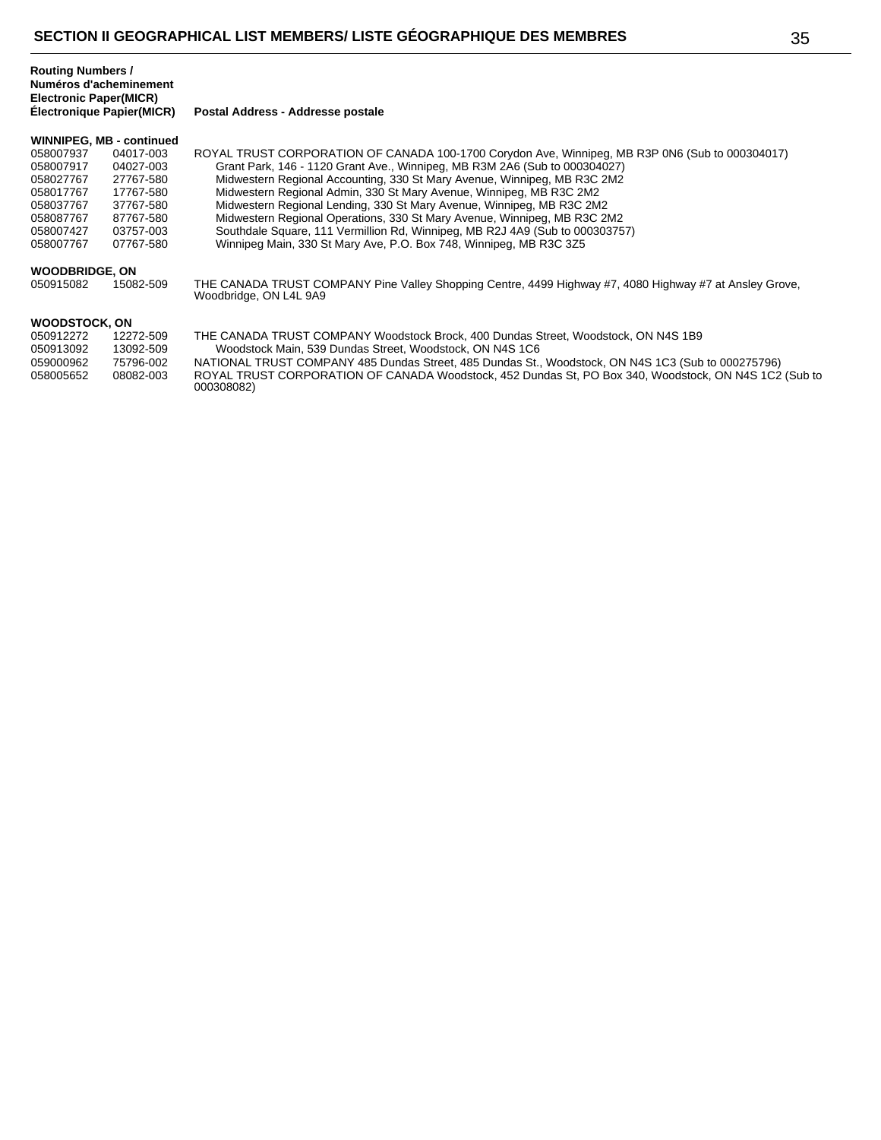**Postal Address - Addresse postale** 

#### **WINNIPEG, MB - continued**

| <b>WOODBRIDGE, ON</b> |           |                                                                                                 |
|-----------------------|-----------|-------------------------------------------------------------------------------------------------|
| 058007767             | 07767-580 | Winnipeg Main, 330 St Mary Ave, P.O. Box 748, Winnipeg, MB R3C 3Z5                              |
| 058007427             | 03757-003 | Southdale Square, 111 Vermillion Rd, Winnipeg, MB R2J 4A9 (Sub to 000303757)                    |
| 058087767             | 87767-580 | Midwestern Regional Operations, 330 St Mary Avenue, Winnipeg, MB R3C 2M2                        |
| 058037767             | 37767-580 | Midwestern Regional Lending, 330 St Mary Avenue, Winnipeg, MB R3C 2M2                           |
| 058017767             | 17767-580 | Midwestern Regional Admin, 330 St Mary Avenue, Winnipeg, MB R3C 2M2                             |
| 058027767             | 27767-580 | Midwestern Regional Accounting, 330 St Mary Avenue, Winnipeg, MB R3C 2M2                        |
| 058007917             | 04027-003 | Grant Park, 146 - 1120 Grant Ave., Winnipeg, MB R3M 2A6 (Sub to 000304027)                      |
| 058007937             | 04017-003 | ROYAL TRUST CORPORATION OF CANADA 100-1700 Corydon Ave, Winnipeg, MB R3P 0N6 (Sub to 000304017) |
|                       |           |                                                                                                 |

050915082 15082-509 THE CANADA TRUST COMPANY Pine Valley Shopping Centre, 4499 Highway #7, 4080 Highway #7 at Ansley Grove, Woodbridge, ON L4L 9A9

## **WOODSTOCK, ON**

| 050912272 | 12272-509 | THE CANADA TRUST COMPANY Woodstock Brock, 400 Dundas Street, Woodstock, ON N4S 1B9                    |
|-----------|-----------|-------------------------------------------------------------------------------------------------------|
| 050913092 | 13092-509 | Woodstock Main, 539 Dundas Street, Woodstock, ON N4S 1C6                                              |
| 059000962 | 75796-002 | NATIONAL TRUST COMPANY 485 Dundas Street, 485 Dundas St., Woodstock, ON N4S 1C3 (Sub to 000275796)    |
| 058005652 | 08082-003 | ROYAL TRUST CORPORATION OF CANADA Woodstock. 452 Dundas St. PO Box 340. Woodstock. ON N4S 1C2 (Sub to |
|           |           | 000308082)                                                                                            |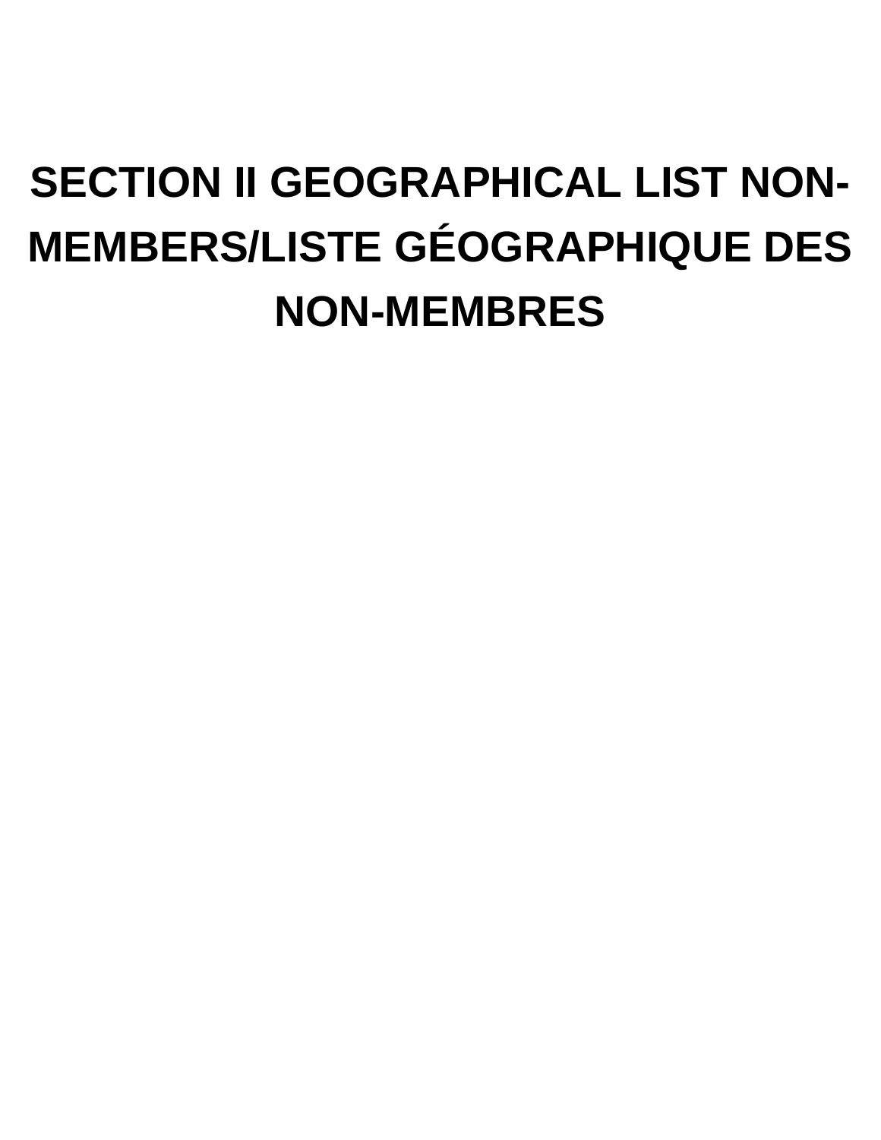# **SECTION II GEOGRAPHICAL LIST NON-MEMBERS/LISTE GÉOGRAPHIQUE DES NON-MEMBRES**